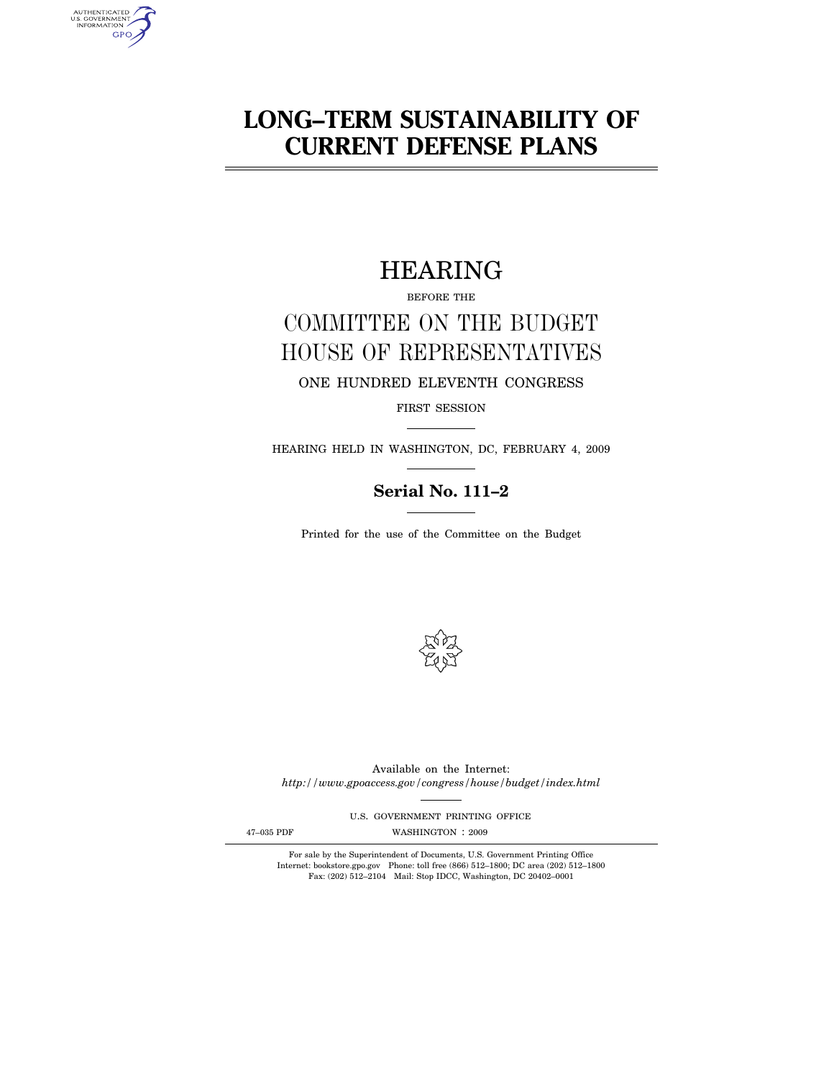# **LONG–TERM SUSTAINABILITY OF CURRENT DEFENSE PLANS**

## HEARING

BEFORE THE

# COMMITTEE ON THE BUDGET HOUSE OF REPRESENTATIVES

ONE HUNDRED ELEVENTH CONGRESS

FIRST SESSION

HEARING HELD IN WASHINGTON, DC, FEBRUARY 4, 2009

## **Serial No. 111–2**

Printed for the use of the Committee on the Budget



Available on the Internet: *http://www.gpoaccess.gov/congress/house/budget/index.html* 

U.S. GOVERNMENT PRINTING OFFICE

AUTHENTICATED<br>U.S. GOVERNMENT<br>INFORMATION **GPO** 

47-035 PDF WASHINGTON : 2009

For sale by the Superintendent of Documents, U.S. Government Printing Office Internet: bookstore.gpo.gov Phone: toll free (866) 512–1800; DC area (202) 512–1800 Fax: (202) 512–2104 Mail: Stop IDCC, Washington, DC 20402–0001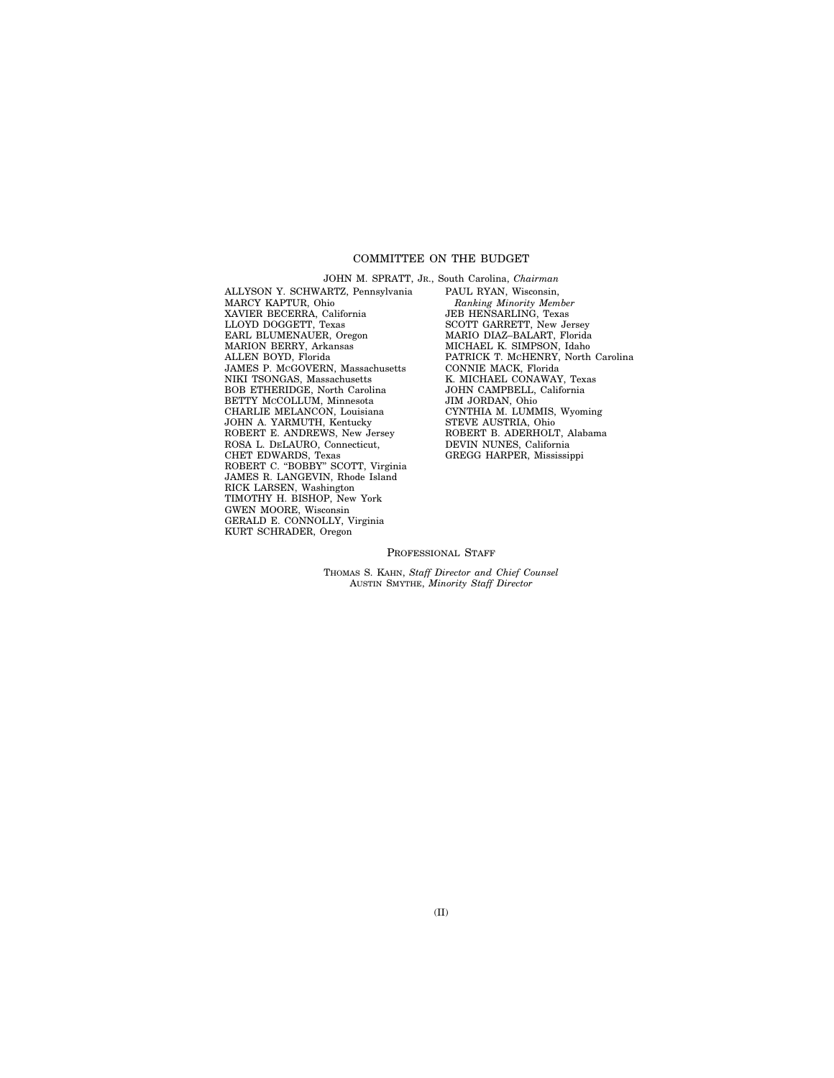#### COMMITTEE ON THE BUDGET

ALLYSON Y. SCHWARTZ, Pennsylvania MARCY KAPTUR, Ohio XAVIER BECERRA, California LLOYD DOGGETT, Texas EARL BLUMENAUER, Oregon MARION BERRY, Arkansas ALLEN BOYD, Florida JAMES P. MCGOVERN, Massachusetts NIKI TSONGAS, Massachusetts BOB ETHERIDGE, North Carolina BETTY MCCOLLUM, Minnesota CHARLIE MELANCON, Louisiana JOHN A. YARMUTH, Kentucky ROBERT E. ANDREWS, New Jersey ROSA L. DELAURO, Connecticut, CHET EDWARDS, Texas ROBERT C. "BOBBY" SCOTT, Virginia JAMES R. LANGEVIN, Rhode Island RICK LARSEN, Washington TIMOTHY H. BISHOP, New York GWEN MOORE, Wisconsin GERALD E. CONNOLLY, Virginia KURT SCHRADER, Oregon

JOHN M. SPRATT, JR., South Carolina, *Chairman*  PAUL RYAN, Wisconsin, *Ranking Minority Member*  JEB HENSARLING, Texas SCOTT GARRETT, New Jersey MARIO DIAZ–BALART, Florida MICHAEL K. SIMPSON, Idaho PATRICK T. MCHENRY, North Carolina CONNIE MACK, Florida K. MICHAEL CONAWAY, Texas JOHN CAMPBELL, California JIM JORDAN, Ohio CYNTHIA M. LUMMIS, Wyoming STEVE AUSTRIA, Ohio ROBERT B. ADERHOLT, Alabama DEVIN NUNES, California GREGG HARPER, Mississippi

#### PROFESSIONAL STAFF

THOMAS S. KAHN, *Staff Director and Chief Counsel*  AUSTIN SMYTHE, *Minority Staff Director*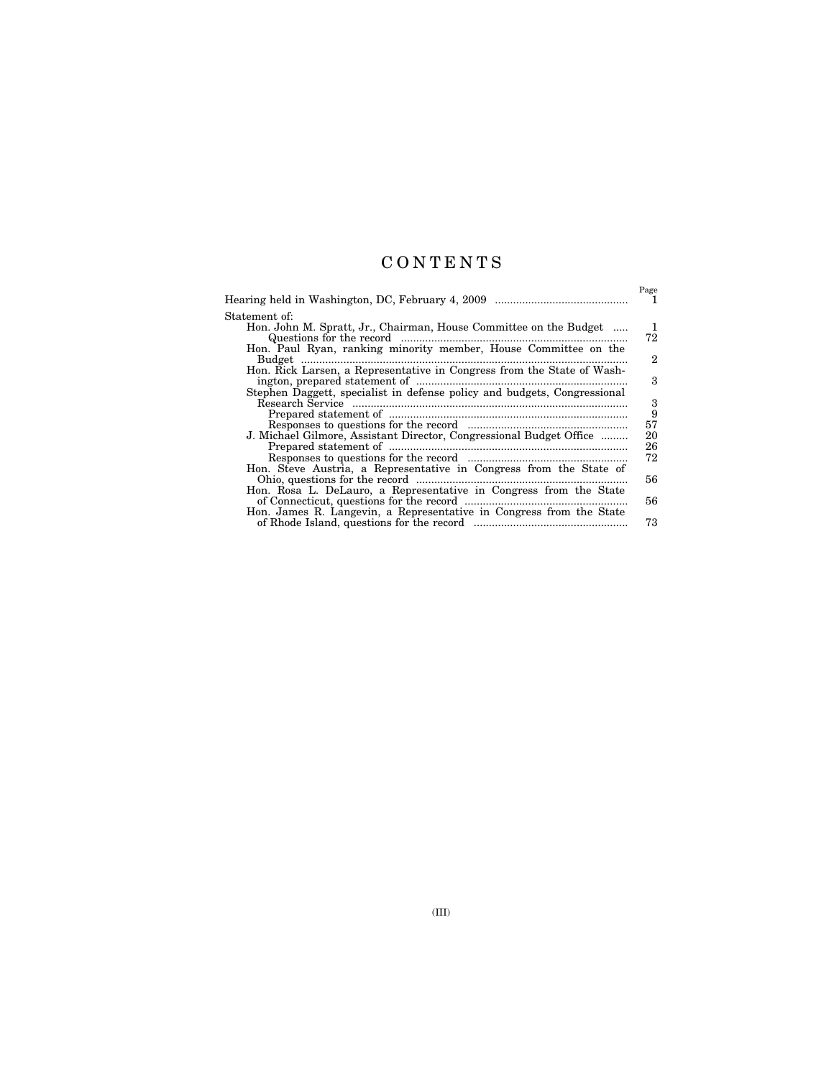## C O N T E N T S

|                                                                          | Page    |
|--------------------------------------------------------------------------|---------|
|                                                                          |         |
| Statement of:                                                            |         |
| Hon. John M. Spratt, Jr., Chairman, House Committee on the Budget        | 1<br>72 |
| Hon. Paul Ryan, ranking minority member, House Committee on the          |         |
|                                                                          | 2       |
| Hon. Rick Larsen, a Representative in Congress from the State of Wash-   | 3       |
| Stephen Daggett, specialist in defense policy and budgets, Congressional |         |
|                                                                          | 3       |
|                                                                          | 9       |
|                                                                          | 57      |
| J. Michael Gilmore, Assistant Director, Congressional Budget Office      | 20      |
|                                                                          | 26      |
|                                                                          | 72      |
| Hon. Steve Austria, a Representative in Congress from the State of       | 56      |
| Hon. Rosa L. DeLauro, a Representative in Congress from the State        |         |
|                                                                          | 56      |
| Hon. James R. Langevin, a Representative in Congress from the State      |         |
|                                                                          | 73      |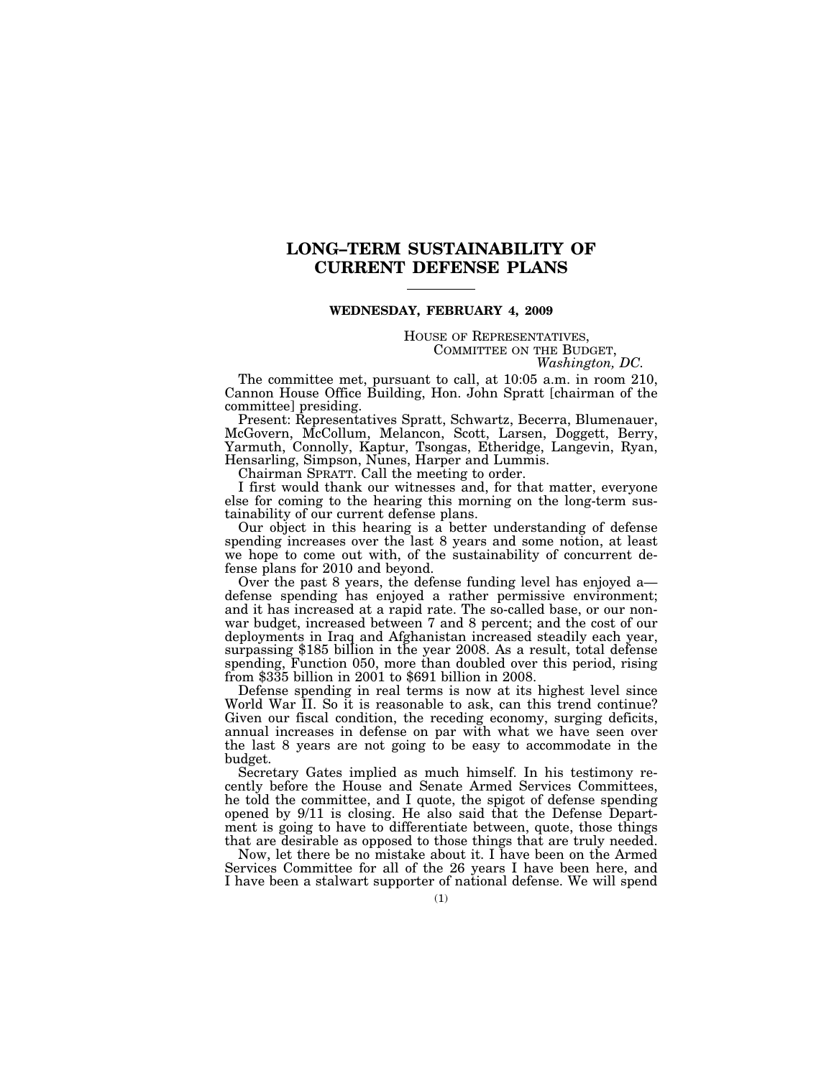## **LONG–TERM SUSTAINABILITY OF CURRENT DEFENSE PLANS**

#### **WEDNESDAY, FEBRUARY 4, 2009**

# HOUSE OF REPRESENTATIVES, COMMITTEE ON THE BUDGET, *Washington, DC.*

The committee met, pursuant to call, at 10:05 a.m. in room 210, Cannon House Office Building, Hon. John Spratt [chairman of the committee] presiding.

Present: Representatives Spratt, Schwartz, Becerra, Blumenauer, McGovern, McCollum, Melancon, Scott, Larsen, Doggett, Berry, Yarmuth, Connolly, Kaptur, Tsongas, Etheridge, Langevin, Ryan, Hensarling, Simpson, Nunes, Harper and Lummis.

Chairman SPRATT. Call the meeting to order.

I first would thank our witnesses and, for that matter, everyone else for coming to the hearing this morning on the long-term sustainability of our current defense plans.

Our object in this hearing is a better understanding of defense spending increases over the last 8 years and some notion, at least we hope to come out with, of the sustainability of concurrent defense plans for 2010 and beyond.

Over the past 8 years, the defense funding level has enjoyed a defense spending has enjoyed a rather permissive environment; and it has increased at a rapid rate. The so-called base, or our nonwar budget, increased between 7 and 8 percent; and the cost of our deployments in Iraq and Afghanistan increased steadily each year, surpassing \$185 billion in the year 2008. As a result, total defense spending, Function 050, more than doubled over this period, rising from \$335 billion in 2001 to \$691 billion in 2008.

Defense spending in real terms is now at its highest level since World War II. So it is reasonable to ask, can this trend continue? Given our fiscal condition, the receding economy, surging deficits, annual increases in defense on par with what we have seen over the last 8 years are not going to be easy to accommodate in the budget.

Secretary Gates implied as much himself. In his testimony recently before the House and Senate Armed Services Committees, he told the committee, and I quote, the spigot of defense spending opened by 9/11 is closing. He also said that the Defense Department is going to have to differentiate between, quote, those things that are desirable as opposed to those things that are truly needed.

Now, let there be no mistake about it. I have been on the Armed Services Committee for all of the 26 years I have been here, and I have been a stalwart supporter of national defense. We will spend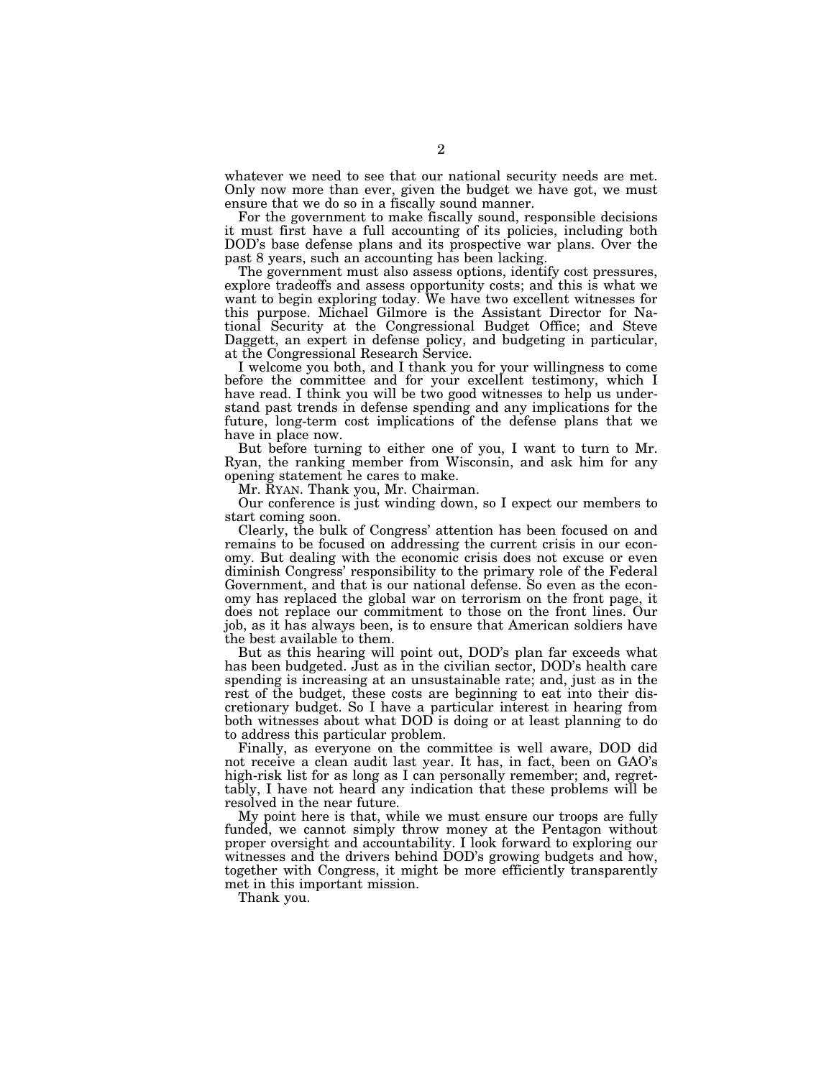whatever we need to see that our national security needs are met. Only now more than ever, given the budget we have got, we must ensure that we do so in a fiscally sound manner.

For the government to make fiscally sound, responsible decisions it must first have a full accounting of its policies, including both DOD's base defense plans and its prospective war plans. Over the past 8 years, such an accounting has been lacking.

The government must also assess options, identify cost pressures, explore tradeoffs and assess opportunity costs; and this is what we want to begin exploring today. We have two excellent witnesses for this purpose. Michael Gilmore is the Assistant Director for National Security at the Congressional Budget Office; and Steve Daggett, an expert in defense policy, and budgeting in particular, at the Congressional Research Service.

I welcome you both, and I thank you for your willingness to come before the committee and for your excellent testimony, which I have read. I think you will be two good witnesses to help us understand past trends in defense spending and any implications for the future, long-term cost implications of the defense plans that we have in place now.

But before turning to either one of you, I want to turn to Mr. Ryan, the ranking member from Wisconsin, and ask him for any opening statement he cares to make.

Mr. RYAN. Thank you, Mr. Chairman.

Our conference is just winding down, so I expect our members to start coming soon.

Clearly, the bulk of Congress' attention has been focused on and remains to be focused on addressing the current crisis in our economy. But dealing with the economic crisis does not excuse or even diminish Congress' responsibility to the primary role of the Federal Government, and that is our national defense. So even as the economy has replaced the global war on terrorism on the front page, it does not replace our commitment to those on the front lines. Our job, as it has always been, is to ensure that American soldiers have the best available to them.

But as this hearing will point out, DOD's plan far exceeds what has been budgeted. Just as in the civilian sector, DOD's health care spending is increasing at an unsustainable rate; and, just as in the rest of the budget, these costs are beginning to eat into their discretionary budget. So I have a particular interest in hearing from both witnesses about what DOD is doing or at least planning to do to address this particular problem.

Finally, as everyone on the committee is well aware, DOD did not receive a clean audit last year. It has, in fact, been on GAO's high-risk list for as long as I can personally remember; and, regrettably, I have not heard any indication that these problems will be resolved in the near future.

My point here is that, while we must ensure our troops are fully funded, we cannot simply throw money at the Pentagon without proper oversight and accountability. I look forward to exploring our witnesses and the drivers behind DOD's growing budgets and how, together with Congress, it might be more efficiently transparently met in this important mission.

Thank you.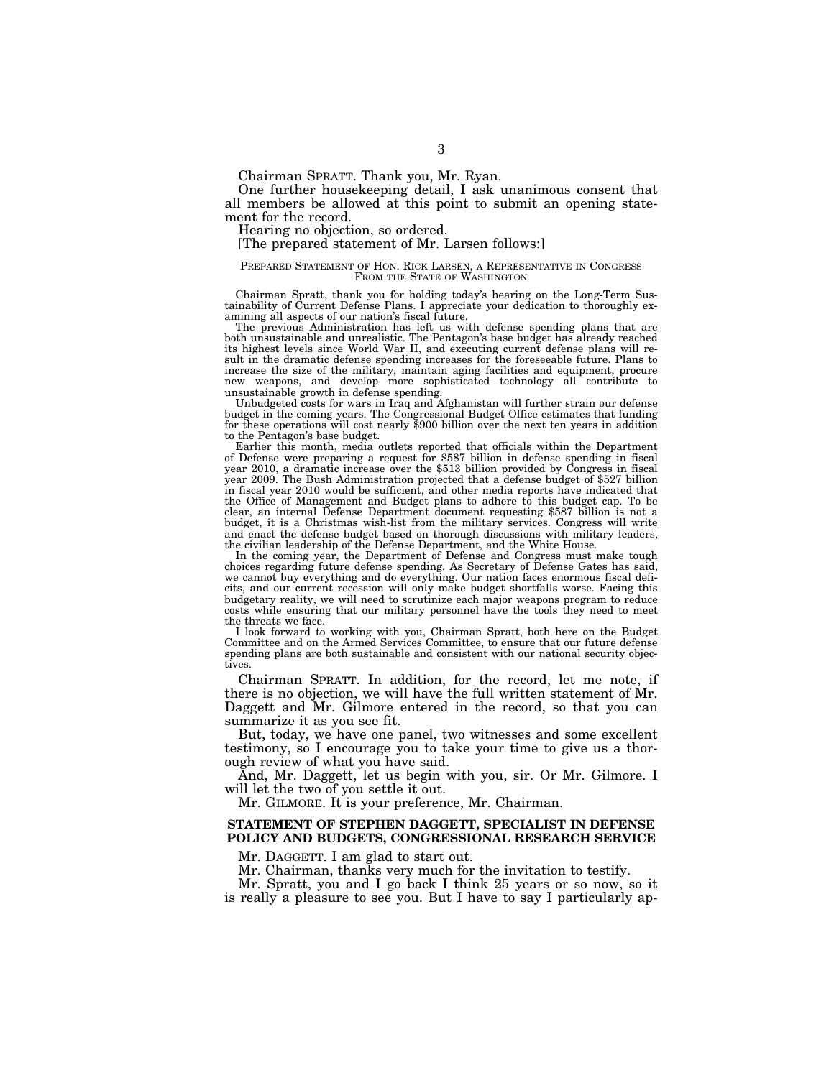Chairman SPRATT. Thank you, Mr. Ryan.

One further housekeeping detail, I ask unanimous consent that all members be allowed at this point to submit an opening statement for the record.

Hearing no objection, so ordered.

[The prepared statement of Mr. Larsen follows:]

## PREPARED STATEMENT OF HON. RICK LARSEN, A REPRESENTATIVE IN CONGRESS FROM THE STATE OF WASHINGTON

Chairman Spratt, thank you for holding today's hearing on the Long-Term Sustainability of Current Defense Plans. I appreciate your dedication to thoroughly examining all aspects of our nation's fiscal future.

The previous Administration has left us with defense spending plans that are both unsustainable and unrealistic. The Pentagon's base budget has already reached its highest levels since World War II, and executing current defense plans will result in the dramatic defense spending increases for the foreseeable future. Plans to increase the size of the military, maintain aging facilities and equipment, procure new weapons, and develop more sophisticated technology all contribute to unsustainable growth in defense spending.

Unbudgeted costs for wars in Iraq and Afghanistan will further strain our defense budget in the coming years. The Congressional Budget Office estimates that funding for these operations will cost nearly \$900 billion over the next ten years in addition to the Pentagon's base budget.

Earlier this month, media outlets reported that officials within the Department of Defense were preparing a request for \$587 billion in defense spending in fiscal year 2010, a dramatic increase over the \$513 billion provided by Congress in fiscal year 2009. The Bush Administration projected that a defense budget of \$527 billion in fiscal year 2010 would be sufficient, and other media reports have indicated that the Office of Management and Budget plans to adhere to this budget cap. To be clear, an internal Defense Department document requesting \$587 billion is not a budget, it is a Christmas wish-list from the military services. Congress will write and enact the defense budget based on thorough discussions with military leaders, the civilian leadership of the Defense Department, and the White House.

In the coming year, the Department of Defense and Congress must make tough choices regarding future defense spending. As Secretary of Defense Gates has said, we cannot buy everything and do everything. Our nation faces enormous fiscal deficits, and our current recession will only make budget shortfalls worse. Facing this budgetary reality, we will need to scrutinize each major weapons program to reduce costs while ensuring that our military personnel have the tools they need to meet the threats we face.

I look forward to working with you, Chairman Spratt, both here on the Budget Committee and on the Armed Services Committee, to ensure that our future defense spending plans are both sustainable and consistent with our national security objectives.

Chairman SPRATT. In addition, for the record, let me note, if there is no objection, we will have the full written statement of Mr. Daggett and Mr. Gilmore entered in the record, so that you can summarize it as you see fit.

But, today, we have one panel, two witnesses and some excellent testimony, so I encourage you to take your time to give us a thorough review of what you have said.

And, Mr. Daggett, let us begin with you, sir. Or Mr. Gilmore. I will let the two of you settle it out.

Mr. GILMORE. It is your preference, Mr. Chairman.

#### **STATEMENT OF STEPHEN DAGGETT, SPECIALIST IN DEFENSE POLICY AND BUDGETS, CONGRESSIONAL RESEARCH SERVICE**

Mr. DAGGETT. I am glad to start out.

Mr. Chairman, thanks very much for the invitation to testify.

Mr. Spratt, you and I go back I think 25 years or so now, so it is really a pleasure to see you. But I have to say I particularly ap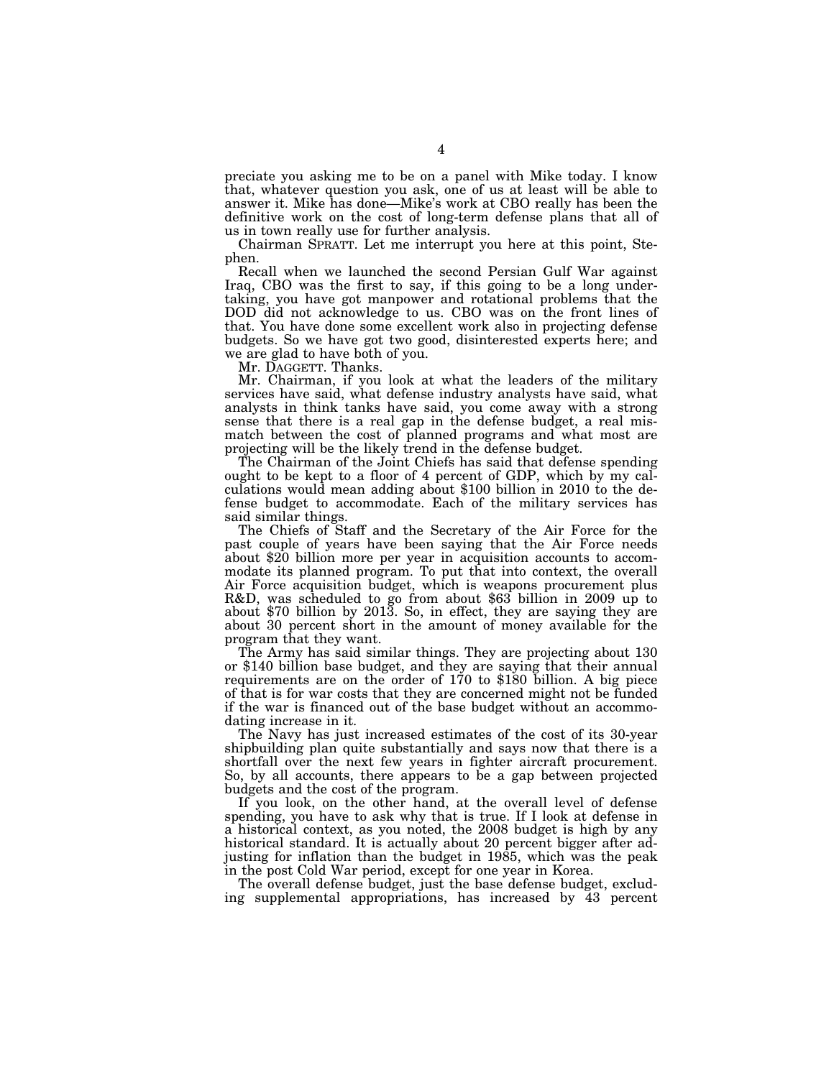preciate you asking me to be on a panel with Mike today. I know that, whatever question you ask, one of us at least will be able to answer it. Mike has done—Mike's work at CBO really has been the definitive work on the cost of long-term defense plans that all of us in town really use for further analysis.

Chairman SPRATT. Let me interrupt you here at this point, Stephen.

Recall when we launched the second Persian Gulf War against Iraq, CBO was the first to say, if this going to be a long undertaking, you have got manpower and rotational problems that the DOD did not acknowledge to us. CBO was on the front lines of that. You have done some excellent work also in projecting defense budgets. So we have got two good, disinterested experts here; and we are glad to have both of you.

Mr. DAGGETT. Thanks.

Mr. Chairman, if you look at what the leaders of the military services have said, what defense industry analysts have said, what analysts in think tanks have said, you come away with a strong sense that there is a real gap in the defense budget, a real mismatch between the cost of planned programs and what most are projecting will be the likely trend in the defense budget.

The Chairman of the Joint Chiefs has said that defense spending ought to be kept to a floor of 4 percent of GDP, which by my calculations would mean adding about \$100 billion in 2010 to the defense budget to accommodate. Each of the military services has said similar things.

The Chiefs of Staff and the Secretary of the Air Force for the past couple of years have been saying that the Air Force needs about \$20 billion more per year in acquisition accounts to accommodate its planned program. To put that into context, the overall Air Force acquisition budget, which is weapons procurement plus R&D, was scheduled to go from about \$63 billion in 2009 up to about \$70 billion by 2013. So, in effect, they are saying they are about 30 percent short in the amount of money available for the program that they want.

The Army has said similar things. They are projecting about 130 or \$140 billion base budget, and they are saying that their annual requirements are on the order of 170 to \$180 billion. A big piece of that is for war costs that they are concerned might not be funded if the war is financed out of the base budget without an accommodating increase in it.

The Navy has just increased estimates of the cost of its 30-year shipbuilding plan quite substantially and says now that there is a shortfall over the next few years in fighter aircraft procurement. So, by all accounts, there appears to be a gap between projected budgets and the cost of the program.

If you look, on the other hand, at the overall level of defense spending, you have to ask why that is true. If I look at defense in a historical context, as you noted, the 2008 budget is high by any historical standard. It is actually about 20 percent bigger after adjusting for inflation than the budget in 1985, which was the peak in the post Cold War period, except for one year in Korea.

The overall defense budget, just the base defense budget, excluding supplemental appropriations, has increased by 43 percent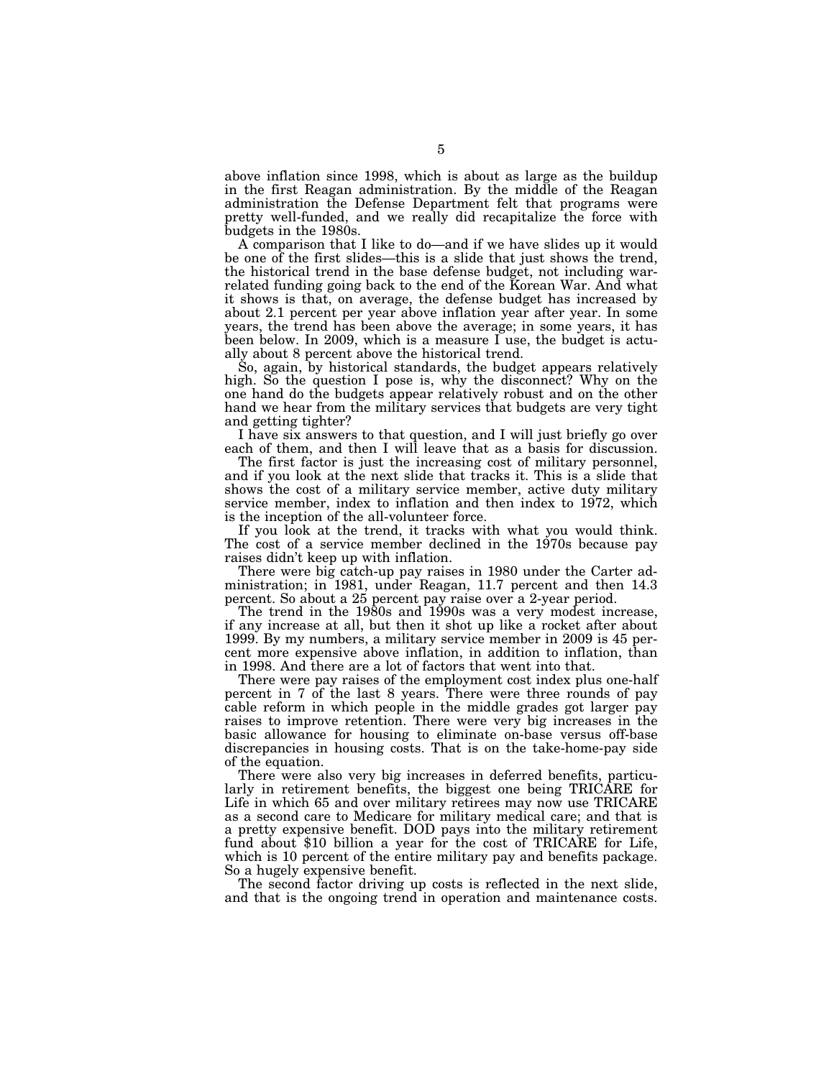above inflation since 1998, which is about as large as the buildup in the first Reagan administration. By the middle of the Reagan administration the Defense Department felt that programs were pretty well-funded, and we really did recapitalize the force with budgets in the 1980s.

A comparison that I like to do—and if we have slides up it would be one of the first slides—this is a slide that just shows the trend, the historical trend in the base defense budget, not including warrelated funding going back to the end of the Korean War. And what it shows is that, on average, the defense budget has increased by about 2.1 percent per year above inflation year after year. In some years, the trend has been above the average; in some years, it has been below. In 2009, which is a measure I use, the budget is actually about 8 percent above the historical trend.

So, again, by historical standards, the budget appears relatively high. So the question I pose is, why the disconnect? Why on the one hand do the budgets appear relatively robust and on the other hand we hear from the military services that budgets are very tight and getting tighter?

I have six answers to that question, and I will just briefly go over each of them, and then I will leave that as a basis for discussion.

The first factor is just the increasing cost of military personnel, and if you look at the next slide that tracks it. This is a slide that shows the cost of a military service member, active duty military service member, index to inflation and then index to 1972, which is the inception of the all-volunteer force.

If you look at the trend, it tracks with what you would think. The cost of a service member declined in the 1970s because pay raises didn't keep up with inflation.

There were big catch-up pay raises in 1980 under the Carter administration; in 1981, under Reagan, 11.7 percent and then 14.3 percent. So about a 25 percent pay raise over a 2-year period.

The trend in the 1980s and 1990s was a very modest increase, if any increase at all, but then it shot up like a rocket after about 1999. By my numbers, a military service member in 2009 is 45 percent more expensive above inflation, in addition to inflation, than in 1998. And there are a lot of factors that went into that.

There were pay raises of the employment cost index plus one-half percent in 7 of the last 8 years. There were three rounds of pay cable reform in which people in the middle grades got larger pay raises to improve retention. There were very big increases in the basic allowance for housing to eliminate on-base versus off-base discrepancies in housing costs. That is on the take-home-pay side of the equation.

There were also very big increases in deferred benefits, particularly in retirement benefits, the biggest one being TRICARE for Life in which 65 and over military retirees may now use TRICARE as a second care to Medicare for military medical care; and that is a pretty expensive benefit. DOD pays into the military retirement fund about \$10 billion a year for the cost of TRICARE for Life, which is 10 percent of the entire military pay and benefits package. So a hugely expensive benefit.

The second factor driving up costs is reflected in the next slide, and that is the ongoing trend in operation and maintenance costs.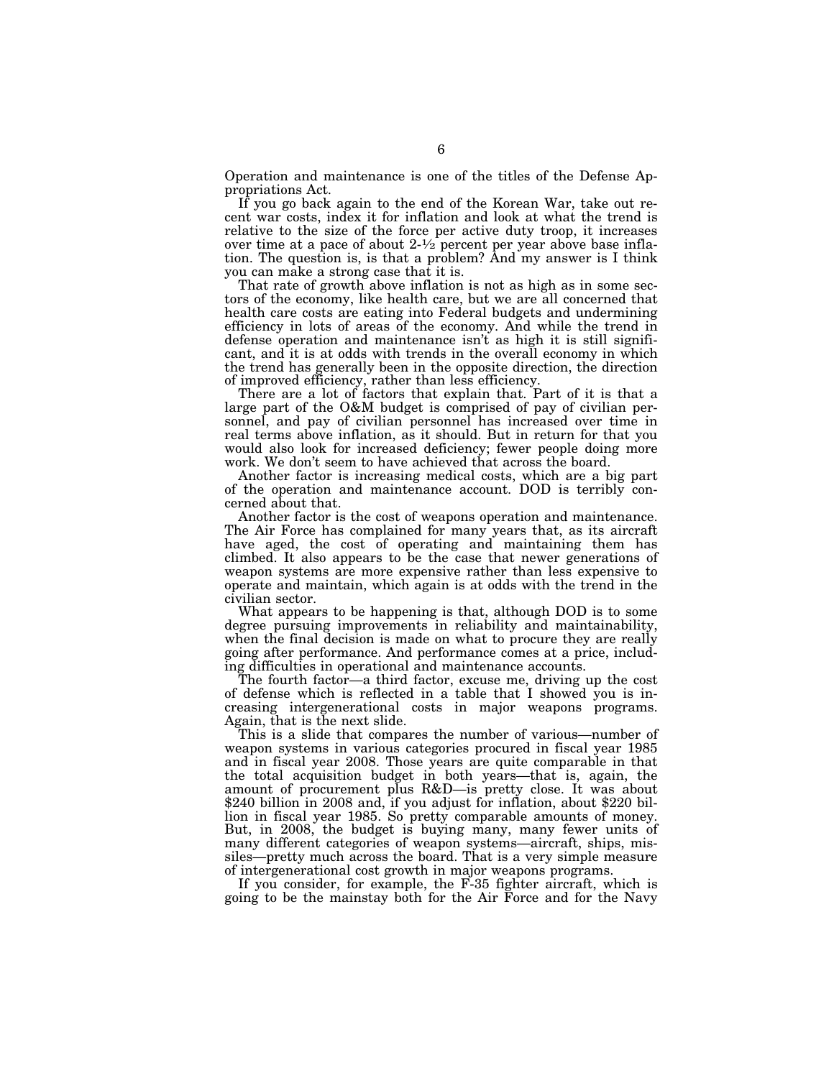Operation and maintenance is one of the titles of the Defense Appropriations Act.

If you go back again to the end of the Korean War, take out recent war costs, index it for inflation and look at what the trend is relative to the size of the force per active duty troop, it increases over time at a pace of about  $2\frac{1}{2}$  percent per year above base inflation. The question is, is that a problem? And my answer is I think you can make a strong case that it is.

That rate of growth above inflation is not as high as in some sectors of the economy, like health care, but we are all concerned that health care costs are eating into Federal budgets and undermining efficiency in lots of areas of the economy. And while the trend in defense operation and maintenance isn't as high it is still significant, and it is at odds with trends in the overall economy in which the trend has generally been in the opposite direction, the direction of improved efficiency, rather than less efficiency.

There are a lot of factors that explain that. Part of it is that a large part of the O&M budget is comprised of pay of civilian personnel, and pay of civilian personnel has increased over time in real terms above inflation, as it should. But in return for that you would also look for increased deficiency; fewer people doing more work. We don't seem to have achieved that across the board.

Another factor is increasing medical costs, which are a big part of the operation and maintenance account. DOD is terribly concerned about that.

Another factor is the cost of weapons operation and maintenance. The Air Force has complained for many years that, as its aircraft have aged, the cost of operating and maintaining them has climbed. It also appears to be the case that newer generations of weapon systems are more expensive rather than less expensive to operate and maintain, which again is at odds with the trend in the civilian sector.

What appears to be happening is that, although DOD is to some degree pursuing improvements in reliability and maintainability, when the final decision is made on what to procure they are really going after performance. And performance comes at a price, including difficulties in operational and maintenance accounts.

The fourth factor—a third factor, excuse me, driving up the cost of defense which is reflected in a table that I showed you is increasing intergenerational costs in major weapons programs. Again, that is the next slide.

This is a slide that compares the number of various—number of weapon systems in various categories procured in fiscal year 1985 and in fiscal year 2008. Those years are quite comparable in that the total acquisition budget in both years—that is, again, the amount of procurement plus R&D—is pretty close. It was about \$240 billion in 2008 and, if you adjust for inflation, about \$220 billion in fiscal year 1985. So pretty comparable amounts of money. But, in 2008, the budget is buying many, many fewer units of many different categories of weapon systems—aircraft, ships, missiles—pretty much across the board. That is a very simple measure of intergenerational cost growth in major weapons programs.

If you consider, for example, the F-35 fighter aircraft, which is going to be the mainstay both for the Air Force and for the Navy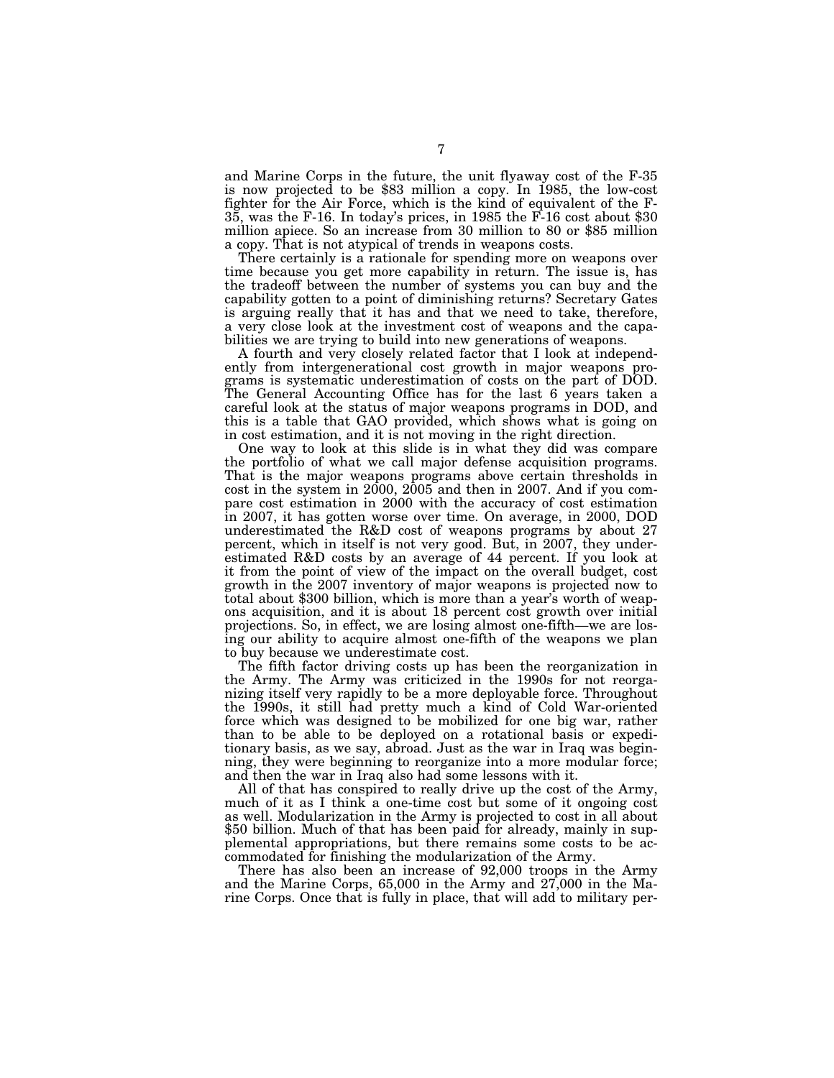and Marine Corps in the future, the unit flyaway cost of the F-35 is now projected to be \$83 million a copy. In 1985, the low-cost fighter for the Air Force, which is the kind of equivalent of the F-35, was the F-16. In today's prices, in 1985 the F-16 cost about \$30 million apiece. So an increase from 30 million to 80 or \$85 million a copy. That is not atypical of trends in weapons costs.

There certainly is a rationale for spending more on weapons over time because you get more capability in return. The issue is, has the tradeoff between the number of systems you can buy and the capability gotten to a point of diminishing returns? Secretary Gates is arguing really that it has and that we need to take, therefore, a very close look at the investment cost of weapons and the capabilities we are trying to build into new generations of weapons.

A fourth and very closely related factor that I look at independently from intergenerational cost growth in major weapons programs is systematic underestimation of costs on the part of DOD. The General Accounting Office has for the last 6 years taken a careful look at the status of major weapons programs in DOD, and this is a table that GAO provided, which shows what is going on in cost estimation, and it is not moving in the right direction.

One way to look at this slide is in what they did was compare the portfolio of what we call major defense acquisition programs. That is the major weapons programs above certain thresholds in cost in the system in 2000, 2005 and then in 2007. And if you compare cost estimation in 2000 with the accuracy of cost estimation in 2007, it has gotten worse over time. On average, in 2000, DOD underestimated the R&D cost of weapons programs by about 27 percent, which in itself is not very good. But, in 2007, they underestimated R&D costs by an average of 44 percent. If you look at it from the point of view of the impact on the overall budget, cost growth in the 2007 inventory of major weapons is projected now to total about \$300 billion, which is more than a year's worth of weapons acquisition, and it is about 18 percent cost growth over initial projections. So, in effect, we are losing almost one-fifth—we are losing our ability to acquire almost one-fifth of the weapons we plan to buy because we underestimate cost.

The fifth factor driving costs up has been the reorganization in the Army. The Army was criticized in the 1990s for not reorganizing itself very rapidly to be a more deployable force. Throughout the 1990s, it still had pretty much a kind of Cold War-oriented force which was designed to be mobilized for one big war, rather than to be able to be deployed on a rotational basis or expeditionary basis, as we say, abroad. Just as the war in Iraq was beginning, they were beginning to reorganize into a more modular force; and then the war in Iraq also had some lessons with it.

All of that has conspired to really drive up the cost of the Army, much of it as I think a one-time cost but some of it ongoing cost as well. Modularization in the Army is projected to cost in all about \$50 billion. Much of that has been paid for already, mainly in supplemental appropriations, but there remains some costs to be accommodated for finishing the modularization of the Army.

There has also been an increase of 92,000 troops in the Army and the Marine Corps, 65,000 in the Army and 27,000 in the Marine Corps. Once that is fully in place, that will add to military per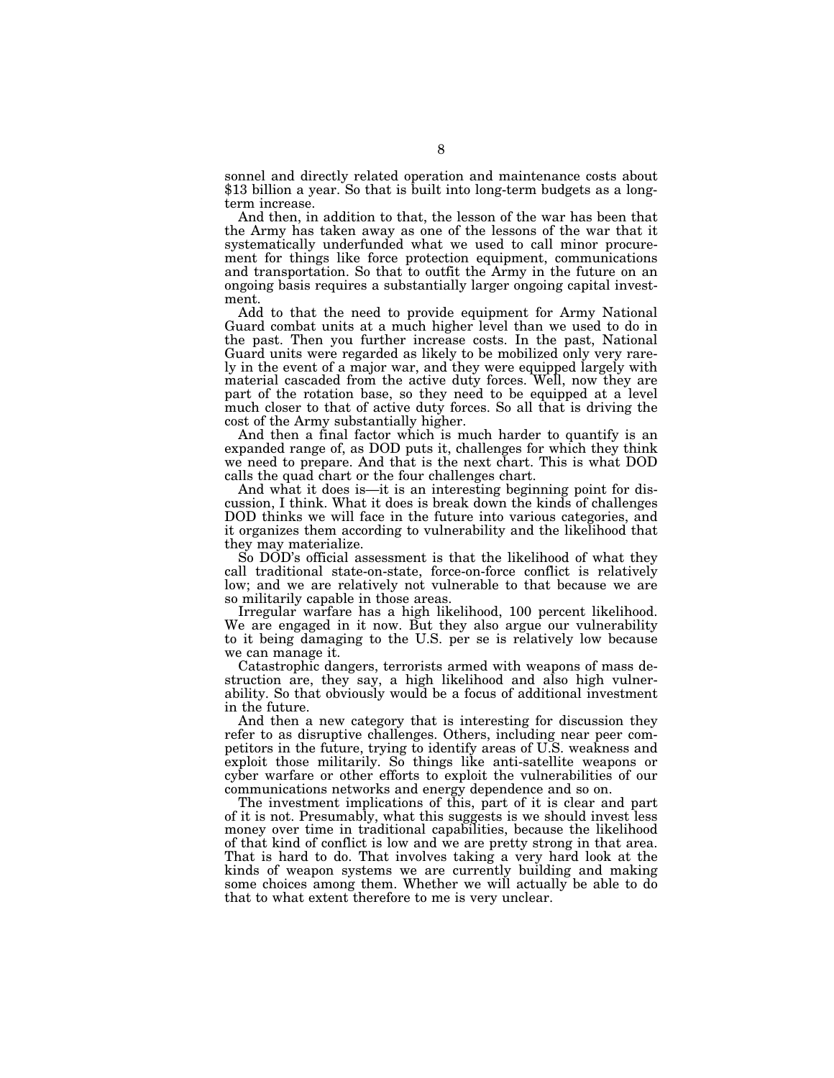sonnel and directly related operation and maintenance costs about \$13 billion a year. So that is built into long-term budgets as a longterm increase.

And then, in addition to that, the lesson of the war has been that the Army has taken away as one of the lessons of the war that it systematically underfunded what we used to call minor procurement for things like force protection equipment, communications and transportation. So that to outfit the Army in the future on an ongoing basis requires a substantially larger ongoing capital investment.

Add to that the need to provide equipment for Army National Guard combat units at a much higher level than we used to do in the past. Then you further increase costs. In the past, National Guard units were regarded as likely to be mobilized only very rarely in the event of a major war, and they were equipped largely with material cascaded from the active duty forces. Well, now they are part of the rotation base, so they need to be equipped at a level much closer to that of active duty forces. So all that is driving the cost of the Army substantially higher.

And then a final factor which is much harder to quantify is an expanded range of, as DOD puts it, challenges for which they think we need to prepare. And that is the next chart. This is what DOD calls the quad chart or the four challenges chart.

And what it does is—it is an interesting beginning point for discussion, I think. What it does is break down the kinds of challenges DOD thinks we will face in the future into various categories, and it organizes them according to vulnerability and the likelihood that they may materialize.

So DOD's official assessment is that the likelihood of what they call traditional state-on-state, force-on-force conflict is relatively low; and we are relatively not vulnerable to that because we are so militarily capable in those areas.

Irregular warfare has a high likelihood, 100 percent likelihood. We are engaged in it now. But they also argue our vulnerability to it being damaging to the U.S. per se is relatively low because we can manage it.

Catastrophic dangers, terrorists armed with weapons of mass destruction are, they say, a high likelihood and also high vulnerability. So that obviously would be a focus of additional investment in the future.

And then a new category that is interesting for discussion they refer to as disruptive challenges. Others, including near peer competitors in the future, trying to identify areas of U.S. weakness and exploit those militarily. So things like anti-satellite weapons or cyber warfare or other efforts to exploit the vulnerabilities of our communications networks and energy dependence and so on.

The investment implications of this, part of it is clear and part of it is not. Presumably, what this suggests is we should invest less money over time in traditional capabilities, because the likelihood of that kind of conflict is low and we are pretty strong in that area. That is hard to do. That involves taking a very hard look at the kinds of weapon systems we are currently building and making some choices among them. Whether we will actually be able to do that to what extent therefore to me is very unclear.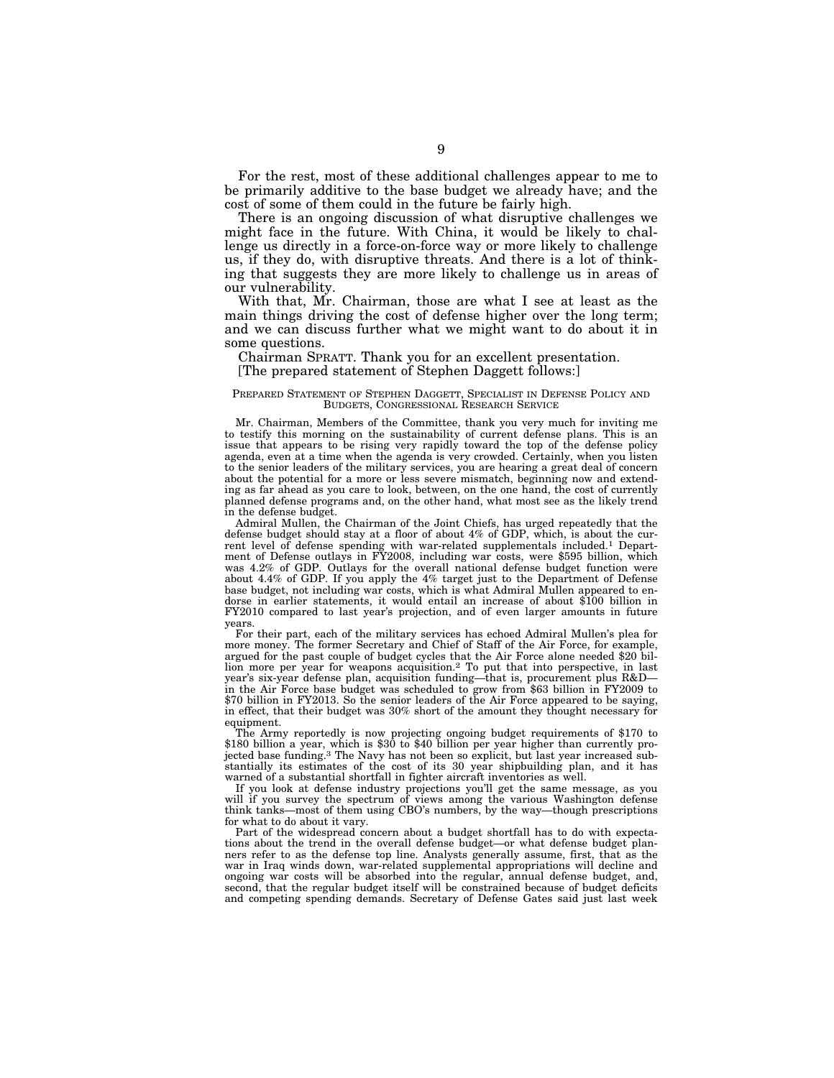For the rest, most of these additional challenges appear to me to be primarily additive to the base budget we already have; and the cost of some of them could in the future be fairly high.

There is an ongoing discussion of what disruptive challenges we might face in the future. With China, it would be likely to challenge us directly in a force-on-force way or more likely to challenge us, if they do, with disruptive threats. And there is a lot of thinking that suggests they are more likely to challenge us in areas of our vulnerability.

With that, Mr. Chairman, those are what I see at least as the main things driving the cost of defense higher over the long term; and we can discuss further what we might want to do about it in some questions.

#### Chairman SPRATT. Thank you for an excellent presentation. [The prepared statement of Stephen Daggett follows:]

#### PREPARED STATEMENT OF STEPHEN DAGGETT, SPECIALIST IN DEFENSE POLICY AND BUDGETS, CONGRESSIONAL RESEARCH SERVICE

Mr. Chairman, Members of the Committee, thank you very much for inviting me to testify this morning on the sustainability of current defense plans. This is an issue that appears to be rising very rapidly toward the top of the defense policy agenda, even at a time when the agenda is very crowded. Certainly, when you listen to the senior leaders of the military services, you are hearing a great deal of concern about the potential for a more or less severe mismatch, beginning now and extending as far ahead as you care to look, between, on the one hand, the cost of currently planned defense programs and, on the other hand, what most see as the likely trend in the defense budget.

Admiral Mullen, the Chairman of the Joint Chiefs, has urged repeatedly that the defense budget should stay at a floor of about 4% of GDP, which, is about the current level of defense spending with war-related supplementals included.1 Department of Defense outlays in FY2008, including war costs, were \$595 billion, which was 4.2% of GDP. Outlays for the overall national defense budget function were about 4.4% of GDP. If you apply the 4% target just to the Department of Defense base budget, not including war costs, which is what Admiral Mullen appeared to endorse in earlier statements, it would entail an increase of about \$100 billion in FY2010 compared to last year's projection, and of even larger amounts in future years.

For their part, each of the military services has echoed Admiral Mullen's plea for more money. The former Secretary and Chief of Staff of the Air Force, for example, argued for the past couple of budget cycles that the Air Force alone needed \$20 billion more per year for weapons acquisition.2 To put that into perspective, in last year's six-year defense plan, acquisition funding—that is, procurement plus R&D in the Air Force base budget was scheduled to grow from \$63 billion in FY2009 to \$70 billion in FY2013. So the senior leaders of the Air Force appeared to be saying, in effect, that their budget was 30% short of the amount they thought necessary for equipment.

The Army reportedly is now projecting ongoing budget requirements of \$170 to \$180 billion a year, which is \$30 to \$40 billion per year higher than currently projected base funding.3 The Navy has not been so explicit, but last year increased substantially its estimates of the cost of its 30 year shipbuilding plan, and it has warned of a substantial shortfall in fighter aircraft inventories as well.

If you look at defense industry projections you'll get the same message, as you will if you survey the spectrum of views among the various Washington defense think tanks—most of them using CBO's numbers, by the way—though prescriptions for what to do about it vary.

Part of the widespread concern about a budget shortfall has to do with expectations about the trend in the overall defense budget—or what defense budget planners refer to as the defense top line. Analysts generally assume, first, that as the war in Iraq winds down, war-related supplemental appropriations will decline and ongoing war costs will be absorbed into the regular, annual defense budget, and, second, that the regular budget itself will be constrained because of budget deficits and competing spending demands. Secretary of Defense Gates said just last week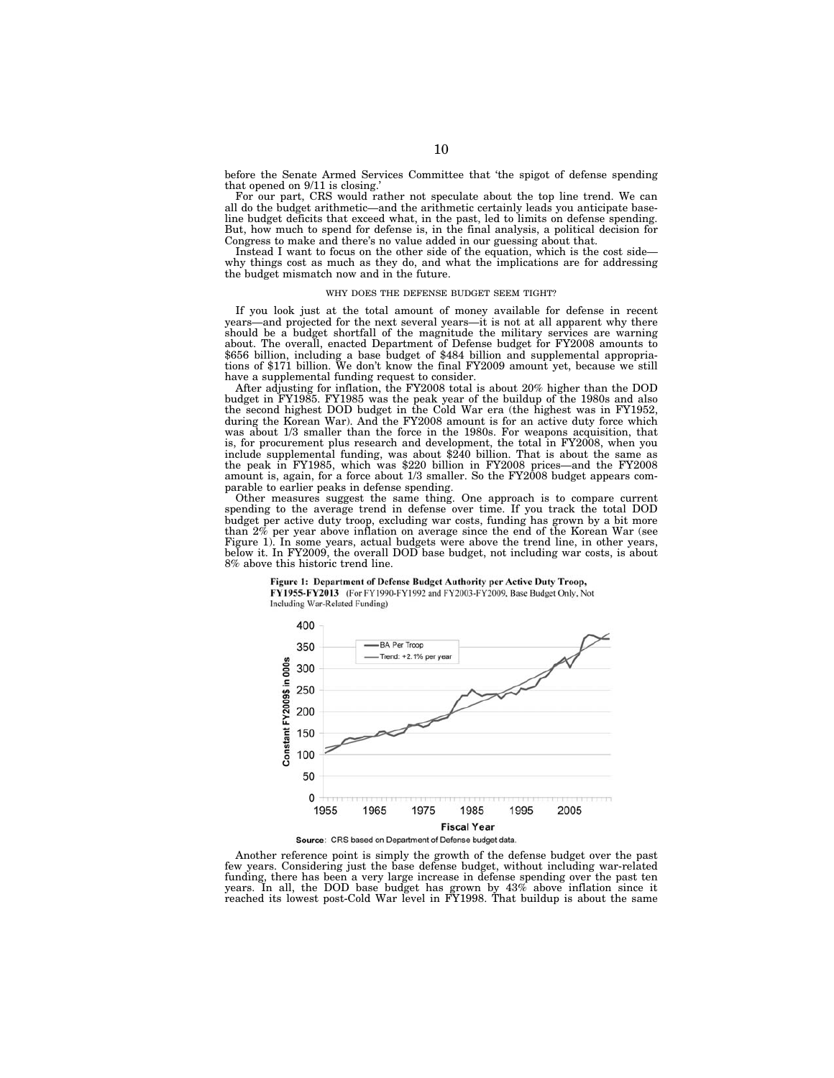before the Senate Armed Services Committee that 'the spigot of defense spending that opened on 9/11 is closing.'

For our part, CRS would rather not speculate about the top line trend. We can all do the budget arithmetic—and the arithmetic certainly leads you anticipate baseline budget deficits that exceed what, in the past, led to limits on defense spending. But, how much to spend for defense is, in the final analysis, a political decision for Congress to make and there's no value added in our guessing about that.

Instead I want to focus on the other side of the equation, which is the cost side why things cost as much as they do, and what the implications are for addressing the budget mismatch now and in the future.

#### WHY DOES THE DEFENSE BUDGET SEEM TIGHT?

If you look just at the total amount of money available for defense in recent years—and projected for the next several years—it is not at all apparent why there should be a budget shortfall of the magnitude the military services are warning about. The overall, enacted Department of Defense budget for FY2008 amounts to \$656 billion, including a base budget of \$484 billion and supplemental appropriations of \$171 billion. We don't know the final FY2009 amount yet, because we still have a supplemental funding request to consider.

After adjusting for inflation, the FY2008 total is about 20% higher than the DOD budget in FY1985. FY1985 was the peak year of the buildup of the 1980s and also the second highest DOD budget in the Cold War era (the highest was in FY1952, during the Korean War). And the FY2008 amount is for an active duty force which was about 1/3 smaller than the force in the 1980s. For weapons acquisition, that is, for procurement plus research and development, the total in FY2008, when you include supplemental funding, was about \$240 billion. That is about the same as the peak in FY1985, which was \$220 billion in FY2008 prices—and the FY2008 amount is, again, for a force about 1/3 smaller. So the FY2008 budget appears comparable to earlier peaks in defense spending.

Other measures suggest the same thing. One approach is to compare current spending to the average trend in defense over time. If you track the total DOD budget per active duty troop, excluding war costs, funding has grown by a bit more than 2% per year above inflation on average since the end of the Korean War (see Figure 1). In some years, actual budgets were above the trend line, in other years, below it. In FY2009, the overall DOD base budget, not including war costs, is about 8% above this historic trend line.

#### Figure 1: Department of Defense Budget Authority per Active Duty Troop,





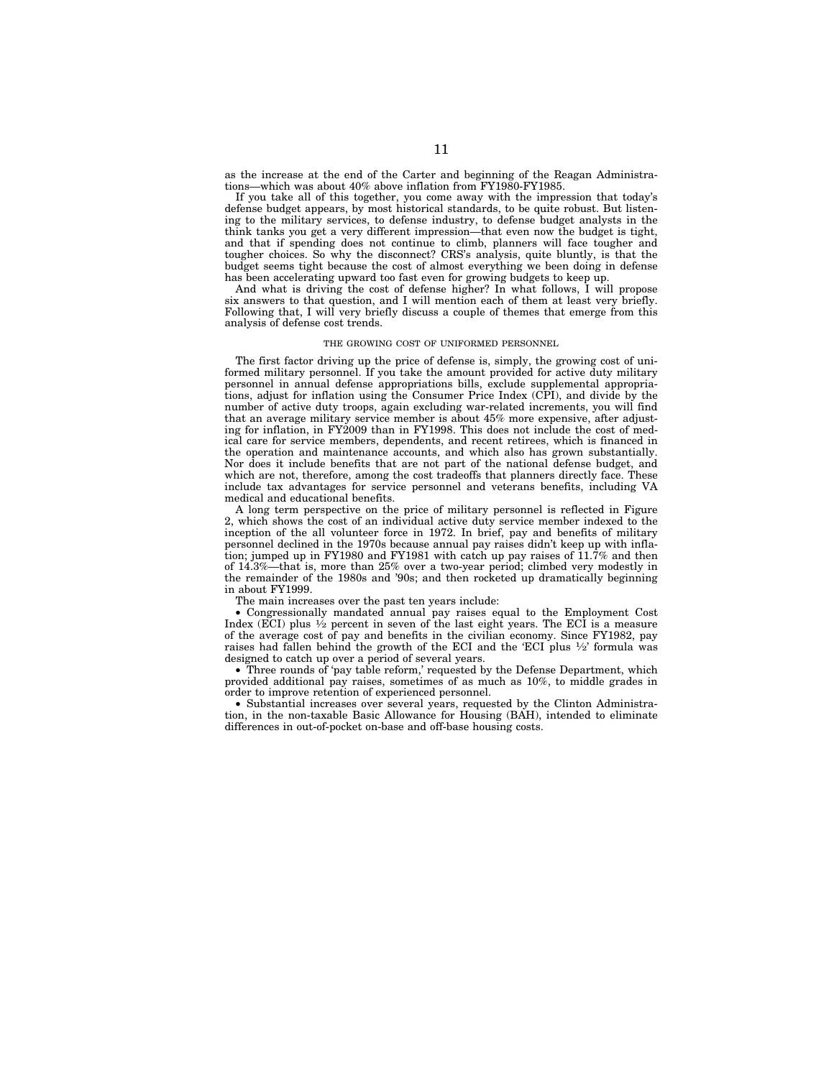as the increase at the end of the Carter and beginning of the Reagan Administrations—which was about 40% above inflation from FY1980-FY1985.

If you take all of this together, you come away with the impression that today's defense budget appears, by most historical standards, to be quite robust. But listening to the military services, to defense industry, to defense budget analysts in the think tanks you get a very different impression—that even now the budget is tight, and that if spending does not continue to climb, planners will face tougher and tougher choices. So why the disconnect? CRS's analysis, quite bluntly, is that the budget seems tight because the cost of almost everything we been doing in defense has been accelerating upward too fast even for growing budgets to keep up.

And what is driving the cost of defense higher? In what follows, I will propose six answers to that question, and I will mention each of them at least very briefly. Following that, I will very briefly discuss a couple of themes that emerge from this analysis of defense cost trends.

#### THE GROWING COST OF UNIFORMED PERSONNEL

The first factor driving up the price of defense is, simply, the growing cost of uniformed military personnel. If you take the amount provided for active duty military personnel in annual defense appropriations bills, exclude supplemental appropriations, adjust for inflation using the Consumer Price Index (CPI), and divide by the number of active duty troops, again excluding war-related increments, you will find that an average military service member is about 45% more expensive, after adjusting for inflation, in FY2009 than in FY1998. This does not include the cost of medical care for service members, dependents, and recent retirees, which is financed in the operation and maintenance accounts, and which also has grown substantially. Nor does it include benefits that are not part of the national defense budget, and which are not, therefore, among the cost tradeoffs that planners directly face. These include tax advantages for service personnel and veterans benefits, including VA medical and educational benefits.

A long term perspective on the price of military personnel is reflected in Figure 2, which shows the cost of an individual active duty service member indexed to the inception of the all volunteer force in 1972. In brief, pay and benefits of military personnel declined in the 1970s because annual pay raises didn't keep up with inflation; jumped up in FY1980 and FY1981 with catch up pay raises of 11.7% and then of 14.3%—that is, more than 25% over a two-vear period; climbed very modestly in hat is, more than 25% over a two-year period; climbed very modestly in the remainder of the 1980s and '90s; and then rocketed up dramatically beginning in about FY1999.

The main increases over the past ten years include:

• Congressionally mandated annual pay raises equal to the Employment Cost Index (ECI) plus 1⁄2 percent in seven of the last eight years. The ECI is a measure of the average cost of pay and benefits in the civilian economy. Since FY1982, pay raises had fallen behind the growth of the ECI and the 'ECI plus  $\frac{1}{2}$ ' formula was designed to catch up over a period of several years.

• Three rounds of 'pay table reform,' requested by the Defense Department, which provided additional pay raises, sometimes of as much as 10%, to middle grades in order to improve retention of experienced personnel.

• Substantial increases over several years, requested by the Clinton Administration, in the non-taxable Basic Allowance for Housing (BAH), intended to eliminate differences in out-of-pocket on-base and off-base housing costs.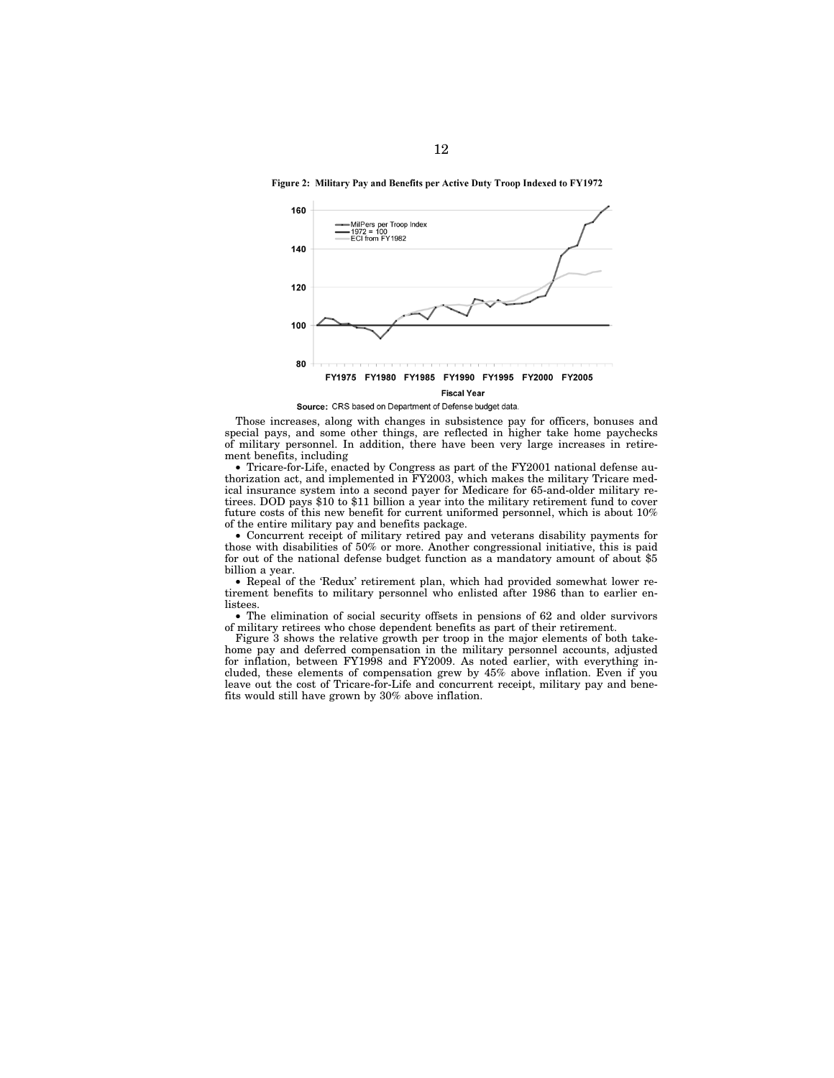Figure 2: Military Pay and Benefits per Active Duty Troop Indexed to FY1972



Source: CRS based on Department of Defense budget data.

Those increases, along with changes in subsistence pay for officers, bonuses and special pays, and some other things, are reflected in higher take home paychecks of military personnel. In addition, there have been very large increases in retirement benefits, including

• Tricare-for-Life, enacted by Congress as part of the FY2001 national defense authorization act, and implemented in FY2003, which makes the military Tricare medical insurance system into a second payer for Medicare for 65-and-older military retirees. DOD pays \$10 to \$11 billion a year into the military retirement fund to cover future costs of this new benefit for current uniformed personnel, which is about 10% of the entire military pay and benefits package.

• Concurrent receipt of military retired pay and veterans disability payments for those with disabilities of 50% or more. Another congressional initiative, this is paid for out of the national defense budget function as a mandatory amount of about \$5 billion a year.

• Repeal of the 'Redux' retirement plan, which had provided somewhat lower retirement benefits to military personnel who enlisted after 1986 than to earlier enlistees.

• The elimination of social security offsets in pensions of 62 and older survivors of military retirees who chose dependent benefits as part of their retirement.

Figure 3 shows the relative growth per troop in the major elements of both takehome pay and deferred compensation in the military personnel accounts, adjusted for inflation, between FY1998 and FY2009. As noted earlier, with everything included, these elements of compensation grew by 45% above inflation. Even if you leave out the cost of Tricare-for-Life and concurrent receipt, military pay and benefits would still have grown by 30% above inflation.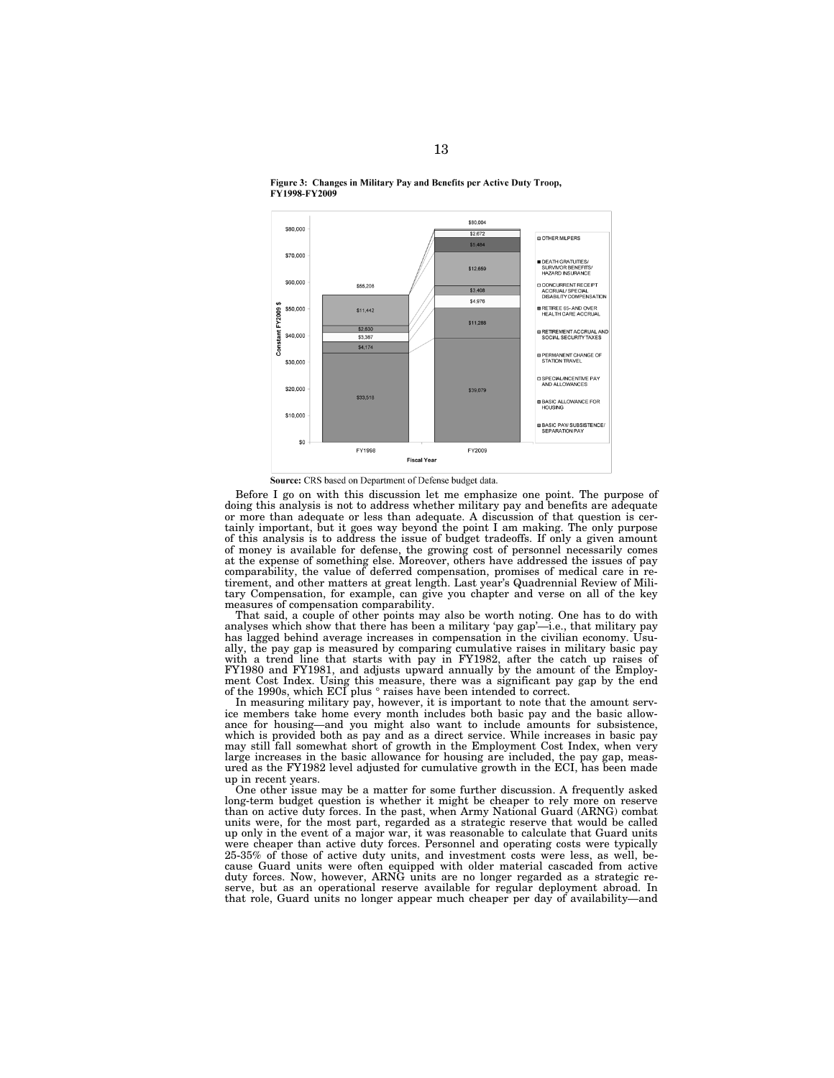

Figure 3: Changes in Military Pay and Benefits per Active Duty Troop, FY1998-FY2009

Source: CRS based on Department of Defense budget data.

Before I go on with this discussion let me emphasize one point. The purpose of doing this analysis is not to address whether military pay and benefits are adequate or more than adequate or less than adequate. A discussion of that question is certainly important, but it goes way beyond the point I am making. The only purpose of this analysis is to address the issue of budget tradeoffs. If only a given amount of money is available for defense, the growing cost of personnel necessarily comes at the expense of something else. Moreover, others have addressed the issues of pay comparability, the value of deferred compensation, promises of medical care in retirement, and other matters at great length. Last year's Quadrennial Review of Military Compensation, for example, can give you chapter and verse on all of the key measures of compensation comparability.

That said, a couple of other points may also be worth noting. One has to do with analyses which show that there has been a military 'pay gap'—i.e., that military pay has lagged behind average increases in compensation in the civilian economy. Usually, the pay gap is measured by comparing cumulative raises in military basic pay with a trend line that starts with pay in FY1982, after the catch up raises of FY1980 and FY1981, and adjusts upward annually by the amount of the Employment Cost Index. Using this measure, there was a significant pay gap by the end of the 1990s, which ECI plus ° raises have been intended to correct.

In measuring military pay, however, it is important to note that the amount service members take home every month includes both basic pay and the basic allowance for housing—and you might also want to include amounts for subsistence, which is provided both as pay and as a direct service. While increases in basic pay may still fall somewhat short of growth in the Employment Cost Index, when very large increases in the basic allowance for housing are included, the pay gap, measured as the FY1982 level adjusted for cumulative growth in the ECI, has been made up in recent years.

One other issue may be a matter for some further discussion. A frequently asked long-term budget question is whether it might be cheaper to rely more on reserve than on active duty forces. In the past, when Army National Guard (ARNG) combat units were, for the most part, regarded as a strategic reserve that would be called up only in the event of a major war, it was reasonable to calculate that Guard units were cheaper than active duty forces. Personnel and operating costs were typically 25-35% of those of active duty units, and investment costs were less, as well, because Guard units were often equipped with older material cascaded from active duty forces. Now, however, ARNG units are no longer regarded as a strategic reserve, but as an operational reserve available for regular deployment abroad. In that role, Guard units no longer appear much cheaper per day of availability—and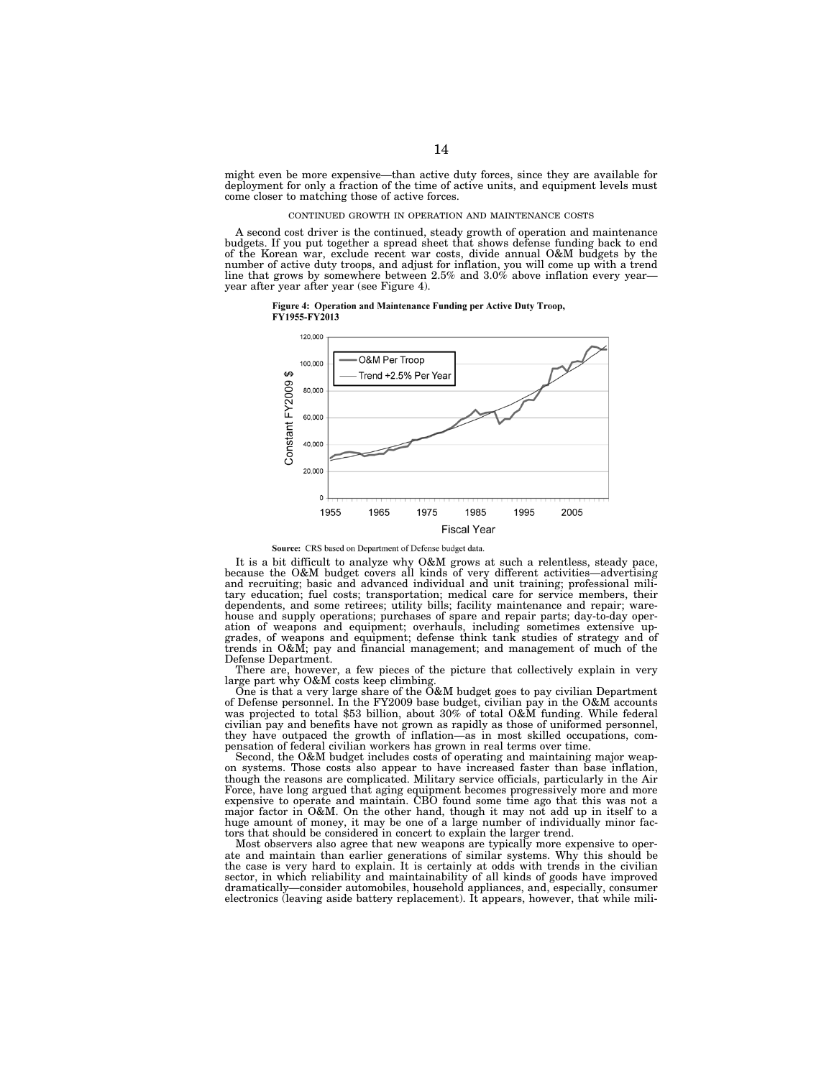might even be more expensive—than active duty forces, since they are available for deployment for only a fraction of the time of active units, and equipment levels must come closer to matching those of active forces.

#### CONTINUED GROWTH IN OPERATION AND MAINTENANCE COSTS

A second cost driver is the continued, steady growth of operation and maintenance budgets. If you put together a spread sheet that shows defense funding back to end of the Korean war, exclude recent war costs, divide annual O&M budgets by the number of active duty troops, and adjust for inflation, you will come up with a trend line that grows by somewhere between 2.5% and 3.0% above inflation every year year after year after year (see Figure 4).





Source: CRS based on Department of Defense budget data.

It is a bit difficult to analyze why O&M grows at such a relentless, steady pace, because the O&M budget covers all kinds of very different activities—advertising and recruiting; basic and advanced individual and unit training; professional military education; fuel costs; transportation; medical care for service members, their dependents, and some retirees; utility bills; facility maintenance and repair; warehouse and supply operations; purchases of spare and repair parts; day-to-day operation of weapons and equipment; overhauls, including sometimes extensive up-grades, of weapons and equipment; defense think tank studies of strategy and of trends in O&M; pay and financial management; and management of much of the Defense Department.

There are, however, a few pieces of the picture that collectively explain in very large part why O&M costs keep climbing.

One is that a very large share of the O&M budget goes to pay civilian Department of Defense personnel. In the FY2009 base budget, civilian pay in the O&M accounts was projected to total \$53 billion, about 30% of total O&M funding. While federal civilian pay and benefits have not grown as rapidly as those of uniformed personnel, they have outpaced the growth of inflation—as in most skilled occupations, compensation of federal civilian workers has grown in real terms over time.

Second, the O&M budget includes costs of operating and maintaining major weapon systems. Those costs also appear to have increased faster than base inflation, though the reasons are complicated. Military service officials, particularly in the Air Force, have long argued that aging equipment becomes progressively more and more expensive to operate and maintain. CBO found some time ago that this was not a major factor in O&M. On the other hand, though it may not add up in itself to a huge amount of money, it may be one of a large number of individually minor factors that should be considered in concert to explain the larger trend.

Most observers also agree that new weapons are typically more expensive to operate and maintain than earlier generations of similar systems. Why this should be the case is very hard to explain. It is certainly at odds with trends in the civilian sector, in which reliability and maintainability of all kinds of goods have improved dramatically—consider automobiles, household appliances, and, especially, consumer electronics (leaving aside battery replacement). It appears, however, that while mili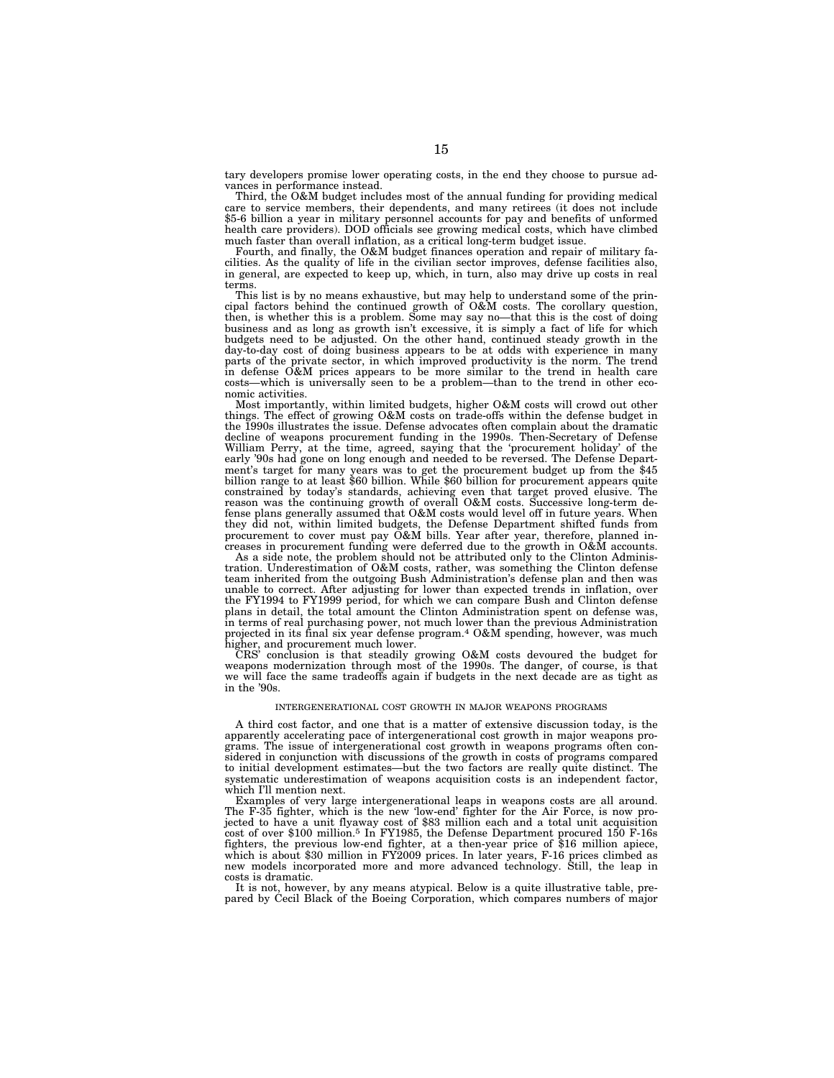tary developers promise lower operating costs, in the end they choose to pursue advances in performance instead.

Third, the O&M budget includes most of the annual funding for providing medical care to service members, their dependents, and many retirees (it does not include \$5-6 billion a year in military personnel accounts for pay and benefits of unformed health care providers). DOD officials see growing medical costs, which have climbed much faster than overall inflation, as a critical long-term budget issue.

Fourth, and finally, the O&M budget finances operation and repair of military facilities. As the quality of life in the civilian sector improves, defense facilities also, in general, are expected to keep up, which, in turn, also may drive up costs in real terms.

This list is by no means exhaustive, but may help to understand some of the principal factors behind the continued growth of O&M costs. The corollary question, then, is whether this is a problem. Some may say no—that this is the cost of doing business and as long as growth isn't excessive, it is simply a fact of life for which budgets need to be adjusted. On the other hand, continued steady growth in the day-to-day cost of doing business appears to be at odds with experience in many parts of the private sector, in which improved productivity is the norm. The trend in defense O&M prices appears to be more similar to the trend in health care costs—which is universally seen to be a problem—than to the trend in other economic activities.

Most importantly, within limited budgets, higher O&M costs will crowd out other things. The effect of growing O&M costs on trade-offs within the defense budget in the 1990s illustrates the issue. Defense advocates often complain about the dramatic decline of weapons procurement funding in the 1990s. Then-Secretary of Defense William Perry, at the time, agreed, saying that the 'procurement holiday' of the early '90s had gone on long enough and needed to be reversed. The Defense Department's target for many years was to get the procurement budget up from the \$45 billion range to at least \$60 billion. While \$60 billion for procurement appears quite constrained by today's standards, achieving even that target proved elusive. The reason was the continuing growth of overall O&M costs. Successive long-term defense plans generally assumed that O&M costs would level off in future years. When they did not, within limited budgets, the Defense Department shifted funds from procurement to cover must pay O&M bills. Year after year, therefore, planned increases in procurement funding were deferred due to the growth in O&M accounts.

As a side note, the problem should not be attributed only to the Clinton Administration. Underestimation of O&M costs, rather, was something the Clinton defense team inherited from the outgoing Bush Administration's defense plan and then was unable to correct. After adjusting for lower than expected trends in inflation, over the FY1994 to FY1999 period, for which we can compare Bush and Clinton defense plans in detail, the total amount the Clinton Administration spent on defense was, in terms of real purchasing power, not much lower than the previous Administration projected in its final six year defense program.<sup>4</sup> O&M spending, however, was much higher, and procurement much lower.

CRS' conclusion is that steadily growing O&M costs devoured the budget for weapons modernization through most of the 1990s. The danger, of course, is that we will face the same tradeoffs again if budgets in the next decade are as tight as in the '90s.

#### INTERGENERATIONAL COST GROWTH IN MAJOR WEAPONS PROGRAMS

A third cost factor, and one that is a matter of extensive discussion today, is the apparently accelerating pace of intergenerational cost growth in major weapons programs. The issue of intergenerational cost growth in weapons programs often considered in conjunction with discussions of the growth in costs of programs compared to initial development estimates—but the two factors are really quite distinct. The systematic underestimation of weapons acquisition costs is an independent factor, which I'll mention next.

Examples of very large intergenerational leaps in weapons costs are all around. The F-35 fighter, which is the new 'low-end' fighter for the Air Force, is now projected to have a unit flyaway cost of \$83 million each and a total unit acquisition cost of over \$100 million.5 In FY1985, the Defense Department procured 150 F-16s fighters, the previous low-end fighter, at a then-year price of \$16 million apiece, which is about \$30 million in FY2009 prices. In later years, F-16 prices climbed as new models incorporated more and more advanced technology. Still, the leap in costs is dramatic.

It is not, however, by any means atypical. Below is a quite illustrative table, prepared by Cecil Black of the Boeing Corporation, which compares numbers of major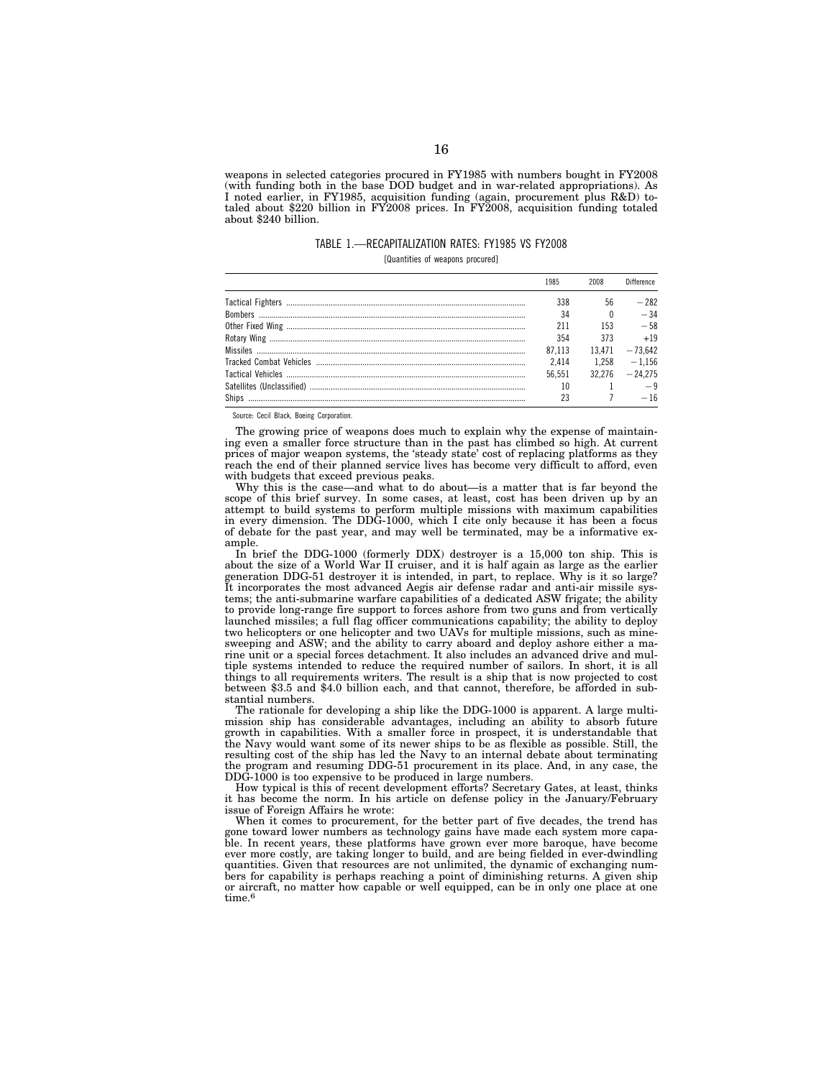weapons in selected categories procured in FY1985 with numbers bought in FY2008 (with funding both in the base DOD budget and in war-related appropriations). As I noted earlier, in FY1985, acquisition funding (again, procurement plus R&D) totaled about \$220 billion in FY2008 prices. In FY2008, acquisition funding totaled about \$240 billion.

TABLE 1.—RECAPITALIZATION RATES: FY1985 VS FY2008

[Quantities of weapons procured]

| 1985   |        | <b>Difference</b> |
|--------|--------|-------------------|
| 338    | 56     | $-282$            |
| 34     |        | $-34$             |
| 211    | 153    | $-58$             |
| 354    | 373    | $+19$             |
| 87.113 | 13.471 | $-73642$          |
| 2.414  | 1 258  | $-1156$           |
| 56 551 | 32.276 | $-24.275$         |
|        |        |                   |
|        |        | — 16              |

Source: Cecil Black, Boeing Corporation.

The growing price of weapons does much to explain why the expense of maintaining even a smaller force structure than in the past has climbed so high. At current prices of major weapon systems, the 'steady state' cost of replacing platforms as they reach the end of their planned service lives has become very difficult to afford, even with budgets that exceed previous peaks.

Why this is the case—and what to do about—is a matter that is far beyond the scope of this brief survey. In some cases, at least, cost has been driven up by an attempt to build systems to perform multiple missions with maximum capabilities in every dimension. The DDG-1000, which I cite only because it has been a focus of debate for the past year, and may well be terminated, may be a informative example.

In brief the DDG-1000 (formerly DDX) destroyer is a 15,000 ton ship. This is about the size of a World War II cruiser, and it is half again as large as the earlier generation DDG-51 destroyer it is intended, in part, to replace. Why is it so large? It incorporates the most advanced Aegis air defense radar and anti-air missile systems; the anti-submarine warfare capabilities of a dedicated ASW frigate; the ability to provide long-range fire support to forces ashore from two guns and from vertically launched missiles; a full flag officer communications capability; the ability to deploy two helicopters or one helicopter and two UAVs for multiple missions, such as minesweeping and ASW; and the ability to carry aboard and deploy ashore either a marine unit or a special forces detachment. It also includes an advanced drive and multiple systems intended to reduce the required number of sailors. In short, it is all things to all requirements writers. The result is a ship that is now projected to cost between \$3.5 and \$4.0 billion each, and that cannot, therefore, be afforded in substantial numbers.

The rationale for developing a ship like the DDG-1000 is apparent. A large multimission ship has considerable advantages, including an ability to absorb future growth in capabilities. With a smaller force in prospect, it is understandable that the Navy would want some of its newer ships to be as flexible as possible. Still, the resulting cost of the ship has led the Navy to an internal debate about terminating the program and resuming DDG-51 procurement in its place. And, in any case, the DDG-1000 is too expensive to be produced in large numbers.

How typical is this of recent development efforts? Secretary Gates, at least, thinks it has become the norm. In his article on defense policy in the January/February issue of Foreign Affairs he wrote:

When it comes to procurement, for the better part of five decades, the trend has gone toward lower numbers as technology gains have made each system more capable. In recent years, these platforms have grown ever more baroque, have become ever more costly, are taking longer to build, and are being fielded in ever-dwindling quantities. Given that resources are not unlimited, the dynamic of exchanging numbers for capability is perhaps reaching a point of diminishing returns. A given ship or aircraft, no matter how capable or well equipped, can be in only one place at one time. $^6$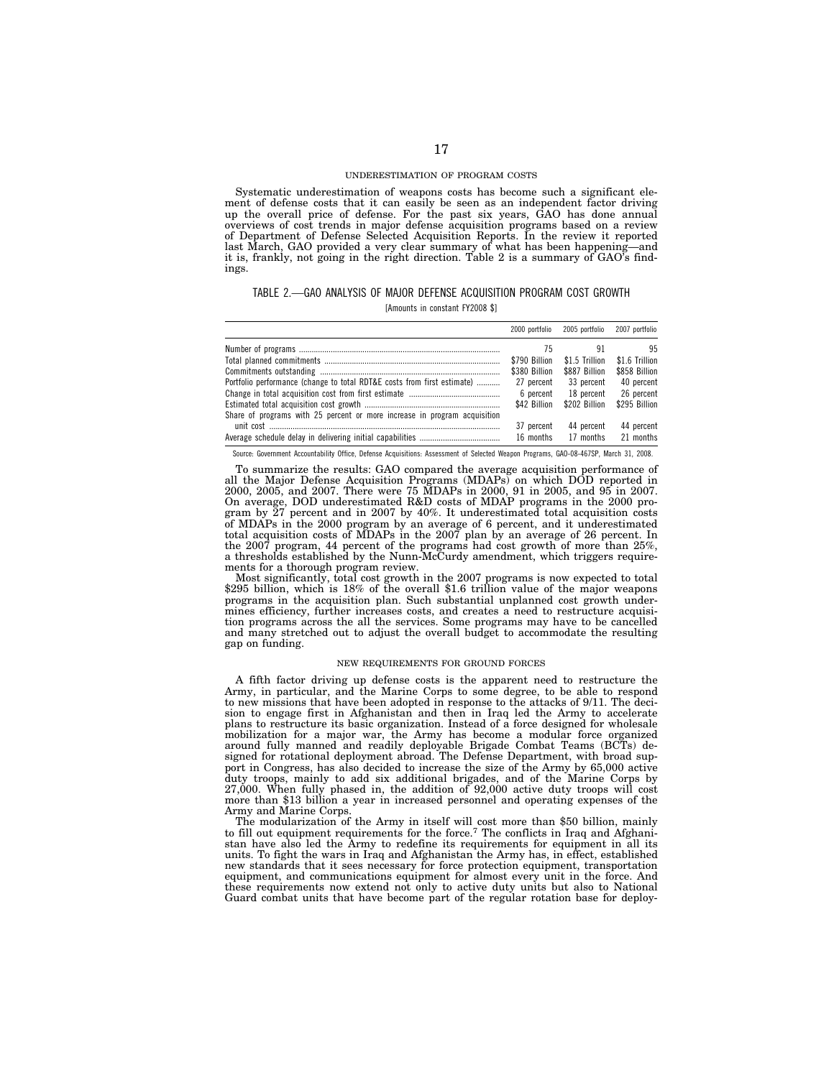#### UNDERESTIMATION OF PROGRAM COSTS

Systematic underestimation of weapons costs has become such a significant element of defense costs that it can easily be seen as an independent factor driving up the overall price of defense. For the past six years, GAO has done annual overviews of cost trends in major defense acquisition programs based on a review of Department of Defense Selected Acquisition Reports. In the review it reported last March, GAO provided a very clear summary of what has been happening-and it is, frankly, not going in the right direction. Table 2 is a summary of GAO's findings.

### TABLE 2.—GAO ANALYSIS OF MAJOR DEFENSE ACQUISITION PROGRAM COST GROWTH

[Amounts in constant FY2008 \$]

|                                                                                                                | 2000 portfolio | 2005 portfolio | 2007 portfolio |
|----------------------------------------------------------------------------------------------------------------|----------------|----------------|----------------|
|                                                                                                                | 75             | 91             | 95             |
|                                                                                                                | \$790 Billion  | \$1.5 Trillion | \$1.6 Trillion |
|                                                                                                                | \$380 Billion  | \$887 Billion  | \$858 Billion  |
| Portfolio performance (change to total RDT&E costs from first estimate)                                        | 27 percent     | 33 percent     | 40 percent     |
|                                                                                                                | 6 percent      | 18 percent     | 26 percent     |
|                                                                                                                | \$42 Billion   | \$202 Billion  | \$295 Billion  |
| Share of programs with 25 percent or more increase in program acquisition                                      |                |                |                |
|                                                                                                                | 37 percent     | 44 percent     | 44 percent     |
|                                                                                                                | 16 months      | 17 months      | 21 months      |
| A A ISLAMIN'S ACCEPTANCE AND A LARGE THE AND ACCEPTANCE IN A ACCOUNT AND A A A CONTRACT OF A A A CONTRACT OF A |                |                |                |

Source: Government Accountability Office, Defense Acquisitions: Assessment of Selected Weapon Programs, GAO-08-467SP, March 31, 2008.

To summarize the results: GAO compared the average acquisition performance of all the Major Defense Acquisition Programs (MDAPs) on which DOD reported in 2000, 2005, and 2007. There were 75 MDAPs in 2000, 91 in 2005, and 95 in 2007. On average, DOD underestimated R&D costs of MDAP programs in the 2000 program by 27 percent and in 2007 by 40%. It underestimated total acquisition costs of MDAPs in the 2000 program by an average of 6 percent, and it underestimated total acquisition costs of MDAPs in the 2007 plan by an average of 26 percent. In the 2007 program, 44 percent of the programs had cost growth of more than 25%, a thresholds established by the Nunn-McCurdy amendment, which triggers requirements for a thorough program review.

Most significantly, total cost growth in the 2007 programs is now expected to total \$295 billion, which is 18% of the overall \$1.6 trillion value of the major weapons programs in the acquisition plan. Such substantial unplanned cost growth undermines efficiency, further increases costs, and creates a need to restructure acquisition programs across the all the services. Some programs may have to be cancelled and many stretched out to adjust the overall budget to accommodate the resulting gap on funding.

#### NEW REQUIREMENTS FOR GROUND FORCES

A fifth factor driving up defense costs is the apparent need to restructure the Army, in particular, and the Marine Corps to some degree, to be able to respond to new missions that have been adopted in response to the attacks of 9/11. The decision to engage first in Afghanistan and then in Iraq led the Army to accelerate plans to restructure its basic organization. Instead of a force designed for wholesale mobilization for a major war, the Army has become a modular force organized around fully manned and readily deployable Brigade Combat Teams (BCTs) designed for rotational deployment abroad. The Defense Department, with broad support in Congress, has also decided to increase the size of the Army by 65,000 active duty troops, mainly to add six additional brigades, and of the Marine Corps by 27,000. When fully phased in, the addition of 92,000 active duty troops will cost more than \$13 billion a year in increased personnel and operating expenses of the Army and Marine Corps.

The modularization of the Army in itself will cost more than \$50 billion, mainly to fill out equipment requirements for the force.<sup>7</sup> The conflicts in Iraq and Afghanistan have also led the Army to redefine its requirements for equipment in all its units. To fight the wars in Iraq and Afghanistan the Army has, in effect, established new standards that it sees necessary for force protection equipment, transportation equipment, and communications equipment for almost every unit in the force. And these requirements now extend not only to active duty units but also to National Guard combat units that have become part of the regular rotation base for deploy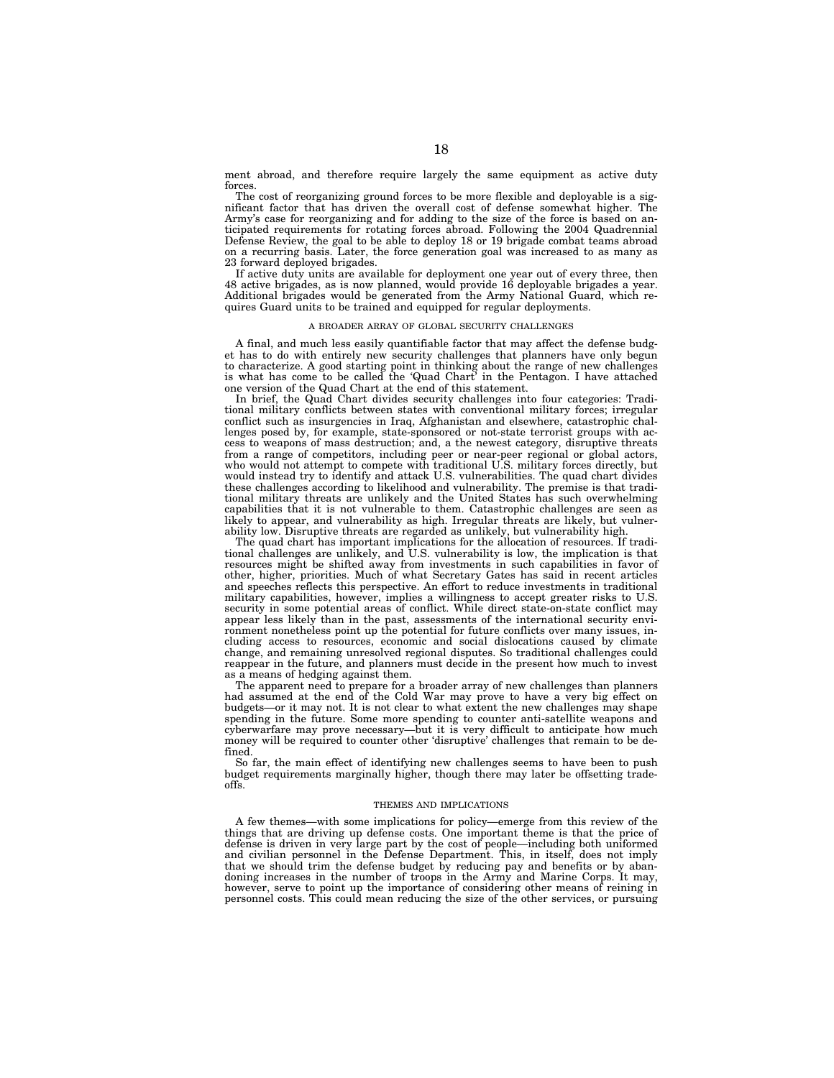ment abroad, and therefore require largely the same equipment as active duty forces.

The cost of reorganizing ground forces to be more flexible and deployable is a significant factor that has driven the overall cost of defense somewhat higher. The Army's case for reorganizing and for adding to the size of the force is based on anticipated requirements for rotating forces abroad. Following the 2004 Quadrennial Defense Review, the goal to be able to deploy 18 or 19 brigade combat teams abroad on a recurring basis. Later, the force generation goal was increased to as many as 23 forward deployed brigades.

If active duty units are available for deployment one year out of every three, then 48 active brigades, as is now planned, would provide 16 deployable brigades a year. Additional brigades would be generated from the Army National Guard, which requires Guard units to be trained and equipped for regular deployments.

#### A BROADER ARRAY OF GLOBAL SECURITY CHALLENGES

A final, and much less easily quantifiable factor that may affect the defense budget has to do with entirely new security challenges that planners have only begun to characterize. A good starting point in thinking about the range of new challenges is what has come to be called the 'Quad Chart' in the Pentagon. I have attached one version of the Quad Chart at the end of this statement.

In brief, the Quad Chart divides security challenges into four categories: Traditional military conflicts between states with conventional military forces; irregular conflict such as insurgencies in Iraq, Afghanistan and elsewhere, catastrophic challenges posed by, for example, state-sponsored or not-state terrorist groups with access to weapons of mass destruction; and, a the newest category, disruptive threats from a range of competitors, including peer or near-peer regional or global actors, who would not attempt to compete with traditional U.S. military forces directly, but would instead try to identify and attack U.S. vulnerabilities. The quad chart divides these challenges according to likelihood and vulnerability. The premise is that traditional military threats are unlikely and the United States has such overwhelming capabilities that it is not vulnerable to them. Catastrophic challenges are seen as likely to appear, and vulnerability as high. Irregular threats are likely, but vulnerability low. Disruptive threats are regarded as unlikely, but vulnerability high.

The quad chart has important implications for the allocation of resources. If traditional challenges are unlikely, and U.S. vulnerability is low, the implication is that resources might be shifted away from investments in such capabilities in favor of other, higher, priorities. Much of what Secretary Gates has said in recent articles and speeches reflects this perspective. An effort to reduce investments in traditional military capabilities, however, implies a willingness to accept greater risks to U.S. security in some potential areas of conflict. While direct state-on-state conflict may appear less likely than in the past, assessments of the international security environment nonetheless point up the potential for future conflicts over many issues, including access to resources, economic and social dislocations caused by climate change, and remaining unresolved regional disputes. So traditional challenges could reappear in the future, and planners must decide in the present how much to invest as a means of hedging against them.

The apparent need to prepare for a broader array of new challenges than planners had assumed at the end of the Cold War may prove to have a very big effect on budgets—or it may not. It is not clear to what extent the new challenges may shape spending in the future. Some more spending to counter anti-satellite weapons and cyberwarfare may prove necessary—but it is very difficult to anticipate how much money will be required to counter other 'disruptive' challenges that remain to be defined.

So far, the main effect of identifying new challenges seems to have been to push budget requirements marginally higher, though there may later be offsetting tradeoffs.

#### THEMES AND IMPLICATIONS

A few themes—with some implications for policy—emerge from this review of the things that are driving up defense costs. One important theme is that the price of defense is driven in very large part by the cost of people—including both uniformed and civilian personnel in the Defense Department. This, in itself, does not imply that we should trim the defense budget by reducing pay and benefits or by abandoning increases in the number of troops in the Army and Marine Corps. It may, however, serve to point up the importance of considering other means of reining in personnel costs. This could mean reducing the size of the other services, or pursuing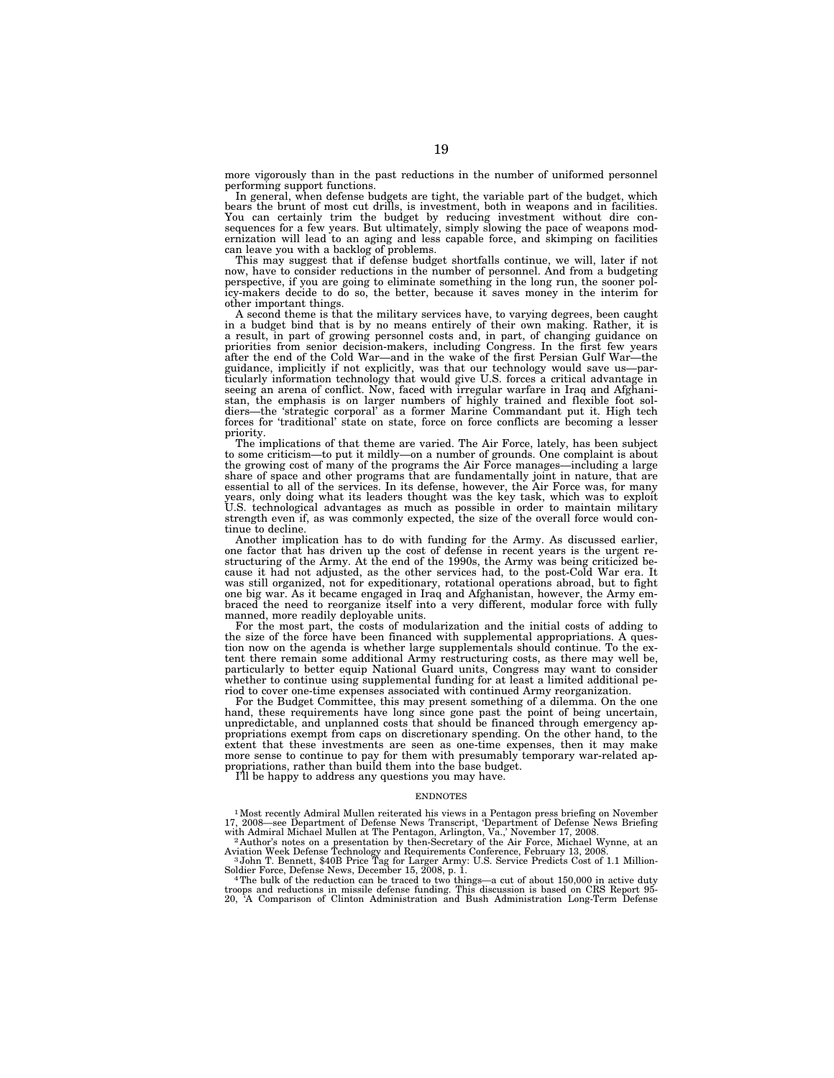more vigorously than in the past reductions in the number of uniformed personnel performing support functions.

In general, when defense budgets are tight, the variable part of the budget, which bears the brunt of most cut drills, is investment, both in weapons and in facilities. You can certainly trim the budget by reducing investment without dire con-sequences for a few years. But ultimately, simply slowing the pace of weapons modernization will lead to an aging and less capable force, and skimping on facilities can leave you with a backlog of problems.

This may suggest that if defense budget shortfalls continue, we will, later if not now, have to consider reductions in the number of personnel. And from a budgeting perspective, if you are going to eliminate something in the long run, the sooner policy-makers decide to do so, the better, because it saves money in the interim for other important things.

A second theme is that the military services have, to varying degrees, been caught in a budget bind that is by no means entirely of their own making. Rather, it is a result, in part of growing personnel costs and, in part, of changing guidance on priorities from senior decision-makers, including Congress. In the first few years after the end of the Cold War—and in the wake of the first Persian Gulf War—the guidance, implicitly if not explicitly, was that our technology would save us—par-ticularly information technology that would give U.S. forces a critical advantage in seeing an arena of conflict. Now, faced with irregular warfare in Iraq and Afghanistan, the emphasis is on larger numbers of highly trained and flexible foot soldiers—the 'strategic corporal' as a former Marine Commandant put it. High tech forces for 'traditional' state on state, force on force conflicts are becoming a lesser priority.

The implications of that theme are varied. The Air Force, lately, has been subject to some criticism—to put it mildly—on a number of grounds. One complaint is about the growing cost of many of the programs the Air Force manages—including a large share of space and other programs that are fundamentally joint in nature, that are essential to all of the services. In its defense, however, the Air Force was, for many years, only doing what its leaders thought was the key task, which was to exploit U.S. technological advantages as much as possible in order to maintain military strength even if, as was commonly expected, the size of the overall force would continue to decline.

Another implication has to do with funding for the Army. As discussed earlier, one factor that has driven up the cost of defense in recent years is the urgent restructuring of the Army. At the end of the 1990s, the Army was being criticized be-cause it had not adjusted, as the other services had, to the post-Cold War era. It was still organized, not for expeditionary, rotational operations abroad, but to fight one big war. As it became engaged in Iraq and Afghanistan, however, the Army embraced the need to reorganize itself into a very different, modular force with fully manned, more readily deployable units.

For the most part, the costs of modularization and the initial costs of adding to the size of the force have been financed with supplemental appropriations. A question now on the agenda is whether large supplementals should continue. To the extent there remain some additional Army restructuring costs, as there may well be, particularly to better equip National Guard units, Congress may want to consider whether to continue using supplemental funding for at least a limited additional period to cover one-time expenses associated with continued Army reorganization.

For the Budget Committee, this may present something of a dilemma. On the one hand, these requirements have long since gone past the point of being uncertain, unpredictable, and unplanned costs that should be financed through emergency appropriations exempt from caps on discretionary spending. On the other hand, to the extent that these investments are seen as one-time expenses, then it may make more sense to continue to pay for them with presumably temporary war-related ap-propriations, rather than build them into the base budget.

I'll be happy to address any questions you may have.

#### **ENDNOTES**

<sup>1</sup> Most recently Admiral Mullen reiterated his views in a Pentagon press briefing on November 17, 2008—see Department of Defense News Transcript, 'Department of Defense News Briefing with Admiral Michael Mullen at The Pe

Aviation Week Defense Technology and Requirements Conference, February 13, 2008.<br><sup>3</sup> John T. Bennett, \$40B Price Tag for Larger Army: U.S. Service Predicts Cost of 1.1 Million-

Soldier Force, Defense News, December 15, 2008, p. 1.<br>4The bulk of the reduction can be traced to two things—a cut of about 150,000 in active duty<br>4The bulk of the reduction can be traced to two things—a cut of about 150,0

troops and reductions in missile defense funding. This discussion is based on CRS Report 95- 20, 'A Comparison of Clinton Administration and Bush Administration Long-Term Defense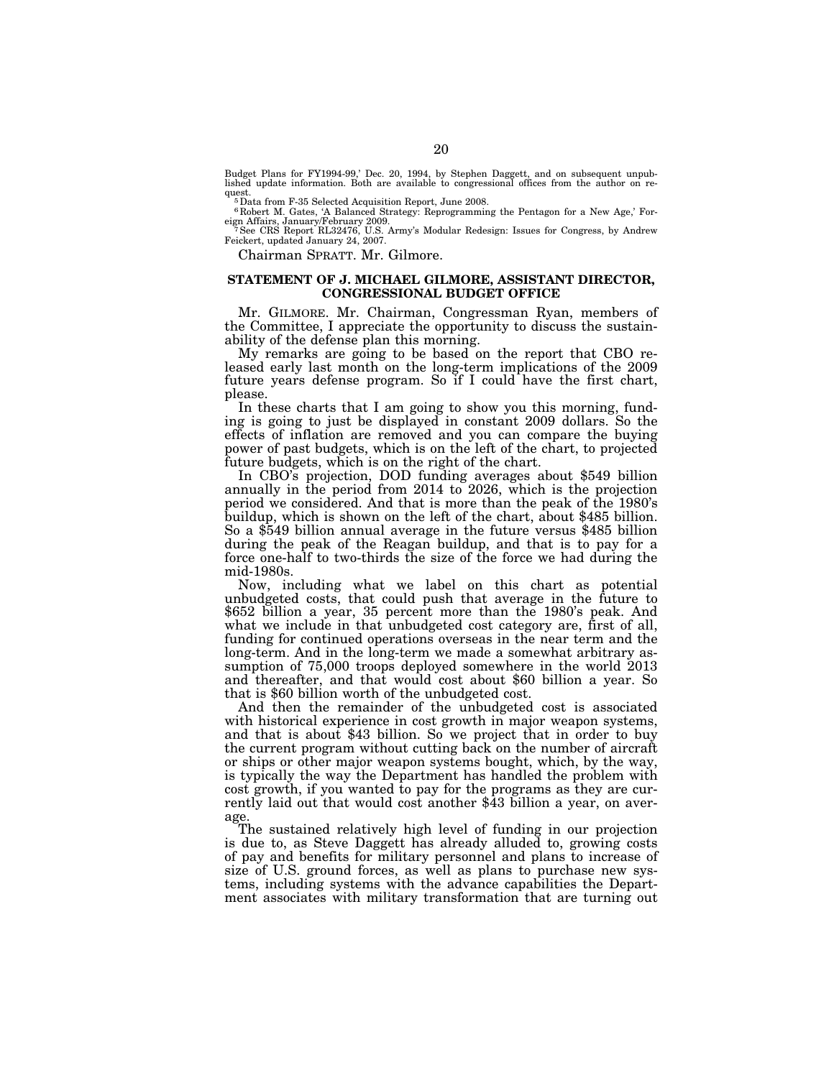Budget Plans for FY1994-99,' Dec. 20, 1994, by Stephen Daggett, and on subsequent unpublished update information. Both are available to congressional offices from the author on request.<br><sup>5</sup>Data from F-35 Selected Acquisition Report, June 2008.<br><sup>5</sup>Data from F-35 Selected Acquisition Reprogrammin

6 Robert M. Gates, 'A Balanced Strategy: Reprogramming the Pentagon for a New Age,' For-eign Affairs, January/February 2009. 7See CRS Report RL32476, U.S. Army's Modular Redesign: Issues for Congress, by Andrew

Feickert, updated January 24, 2007.

Chairman SPRATT. Mr. Gilmore.

#### **STATEMENT OF J. MICHAEL GILMORE, ASSISTANT DIRECTOR, CONGRESSIONAL BUDGET OFFICE**

Mr. GILMORE. Mr. Chairman, Congressman Ryan, members of the Committee, I appreciate the opportunity to discuss the sustainability of the defense plan this morning.

My remarks are going to be based on the report that CBO released early last month on the long-term implications of the 2009 future years defense program. So if I could have the first chart, please.

In these charts that I am going to show you this morning, funding is going to just be displayed in constant 2009 dollars. So the effects of inflation are removed and you can compare the buying power of past budgets, which is on the left of the chart, to projected

future budgets, which is on the right of the chart. In CBO's projection, DOD funding averages about \$549 billion annually in the period from 2014 to 2026, which is the projection period we considered. And that is more than the peak of the 1980's buildup, which is shown on the left of the chart, about \$485 billion. So a \$549 billion annual average in the future versus \$485 billion during the peak of the Reagan buildup, and that is to pay for a force one-half to two-thirds the size of the force we had during the mid-1980s.

Now, including what we label on this chart as potential unbudgeted costs, that could push that average in the future to \$652 billion a year, 35 percent more than the 1980's peak. And what we include in that unbudgeted cost category are, first of all, funding for continued operations overseas in the near term and the long-term. And in the long-term we made a somewhat arbitrary assumption of 75,000 troops deployed somewhere in the world 2013 and thereafter, and that would cost about \$60 billion a year. So that is \$60 billion worth of the unbudgeted cost.

And then the remainder of the unbudgeted cost is associated with historical experience in cost growth in major weapon systems, and that is about \$43 billion. So we project that in order to buy the current program without cutting back on the number of aircraft or ships or other major weapon systems bought, which, by the way, is typically the way the Department has handled the problem with cost growth, if you wanted to pay for the programs as they are currently laid out that would cost another \$43 billion a year, on average.

The sustained relatively high level of funding in our projection is due to, as Steve Daggett has already alluded to, growing costs of pay and benefits for military personnel and plans to increase of size of U.S. ground forces, as well as plans to purchase new systems, including systems with the advance capabilities the Department associates with military transformation that are turning out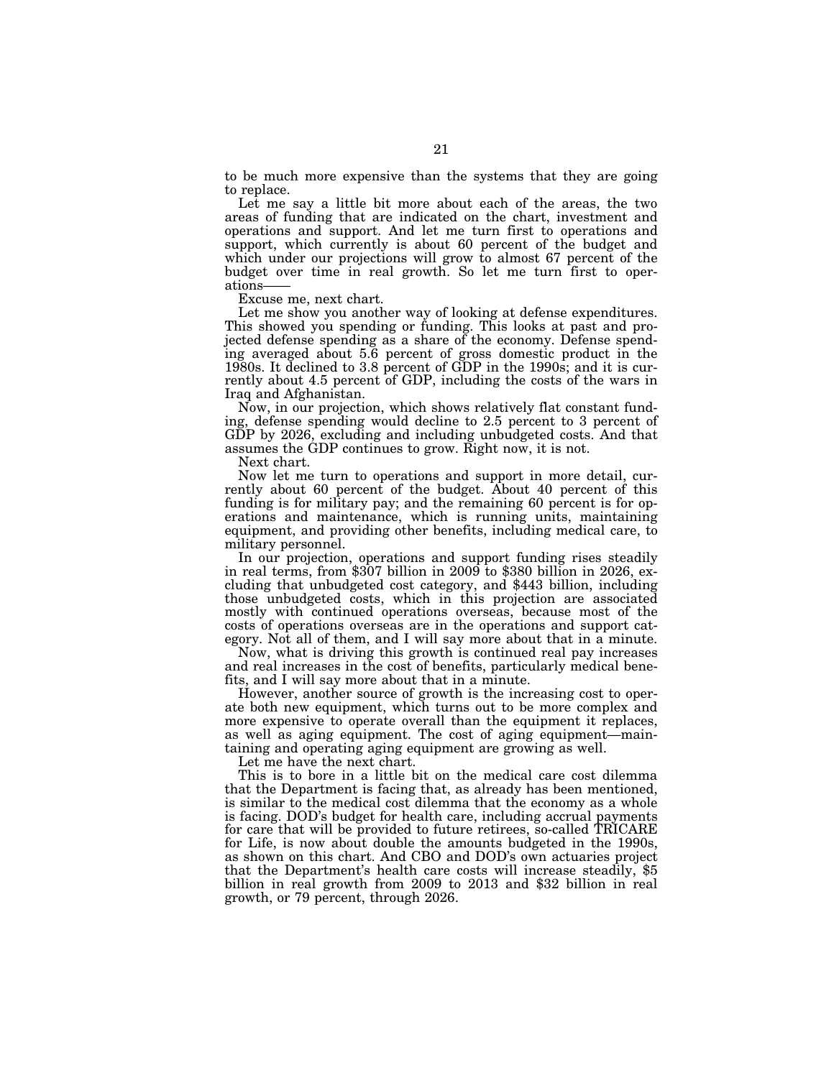to be much more expensive than the systems that they are going to replace.

Let me say a little bit more about each of the areas, the two areas of funding that are indicated on the chart, investment and operations and support. And let me turn first to operations and support, which currently is about 60 percent of the budget and which under our projections will grow to almost 67 percent of the budget over time in real growth. So let me turn first to operations——

Excuse me, next chart.

Let me show you another way of looking at defense expenditures. This showed you spending or funding. This looks at past and projected defense spending as a share of the economy. Defense spending averaged about 5.6 percent of gross domestic product in the 1980s. It declined to 3.8 percent of GDP in the 1990s; and it is currently about 4.5 percent of GDP, including the costs of the wars in Iraq and Afghanistan.

Now, in our projection, which shows relatively flat constant funding, defense spending would decline to 2.5 percent to 3 percent of GDP by 2026, excluding and including unbudgeted costs. And that assumes the GDP continues to grow. Right now, it is not.

Next chart.

Now let me turn to operations and support in more detail, currently about 60 percent of the budget. About 40 percent of this funding is for military pay; and the remaining 60 percent is for operations and maintenance, which is running units, maintaining equipment, and providing other benefits, including medical care, to military personnel.

In our projection, operations and support funding rises steadily in real terms, from \$307 billion in 2009 to \$380 billion in 2026, excluding that unbudgeted cost category, and \$443 billion, including those unbudgeted costs, which in this projection are associated mostly with continued operations overseas, because most of the costs of operations overseas are in the operations and support category. Not all of them, and I will say more about that in a minute.

Now, what is driving this growth is continued real pay increases and real increases in the cost of benefits, particularly medical benefits, and I will say more about that in a minute.

However, another source of growth is the increasing cost to operate both new equipment, which turns out to be more complex and more expensive to operate overall than the equipment it replaces, as well as aging equipment. The cost of aging equipment—maintaining and operating aging equipment are growing as well.

Let me have the next chart.

This is to bore in a little bit on the medical care cost dilemma that the Department is facing that, as already has been mentioned, is similar to the medical cost dilemma that the economy as a whole is facing. DOD's budget for health care, including accrual payments for care that will be provided to future retirees, so-called TRICARE for Life, is now about double the amounts budgeted in the 1990s, as shown on this chart. And CBO and DOD's own actuaries project that the Department's health care costs will increase steadily, \$5 billion in real growth from 2009 to 2013 and \$32 billion in real growth, or 79 percent, through 2026.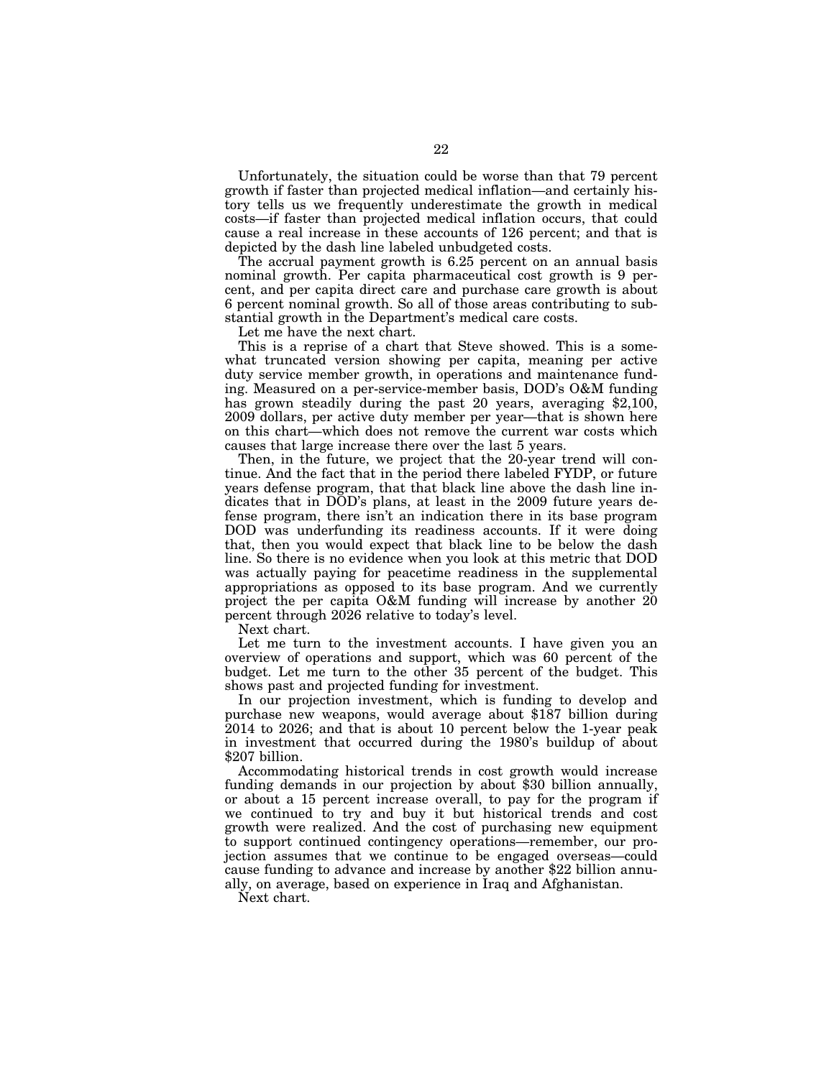Unfortunately, the situation could be worse than that 79 percent growth if faster than projected medical inflation—and certainly history tells us we frequently underestimate the growth in medical costs—if faster than projected medical inflation occurs, that could cause a real increase in these accounts of 126 percent; and that is depicted by the dash line labeled unbudgeted costs.

The accrual payment growth is 6.25 percent on an annual basis nominal growth. Per capita pharmaceutical cost growth is 9 percent, and per capita direct care and purchase care growth is about 6 percent nominal growth. So all of those areas contributing to substantial growth in the Department's medical care costs.

Let me have the next chart.

This is a reprise of a chart that Steve showed. This is a somewhat truncated version showing per capita, meaning per active duty service member growth, in operations and maintenance funding. Measured on a per-service-member basis, DOD's O&M funding has grown steadily during the past 20 years, averaging \$2,100, 2009 dollars, per active duty member per year—that is shown here on this chart—which does not remove the current war costs which causes that large increase there over the last 5 years.

Then, in the future, we project that the 20-year trend will continue. And the fact that in the period there labeled FYDP, or future years defense program, that that black line above the dash line indicates that in DOD's plans, at least in the 2009 future years defense program, there isn't an indication there in its base program DOD was underfunding its readiness accounts. If it were doing that, then you would expect that black line to be below the dash line. So there is no evidence when you look at this metric that DOD was actually paying for peacetime readiness in the supplemental appropriations as opposed to its base program. And we currently project the per capita O&M funding will increase by another 20 percent through 2026 relative to today's level.

Next chart.

Let me turn to the investment accounts. I have given you an overview of operations and support, which was 60 percent of the budget. Let me turn to the other 35 percent of the budget. This shows past and projected funding for investment.

In our projection investment, which is funding to develop and purchase new weapons, would average about \$187 billion during 2014 to 2026; and that is about 10 percent below the 1-year peak in investment that occurred during the 1980's buildup of about \$207 billion.

Accommodating historical trends in cost growth would increase funding demands in our projection by about \$30 billion annually, or about a 15 percent increase overall, to pay for the program if we continued to try and buy it but historical trends and cost growth were realized. And the cost of purchasing new equipment to support continued contingency operations—remember, our projection assumes that we continue to be engaged overseas—could cause funding to advance and increase by another \$22 billion annually, on average, based on experience in Iraq and Afghanistan.

Next chart.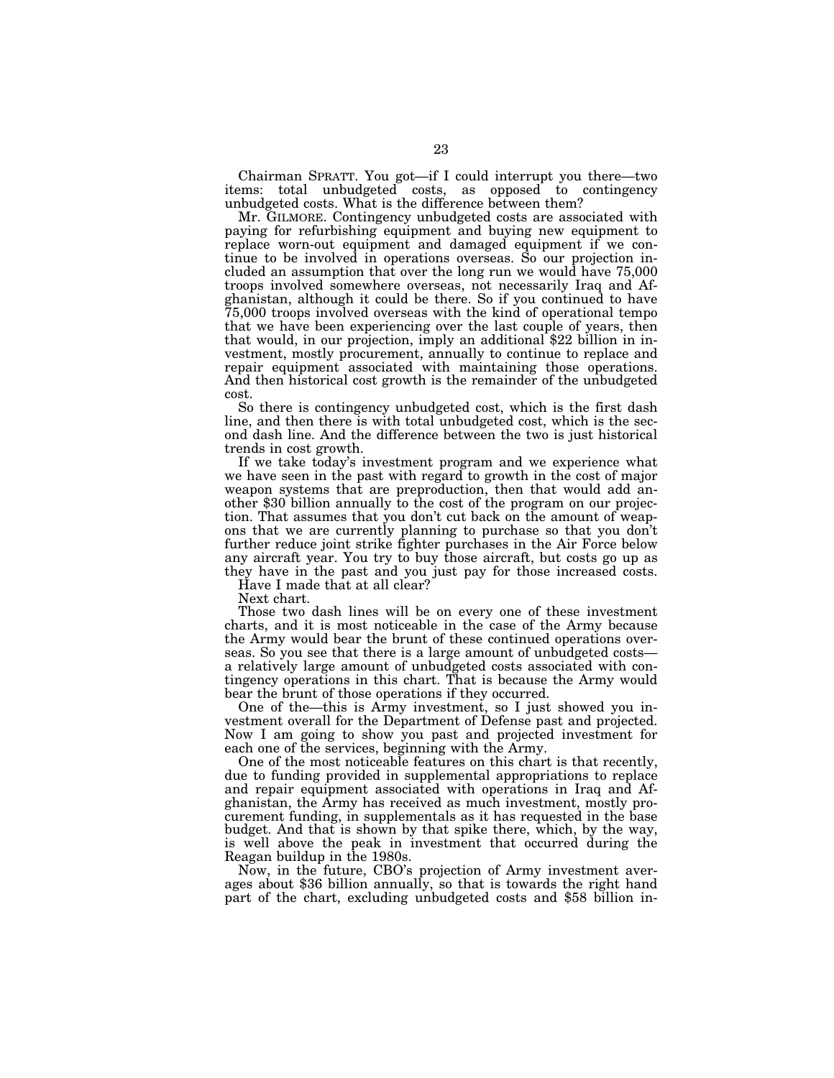Chairman SPRATT. You got—if I could interrupt you there—two items: total unbudgeted costs, as opposed to contingency unbudgeted costs. What is the difference between them?

Mr. GILMORE. Contingency unbudgeted costs are associated with paying for refurbishing equipment and buying new equipment to replace worn-out equipment and damaged equipment if we continue to be involved in operations overseas. So our projection included an assumption that over the long run we would have 75,000 troops involved somewhere overseas, not necessarily Iraq and Afghanistan, although it could be there. So if you continued to have 75,000 troops involved overseas with the kind of operational tempo that we have been experiencing over the last couple of years, then that would, in our projection, imply an additional \$22 billion in investment, mostly procurement, annually to continue to replace and repair equipment associated with maintaining those operations. And then historical cost growth is the remainder of the unbudgeted cost.

So there is contingency unbudgeted cost, which is the first dash line, and then there is with total unbudgeted cost, which is the second dash line. And the difference between the two is just historical trends in cost growth.

If we take today's investment program and we experience what we have seen in the past with regard to growth in the cost of major weapon systems that are preproduction, then that would add another \$30 billion annually to the cost of the program on our projection. That assumes that you don't cut back on the amount of weapons that we are currently planning to purchase so that you don't further reduce joint strike fighter purchases in the Air Force below any aircraft year. You try to buy those aircraft, but costs go up as they have in the past and you just pay for those increased costs.

Have I made that at all clear?

Next chart.

Those two dash lines will be on every one of these investment charts, and it is most noticeable in the case of the Army because the Army would bear the brunt of these continued operations overseas. So you see that there is a large amount of unbudgeted costs a relatively large amount of unbudgeted costs associated with contingency operations in this chart. That is because the Army would bear the brunt of those operations if they occurred.

One of the—this is Army investment, so I just showed you investment overall for the Department of Defense past and projected. Now I am going to show you past and projected investment for each one of the services, beginning with the Army.

One of the most noticeable features on this chart is that recently, due to funding provided in supplemental appropriations to replace and repair equipment associated with operations in Iraq and Afghanistan, the Army has received as much investment, mostly procurement funding, in supplementals as it has requested in the base budget. And that is shown by that spike there, which, by the way, is well above the peak in investment that occurred during the Reagan buildup in the 1980s.<br>Now, in the future, CBO's projection of Army investment aver-

ages about \$36 billion annually, so that is towards the right hand part of the chart, excluding unbudgeted costs and \$58 billion in-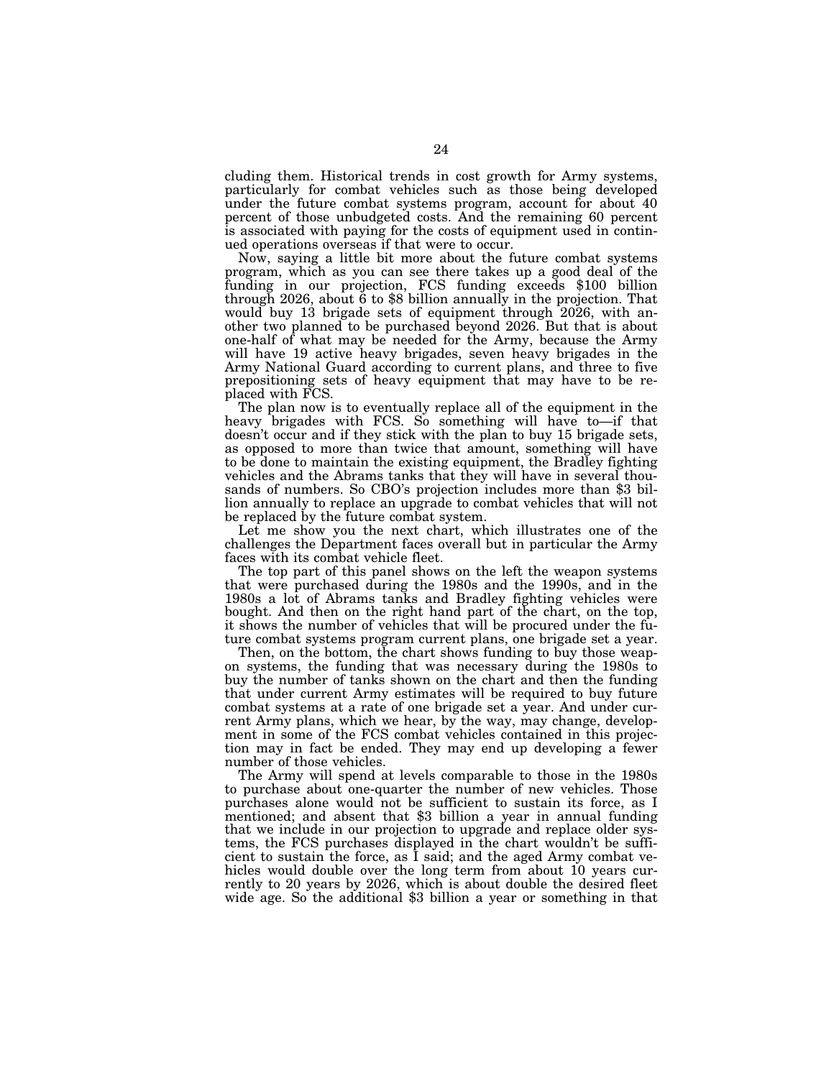cluding them. Historical trends in cost growth for Army systems, particularly for combat vehicles such as those being developed under the future combat systems program, account for about 40 percent of those unbudgeted costs. And the remaining 60 percent is associated with paying for the costs of equipment used in continued operations overseas if that were to occur.

Now, saying a little bit more about the future combat systems program, which as you can see there takes up a good deal of the funding in our projection, FCS funding exceeds \$100 billion through 2026, about 6 to \$8 billion annually in the projection. That would buy 13 brigade sets of equipment through 2026, with another two planned to be purchased beyond 2026. But that is about one-half of what may be needed for the Army, because the Army will have 19 active heavy brigades, seven heavy brigades in the Army National Guard according to current plans, and three to five prepositioning sets of heavy equipment that may have to be replaced with FCS.

The plan now is to eventually replace all of the equipment in the heavy brigades with FCS. So something will have to—if that doesn't occur and if they stick with the plan to buy 15 brigade sets, as opposed to more than twice that amount, something will have to be done to maintain the existing equipment, the Bradley fighting vehicles and the Abrams tanks that they will have in several thousands of numbers. So CBO's projection includes more than \$3 billion annually to replace an upgrade to combat vehicles that will not be replaced by the future combat system.

Let me show you the next chart, which illustrates one of the challenges the Department faces overall but in particular the Army faces with its combat vehicle fleet.

The top part of this panel shows on the left the weapon systems that were purchased during the 1980s and the 1990s, and in the 1980s a lot of Abrams tanks and Bradley fighting vehicles were bought. And then on the right hand part of the chart, on the top, it shows the number of vehicles that will be procured under the future combat systems program current plans, one brigade set a year.

Then, on the bottom, the chart shows funding to buy those weapon systems, the funding that was necessary during the 1980s to buy the number of tanks shown on the chart and then the funding that under current Army estimates will be required to buy future combat systems at a rate of one brigade set a year. And under current Army plans, which we hear, by the way, may change, development in some of the FCS combat vehicles contained in this projection may in fact be ended. They may end up developing a fewer number of those vehicles.

The Army will spend at levels comparable to those in the 1980s to purchase about one-quarter the number of new vehicles. Those purchases alone would not be sufficient to sustain its force, as I mentioned; and absent that \$3 billion a year in annual funding that we include in our projection to upgrade and replace older systems, the FCS purchases displayed in the chart wouldn't be sufficient to sustain the force, as I said; and the aged Army combat vehicles would double over the long term from about 10 years currently to 20 years by 2026, which is about double the desired fleet wide age. So the additional \$3 billion a year or something in that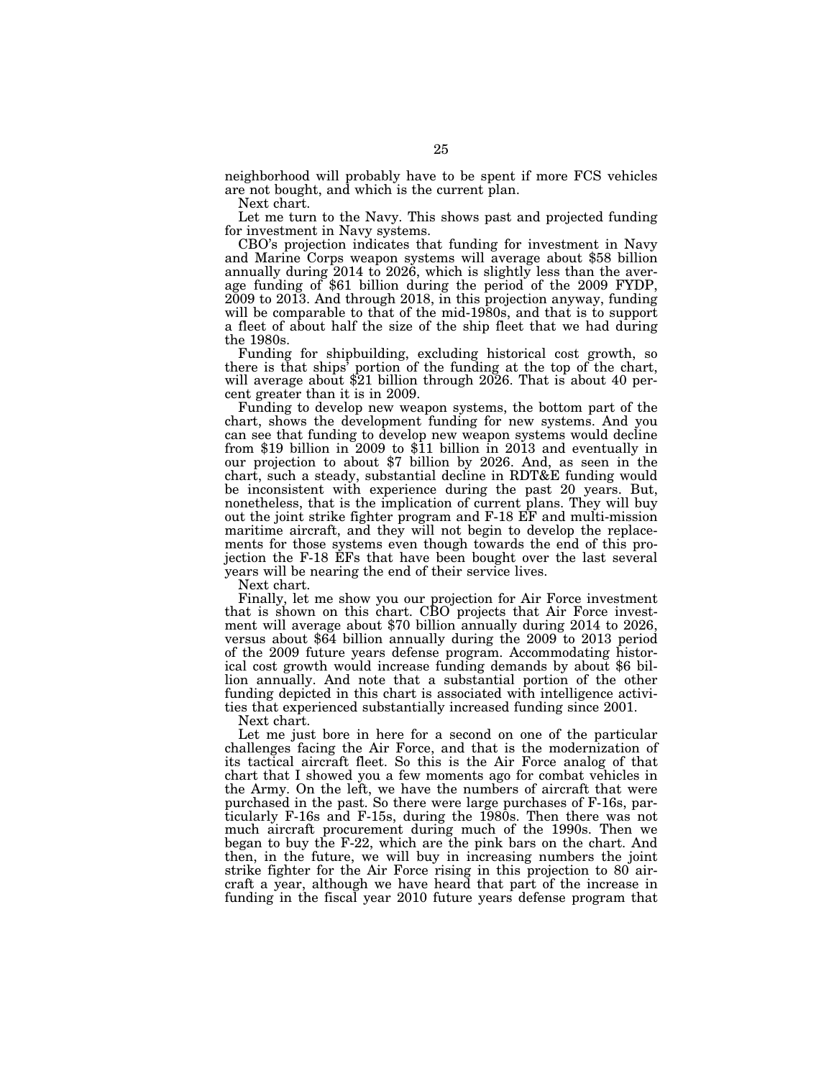neighborhood will probably have to be spent if more FCS vehicles are not bought, and which is the current plan.

Next chart.

Let me turn to the Navy. This shows past and projected funding for investment in Navy systems.

CBO's projection indicates that funding for investment in Navy and Marine Corps weapon systems will average about \$58 billion annually during 2014 to 2026, which is slightly less than the average funding of \$61 billion during the period of the 2009 FYDP, 2009 to 2013. And through 2018, in this projection anyway, funding will be comparable to that of the mid-1980s, and that is to support a fleet of about half the size of the ship fleet that we had during the 1980s.

Funding for shipbuilding, excluding historical cost growth, so there is that ships' portion of the funding at the top of the chart, will average about \$21 billion through 2026. That is about 40 percent greater than it is in 2009.

Funding to develop new weapon systems, the bottom part of the chart, shows the development funding for new systems. And you can see that funding to develop new weapon systems would decline from \$19 billion in 2009 to \$11 billion in 2013 and eventually in our projection to about \$7 billion by 2026. And, as seen in the chart, such a steady, substantial decline in RDT&E funding would be inconsistent with experience during the past 20 years. But, nonetheless, that is the implication of current plans. They will buy out the joint strike fighter program and F-18 EF and multi-mission maritime aircraft, and they will not begin to develop the replacements for those systems even though towards the end of this projection the F-18 EFs that have been bought over the last several years will be nearing the end of their service lives.

Next chart.

Finally, let me show you our projection for Air Force investment that is shown on this chart. CBO projects that Air Force investment will average about \$70 billion annually during 2014 to 2026, versus about \$64 billion annually during the 2009 to 2013 period of the 2009 future years defense program. Accommodating historical cost growth would increase funding demands by about \$6 billion annually. And note that a substantial portion of the other funding depicted in this chart is associated with intelligence activities that experienced substantially increased funding since 2001.

Next chart.

Let me just bore in here for a second on one of the particular challenges facing the Air Force, and that is the modernization of its tactical aircraft fleet. So this is the Air Force analog of that chart that I showed you a few moments ago for combat vehicles in the Army. On the left, we have the numbers of aircraft that were purchased in the past. So there were large purchases of F-16s, particularly F-16s and F-15s, during the 1980s. Then there was not much aircraft procurement during much of the 1990s. Then we began to buy the F-22, which are the pink bars on the chart. And then, in the future, we will buy in increasing numbers the joint strike fighter for the Air Force rising in this projection to 80 aircraft a year, although we have heard that part of the increase in funding in the fiscal year 2010 future years defense program that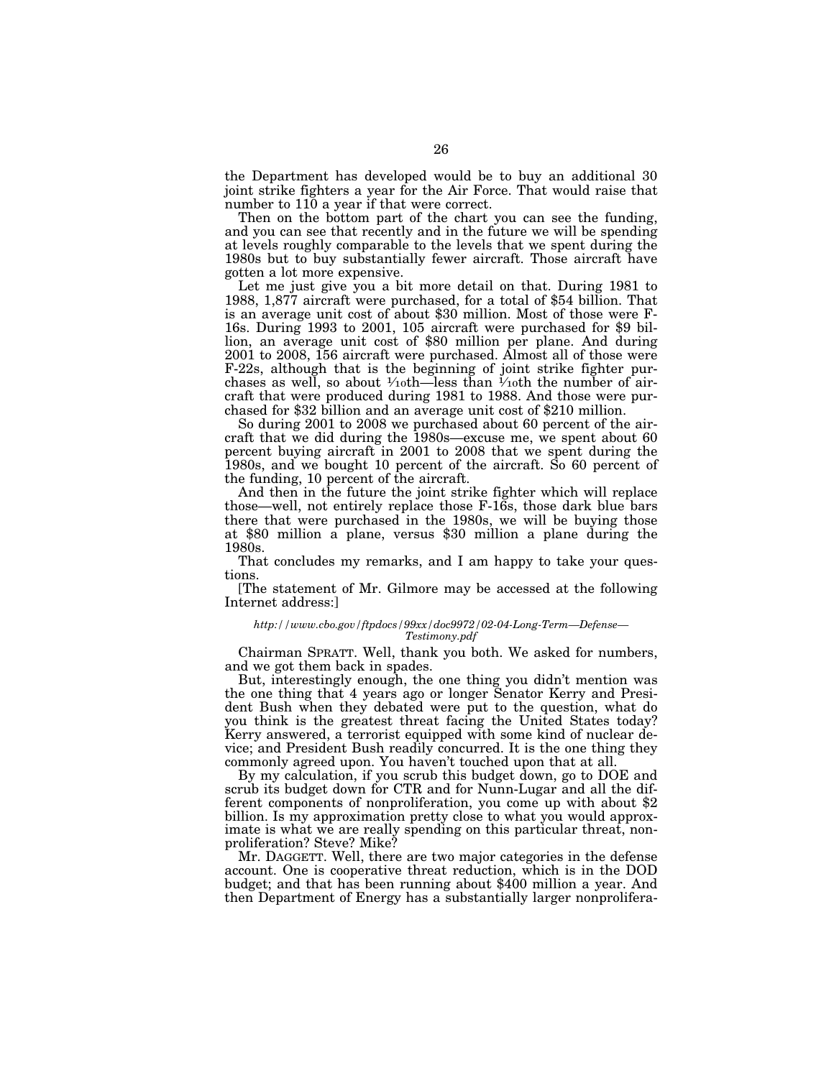the Department has developed would be to buy an additional 30 joint strike fighters a year for the Air Force. That would raise that number to 110 a year if that were correct.

Then on the bottom part of the chart you can see the funding, and you can see that recently and in the future we will be spending at levels roughly comparable to the levels that we spent during the 1980s but to buy substantially fewer aircraft. Those aircraft have gotten a lot more expensive.

Let me just give you a bit more detail on that. During 1981 to 1988, 1,877 aircraft were purchased, for a total of \$54 billion. That is an average unit cost of about \$30 million. Most of those were F-16s. During 1993 to 2001, 105 aircraft were purchased for \$9 billion, an average unit cost of \$80 million per plane. And during 2001 to 2008, 156 aircraft were purchased. Almost all of those were F-22s, although that is the beginning of joint strike fighter purchases as well, so about  $\frac{1}{10}$ th—less than  $\frac{1}{10}$ th the number of aircraft that were produced during 1981 to 1988. And those were purchased for \$32 billion and an average unit cost of \$210 million.

So during 2001 to 2008 we purchased about 60 percent of the aircraft that we did during the 1980s—excuse me, we spent about 60 percent buying aircraft in 2001 to 2008 that we spent during the 1980s, and we bought 10 percent of the aircraft. So 60 percent of the funding, 10 percent of the aircraft.

And then in the future the joint strike fighter which will replace those—well, not entirely replace those F-16s, those dark blue bars there that were purchased in the 1980s, we will be buying those at \$80 million a plane, versus \$30 million a plane during the 1980s.

That concludes my remarks, and I am happy to take your questions.

[The statement of Mr. Gilmore may be accessed at the following Internet address:]

#### *http://www.cbo.gov/ftpdocs/99xx/doc9972/02-04-Long-Term—Defense— Testimony.pdf*

Chairman SPRATT. Well, thank you both. We asked for numbers, and we got them back in spades.

But, interestingly enough, the one thing you didn't mention was the one thing that 4 years ago or longer Senator Kerry and President Bush when they debated were put to the question, what do you think is the greatest threat facing the United States today? Kerry answered, a terrorist equipped with some kind of nuclear device; and President Bush readily concurred. It is the one thing they commonly agreed upon. You haven't touched upon that at all.

By my calculation, if you scrub this budget down, go to DOE and scrub its budget down for CTR and for Nunn-Lugar and all the different components of nonproliferation, you come up with about \$2 billion. Is my approximation pretty close to what you would approximate is what we are really spending on this particular threat, nonproliferation? Steve? Mike?

Mr. DAGGETT. Well, there are two major categories in the defense account. One is cooperative threat reduction, which is in the DOD budget; and that has been running about \$400 million a year. And then Department of Energy has a substantially larger nonprolifera-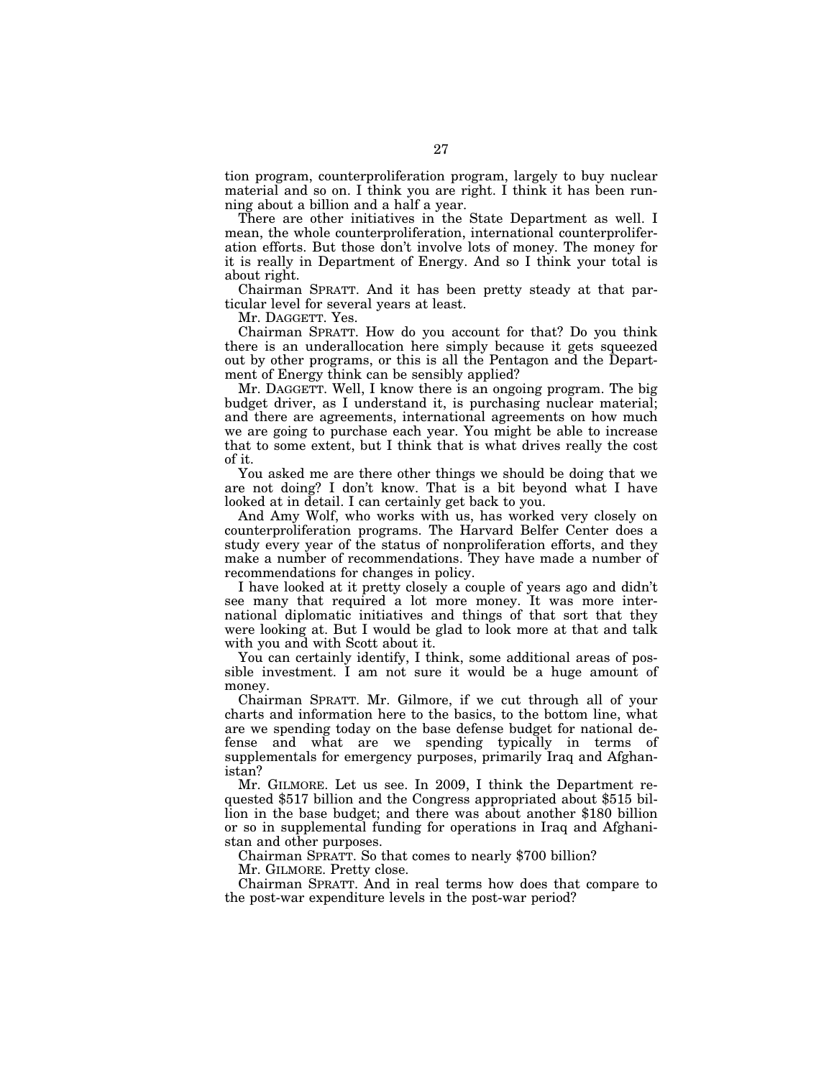tion program, counterproliferation program, largely to buy nuclear material and so on. I think you are right. I think it has been running about a billion and a half a year.

There are other initiatives in the State Department as well. I mean, the whole counterproliferation, international counterproliferation efforts. But those don't involve lots of money. The money for it is really in Department of Energy. And so I think your total is about right.

Chairman SPRATT. And it has been pretty steady at that particular level for several years at least.

Mr. DAGGETT. Yes.

Chairman SPRATT. How do you account for that? Do you think there is an underallocation here simply because it gets squeezed out by other programs, or this is all the Pentagon and the Department of Energy think can be sensibly applied?

Mr. DAGGETT. Well, I know there is an ongoing program. The big budget driver, as I understand it, is purchasing nuclear material; and there are agreements, international agreements on how much we are going to purchase each year. You might be able to increase that to some extent, but I think that is what drives really the cost of it.

You asked me are there other things we should be doing that we are not doing? I don't know. That is a bit beyond what I have looked at in detail. I can certainly get back to you.

And Amy Wolf, who works with us, has worked very closely on counterproliferation programs. The Harvard Belfer Center does a study every year of the status of nonproliferation efforts, and they make a number of recommendations. They have made a number of recommendations for changes in policy.

I have looked at it pretty closely a couple of years ago and didn't see many that required a lot more money. It was more international diplomatic initiatives and things of that sort that they were looking at. But I would be glad to look more at that and talk with you and with Scott about it.

You can certainly identify, I think, some additional areas of possible investment. I am not sure it would be a huge amount of money.

Chairman SPRATT. Mr. Gilmore, if we cut through all of your charts and information here to the basics, to the bottom line, what are we spending today on the base defense budget for national defense and what are we spending typically in terms of supplementals for emergency purposes, primarily Iraq and Afghanistan?

Mr. GILMORE. Let us see. In 2009, I think the Department requested \$517 billion and the Congress appropriated about \$515 billion in the base budget; and there was about another \$180 billion or so in supplemental funding for operations in Iraq and Afghanistan and other purposes.

Chairman SPRATT. So that comes to nearly \$700 billion?

Mr. GILMORE. Pretty close.

Chairman SPRATT. And in real terms how does that compare to the post-war expenditure levels in the post-war period?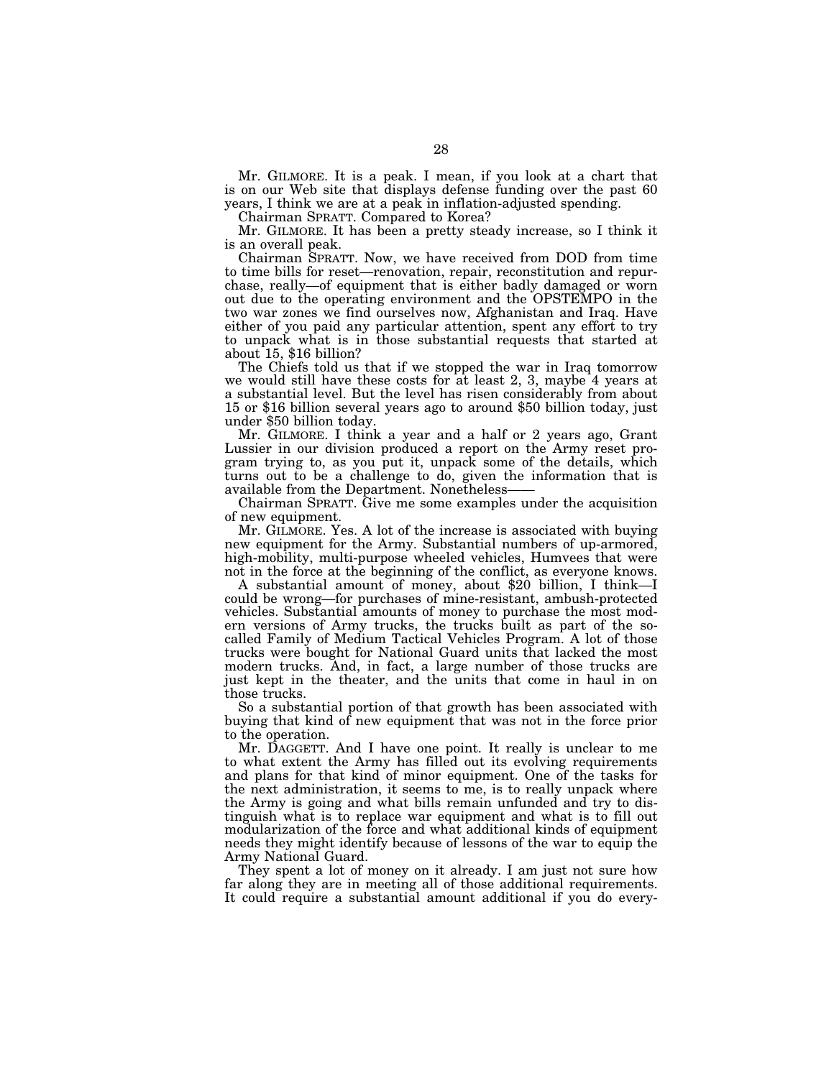Mr. GILMORE. It is a peak. I mean, if you look at a chart that is on our Web site that displays defense funding over the past 60 years, I think we are at a peak in inflation-adjusted spending.

Chairman SPRATT. Compared to Korea?

Mr. GILMORE. It has been a pretty steady increase, so I think it is an overall peak.

Chairman SPRATT. Now, we have received from DOD from time to time bills for reset—renovation, repair, reconstitution and repurchase, really—of equipment that is either badly damaged or worn out due to the operating environment and the OPSTEMPO in the two war zones we find ourselves now, Afghanistan and Iraq. Have either of you paid any particular attention, spent any effort to try to unpack what is in those substantial requests that started at about 15, \$16 billion?

The Chiefs told us that if we stopped the war in Iraq tomorrow we would still have these costs for at least 2, 3, maybe 4 years at a substantial level. But the level has risen considerably from about 15 or \$16 billion several years ago to around \$50 billion today, just under \$50 billion today.

Mr. GILMORE. I think a year and a half or 2 years ago, Grant Lussier in our division produced a report on the Army reset program trying to, as you put it, unpack some of the details, which turns out to be a challenge to do, given the information that is available from the Department. Nonetheless-

Chairman SPRATT. Give me some examples under the acquisition of new equipment.

Mr. GILMORE. Yes. A lot of the increase is associated with buying new equipment for the Army. Substantial numbers of up-armored, high-mobility, multi-purpose wheeled vehicles, Humvees that were not in the force at the beginning of the conflict, as everyone knows.

A substantial amount of money, about \$20 billion, I think—I could be wrong—for purchases of mine-resistant, ambush-protected vehicles. Substantial amounts of money to purchase the most modern versions of Army trucks, the trucks built as part of the socalled Family of Medium Tactical Vehicles Program. A lot of those trucks were bought for National Guard units that lacked the most modern trucks. And, in fact, a large number of those trucks are just kept in the theater, and the units that come in haul in on those trucks.

So a substantial portion of that growth has been associated with buying that kind of new equipment that was not in the force prior to the operation.

Mr. DAGGETT. And I have one point. It really is unclear to me to what extent the Army has filled out its evolving requirements and plans for that kind of minor equipment. One of the tasks for the next administration, it seems to me, is to really unpack where the Army is going and what bills remain unfunded and try to distinguish what is to replace war equipment and what is to fill out modularization of the force and what additional kinds of equipment needs they might identify because of lessons of the war to equip the Army National Guard.

They spent a lot of money on it already. I am just not sure how far along they are in meeting all of those additional requirements. It could require a substantial amount additional if you do every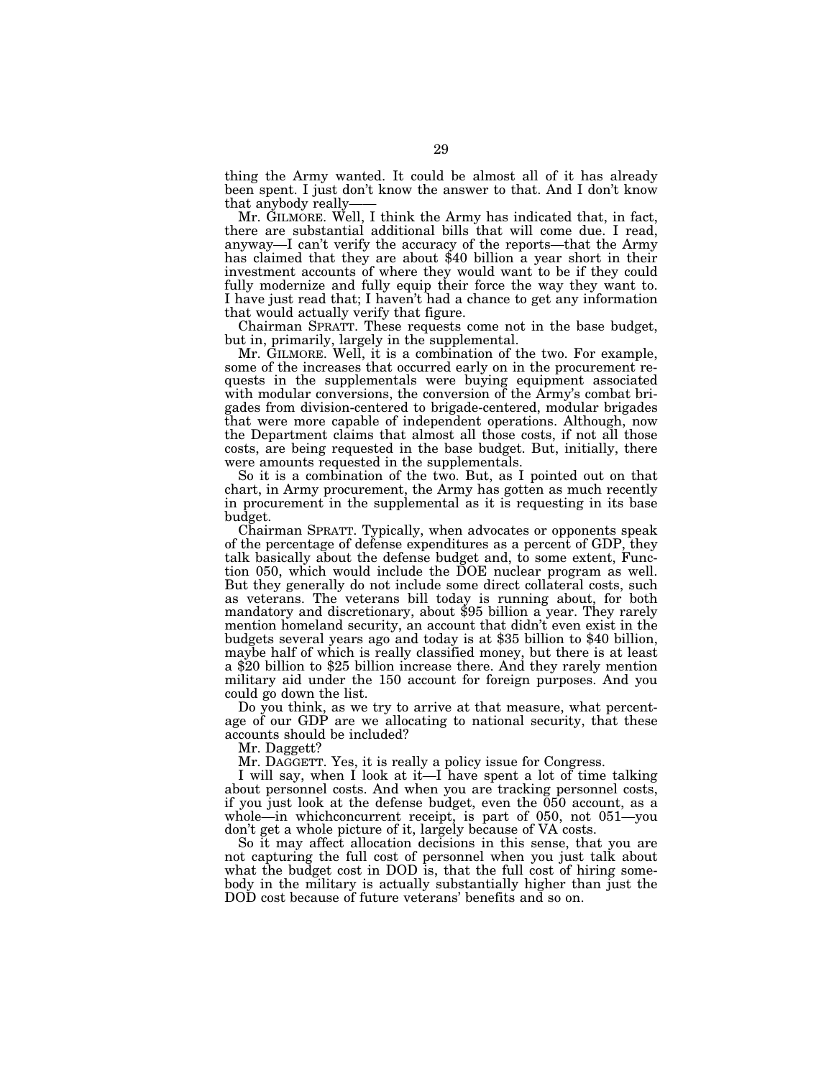thing the Army wanted. It could be almost all of it has already been spent. I just don't know the answer to that. And I don't know that anybody really-

Mr. GILMORE. Well, I think the Army has indicated that, in fact, there are substantial additional bills that will come due. I read, anyway—I can't verify the accuracy of the reports—that the Army has claimed that they are about \$40 billion a year short in their investment accounts of where they would want to be if they could fully modernize and fully equip their force the way they want to. I have just read that; I haven't had a chance to get any information that would actually verify that figure.

Chairman SPRATT. These requests come not in the base budget, but in, primarily, largely in the supplemental.

Mr. GILMORE. Well, it is a combination of the two. For example, some of the increases that occurred early on in the procurement requests in the supplementals were buying equipment associated with modular conversions, the conversion of the Army's combat brigades from division-centered to brigade-centered, modular brigades that were more capable of independent operations. Although, now the Department claims that almost all those costs, if not all those costs, are being requested in the base budget. But, initially, there were amounts requested in the supplementals.

So it is a combination of the two. But, as I pointed out on that chart, in Army procurement, the Army has gotten as much recently in procurement in the supplemental as it is requesting in its base budget.

Chairman SPRATT. Typically, when advocates or opponents speak of the percentage of defense expenditures as a percent of GDP, they talk basically about the defense budget and, to some extent, Function 050, which would include the DOE nuclear program as well. But they generally do not include some direct collateral costs, such as veterans. The veterans bill today is running about, for both mandatory and discretionary, about \$95 billion a year. They rarely mention homeland security, an account that didn't even exist in the budgets several years ago and today is at \$35 billion to \$40 billion, maybe half of which is really classified money, but there is at least a \$20 billion to \$25 billion increase there. And they rarely mention military aid under the 150 account for foreign purposes. And you could go down the list.

Do you think, as we try to arrive at that measure, what percentage of our GDP are we allocating to national security, that these accounts should be included?

Mr. Daggett?

Mr. DAGGETT. Yes, it is really a policy issue for Congress.

I will say, when I look at it—I have spent a lot of time talking about personnel costs. And when you are tracking personnel costs, if you just look at the defense budget, even the 050 account, as a whole—in whichconcurrent receipt, is part of 050, not 051—you don't get a whole picture of it, largely because of VA costs.

So it may affect allocation decisions in this sense, that you are not capturing the full cost of personnel when you just talk about what the budget cost in DOD is, that the full cost of hiring somebody in the military is actually substantially higher than just the DOD cost because of future veterans' benefits and so on.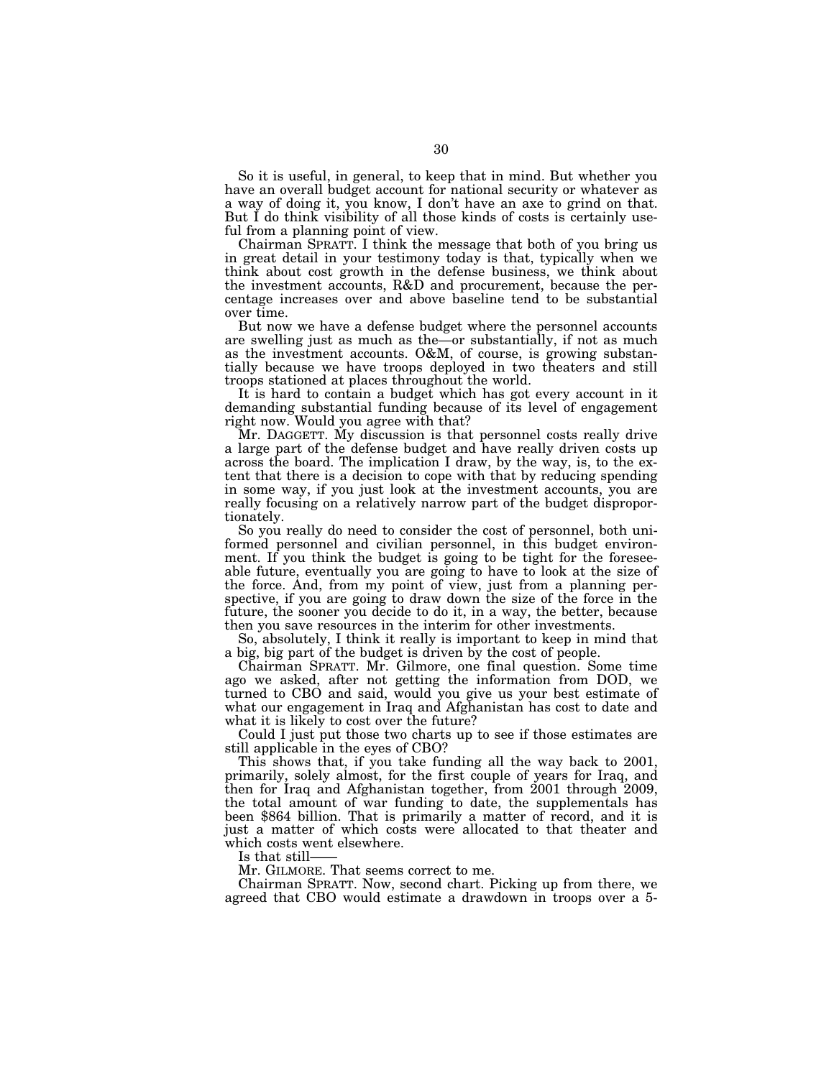So it is useful, in general, to keep that in mind. But whether you have an overall budget account for national security or whatever as a way of doing it, you know, I don't have an axe to grind on that. But I do think visibility of all those kinds of costs is certainly useful from a planning point of view.

Chairman SPRATT. I think the message that both of you bring us in great detail in your testimony today is that, typically when we think about cost growth in the defense business, we think about the investment accounts, R&D and procurement, because the percentage increases over and above baseline tend to be substantial over time.

But now we have a defense budget where the personnel accounts are swelling just as much as the—or substantially, if not as much as the investment accounts. O&M, of course, is growing substantially because we have troops deployed in two theaters and still troops stationed at places throughout the world.

It is hard to contain a budget which has got every account in it demanding substantial funding because of its level of engagement right now. Would you agree with that?

Mr. DAGGETT. My discussion is that personnel costs really drive a large part of the defense budget and have really driven costs up across the board. The implication I draw, by the way, is, to the extent that there is a decision to cope with that by reducing spending in some way, if you just look at the investment accounts, you are really focusing on a relatively narrow part of the budget disproportionately.

So you really do need to consider the cost of personnel, both uniformed personnel and civilian personnel, in this budget environment. If you think the budget is going to be tight for the foreseeable future, eventually you are going to have to look at the size of the force. And, from my point of view, just from a planning perspective, if you are going to draw down the size of the force in the future, the sooner you decide to do it, in a way, the better, because then you save resources in the interim for other investments.

So, absolutely, I think it really is important to keep in mind that a big, big part of the budget is driven by the cost of people.

Chairman SPRATT. Mr. Gilmore, one final question. Some time ago we asked, after not getting the information from DOD, we turned to CBO and said, would you give us your best estimate of what our engagement in Iraq and Afghanistan has cost to date and what it is likely to cost over the future?

Could I just put those two charts up to see if those estimates are still applicable in the eyes of CBO?

This shows that, if you take funding all the way back to 2001, primarily, solely almost, for the first couple of years for Iraq, and then for Iraq and Afghanistan together, from 2001 through 2009, the total amount of war funding to date, the supplementals has been \$864 billion. That is primarily a matter of record, and it is just a matter of which costs were allocated to that theater and which costs went elsewhere.

Is that still-

Mr. GILMORE. That seems correct to me.

Chairman SPRATT. Now, second chart. Picking up from there, we agreed that CBO would estimate a drawdown in troops over a 5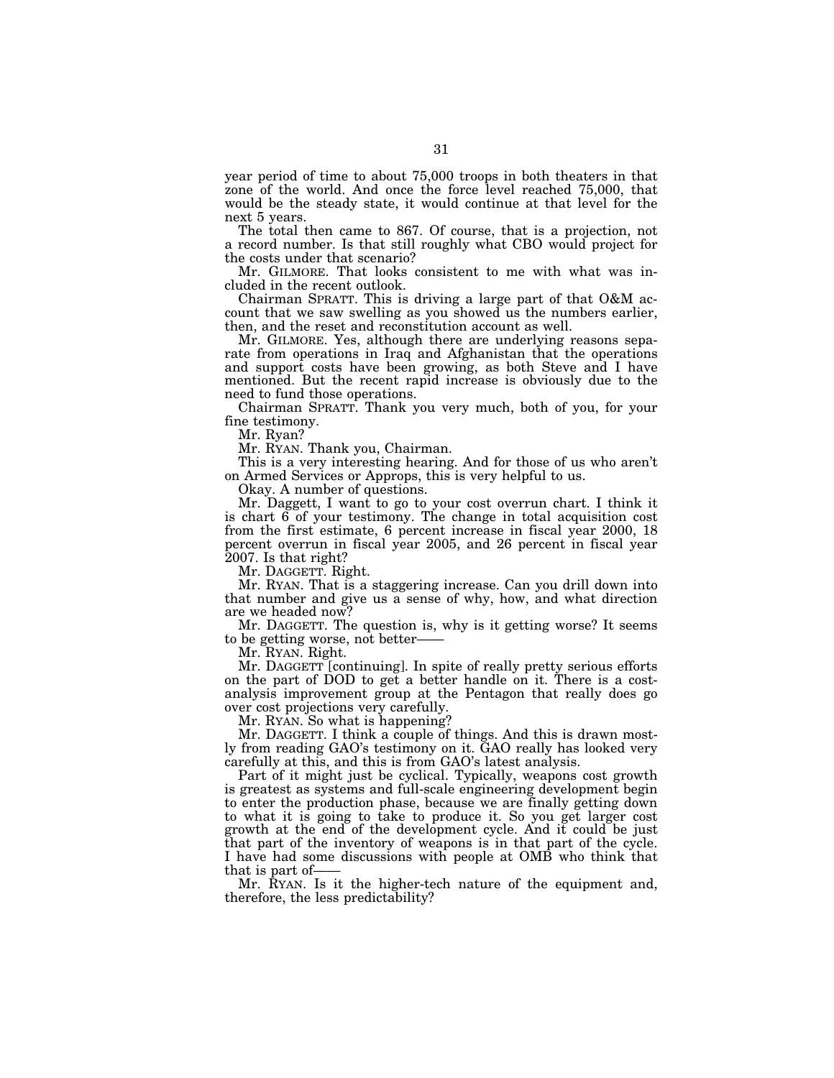year period of time to about 75,000 troops in both theaters in that zone of the world. And once the force level reached 75,000, that would be the steady state, it would continue at that level for the next 5 years.

The total then came to 867. Of course, that is a projection, not a record number. Is that still roughly what CBO would project for the costs under that scenario?

Mr. GILMORE. That looks consistent to me with what was included in the recent outlook.

Chairman SPRATT. This is driving a large part of that O&M account that we saw swelling as you showed us the numbers earlier, then, and the reset and reconstitution account as well.

Mr. GILMORE. Yes, although there are underlying reasons separate from operations in Iraq and Afghanistan that the operations and support costs have been growing, as both Steve and I have mentioned. But the recent rapid increase is obviously due to the need to fund those operations.

Chairman SPRATT. Thank you very much, both of you, for your fine testimony.

Mr. Ryan?

Mr. RYAN. Thank you, Chairman.

This is a very interesting hearing. And for those of us who aren't on Armed Services or Approps, this is very helpful to us.

Okay. A number of questions.

Mr. Daggett, I want to go to your cost overrun chart. I think it is chart 6 of your testimony. The change in total acquisition cost from the first estimate, 6 percent increase in fiscal year 2000, 18 percent overrun in fiscal year 2005, and 26 percent in fiscal year 2007. Is that right?

Mr. DAGGETT. Right.

Mr. RYAN. That is a staggering increase. Can you drill down into that number and give us a sense of why, how, and what direction are we headed now?

Mr. DAGGETT. The question is, why is it getting worse? It seems to be getting worse, not better-

Mr. RYAN. Right.

Mr. DAGGETT [continuing]. In spite of really pretty serious efforts on the part of DOD to get a better handle on it. There is a costanalysis improvement group at the Pentagon that really does go over cost projections very carefully.

Mr. RYAN. So what is happening?

Mr. DAGGETT. I think a couple of things. And this is drawn mostly from reading GAO's testimony on it. GAO really has looked very carefully at this, and this is from GAO's latest analysis.

Part of it might just be cyclical. Typically, weapons cost growth is greatest as systems and full-scale engineering development begin to enter the production phase, because we are finally getting down to what it is going to take to produce it. So you get larger cost growth at the end of the development cycle. And it could be just that part of the inventory of weapons is in that part of the cycle. I have had some discussions with people at OMB who think that that is part of-

Mr. RYAN. Is it the higher-tech nature of the equipment and, therefore, the less predictability?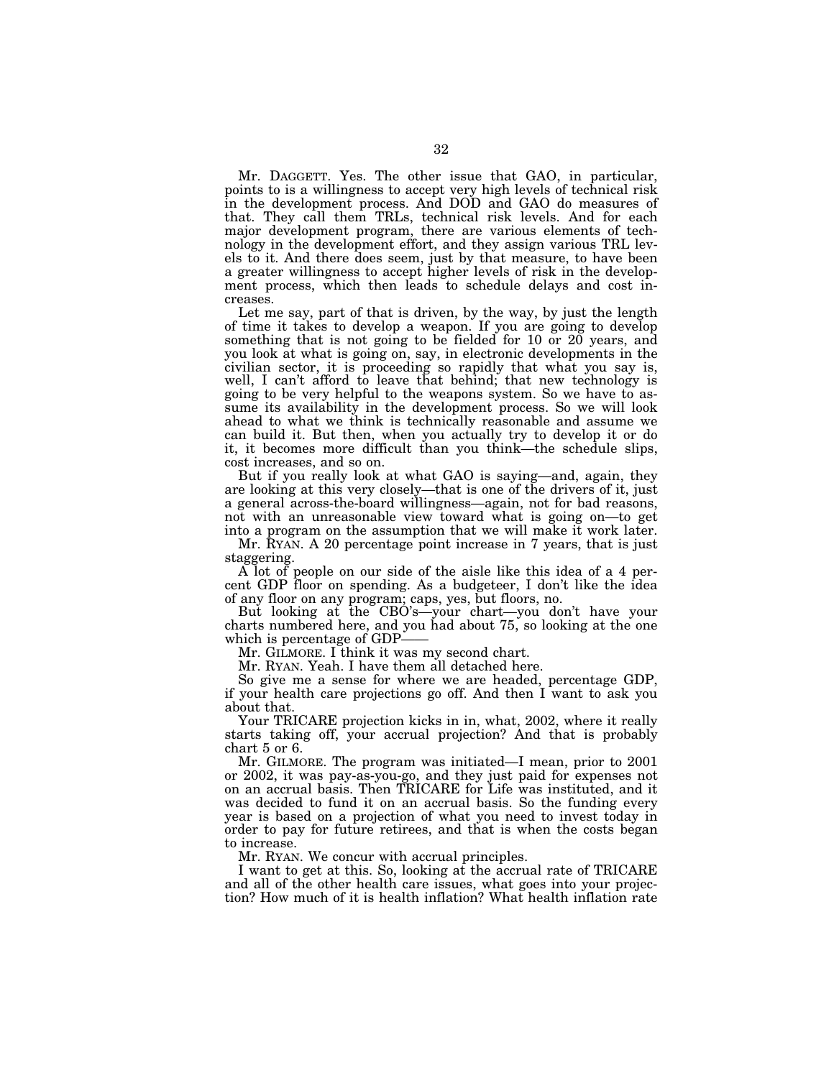Mr. DAGGETT. Yes. The other issue that GAO, in particular, points to is a willingness to accept very high levels of technical risk in the development process. And DOD and GAO do measures of that. They call them TRLs, technical risk levels. And for each major development program, there are various elements of technology in the development effort, and they assign various TRL levels to it. And there does seem, just by that measure, to have been a greater willingness to accept higher levels of risk in the development process, which then leads to schedule delays and cost increases.

Let me say, part of that is driven, by the way, by just the length of time it takes to develop a weapon. If you are going to develop something that is not going to be fielded for 10 or 20 years, and you look at what is going on, say, in electronic developments in the civilian sector, it is proceeding so rapidly that what you say is, well, I can't afford to leave that behind; that new technology is going to be very helpful to the weapons system. So we have to assume its availability in the development process. So we will look ahead to what we think is technically reasonable and assume we can build it. But then, when you actually try to develop it or do it, it becomes more difficult than you think—the schedule slips, cost increases, and so on.

But if you really look at what GAO is saying—and, again, they are looking at this very closely—that is one of the drivers of it, just a general across-the-board willingness—again, not for bad reasons, not with an unreasonable view toward what is going on—to get into a program on the assumption that we will make it work later.

Mr. RYAN. A 20 percentage point increase in 7 years, that is just staggering.

A lot of people on our side of the aisle like this idea of a 4 percent GDP floor on spending. As a budgeteer, I don't like the idea of any floor on any program; caps, yes, but floors, no.

But looking at the CBO's—your chart—you don't have your charts numbered here, and you had about 75, so looking at the one which is percentage of GDP-

Mr. GILMORE. I think it was my second chart.

Mr. RYAN. Yeah. I have them all detached here.

So give me a sense for where we are headed, percentage GDP, if your health care projections go off. And then I want to ask you about that.

Your TRICARE projection kicks in in, what, 2002, where it really starts taking off, your accrual projection? And that is probably chart 5 or 6.

Mr. GILMORE. The program was initiated—I mean, prior to 2001 or 2002, it was pay-as-you-go, and they just paid for expenses not on an accrual basis. Then TRICARE for Life was instituted, and it was decided to fund it on an accrual basis. So the funding every year is based on a projection of what you need to invest today in order to pay for future retirees, and that is when the costs began to increase.

Mr. RYAN. We concur with accrual principles.

I want to get at this. So, looking at the accrual rate of TRICARE and all of the other health care issues, what goes into your projection? How much of it is health inflation? What health inflation rate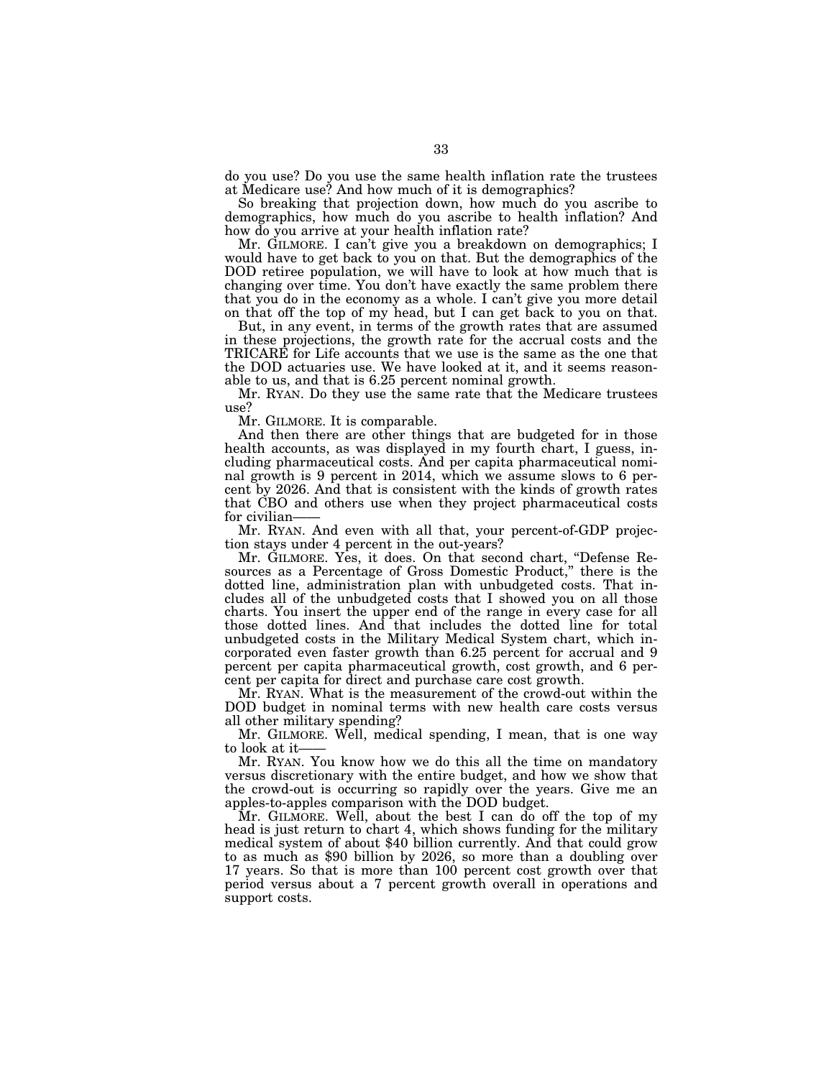do you use? Do you use the same health inflation rate the trustees at Medicare use? And how much of it is demographics?

So breaking that projection down, how much do you ascribe to demographics, how much do you ascribe to health inflation? And how do you arrive at your health inflation rate?

Mr. GILMORE. I can't give you a breakdown on demographics; I would have to get back to you on that. But the demographics of the DOD retiree population, we will have to look at how much that is changing over time. You don't have exactly the same problem there that you do in the economy as a whole. I can't give you more detail on that off the top of my head, but I can get back to you on that.

But, in any event, in terms of the growth rates that are assumed in these projections, the growth rate for the accrual costs and the TRICARE for Life accounts that we use is the same as the one that the DOD actuaries use. We have looked at it, and it seems reasonable to us, and that is 6.25 percent nominal growth.

Mr. RYAN. Do they use the same rate that the Medicare trustees use?

Mr. GILMORE. It is comparable.

And then there are other things that are budgeted for in those health accounts, as was displayed in my fourth chart, I guess, including pharmaceutical costs. And per capita pharmaceutical nominal growth is 9 percent in 2014, which we assume slows to 6 percent by 2026. And that is consistent with the kinds of growth rates that CBO and others use when they project pharmaceutical costs for civilian-

Mr. RYAN. And even with all that, your percent-of-GDP projection stays under 4 percent in the out-years?

Mr. GILMORE. Yes, it does. On that second chart, ''Defense Resources as a Percentage of Gross Domestic Product,'' there is the dotted line, administration plan with unbudgeted costs. That includes all of the unbudgeted costs that I showed you on all those charts. You insert the upper end of the range in every case for all those dotted lines. And that includes the dotted line for total unbudgeted costs in the Military Medical System chart, which incorporated even faster growth than 6.25 percent for accrual and 9 percent per capita pharmaceutical growth, cost growth, and 6 percent per capita for direct and purchase care cost growth.

Mr. RYAN. What is the measurement of the crowd-out within the DOD budget in nominal terms with new health care costs versus all other military spending?

Mr. GILMORE. Well, medical spending, I mean, that is one way to look at it-

Mr. RYAN. You know how we do this all the time on mandatory versus discretionary with the entire budget, and how we show that the crowd-out is occurring so rapidly over the years. Give me an apples-to-apples comparison with the DOD budget.

Mr. GILMORE. Well, about the best I can do off the top of my head is just return to chart 4, which shows funding for the military medical system of about \$40 billion currently. And that could grow to as much as \$90 billion by 2026, so more than a doubling over 17 years. So that is more than 100 percent cost growth over that period versus about a 7 percent growth overall in operations and support costs.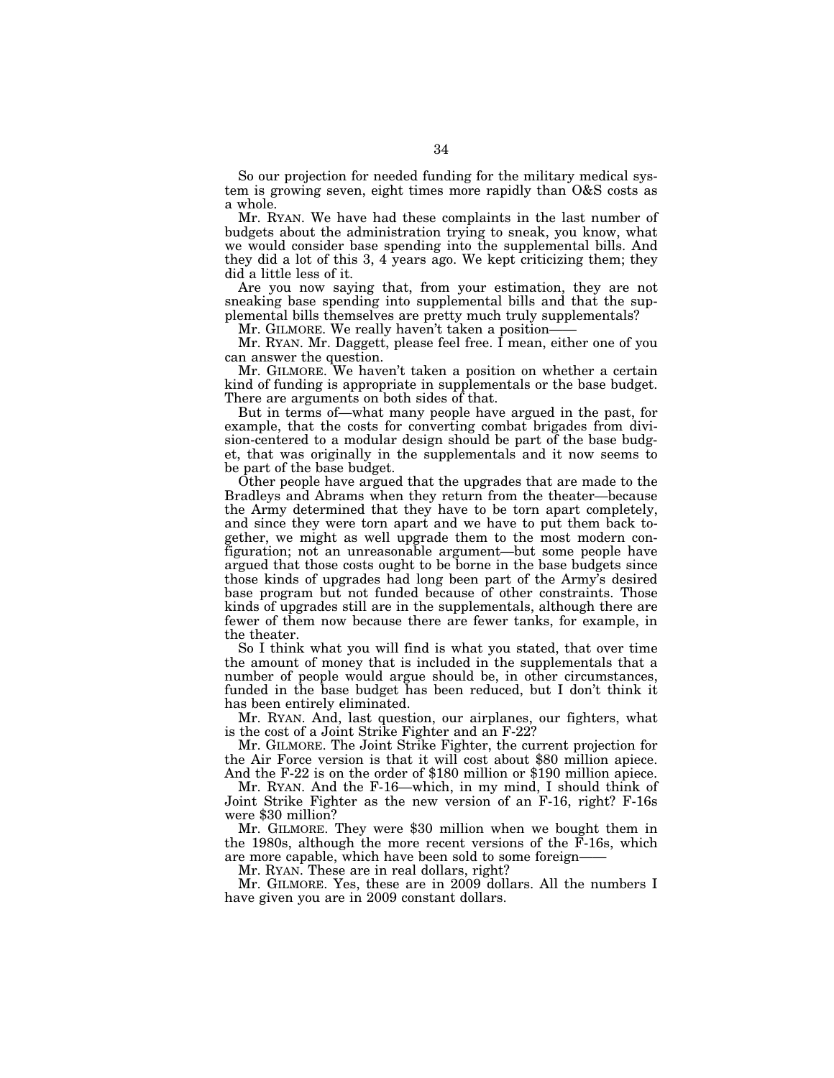So our projection for needed funding for the military medical system is growing seven, eight times more rapidly than O&S costs as a whole.

Mr. RYAN. We have had these complaints in the last number of budgets about the administration trying to sneak, you know, what we would consider base spending into the supplemental bills. And they did a lot of this 3, 4 years ago. We kept criticizing them; they did a little less of it.

Are you now saying that, from your estimation, they are not sneaking base spending into supplemental bills and that the supplemental bills themselves are pretty much truly supplementals?

Mr. GILMORE. We really haven't taken a position-

Mr. RYAN. Mr. Daggett, please feel free. I mean, either one of you can answer the question.

Mr. GILMORE. We haven't taken a position on whether a certain kind of funding is appropriate in supplementals or the base budget. There are arguments on both sides of that.

But in terms of—what many people have argued in the past, for example, that the costs for converting combat brigades from division-centered to a modular design should be part of the base budget, that was originally in the supplementals and it now seems to be part of the base budget.

Other people have argued that the upgrades that are made to the Bradleys and Abrams when they return from the theater—because the Army determined that they have to be torn apart completely, and since they were torn apart and we have to put them back together, we might as well upgrade them to the most modern configuration; not an unreasonable argument—but some people have argued that those costs ought to be borne in the base budgets since those kinds of upgrades had long been part of the Army's desired base program but not funded because of other constraints. Those kinds of upgrades still are in the supplementals, although there are fewer of them now because there are fewer tanks, for example, in the theater.

So I think what you will find is what you stated, that over time the amount of money that is included in the supplementals that a number of people would argue should be, in other circumstances, funded in the base budget has been reduced, but I don't think it has been entirely eliminated.

Mr. RYAN. And, last question, our airplanes, our fighters, what is the cost of a Joint Strike Fighter and an F-22?

Mr. GILMORE. The Joint Strike Fighter, the current projection for the Air Force version is that it will cost about \$80 million apiece. And the F-22 is on the order of \$180 million or \$190 million apiece.

Mr. RYAN. And the F-16—which, in my mind, I should think of Joint Strike Fighter as the new version of an F-16, right? F-16s were \$30 million?

Mr. GILMORE. They were \$30 million when we bought them in the 1980s, although the more recent versions of the F-16s, which are more capable, which have been sold to some foreign——

Mr. RYAN. These are in real dollars, right?

Mr. GILMORE. Yes, these are in 2009 dollars. All the numbers I have given you are in 2009 constant dollars.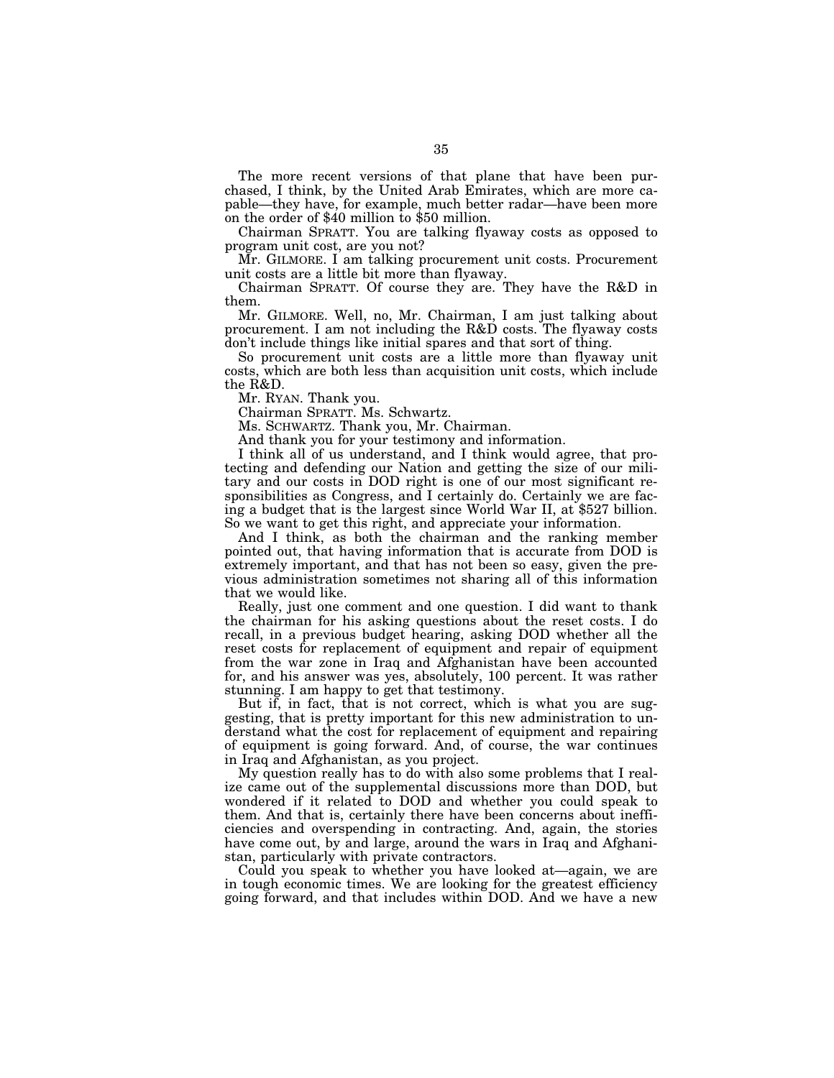The more recent versions of that plane that have been purchased, I think, by the United Arab Emirates, which are more capable—they have, for example, much better radar—have been more on the order of \$40 million to \$50 million.

Chairman SPRATT. You are talking flyaway costs as opposed to program unit cost, are you not?

Mr. GILMORE. I am talking procurement unit costs. Procurement unit costs are a little bit more than flyaway.

Chairman SPRATT. Of course they are. They have the R&D in them.

Mr. GILMORE. Well, no, Mr. Chairman, I am just talking about procurement. I am not including the R&D costs. The flyaway costs don't include things like initial spares and that sort of thing.

So procurement unit costs are a little more than flyaway unit costs, which are both less than acquisition unit costs, which include the R&D.

Mr. RYAN. Thank you.

Chairman SPRATT. Ms. Schwartz.

Ms. SCHWARTZ. Thank you, Mr. Chairman.

And thank you for your testimony and information.

I think all of us understand, and I think would agree, that protecting and defending our Nation and getting the size of our military and our costs in DOD right is one of our most significant responsibilities as Congress, and I certainly do. Certainly we are facing a budget that is the largest since World War II, at \$527 billion. So we want to get this right, and appreciate your information.

And I think, as both the chairman and the ranking member pointed out, that having information that is accurate from DOD is extremely important, and that has not been so easy, given the previous administration sometimes not sharing all of this information that we would like.

Really, just one comment and one question. I did want to thank the chairman for his asking questions about the reset costs. I do recall, in a previous budget hearing, asking DOD whether all the reset costs for replacement of equipment and repair of equipment from the war zone in Iraq and Afghanistan have been accounted for, and his answer was yes, absolutely, 100 percent. It was rather stunning. I am happy to get that testimony.

But if, in fact, that is not correct, which is what you are suggesting, that is pretty important for this new administration to understand what the cost for replacement of equipment and repairing of equipment is going forward. And, of course, the war continues in Iraq and Afghanistan, as you project.

My question really has to do with also some problems that I realize came out of the supplemental discussions more than DOD, but wondered if it related to DOD and whether you could speak to them. And that is, certainly there have been concerns about inefficiencies and overspending in contracting. And, again, the stories have come out, by and large, around the wars in Iraq and Afghanistan, particularly with private contractors.

Could you speak to whether you have looked at—again, we are in tough economic times. We are looking for the greatest efficiency going forward, and that includes within DOD. And we have a new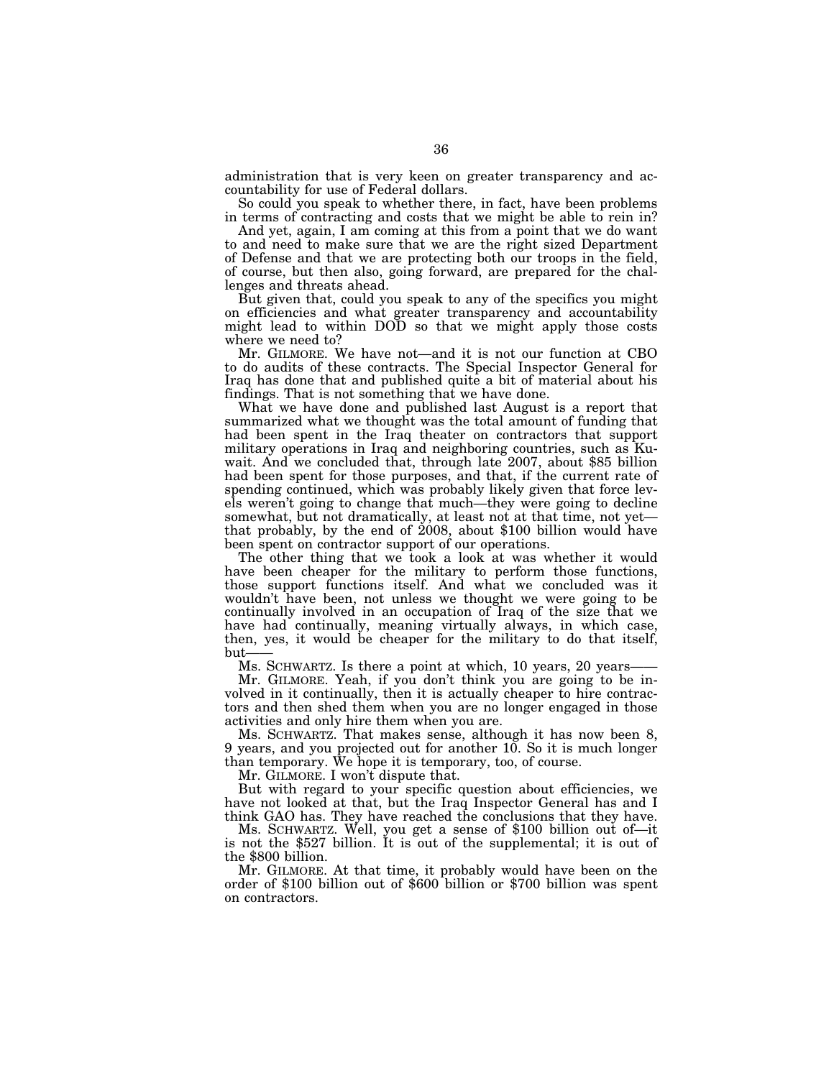administration that is very keen on greater transparency and accountability for use of Federal dollars.

So could you speak to whether there, in fact, have been problems in terms of contracting and costs that we might be able to rein in?

And yet, again, I am coming at this from a point that we do want to and need to make sure that we are the right sized Department of Defense and that we are protecting both our troops in the field, of course, but then also, going forward, are prepared for the challenges and threats ahead.

But given that, could you speak to any of the specifics you might on efficiencies and what greater transparency and accountability might lead to within DOD so that we might apply those costs where we need to?

Mr. GILMORE. We have not—and it is not our function at CBO to do audits of these contracts. The Special Inspector General for Iraq has done that and published quite a bit of material about his findings. That is not something that we have done.

What we have done and published last August is a report that summarized what we thought was the total amount of funding that had been spent in the Iraq theater on contractors that support military operations in Iraq and neighboring countries, such as Kuwait. And we concluded that, through late 2007, about \$85 billion had been spent for those purposes, and that, if the current rate of spending continued, which was probably likely given that force levels weren't going to change that much—they were going to decline somewhat, but not dramatically, at least not at that time, not yet that probably, by the end of 2008, about \$100 billion would have been spent on contractor support of our operations.

The other thing that we took a look at was whether it would have been cheaper for the military to perform those functions, those support functions itself. And what we concluded was it wouldn't have been, not unless we thought we were going to be continually involved in an occupation of Iraq of the size that we have had continually, meaning virtually always, in which case, then, yes, it would be cheaper for the military to do that itself, but-

Ms. SCHWARTZ. Is there a point at which, 10 years, 20 years-

Mr. GILMORE. Yeah, if you don't think you are going to be involved in it continually, then it is actually cheaper to hire contractors and then shed them when you are no longer engaged in those activities and only hire them when you are.

Ms. SCHWARTZ. That makes sense, although it has now been 8, 9 years, and you projected out for another 10. So it is much longer than temporary. We hope it is temporary, too, of course.

Mr. GILMORE. I won't dispute that.

But with regard to your specific question about efficiencies, we have not looked at that, but the Iraq Inspector General has and I think GAO has. They have reached the conclusions that they have.

Ms. SCHWARTZ. Well, you get a sense of \$100 billion out of—it is not the \$527 billion. It is out of the supplemental; it is out of the \$800 billion.

Mr. GILMORE. At that time, it probably would have been on the order of \$100 billion out of \$600 billion or \$700 billion was spent on contractors.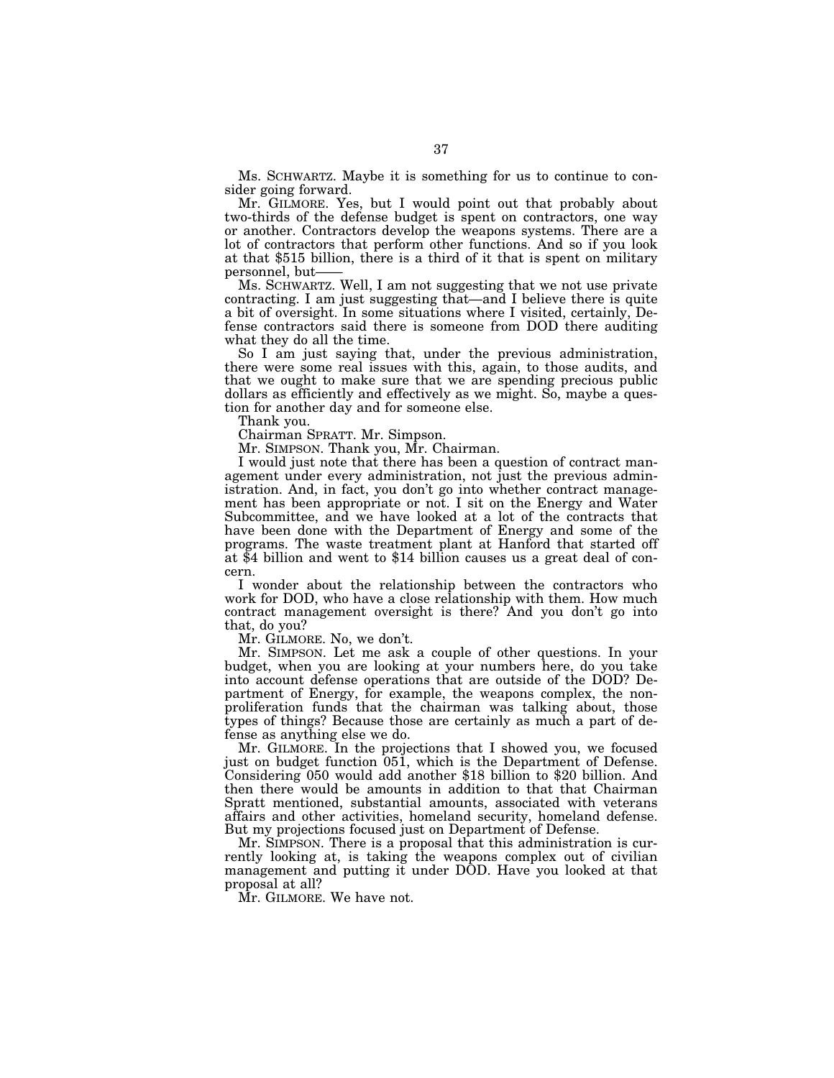Ms. SCHWARTZ. Maybe it is something for us to continue to consider going forward.

Mr. GILMORE. Yes, but I would point out that probably about two-thirds of the defense budget is spent on contractors, one way or another. Contractors develop the weapons systems. There are a lot of contractors that perform other functions. And so if you look at that \$515 billion, there is a third of it that is spent on military personnel, but——

Ms. SCHWARTZ. Well, I am not suggesting that we not use private contracting. I am just suggesting that—and I believe there is quite a bit of oversight. In some situations where I visited, certainly, Defense contractors said there is someone from DOD there auditing what they do all the time.

So I am just saying that, under the previous administration, there were some real issues with this, again, to those audits, and that we ought to make sure that we are spending precious public dollars as efficiently and effectively as we might. So, maybe a question for another day and for someone else.

Thank you.

Chairman SPRATT. Mr. Simpson.

Mr. SIMPSON. Thank you, Mr. Chairman.

I would just note that there has been a question of contract management under every administration, not just the previous administration. And, in fact, you don't go into whether contract management has been appropriate or not. I sit on the Energy and Water Subcommittee, and we have looked at a lot of the contracts that have been done with the Department of Energy and some of the programs. The waste treatment plant at Hanford that started off at \$4 billion and went to \$14 billion causes us a great deal of concern.

I wonder about the relationship between the contractors who work for DOD, who have a close relationship with them. How much contract management oversight is there? And you don't go into that, do you?

Mr. GILMORE. No, we don't.

Mr. SIMPSON. Let me ask a couple of other questions. In your budget, when you are looking at your numbers here, do you take into account defense operations that are outside of the DOD? Department of Energy, for example, the weapons complex, the nonproliferation funds that the chairman was talking about, those types of things? Because those are certainly as much a part of defense as anything else we do.

Mr. GILMORE. In the projections that I showed you, we focused just on budget function 051, which is the Department of Defense. Considering 050 would add another \$18 billion to \$20 billion. And then there would be amounts in addition to that that Chairman Spratt mentioned, substantial amounts, associated with veterans affairs and other activities, homeland security, homeland defense. But my projections focused just on Department of Defense.

Mr. SIMPSON. There is a proposal that this administration is currently looking at, is taking the weapons complex out of civilian management and putting it under DOD. Have you looked at that proposal at all?

Mr. GILMORE. We have not.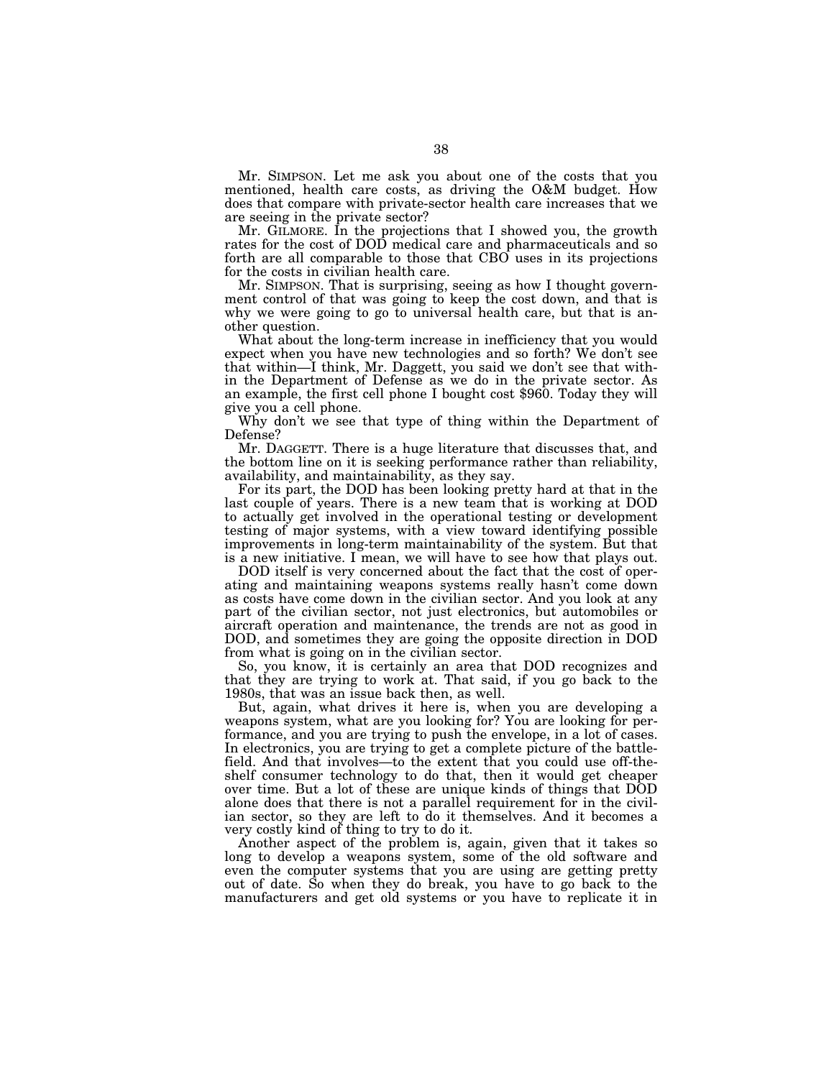Mr. SIMPSON. Let me ask you about one of the costs that you mentioned, health care costs, as driving the O&M budget. How does that compare with private-sector health care increases that we are seeing in the private sector?

Mr. GILMORE. In the projections that I showed you, the growth rates for the cost of DOD medical care and pharmaceuticals and so forth are all comparable to those that CBO uses in its projections for the costs in civilian health care.

Mr. SIMPSON. That is surprising, seeing as how I thought government control of that was going to keep the cost down, and that is why we were going to go to universal health care, but that is another question.

What about the long-term increase in inefficiency that you would expect when you have new technologies and so forth? We don't see that within—I think, Mr. Daggett, you said we don't see that within the Department of Defense as we do in the private sector. As an example, the first cell phone I bought cost \$960. Today they will give you a cell phone.

Why don't we see that type of thing within the Department of Defense?

Mr. DAGGETT. There is a huge literature that discusses that, and the bottom line on it is seeking performance rather than reliability, availability, and maintainability, as they say.

For its part, the DOD has been looking pretty hard at that in the last couple of years. There is a new team that is working at DOD to actually get involved in the operational testing or development testing of major systems, with a view toward identifying possible improvements in long-term maintainability of the system. But that is a new initiative. I mean, we will have to see how that plays out.

DOD itself is very concerned about the fact that the cost of operating and maintaining weapons systems really hasn't come down as costs have come down in the civilian sector. And you look at any part of the civilian sector, not just electronics, but automobiles or aircraft operation and maintenance, the trends are not as good in DOD, and sometimes they are going the opposite direction in DOD from what is going on in the civilian sector.

So, you know, it is certainly an area that DOD recognizes and that they are trying to work at. That said, if you go back to the 1980s, that was an issue back then, as well.

But, again, what drives it here is, when you are developing a weapons system, what are you looking for? You are looking for performance, and you are trying to push the envelope, in a lot of cases. In electronics, you are trying to get a complete picture of the battlefield. And that involves—to the extent that you could use off-theshelf consumer technology to do that, then it would get cheaper over time. But a lot of these are unique kinds of things that DOD alone does that there is not a parallel requirement for in the civilian sector, so they are left to do it themselves. And it becomes a very costly kind of thing to try to do it.

Another aspect of the problem is, again, given that it takes so long to develop a weapons system, some of the old software and even the computer systems that you are using are getting pretty out of date. So when they do break, you have to go back to the manufacturers and get old systems or you have to replicate it in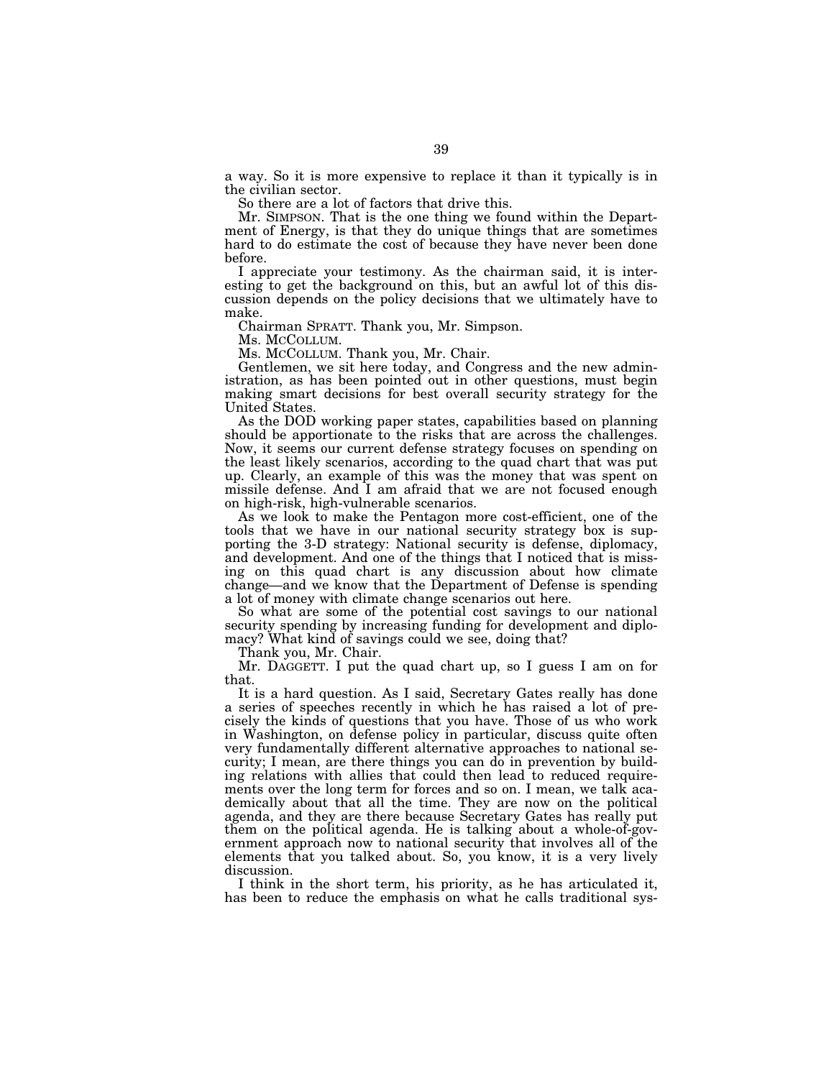a way. So it is more expensive to replace it than it typically is in the civilian sector.

So there are a lot of factors that drive this.

Mr. SIMPSON. That is the one thing we found within the Department of Energy, is that they do unique things that are sometimes hard to do estimate the cost of because they have never been done before.

I appreciate your testimony. As the chairman said, it is interesting to get the background on this, but an awful lot of this discussion depends on the policy decisions that we ultimately have to make.

Chairman SPRATT. Thank you, Mr. Simpson.

Ms. MCCOLLUM.

Ms. MCCOLLUM. Thank you, Mr. Chair.

Gentlemen, we sit here today, and Congress and the new administration, as has been pointed out in other questions, must begin making smart decisions for best overall security strategy for the United States.

As the DOD working paper states, capabilities based on planning should be apportionate to the risks that are across the challenges. Now, it seems our current defense strategy focuses on spending on the least likely scenarios, according to the quad chart that was put up. Clearly, an example of this was the money that was spent on missile defense. And I am afraid that we are not focused enough on high-risk, high-vulnerable scenarios.

As we look to make the Pentagon more cost-efficient, one of the tools that we have in our national security strategy box is supporting the 3-D strategy: National security is defense, diplomacy, and development. And one of the things that I noticed that is missing on this quad chart is any discussion about how climate change—and we know that the Department of Defense is spending a lot of money with climate change scenarios out here.

So what are some of the potential cost savings to our national security spending by increasing funding for development and diplomacy? What kind of savings could we see, doing that?

Thank you, Mr. Chair.

Mr. DAGGETT. I put the quad chart up, so I guess I am on for that.

It is a hard question. As I said, Secretary Gates really has done a series of speeches recently in which he has raised a lot of precisely the kinds of questions that you have. Those of us who work in Washington, on defense policy in particular, discuss quite often very fundamentally different alternative approaches to national security; I mean, are there things you can do in prevention by building relations with allies that could then lead to reduced requirements over the long term for forces and so on. I mean, we talk academically about that all the time. They are now on the political agenda, and they are there because Secretary Gates has really put them on the political agenda. He is talking about a whole-of-government approach now to national security that involves all of the elements that you talked about. So, you know, it is a very lively discussion.

I think in the short term, his priority, as he has articulated it, has been to reduce the emphasis on what he calls traditional sys-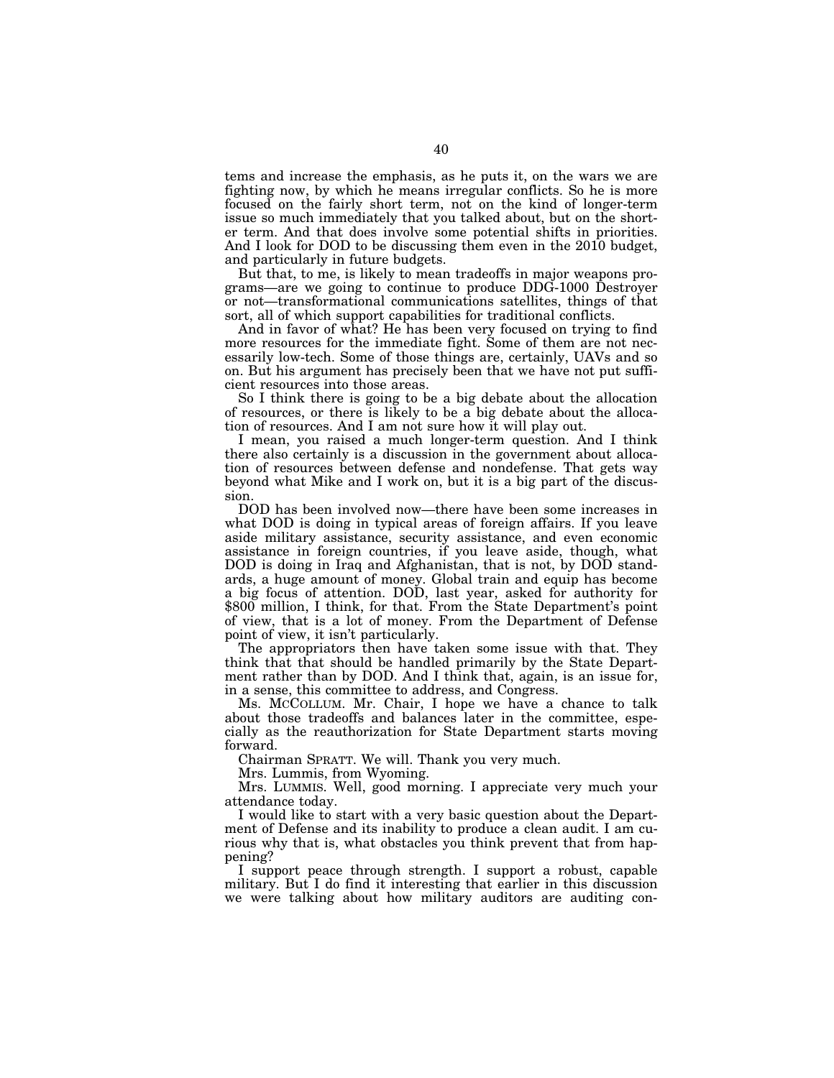tems and increase the emphasis, as he puts it, on the wars we are fighting now, by which he means irregular conflicts. So he is more focused on the fairly short term, not on the kind of longer-term issue so much immediately that you talked about, but on the shorter term. And that does involve some potential shifts in priorities. And I look for DOD to be discussing them even in the 2010 budget, and particularly in future budgets.

But that, to me, is likely to mean tradeoffs in major weapons programs—are we going to continue to produce DDG-1000 Destroyer or not—transformational communications satellites, things of that sort, all of which support capabilities for traditional conflicts.

And in favor of what? He has been very focused on trying to find more resources for the immediate fight. Some of them are not necessarily low-tech. Some of those things are, certainly, UAVs and so on. But his argument has precisely been that we have not put sufficient resources into those areas.

So I think there is going to be a big debate about the allocation of resources, or there is likely to be a big debate about the allocation of resources. And I am not sure how it will play out.

I mean, you raised a much longer-term question. And I think there also certainly is a discussion in the government about allocation of resources between defense and nondefense. That gets way beyond what Mike and I work on, but it is a big part of the discussion.

DOD has been involved now—there have been some increases in what DOD is doing in typical areas of foreign affairs. If you leave aside military assistance, security assistance, and even economic assistance in foreign countries, if you leave aside, though, what DOD is doing in Iraq and Afghanistan, that is not, by DOD standards, a huge amount of money. Global train and equip has become a big focus of attention. DOD, last year, asked for authority for \$800 million, I think, for that. From the State Department's point of view, that is a lot of money. From the Department of Defense point of view, it isn't particularly.

The appropriators then have taken some issue with that. They think that that should be handled primarily by the State Department rather than by DOD. And I think that, again, is an issue for, in a sense, this committee to address, and Congress.

Ms. MCCOLLUM. Mr. Chair, I hope we have a chance to talk about those tradeoffs and balances later in the committee, especially as the reauthorization for State Department starts moving forward.

Chairman SPRATT. We will. Thank you very much.

Mrs. Lummis, from Wyoming.

Mrs. LUMMIS. Well, good morning. I appreciate very much your attendance today.

I would like to start with a very basic question about the Department of Defense and its inability to produce a clean audit. I am curious why that is, what obstacles you think prevent that from happening?

I support peace through strength. I support a robust, capable military. But I do find it interesting that earlier in this discussion we were talking about how military auditors are auditing con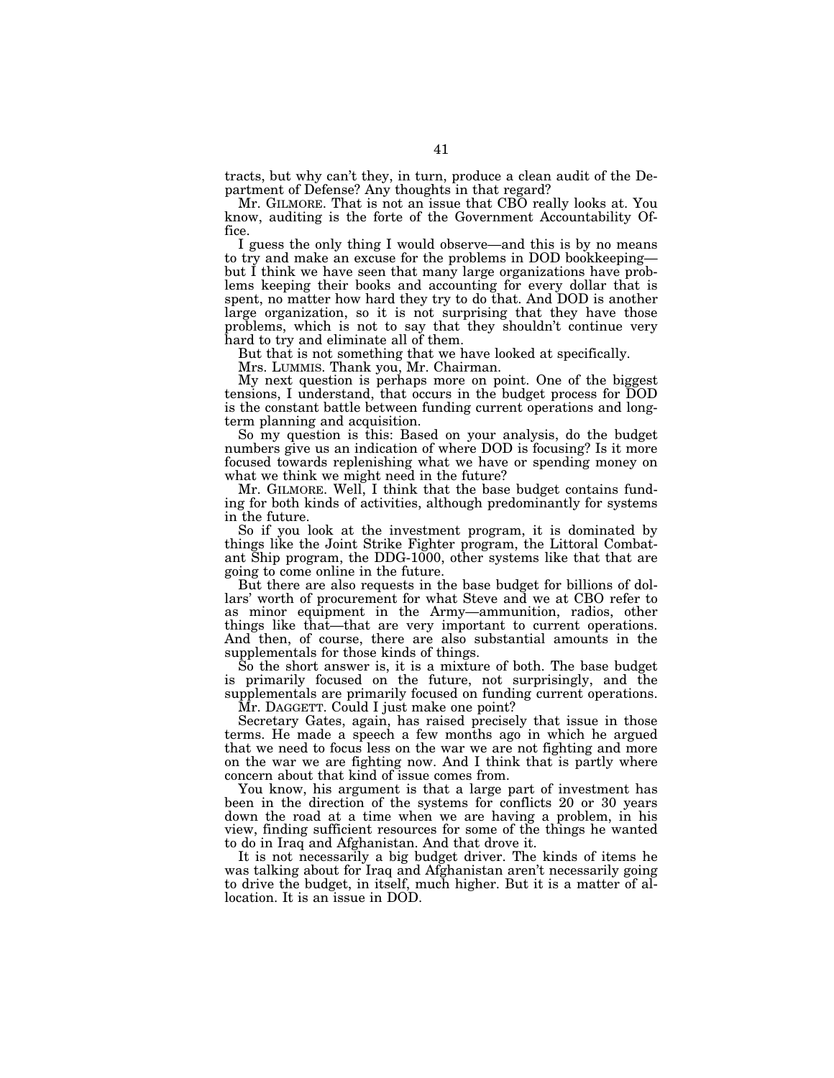tracts, but why can't they, in turn, produce a clean audit of the Department of Defense? Any thoughts in that regard?

Mr. GILMORE. That is not an issue that CBO really looks at. You know, auditing is the forte of the Government Accountability Office.

I guess the only thing I would observe—and this is by no means to try and make an excuse for the problems in DOD bookkeeping but I think we have seen that many large organizations have problems keeping their books and accounting for every dollar that is spent, no matter how hard they try to do that. And DOD is another large organization, so it is not surprising that they have those problems, which is not to say that they shouldn't continue very hard to try and eliminate all of them.

But that is not something that we have looked at specifically.

Mrs. LUMMIS. Thank you, Mr. Chairman.

My next question is perhaps more on point. One of the biggest tensions, I understand, that occurs in the budget process for DOD is the constant battle between funding current operations and longterm planning and acquisition.

So my question is this: Based on your analysis, do the budget numbers give us an indication of where DOD is focusing? Is it more focused towards replenishing what we have or spending money on what we think we might need in the future?

Mr. GILMORE. Well, I think that the base budget contains funding for both kinds of activities, although predominantly for systems in the future.

So if you look at the investment program, it is dominated by things like the Joint Strike Fighter program, the Littoral Combatant Ship program, the DDG-1000, other systems like that that are going to come online in the future.

But there are also requests in the base budget for billions of dollars' worth of procurement for what Steve and we at CBO refer to as minor equipment in the Army—ammunition, radios, other things like that—that are very important to current operations. And then, of course, there are also substantial amounts in the supplementals for those kinds of things.

So the short answer is, it is a mixture of both. The base budget is primarily focused on the future, not surprisingly, and the supplementals are primarily focused on funding current operations.

Mr. DAGGETT. Could I just make one point?

Secretary Gates, again, has raised precisely that issue in those terms. He made a speech a few months ago in which he argued that we need to focus less on the war we are not fighting and more on the war we are fighting now. And I think that is partly where concern about that kind of issue comes from.

You know, his argument is that a large part of investment has been in the direction of the systems for conflicts 20 or 30 years down the road at a time when we are having a problem, in his view, finding sufficient resources for some of the things he wanted to do in Iraq and Afghanistan. And that drove it.

It is not necessarily a big budget driver. The kinds of items he was talking about for Iraq and Afghanistan aren't necessarily going to drive the budget, in itself, much higher. But it is a matter of allocation. It is an issue in DOD.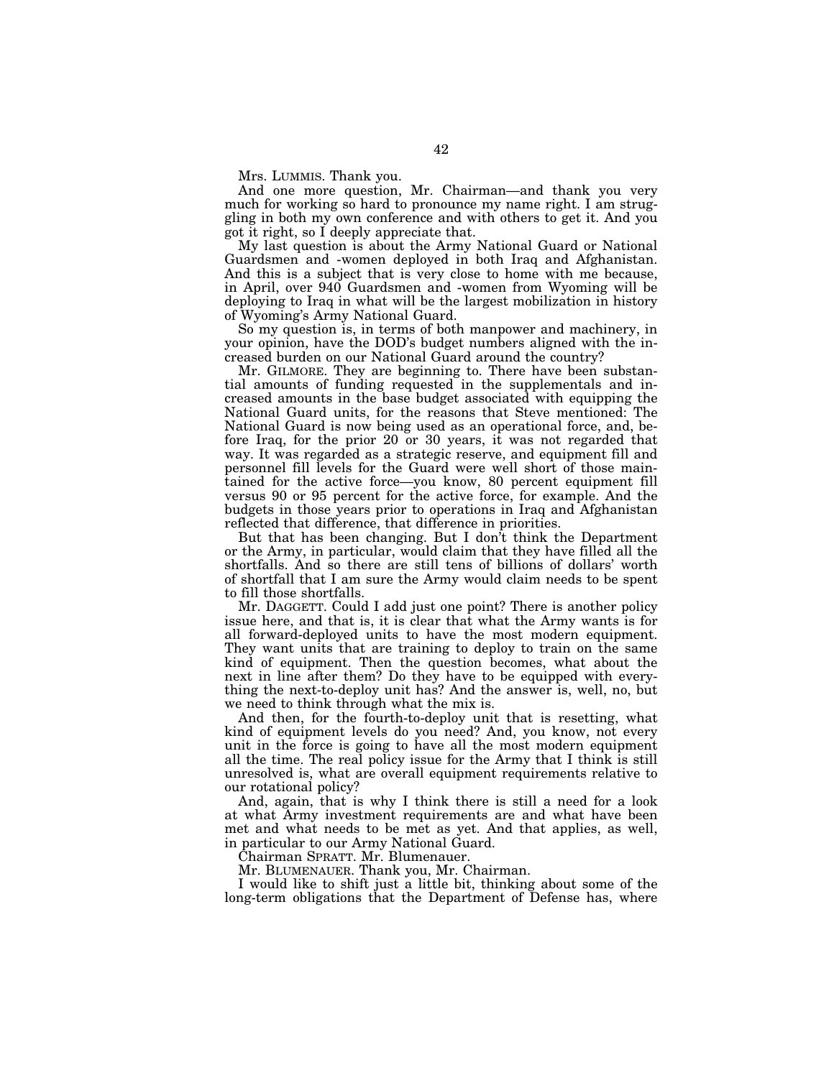Mrs. LUMMIS. Thank you.

And one more question, Mr. Chairman—and thank you very much for working so hard to pronounce my name right. I am struggling in both my own conference and with others to get it. And you got it right, so I deeply appreciate that.

My last question is about the Army National Guard or National Guardsmen and -women deployed in both Iraq and Afghanistan. And this is a subject that is very close to home with me because, in April, over 940 Guardsmen and -women from Wyoming will be deploying to Iraq in what will be the largest mobilization in history of Wyoming's Army National Guard.

So my question is, in terms of both manpower and machinery, in your opinion, have the DOD's budget numbers aligned with the increased burden on our National Guard around the country?

Mr. GILMORE. They are beginning to. There have been substantial amounts of funding requested in the supplementals and increased amounts in the base budget associated with equipping the National Guard units, for the reasons that Steve mentioned: The National Guard is now being used as an operational force, and, before Iraq, for the prior 20 or 30 years, it was not regarded that way. It was regarded as a strategic reserve, and equipment fill and personnel fill levels for the Guard were well short of those maintained for the active force—you know, 80 percent equipment fill versus 90 or 95 percent for the active force, for example. And the budgets in those years prior to operations in Iraq and Afghanistan reflected that difference, that difference in priorities.

But that has been changing. But I don't think the Department or the Army, in particular, would claim that they have filled all the shortfalls. And so there are still tens of billions of dollars' worth of shortfall that I am sure the Army would claim needs to be spent to fill those shortfalls.

Mr. DAGGETT. Could I add just one point? There is another policy issue here, and that is, it is clear that what the Army wants is for all forward-deployed units to have the most modern equipment. They want units that are training to deploy to train on the same kind of equipment. Then the question becomes, what about the next in line after them? Do they have to be equipped with everything the next-to-deploy unit has? And the answer is, well, no, but we need to think through what the mix is.

And then, for the fourth-to-deploy unit that is resetting, what kind of equipment levels do you need? And, you know, not every unit in the force is going to have all the most modern equipment all the time. The real policy issue for the Army that I think is still unresolved is, what are overall equipment requirements relative to our rotational policy?

And, again, that is why I think there is still a need for a look at what Army investment requirements are and what have been met and what needs to be met as yet. And that applies, as well, in particular to our Army National Guard.

Chairman SPRATT. Mr. Blumenauer.

Mr. BLUMENAUER. Thank you, Mr. Chairman.

I would like to shift just a little bit, thinking about some of the long-term obligations that the Department of Defense has, where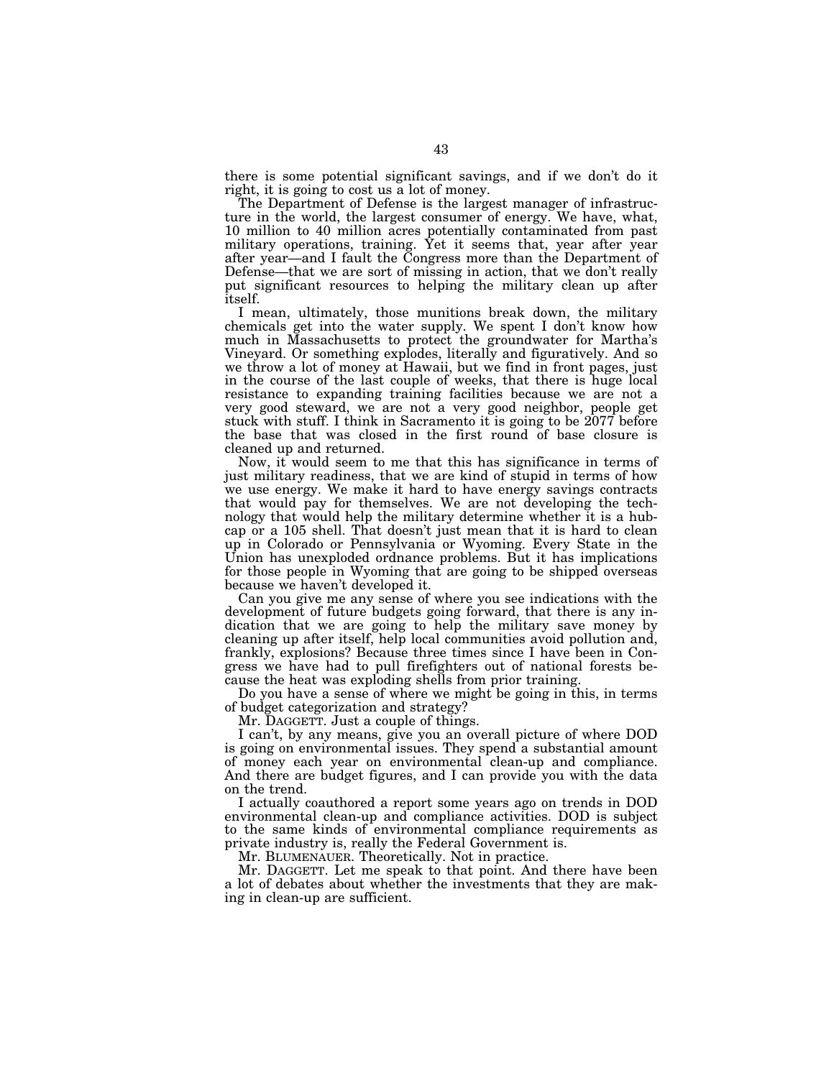there is some potential significant savings, and if we don't do it right, it is going to cost us a lot of money.

The Department of Defense is the largest manager of infrastructure in the world, the largest consumer of energy. We have, what, 10 million to 40 million acres potentially contaminated from past military operations, training. Yet it seems that, year after year after year—and I fault the Congress more than the Department of Defense—that we are sort of missing in action, that we don't really put significant resources to helping the military clean up after itself.

I mean, ultimately, those munitions break down, the military chemicals get into the water supply. We spent I don't know how much in Massachusetts to protect the groundwater for Martha's Vineyard. Or something explodes, literally and figuratively. And so we throw a lot of money at Hawaii, but we find in front pages, just in the course of the last couple of weeks, that there is huge local resistance to expanding training facilities because we are not a very good steward, we are not a very good neighbor, people get stuck with stuff. I think in Sacramento it is going to be 2077 before the base that was closed in the first round of base closure is cleaned up and returned.

Now, it would seem to me that this has significance in terms of just military readiness, that we are kind of stupid in terms of how we use energy. We make it hard to have energy savings contracts that would pay for themselves. We are not developing the technology that would help the military determine whether it is a hubcap or a 105 shell. That doesn't just mean that it is hard to clean up in Colorado or Pennsylvania or Wyoming. Every State in the Union has unexploded ordnance problems. But it has implications for those people in Wyoming that are going to be shipped overseas because we haven't developed it.

Can you give me any sense of where you see indications with the development of future budgets going forward, that there is any indication that we are going to help the military save money by cleaning up after itself, help local communities avoid pollution and, frankly, explosions? Because three times since I have been in Congress we have had to pull firefighters out of national forests because the heat was exploding shells from prior training.

Do you have a sense of where we might be going in this, in terms of budget categorization and strategy?

Mr. DAGGETT. Just a couple of things.

I can't, by any means, give you an overall picture of where DOD is going on environmental issues. They spend a substantial amount of money each year on environmental clean-up and compliance. And there are budget figures, and I can provide you with the data on the trend.

I actually coauthored a report some years ago on trends in DOD environmental clean-up and compliance activities. DOD is subject to the same kinds of environmental compliance requirements as private industry is, really the Federal Government is.

Mr. BLUMENAUER. Theoretically. Not in practice.

Mr. DAGGETT. Let me speak to that point. And there have been a lot of debates about whether the investments that they are making in clean-up are sufficient.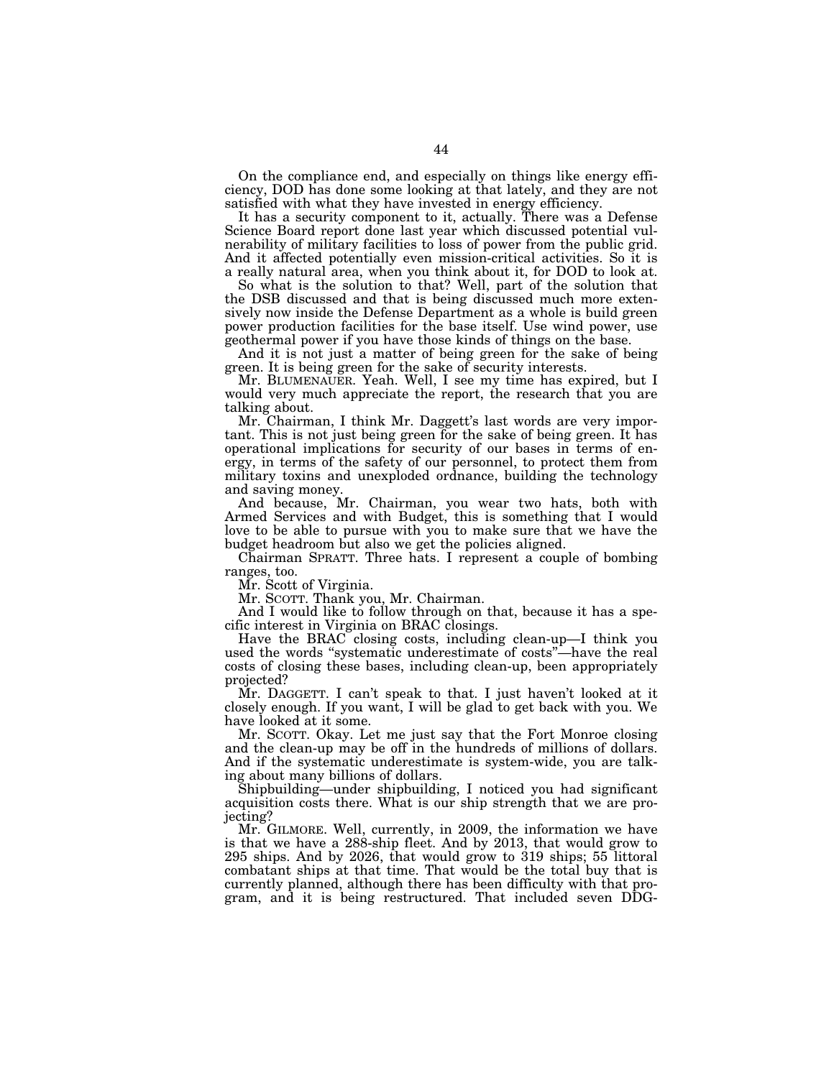On the compliance end, and especially on things like energy efficiency, DOD has done some looking at that lately, and they are not satisfied with what they have invested in energy efficiency.

It has a security component to it, actually. There was a Defense Science Board report done last year which discussed potential vulnerability of military facilities to loss of power from the public grid. And it affected potentially even mission-critical activities. So it is a really natural area, when you think about it, for DOD to look at.

So what is the solution to that? Well, part of the solution that the DSB discussed and that is being discussed much more extensively now inside the Defense Department as a whole is build green power production facilities for the base itself. Use wind power, use geothermal power if you have those kinds of things on the base.

And it is not just a matter of being green for the sake of being green. It is being green for the sake of security interests.

Mr. BLUMENAUER. Yeah. Well, I see my time has expired, but I would very much appreciate the report, the research that you are talking about.

Mr. Chairman, I think Mr. Daggett's last words are very important. This is not just being green for the sake of being green. It has operational implications for security of our bases in terms of energy, in terms of the safety of our personnel, to protect them from military toxins and unexploded ordnance, building the technology and saving money.

And because, Mr. Chairman, you wear two hats, both with Armed Services and with Budget, this is something that I would love to be able to pursue with you to make sure that we have the budget headroom but also we get the policies aligned.

Chairman SPRATT. Three hats. I represent a couple of bombing ranges, too.

Mr. Scott of Virginia.

Mr. SCOTT. Thank you, Mr. Chairman.

And I would like to follow through on that, because it has a specific interest in Virginia on BRAC closings.

Have the BRAC closing costs, including clean-up—I think you used the words ''systematic underestimate of costs''—have the real costs of closing these bases, including clean-up, been appropriately projected?

Mr. DAGGETT. I can't speak to that. I just haven't looked at it closely enough. If you want, I will be glad to get back with you. We have looked at it some.

Mr. SCOTT. Okay. Let me just say that the Fort Monroe closing and the clean-up may be off in the hundreds of millions of dollars. And if the systematic underestimate is system-wide, you are talking about many billions of dollars.

Shipbuilding—under shipbuilding, I noticed you had significant acquisition costs there. What is our ship strength that we are projecting?

Mr. GILMORE. Well, currently, in 2009, the information we have is that we have a 288-ship fleet. And by 2013, that would grow to 295 ships. And by 2026, that would grow to 319 ships; 55 littoral combatant ships at that time. That would be the total buy that is currently planned, although there has been difficulty with that program, and it is being restructured. That included seven DDG-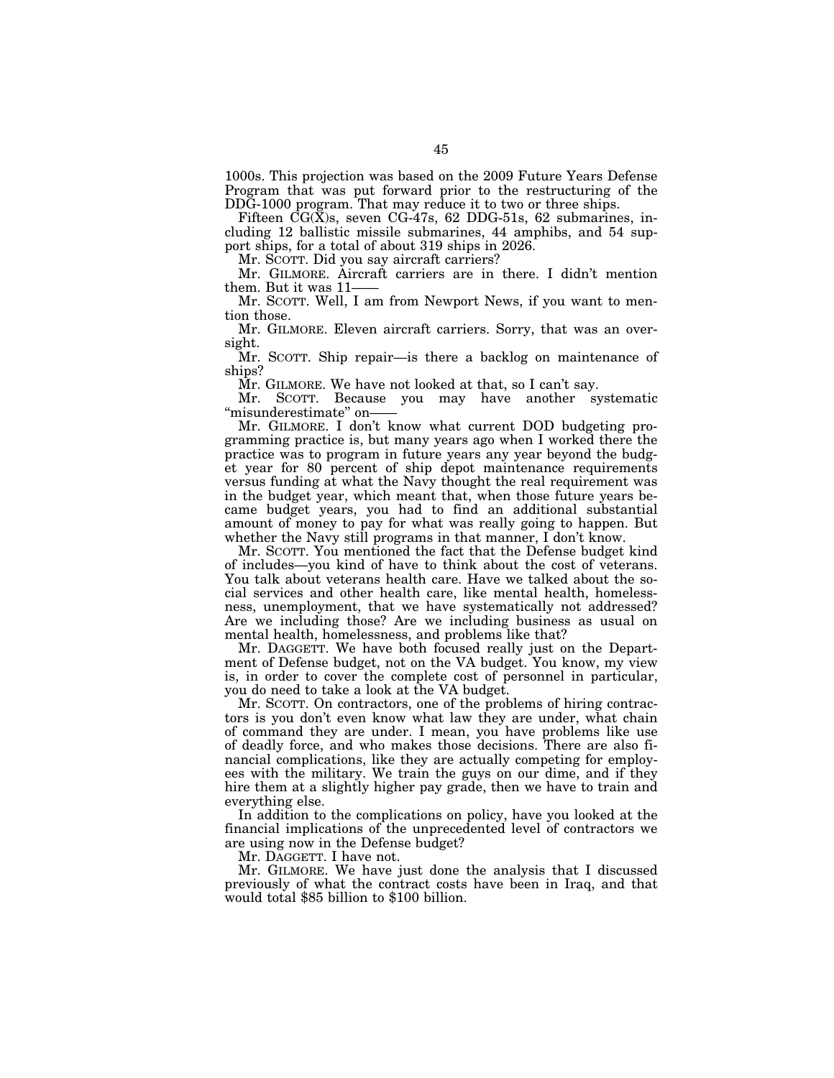1000s. This projection was based on the 2009 Future Years Defense Program that was put forward prior to the restructuring of the DDG-1000 program. That may reduce it to two or three ships.

Fifteen CG(X)s, seven CG-47s, 62 DDG-51s, 62 submarines, including 12 ballistic missile submarines, 44 amphibs, and 54 support ships, for a total of about 319 ships in 2026.

Mr. SCOTT. Did you say aircraft carriers?

Mr. GILMORE. Aircraft carriers are in there. I didn't mention them. But it was 11——

Mr. SCOTT. Well, I am from Newport News, if you want to mention those.

Mr. GILMORE. Eleven aircraft carriers. Sorry, that was an oversight.

Mr. SCOTT. Ship repair—is there a backlog on maintenance of ships?

Mr. GILMORE. We have not looked at that, so I can't say.

Mr. SCOTT. Because you may have another systematic ''misunderestimate'' on——

Mr. GILMORE. I don't know what current DOD budgeting programming practice is, but many years ago when I worked there the practice was to program in future years any year beyond the budget year for 80 percent of ship depot maintenance requirements versus funding at what the Navy thought the real requirement was in the budget year, which meant that, when those future years became budget years, you had to find an additional substantial amount of money to pay for what was really going to happen. But whether the Navy still programs in that manner, I don't know.

Mr. SCOTT. You mentioned the fact that the Defense budget kind of includes—you kind of have to think about the cost of veterans. You talk about veterans health care. Have we talked about the social services and other health care, like mental health, homelessness, unemployment, that we have systematically not addressed? Are we including those? Are we including business as usual on mental health, homelessness, and problems like that?

Mr. DAGGETT. We have both focused really just on the Department of Defense budget, not on the VA budget. You know, my view is, in order to cover the complete cost of personnel in particular, you do need to take a look at the VA budget.

Mr. SCOTT. On contractors, one of the problems of hiring contractors is you don't even know what law they are under, what chain of command they are under. I mean, you have problems like use of deadly force, and who makes those decisions. There are also financial complications, like they are actually competing for employees with the military. We train the guys on our dime, and if they hire them at a slightly higher pay grade, then we have to train and everything else.

In addition to the complications on policy, have you looked at the financial implications of the unprecedented level of contractors we are using now in the Defense budget?

Mr. DAGGETT. I have not.

Mr. GILMORE. We have just done the analysis that I discussed previously of what the contract costs have been in Iraq, and that would total \$85 billion to \$100 billion.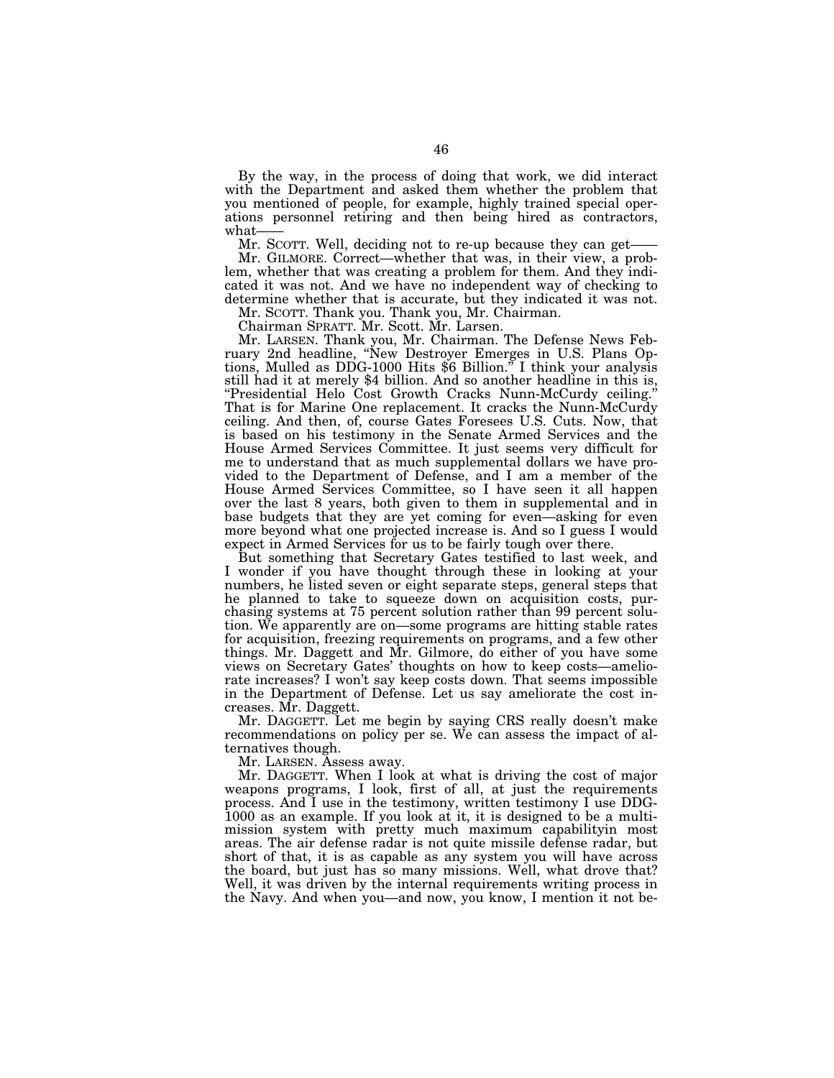By the way, in the process of doing that work, we did interact with the Department and asked them whether the problem that you mentioned of people, for example, highly trained special operations personnel retiring and then being hired as contractors, what——

Mr. SCOTT. Well, deciding not to re-up because they can get-Mr. GILMORE. Correct—whether that was, in their view, a problem, whether that was creating a problem for them. And they indicated it was not. And we have no independent way of checking to determine whether that is accurate, but they indicated it was not.

Mr. SCOTT. Thank you. Thank you, Mr. Chairman.

Chairman SPRATT. Mr. Scott. Mr. Larsen.

Mr. LARSEN. Thank you, Mr. Chairman. The Defense News February 2nd headline, ''New Destroyer Emerges in U.S. Plans Options, Mulled as DDG-1000 Hits \$6 Billion.'' I think your analysis still had it at merely \$4 billion. And so another headline in this is, ''Presidential Helo Cost Growth Cracks Nunn-McCurdy ceiling.'' That is for Marine One replacement. It cracks the Nunn-McCurdy ceiling. And then, of, course Gates Foresees U.S. Cuts. Now, that is based on his testimony in the Senate Armed Services and the House Armed Services Committee. It just seems very difficult for me to understand that as much supplemental dollars we have provided to the Department of Defense, and I am a member of the House Armed Services Committee, so I have seen it all happen over the last 8 years, both given to them in supplemental and in base budgets that they are yet coming for even—asking for even more beyond what one projected increase is. And so I guess I would expect in Armed Services for us to be fairly tough over there.

But something that Secretary Gates testified to last week, and I wonder if you have thought through these in looking at your numbers, he listed seven or eight separate steps, general steps that he planned to take to squeeze down on acquisition costs, purchasing systems at 75 percent solution rather than 99 percent solution. We apparently are on—some programs are hitting stable rates for acquisition, freezing requirements on programs, and a few other things. Mr. Daggett and Mr. Gilmore, do either of you have some views on Secretary Gates' thoughts on how to keep costs—ameliorate increases? I won't say keep costs down. That seems impossible in the Department of Defense. Let us say ameliorate the cost increases. Mr. Daggett.

Mr. DAGGETT. Let me begin by saying CRS really doesn't make recommendations on policy per se. We can assess the impact of alternatives though.

Mr. LARSEN. Assess away.

Mr. DAGGETT. When I look at what is driving the cost of major weapons programs, I look, first of all, at just the requirements process. And I use in the testimony, written testimony I use DDG-1000 as an example. If you look at it, it is designed to be a multimission system with pretty much maximum capabilityin most areas. The air defense radar is not quite missile defense radar, but short of that, it is as capable as any system you will have across the board, but just has so many missions. Well, what drove that? Well, it was driven by the internal requirements writing process in the Navy. And when you—and now, you know, I mention it not be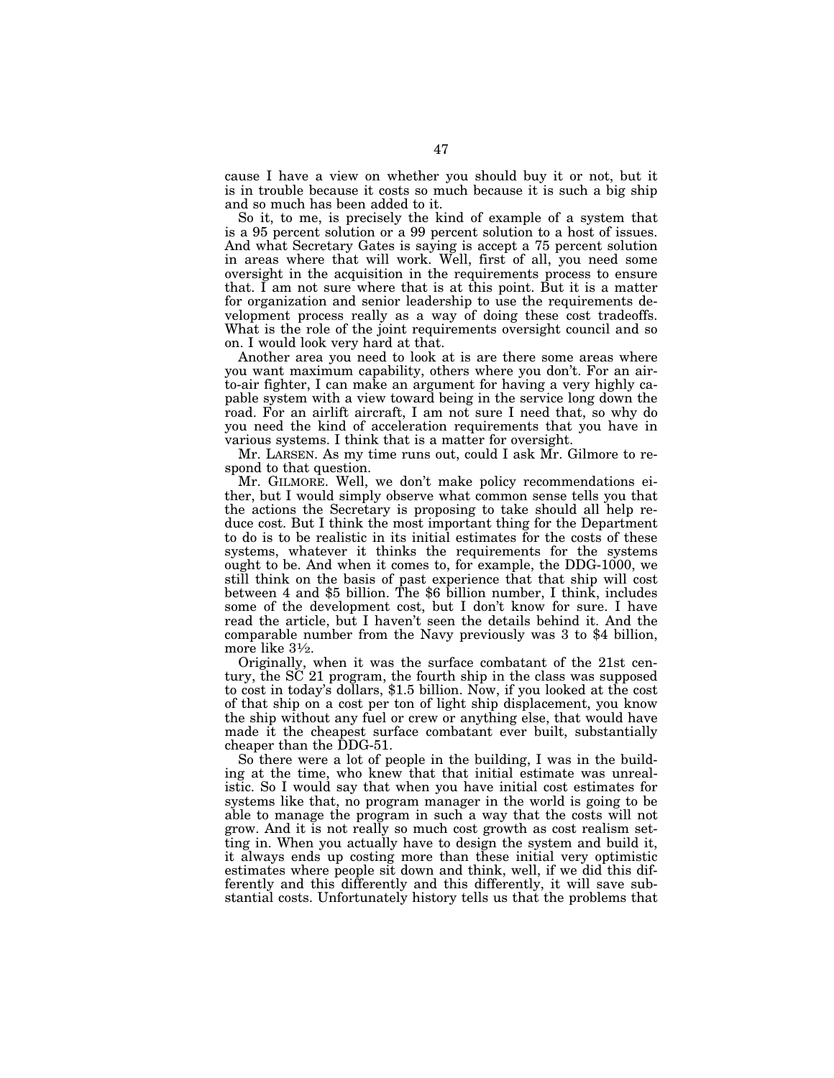cause I have a view on whether you should buy it or not, but it is in trouble because it costs so much because it is such a big ship and so much has been added to it.

So it, to me, is precisely the kind of example of a system that is a 95 percent solution or a 99 percent solution to a host of issues. And what Secretary Gates is saying is accept a 75 percent solution in areas where that will work. Well, first of all, you need some oversight in the acquisition in the requirements process to ensure that. I am not sure where that is at this point. But it is a matter for organization and senior leadership to use the requirements development process really as a way of doing these cost tradeoffs. What is the role of the joint requirements oversight council and so on. I would look very hard at that.

Another area you need to look at is are there some areas where you want maximum capability, others where you don't. For an airto-air fighter, I can make an argument for having a very highly capable system with a view toward being in the service long down the road. For an airlift aircraft, I am not sure I need that, so why do you need the kind of acceleration requirements that you have in various systems. I think that is a matter for oversight.

Mr. LARSEN. As my time runs out, could I ask Mr. Gilmore to respond to that question.

Mr. GILMORE. Well, we don't make policy recommendations either, but I would simply observe what common sense tells you that the actions the Secretary is proposing to take should all help reduce cost. But I think the most important thing for the Department to do is to be realistic in its initial estimates for the costs of these systems, whatever it thinks the requirements for the systems ought to be. And when it comes to, for example, the DDG-1000, we still think on the basis of past experience that that ship will cost between 4 and \$5 billion. The \$6 billion number, I think, includes some of the development cost, but I don't know for sure. I have read the article, but I haven't seen the details behind it. And the comparable number from the Navy previously was 3 to \$4 billion, more like 31⁄2.

Originally, when it was the surface combatant of the 21st century, the SC 21 program, the fourth ship in the class was supposed to cost in today's dollars, \$1.5 billion. Now, if you looked at the cost of that ship on a cost per ton of light ship displacement, you know the ship without any fuel or crew or anything else, that would have made it the cheapest surface combatant ever built, substantially cheaper than the DDG-51.

So there were a lot of people in the building, I was in the building at the time, who knew that that initial estimate was unrealistic. So I would say that when you have initial cost estimates for systems like that, no program manager in the world is going to be able to manage the program in such a way that the costs will not grow. And it is not really so much cost growth as cost realism setting in. When you actually have to design the system and build it, it always ends up costing more than these initial very optimistic estimates where people sit down and think, well, if we did this differently and this differently and this differently, it will save substantial costs. Unfortunately history tells us that the problems that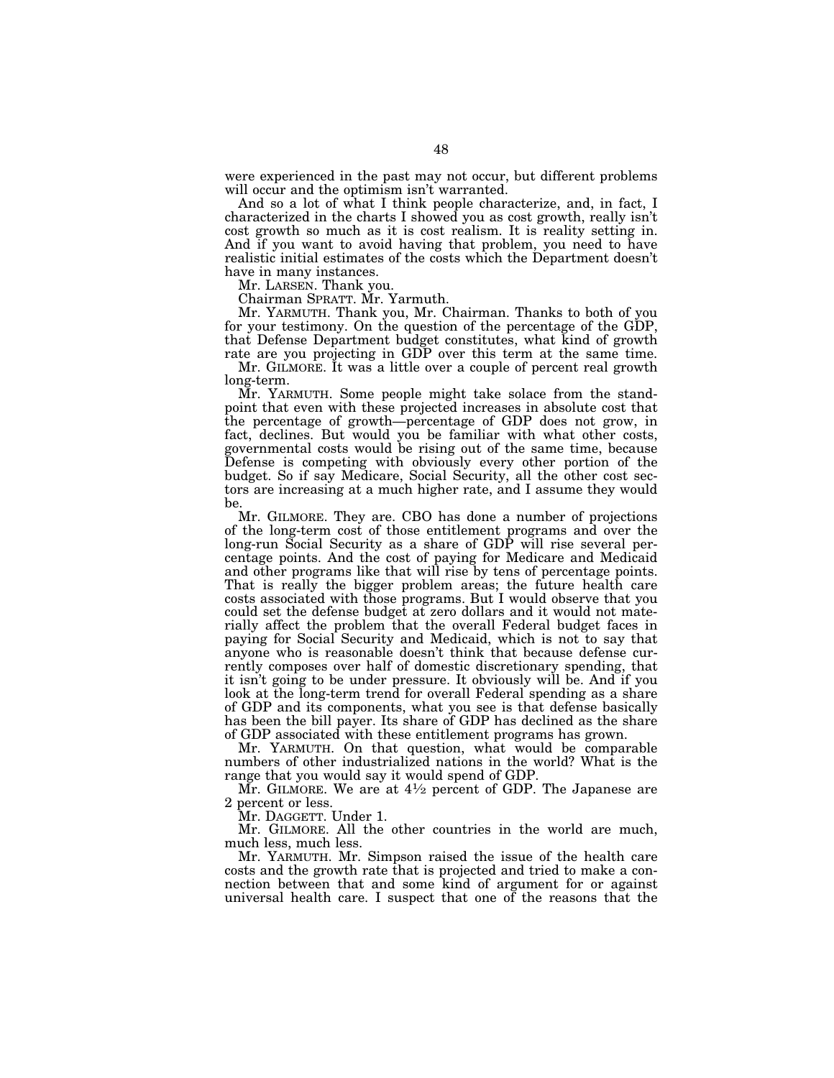were experienced in the past may not occur, but different problems will occur and the optimism isn't warranted.

And so a lot of what I think people characterize, and, in fact, I characterized in the charts I showed you as cost growth, really isn't cost growth so much as it is cost realism. It is reality setting in. And if you want to avoid having that problem, you need to have realistic initial estimates of the costs which the Department doesn't have in many instances.

Mr. LARSEN. Thank you.

Chairman SPRATT. Mr. Yarmuth.

Mr. YARMUTH. Thank you, Mr. Chairman. Thanks to both of you for your testimony. On the question of the percentage of the GDP, that Defense Department budget constitutes, what kind of growth rate are you projecting in GDP over this term at the same time.

Mr. GILMORE. It was a little over a couple of percent real growth long-term.

Mr. YARMUTH. Some people might take solace from the standpoint that even with these projected increases in absolute cost that the percentage of growth—percentage of GDP does not grow, in fact, declines. But would you be familiar with what other costs, governmental costs would be rising out of the same time, because Defense is competing with obviously every other portion of the budget. So if say Medicare, Social Security, all the other cost sectors are increasing at a much higher rate, and I assume they would be.

Mr. GILMORE. They are. CBO has done a number of projections of the long-term cost of those entitlement programs and over the long-run Social Security as a share of GDP will rise several percentage points. And the cost of paying for Medicare and Medicaid and other programs like that will rise by tens of percentage points. That is really the bigger problem areas; the future health care costs associated with those programs. But I would observe that you could set the defense budget at zero dollars and it would not materially affect the problem that the overall Federal budget faces in paying for Social Security and Medicaid, which is not to say that anyone who is reasonable doesn't think that because defense currently composes over half of domestic discretionary spending, that it isn't going to be under pressure. It obviously will be. And if you look at the long-term trend for overall Federal spending as a share of GDP and its components, what you see is that defense basically has been the bill payer. Its share of GDP has declined as the share of GDP associated with these entitlement programs has grown.

Mr. YARMUTH. On that question, what would be comparable numbers of other industrialized nations in the world? What is the range that you would say it would spend of GDP.

Mr. GILMORE. We are at  $4\frac{1}{2}$  percent of GDP. The Japanese are 2 percent or less.

Mr. DAGGETT. Under 1.

Mr. GILMORE. All the other countries in the world are much, much less, much less.

Mr. YARMUTH. Mr. Simpson raised the issue of the health care costs and the growth rate that is projected and tried to make a connection between that and some kind of argument for or against universal health care. I suspect that one of the reasons that the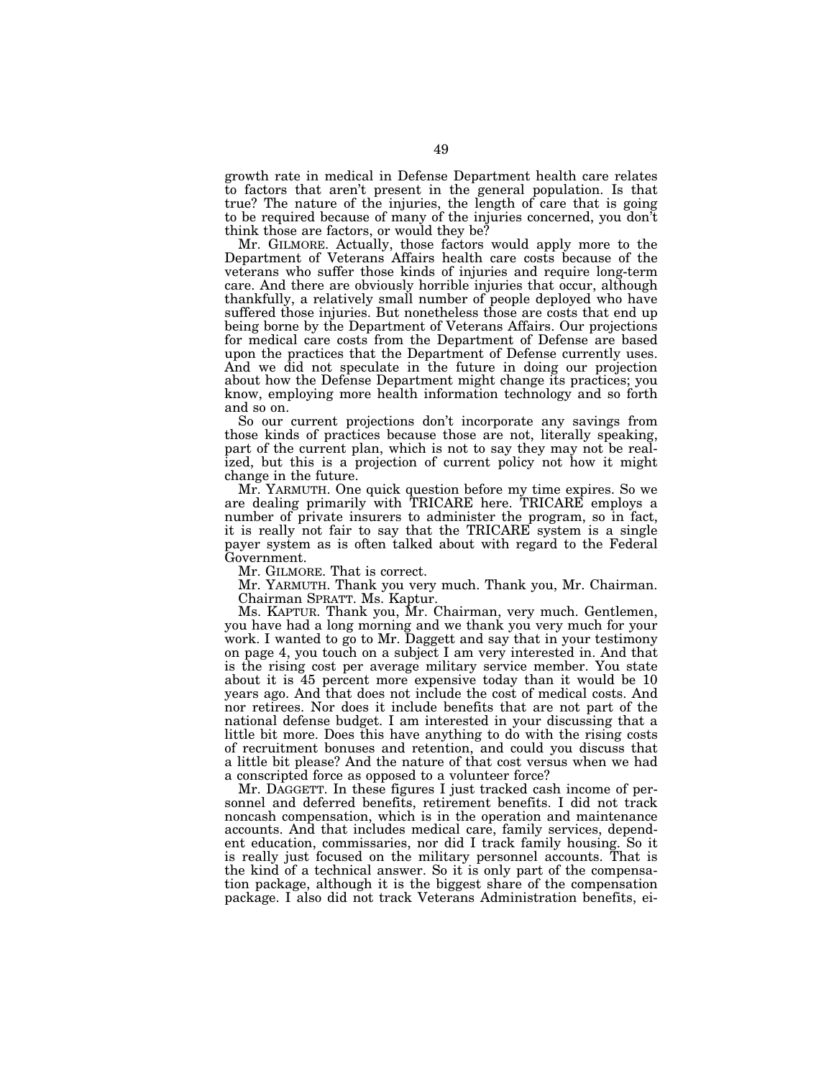growth rate in medical in Defense Department health care relates to factors that aren't present in the general population. Is that true? The nature of the injuries, the length of care that is going to be required because of many of the injuries concerned, you don't think those are factors, or would they be?

Mr. GILMORE. Actually, those factors would apply more to the Department of Veterans Affairs health care costs because of the veterans who suffer those kinds of injuries and require long-term care. And there are obviously horrible injuries that occur, although thankfully, a relatively small number of people deployed who have suffered those injuries. But nonetheless those are costs that end up being borne by the Department of Veterans Affairs. Our projections for medical care costs from the Department of Defense are based upon the practices that the Department of Defense currently uses. And we did not speculate in the future in doing our projection about how the Defense Department might change its practices; you know, employing more health information technology and so forth and so on.

So our current projections don't incorporate any savings from those kinds of practices because those are not, literally speaking, part of the current plan, which is not to say they may not be realized, but this is a projection of current policy not how it might change in the future.

Mr. YARMUTH. One quick question before my time expires. So we are dealing primarily with TRICARE here. TRICARE employs a number of private insurers to administer the program, so in fact, it is really not fair to say that the TRICARE system is a single payer system as is often talked about with regard to the Federal Government.

Mr. GILMORE. That is correct.

Mr. YARMUTH. Thank you very much. Thank you, Mr. Chairman. Chairman SPRATT. Ms. Kaptur.

Ms. KAPTUR. Thank you, Mr. Chairman, very much. Gentlemen, you have had a long morning and we thank you very much for your work. I wanted to go to Mr. Daggett and say that in your testimony on page 4, you touch on a subject I am very interested in. And that is the rising cost per average military service member. You state about it is 45 percent more expensive today than it would be 10 years ago. And that does not include the cost of medical costs. And nor retirees. Nor does it include benefits that are not part of the national defense budget. I am interested in your discussing that a little bit more. Does this have anything to do with the rising costs of recruitment bonuses and retention, and could you discuss that a little bit please? And the nature of that cost versus when we had a conscripted force as opposed to a volunteer force?

Mr. DAGGETT. In these figures I just tracked cash income of personnel and deferred benefits, retirement benefits. I did not track noncash compensation, which is in the operation and maintenance accounts. And that includes medical care, family services, dependent education, commissaries, nor did I track family housing. So it is really just focused on the military personnel accounts. That is the kind of a technical answer. So it is only part of the compensation package, although it is the biggest share of the compensation package. I also did not track Veterans Administration benefits, ei-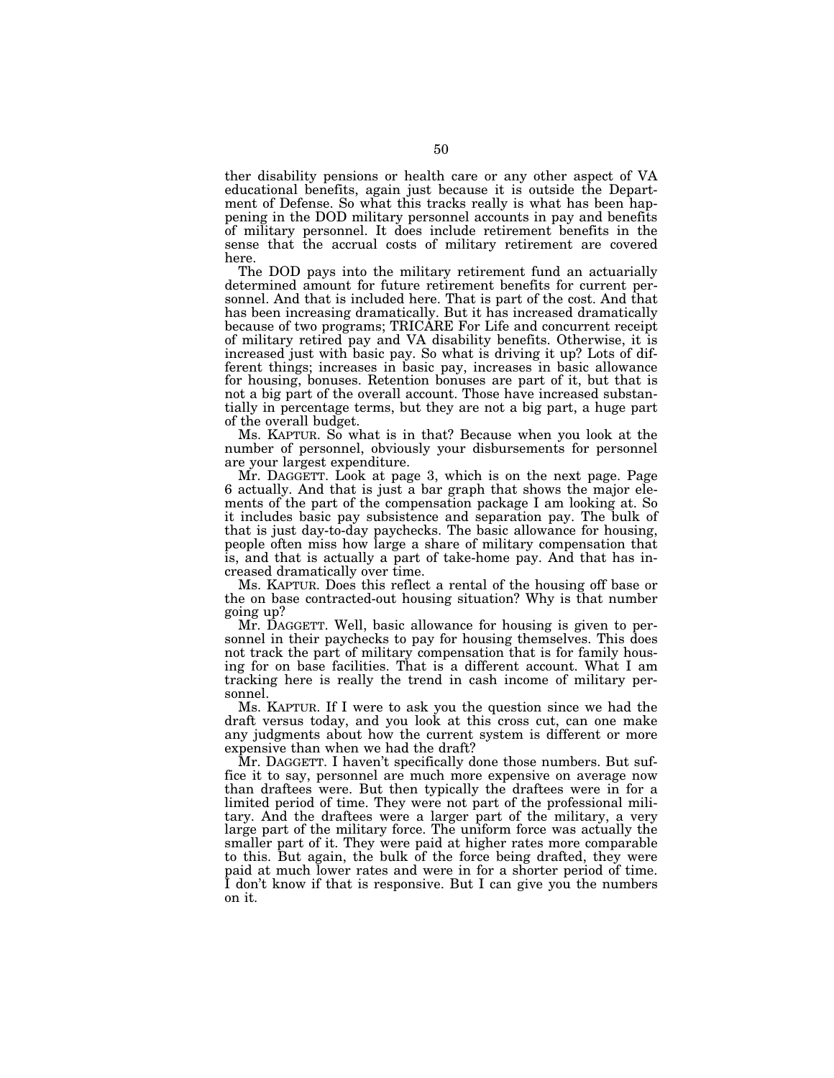ther disability pensions or health care or any other aspect of VA educational benefits, again just because it is outside the Department of Defense. So what this tracks really is what has been happening in the DOD military personnel accounts in pay and benefits of military personnel. It does include retirement benefits in the sense that the accrual costs of military retirement are covered here.

The DOD pays into the military retirement fund an actuarially determined amount for future retirement benefits for current personnel. And that is included here. That is part of the cost. And that has been increasing dramatically. But it has increased dramatically because of two programs; TRICARE For Life and concurrent receipt of military retired pay and VA disability benefits. Otherwise, it is increased just with basic pay. So what is driving it up? Lots of different things; increases in basic pay, increases in basic allowance for housing, bonuses. Retention bonuses are part of it, but that is not a big part of the overall account. Those have increased substantially in percentage terms, but they are not a big part, a huge part of the overall budget.

Ms. KAPTUR. So what is in that? Because when you look at the number of personnel, obviously your disbursements for personnel are your largest expenditure.

Mr. DAGGETT. Look at page 3, which is on the next page. Page 6 actually. And that is just a bar graph that shows the major elements of the part of the compensation package I am looking at. So it includes basic pay subsistence and separation pay. The bulk of that is just day-to-day paychecks. The basic allowance for housing, people often miss how large a share of military compensation that is, and that is actually a part of take-home pay. And that has increased dramatically over time.

Ms. KAPTUR. Does this reflect a rental of the housing off base or the on base contracted-out housing situation? Why is that number going up?

Mr. DAGGETT. Well, basic allowance for housing is given to personnel in their paychecks to pay for housing themselves. This does not track the part of military compensation that is for family housing for on base facilities. That is a different account. What I am tracking here is really the trend in cash income of military personnel.

Ms. KAPTUR. If I were to ask you the question since we had the draft versus today, and you look at this cross cut, can one make any judgments about how the current system is different or more expensive than when we had the draft?

Mr. DAGGETT. I haven't specifically done those numbers. But suffice it to say, personnel are much more expensive on average now than draftees were. But then typically the draftees were in for a limited period of time. They were not part of the professional military. And the draftees were a larger part of the military, a very large part of the military force. The uniform force was actually the smaller part of it. They were paid at higher rates more comparable to this. But again, the bulk of the force being drafted, they were paid at much lower rates and were in for a shorter period of time. I don't know if that is responsive. But I can give you the numbers on it.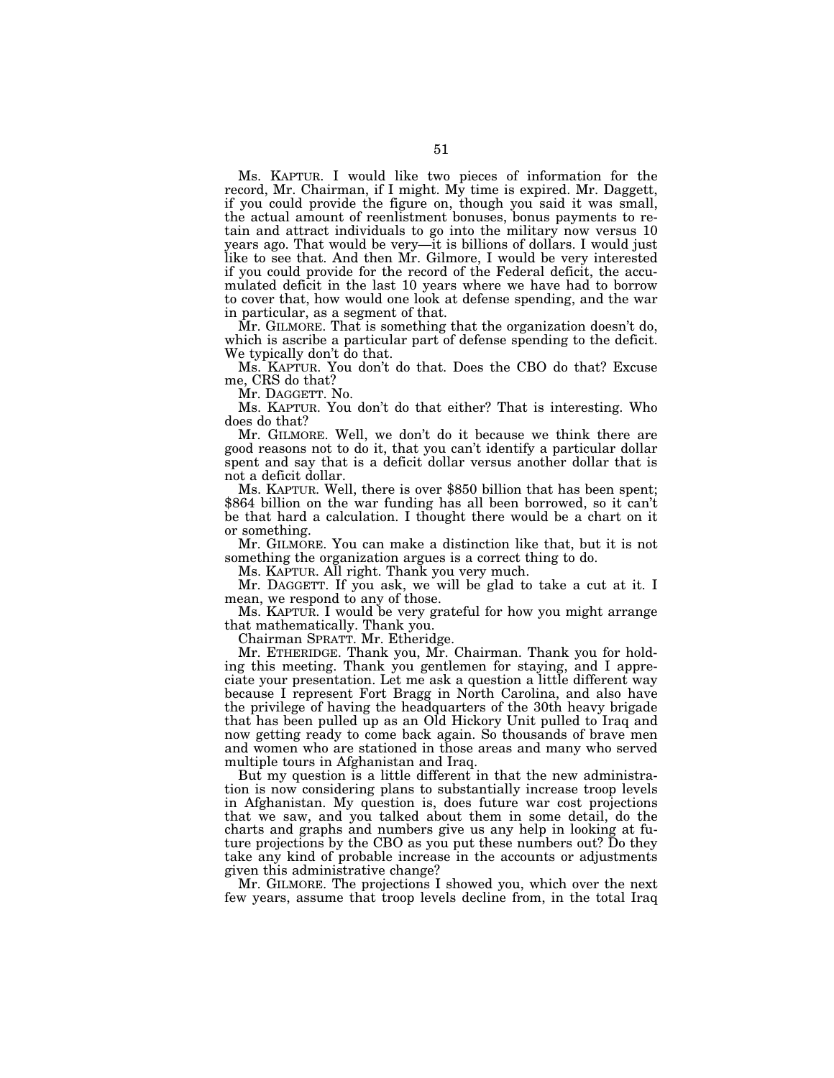Ms. KAPTUR. I would like two pieces of information for the record, Mr. Chairman, if I might. My time is expired. Mr. Daggett, if you could provide the figure on, though you said it was small, the actual amount of reenlistment bonuses, bonus payments to retain and attract individuals to go into the military now versus 10 years ago. That would be very—it is billions of dollars. I would just like to see that. And then Mr. Gilmore, I would be very interested if you could provide for the record of the Federal deficit, the accumulated deficit in the last 10 years where we have had to borrow to cover that, how would one look at defense spending, and the war in particular, as a segment of that.

Mr. GILMORE. That is something that the organization doesn't do, which is ascribe a particular part of defense spending to the deficit. We typically don't do that.

Ms. KAPTUR. You don't do that. Does the CBO do that? Excuse me, CRS do that?

Mr. DAGGETT. No.

Ms. KAPTUR. You don't do that either? That is interesting. Who does do that?

Mr. GILMORE. Well, we don't do it because we think there are good reasons not to do it, that you can't identify a particular dollar spent and say that is a deficit dollar versus another dollar that is not a deficit dollar.

Ms. KAPTUR. Well, there is over \$850 billion that has been spent; \$864 billion on the war funding has all been borrowed, so it can't be that hard a calculation. I thought there would be a chart on it or something.

Mr. GILMORE. You can make a distinction like that, but it is not something the organization argues is a correct thing to do.

Ms. KAPTUR. All right. Thank you very much.

Mr. DAGGETT. If you ask, we will be glad to take a cut at it. I mean, we respond to any of those.

Ms. KAPTUR. I would be very grateful for how you might arrange that mathematically. Thank you.

Chairman SPRATT. Mr. Etheridge.

Mr. ETHERIDGE. Thank you, Mr. Chairman. Thank you for holding this meeting. Thank you gentlemen for staying, and I appreciate your presentation. Let me ask a question a little different way because I represent Fort Bragg in North Carolina, and also have the privilege of having the headquarters of the 30th heavy brigade that has been pulled up as an Old Hickory Unit pulled to Iraq and now getting ready to come back again. So thousands of brave men and women who are stationed in those areas and many who served multiple tours in Afghanistan and Iraq.

But my question is a little different in that the new administration is now considering plans to substantially increase troop levels in Afghanistan. My question is, does future war cost projections that we saw, and you talked about them in some detail, do the charts and graphs and numbers give us any help in looking at future projections by the CBO as you put these numbers out? Do they take any kind of probable increase in the accounts or adjustments given this administrative change?

Mr. GILMORE. The projections I showed you, which over the next few years, assume that troop levels decline from, in the total Iraq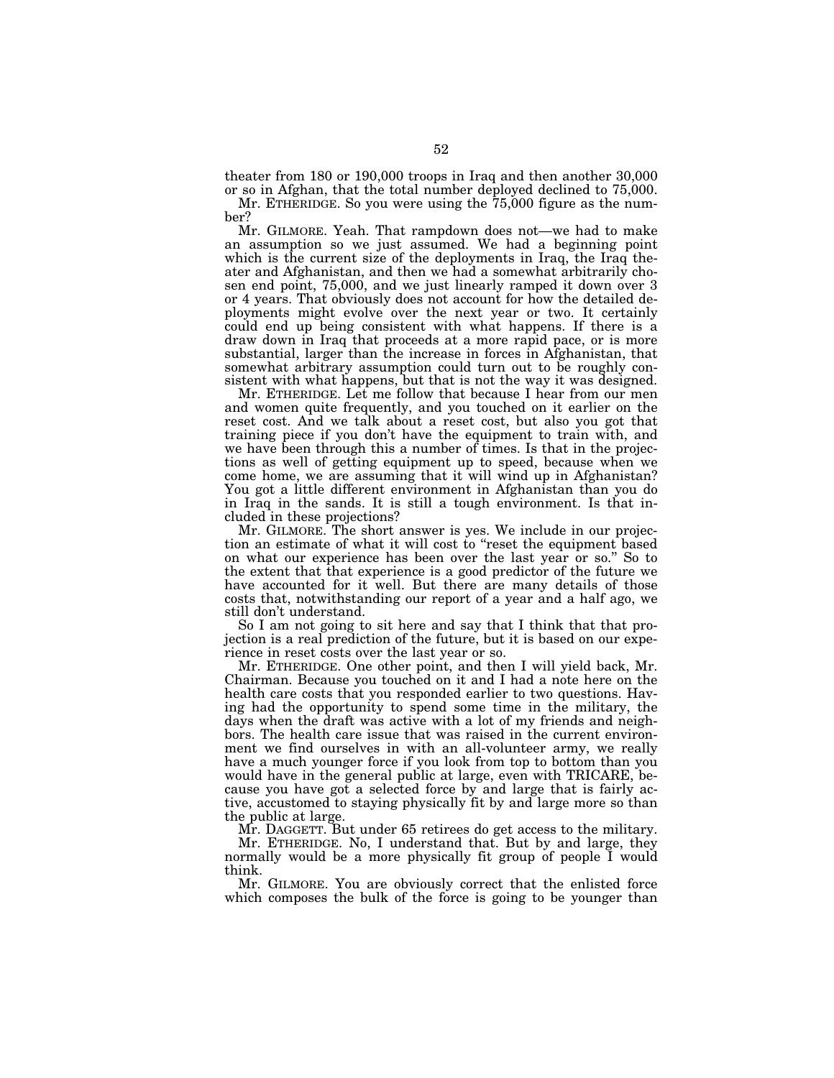theater from 180 or 190,000 troops in Iraq and then another 30,000 or so in Afghan, that the total number deployed declined to 75,000.

Mr. ETHERIDGE. So you were using the 75,000 figure as the number?

Mr. GILMORE. Yeah. That rampdown does not—we had to make an assumption so we just assumed. We had a beginning point which is the current size of the deployments in Iraq, the Iraq theater and Afghanistan, and then we had a somewhat arbitrarily chosen end point, 75,000, and we just linearly ramped it down over 3 or 4 years. That obviously does not account for how the detailed deployments might evolve over the next year or two. It certainly could end up being consistent with what happens. If there is a draw down in Iraq that proceeds at a more rapid pace, or is more substantial, larger than the increase in forces in Afghanistan, that somewhat arbitrary assumption could turn out to be roughly consistent with what happens, but that is not the way it was designed.

Mr. ETHERIDGE. Let me follow that because I hear from our men and women quite frequently, and you touched on it earlier on the reset cost. And we talk about a reset cost, but also you got that training piece if you don't have the equipment to train with, and we have been through this a number of times. Is that in the projections as well of getting equipment up to speed, because when we come home, we are assuming that it will wind up in Afghanistan? You got a little different environment in Afghanistan than you do in Iraq in the sands. It is still a tough environment. Is that included in these projections?

Mr. GILMORE. The short answer is yes. We include in our projection an estimate of what it will cost to "reset the equipment based on what our experience has been over the last year or so." So to the extent that that experience is a good predictor of the future we have accounted for it well. But there are many details of those costs that, notwithstanding our report of a year and a half ago, we still don't understand.

So I am not going to sit here and say that I think that that projection is a real prediction of the future, but it is based on our experience in reset costs over the last year or so.

Mr. ETHERIDGE. One other point, and then I will yield back, Mr. Chairman. Because you touched on it and I had a note here on the health care costs that you responded earlier to two questions. Having had the opportunity to spend some time in the military, the days when the draft was active with a lot of my friends and neighbors. The health care issue that was raised in the current environment we find ourselves in with an all-volunteer army, we really have a much younger force if you look from top to bottom than you would have in the general public at large, even with TRICARE, because you have got a selected force by and large that is fairly active, accustomed to staying physically fit by and large more so than the public at large.

Mr. DAGGETT. But under 65 retirees do get access to the military.

Mr. ETHERIDGE. No, I understand that. But by and large, they normally would be a more physically fit group of people I would think.

Mr. GILMORE. You are obviously correct that the enlisted force which composes the bulk of the force is going to be younger than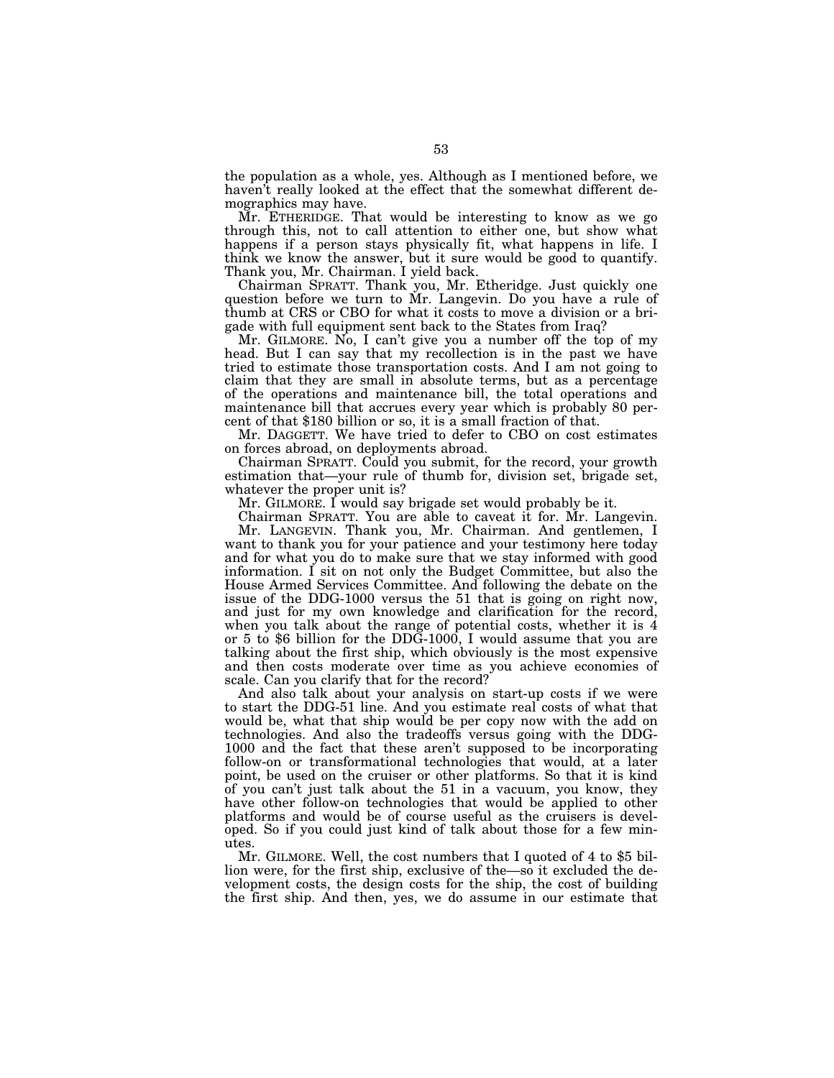the population as a whole, yes. Although as I mentioned before, we haven't really looked at the effect that the somewhat different demographics may have.

Mr. ETHERIDGE. That would be interesting to know as we go through this, not to call attention to either one, but show what happens if a person stays physically fit, what happens in life. I think we know the answer, but it sure would be good to quantify. Thank you, Mr. Chairman. I yield back.

Chairman SPRATT. Thank you, Mr. Etheridge. Just quickly one question before we turn to Mr. Langevin. Do you have a rule of thumb at CRS or CBO for what it costs to move a division or a brigade with full equipment sent back to the States from Iraq?

Mr. GILMORE. No, I can't give you a number off the top of my head. But I can say that my recollection is in the past we have tried to estimate those transportation costs. And I am not going to claim that they are small in absolute terms, but as a percentage of the operations and maintenance bill, the total operations and maintenance bill that accrues every year which is probably 80 percent of that \$180 billion or so, it is a small fraction of that.

Mr. DAGGETT. We have tried to defer to CBO on cost estimates on forces abroad, on deployments abroad.

Chairman SPRATT. Could you submit, for the record, your growth estimation that—your rule of thumb for, division set, brigade set, whatever the proper unit is?

Mr. GILMORE. I would say brigade set would probably be it.

Chairman SPRATT. You are able to caveat it for. Mr. Langevin. Mr. LANGEVIN. Thank you, Mr. Chairman. And gentlemen, I

want to thank you for your patience and your testimony here today and for what you do to make sure that we stay informed with good information. I sit on not only the Budget Committee, but also the House Armed Services Committee. And following the debate on the issue of the DDG-1000 versus the 51 that is going on right now, and just for my own knowledge and clarification for the record, when you talk about the range of potential costs, whether it is 4 or 5 to \$6 billion for the DDG-1000, I would assume that you are talking about the first ship, which obviously is the most expensive and then costs moderate over time as you achieve economies of scale. Can you clarify that for the record?

And also talk about your analysis on start-up costs if we were to start the DDG-51 line. And you estimate real costs of what that would be, what that ship would be per copy now with the add on technologies. And also the tradeoffs versus going with the DDG-1000 and the fact that these aren't supposed to be incorporating follow-on or transformational technologies that would, at a later point, be used on the cruiser or other platforms. So that it is kind of you can't just talk about the 51 in a vacuum, you know, they have other follow-on technologies that would be applied to other platforms and would be of course useful as the cruisers is developed. So if you could just kind of talk about those for a few minutes.

Mr. GILMORE. Well, the cost numbers that I quoted of 4 to \$5 billion were, for the first ship, exclusive of the—so it excluded the development costs, the design costs for the ship, the cost of building the first ship. And then, yes, we do assume in our estimate that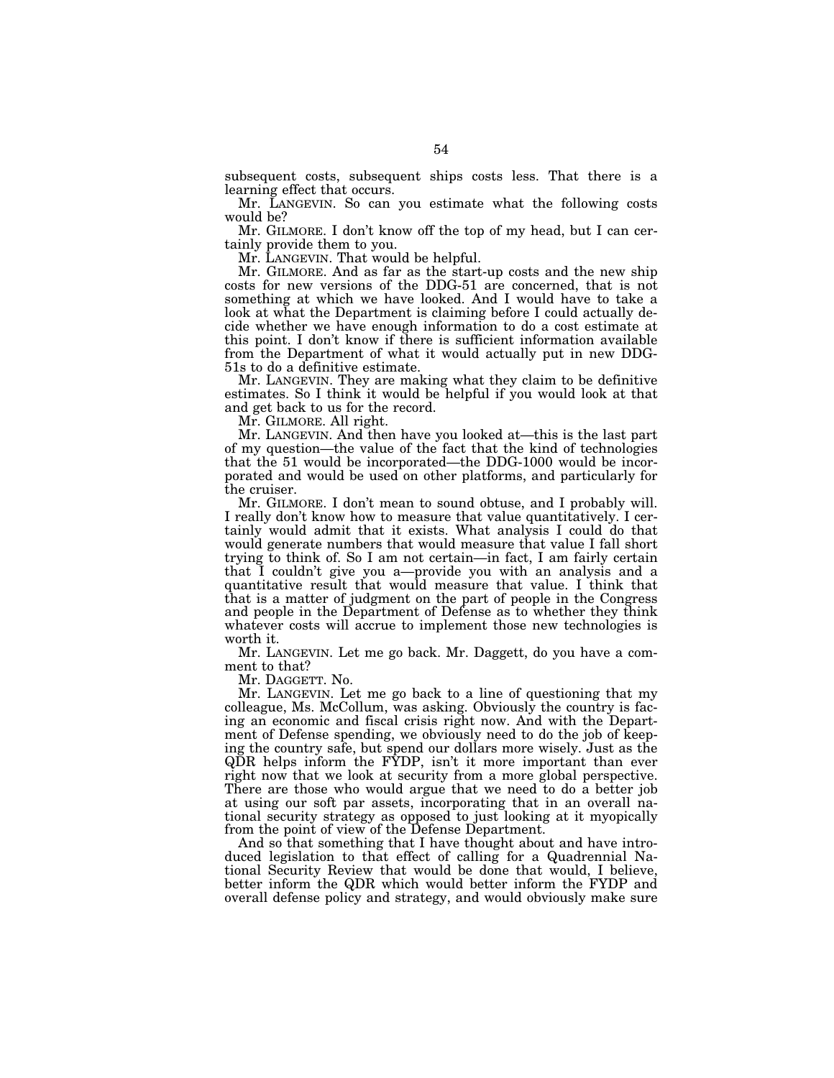subsequent costs, subsequent ships costs less. That there is a learning effect that occurs.

Mr. LANGEVIN. So can you estimate what the following costs would be?

Mr. GILMORE. I don't know off the top of my head, but I can certainly provide them to you.

Mr. LANGEVIN. That would be helpful.

Mr. GILMORE. And as far as the start-up costs and the new ship costs for new versions of the DDG-51 are concerned, that is not something at which we have looked. And I would have to take a look at what the Department is claiming before I could actually decide whether we have enough information to do a cost estimate at this point. I don't know if there is sufficient information available from the Department of what it would actually put in new DDG-51s to do a definitive estimate.

Mr. LANGEVIN. They are making what they claim to be definitive estimates. So I think it would be helpful if you would look at that and get back to us for the record.

Mr. GILMORE. All right.

Mr. LANGEVIN. And then have you looked at—this is the last part of my question—the value of the fact that the kind of technologies that the 51 would be incorporated—the DDG-1000 would be incorporated and would be used on other platforms, and particularly for the cruiser.

Mr. GILMORE. I don't mean to sound obtuse, and I probably will. I really don't know how to measure that value quantitatively. I certainly would admit that it exists. What analysis I could do that would generate numbers that would measure that value I fall short trying to think of. So I am not certain—in fact, I am fairly certain that I couldn't give you a—provide you with an analysis and a quantitative result that would measure that value. I think that that is a matter of judgment on the part of people in the Congress and people in the Department of Defense as to whether they think whatever costs will accrue to implement those new technologies is worth it.

Mr. LANGEVIN. Let me go back. Mr. Daggett, do you have a comment to that?

Mr. DAGGETT. No.

Mr. LANGEVIN. Let me go back to a line of questioning that my colleague, Ms. McCollum, was asking. Obviously the country is facing an economic and fiscal crisis right now. And with the Department of Defense spending, we obviously need to do the job of keeping the country safe, but spend our dollars more wisely. Just as the QDR helps inform the FYDP, isn't it more important than ever right now that we look at security from a more global perspective. There are those who would argue that we need to do a better job at using our soft par assets, incorporating that in an overall national security strategy as opposed to just looking at it myopically from the point of view of the Defense Department.

And so that something that I have thought about and have introduced legislation to that effect of calling for a Quadrennial National Security Review that would be done that would, I believe, better inform the QDR which would better inform the FYDP and overall defense policy and strategy, and would obviously make sure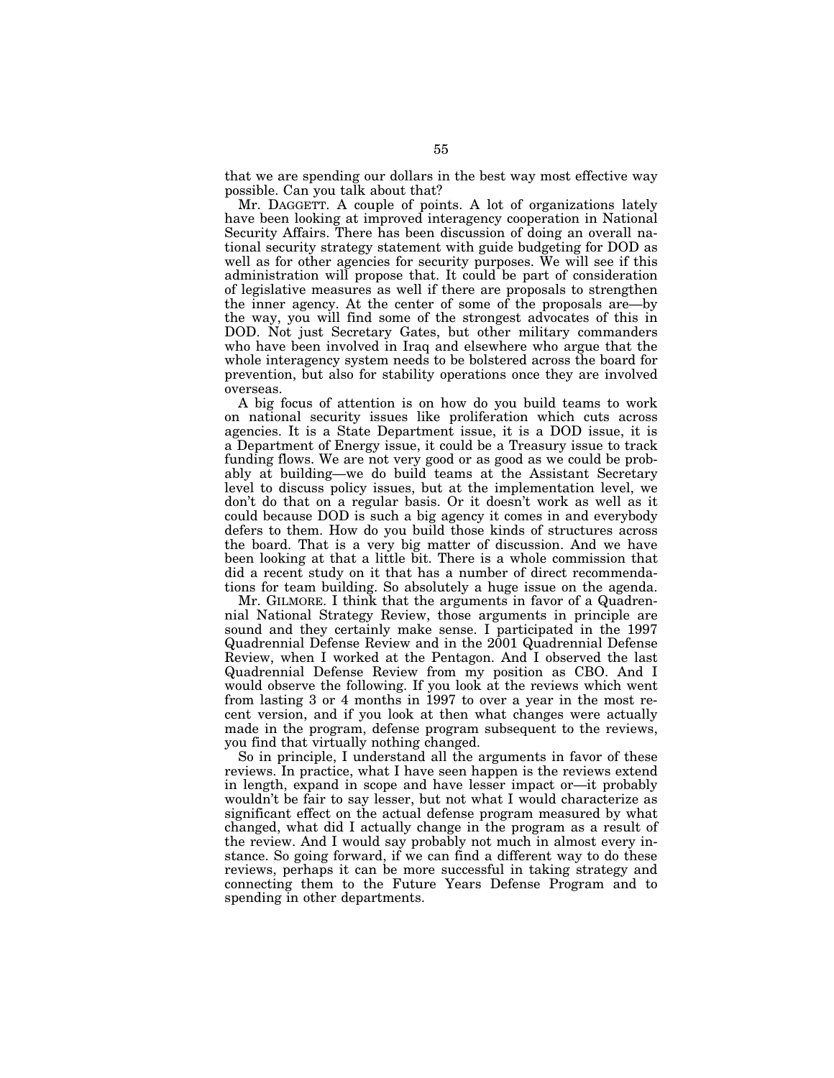that we are spending our dollars in the best way most effective way possible. Can you talk about that?

Mr. DAGGETT. A couple of points. A lot of organizations lately have been looking at improved interagency cooperation in National Security Affairs. There has been discussion of doing an overall national security strategy statement with guide budgeting for DOD as well as for other agencies for security purposes. We will see if this administration will propose that. It could be part of consideration of legislative measures as well if there are proposals to strengthen the inner agency. At the center of some of the proposals are—by the way, you will find some of the strongest advocates of this in DOD. Not just Secretary Gates, but other military commanders who have been involved in Iraq and elsewhere who argue that the whole interagency system needs to be bolstered across the board for prevention, but also for stability operations once they are involved overseas.

A big focus of attention is on how do you build teams to work on national security issues like proliferation which cuts across agencies. It is a State Department issue, it is a DOD issue, it is a Department of Energy issue, it could be a Treasury issue to track funding flows. We are not very good or as good as we could be probably at building—we do build teams at the Assistant Secretary level to discuss policy issues, but at the implementation level, we don't do that on a regular basis. Or it doesn't work as well as it could because DOD is such a big agency it comes in and everybody defers to them. How do you build those kinds of structures across the board. That is a very big matter of discussion. And we have been looking at that a little bit. There is a whole commission that did a recent study on it that has a number of direct recommendations for team building. So absolutely a huge issue on the agenda.

Mr. GILMORE. I think that the arguments in favor of a Quadrennial National Strategy Review, those arguments in principle are sound and they certainly make sense. I participated in the 1997 Quadrennial Defense Review and in the 2001 Quadrennial Defense Review, when I worked at the Pentagon. And I observed the last Quadrennial Defense Review from my position as CBO. And I would observe the following. If you look at the reviews which went from lasting 3 or 4 months in 1997 to over a year in the most recent version, and if you look at then what changes were actually made in the program, defense program subsequent to the reviews, you find that virtually nothing changed.

So in principle, I understand all the arguments in favor of these reviews. In practice, what I have seen happen is the reviews extend in length, expand in scope and have lesser impact or—it probably wouldn't be fair to say lesser, but not what I would characterize as significant effect on the actual defense program measured by what changed, what did I actually change in the program as a result of the review. And I would say probably not much in almost every instance. So going forward, if we can find a different way to do these reviews, perhaps it can be more successful in taking strategy and connecting them to the Future Years Defense Program and to spending in other departments.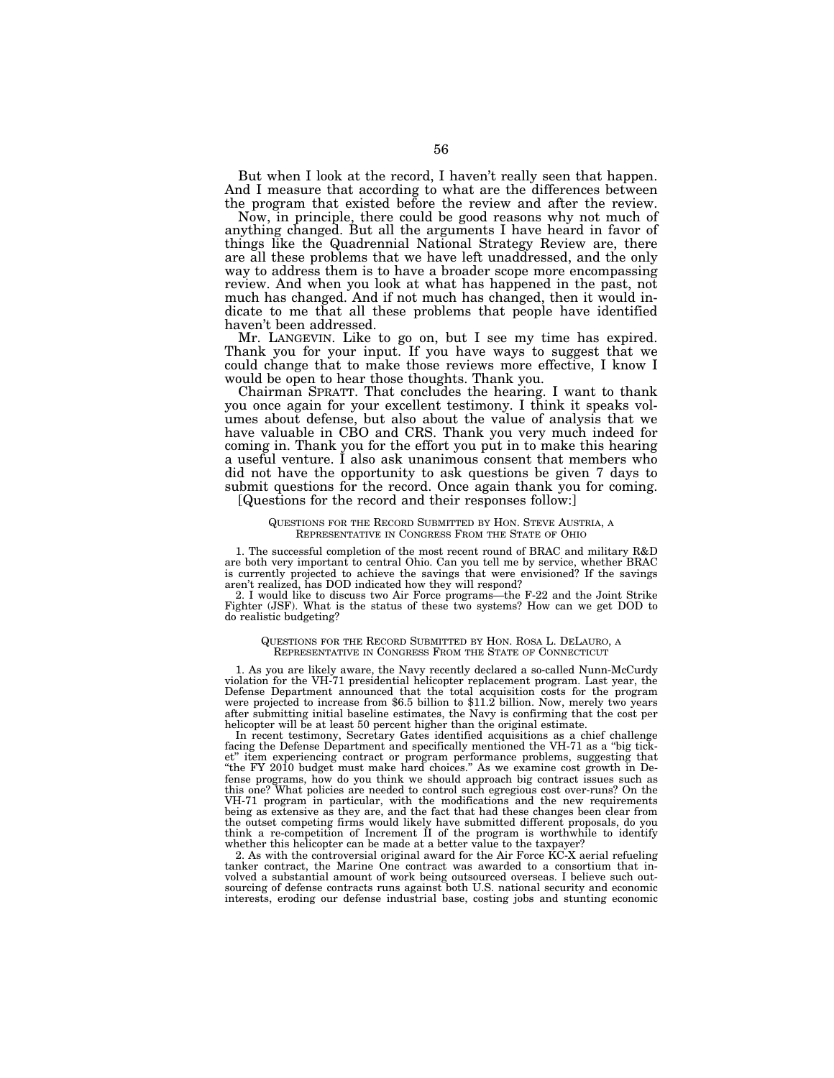But when I look at the record, I haven't really seen that happen. And I measure that according to what are the differences between the program that existed before the review and after the review.

Now, in principle, there could be good reasons why not much of anything changed. But all the arguments I have heard in favor of things like the Quadrennial National Strategy Review are, there are all these problems that we have left unaddressed, and the only way to address them is to have a broader scope more encompassing review. And when you look at what has happened in the past, not much has changed. And if not much has changed, then it would indicate to me that all these problems that people have identified haven't been addressed.

Mr. LANGEVIN. Like to go on, but I see my time has expired. Thank you for your input. If you have ways to suggest that we could change that to make those reviews more effective, I know I would be open to hear those thoughts. Thank you.

Chairman SPRATT. That concludes the hearing. I want to thank you once again for your excellent testimony. I think it speaks volumes about defense, but also about the value of analysis that we have valuable in CBO and CRS. Thank you very much indeed for coming in. Thank you for the effort you put in to make this hearing a useful venture. I also ask unanimous consent that members who did not have the opportunity to ask questions be given 7 days to submit questions for the record. Once again thank you for coming.

[Questions for the record and their responses follow:]

## QUESTIONS FOR THE RECORD SUBMITTED BY HON. STEVE AUSTRIA, A REPRESENTATIVE IN CONGRESS FROM THE STATE OF OHIO

1. The successful completion of the most recent round of BRAC and military R&D are both very important to central Ohio. Can you tell me by service, whether BRAC is currently projected to achieve the savings that were envisioned? If the savings aren't realized, has DOD indicated how they will respond?

2. I would like to discuss two Air Force programs—the F-22 and the Joint Strike Fighter (JSF). What is the status of these two systems? How can we get DOD to do realistic budgeting?

## QUESTIONS FOR THE RECORD SUBMITTED BY HON. ROSA L. DELAURO, A REPRESENTATIVE IN CONGRESS FROM THE STATE OF CONNECTICUT

1. As you are likely aware, the Navy recently declared a so-called Nunn-McCurdy violation for the VH-71 presidential helicopter replacement program. Last year, the Defense Department announced that the total acquisition costs for the program were projected to increase from \$6.5 billion to \$11.2 billion. Now, merely two years after submitting initial baseline estimates, the Navy is confirming that the cost per helicopter will be at least 50 percent higher than the original estimate.

In recent testimony, Secretary Gates identified acquisitions as a chief challenge facing the Defense Department and specifically mentioned the VH-71 as a ''big ticket'' item experiencing contract or program performance problems, suggesting that ''the FY 2010 budget must make hard choices.'' As we examine cost growth in Defense programs, how do you think we should approach big contract issues such as this one? What policies are needed to control such egregious cost over-runs? On the VH-71 program in particular, with the modifications and the new requirements being as extensive as they are, and the fact that had these changes been clear from the outset competing firms would likely have submitted different proposals, do you think a re-competition of Increment II of the program is worthwhile to identify whether this helicopter can be made at a better value to the taxpayer?

2. As with the controversial original award for the Air Force  $\angle KCX$  aerial refueling tanker contract, the Marine One contract was awarded to a consortium that involved a substantial amount of work being outsourced overseas. I believe such outsourcing of defense contracts runs against both U.S. national security and economic interests, eroding our defense industrial base, costing jobs and stunting economic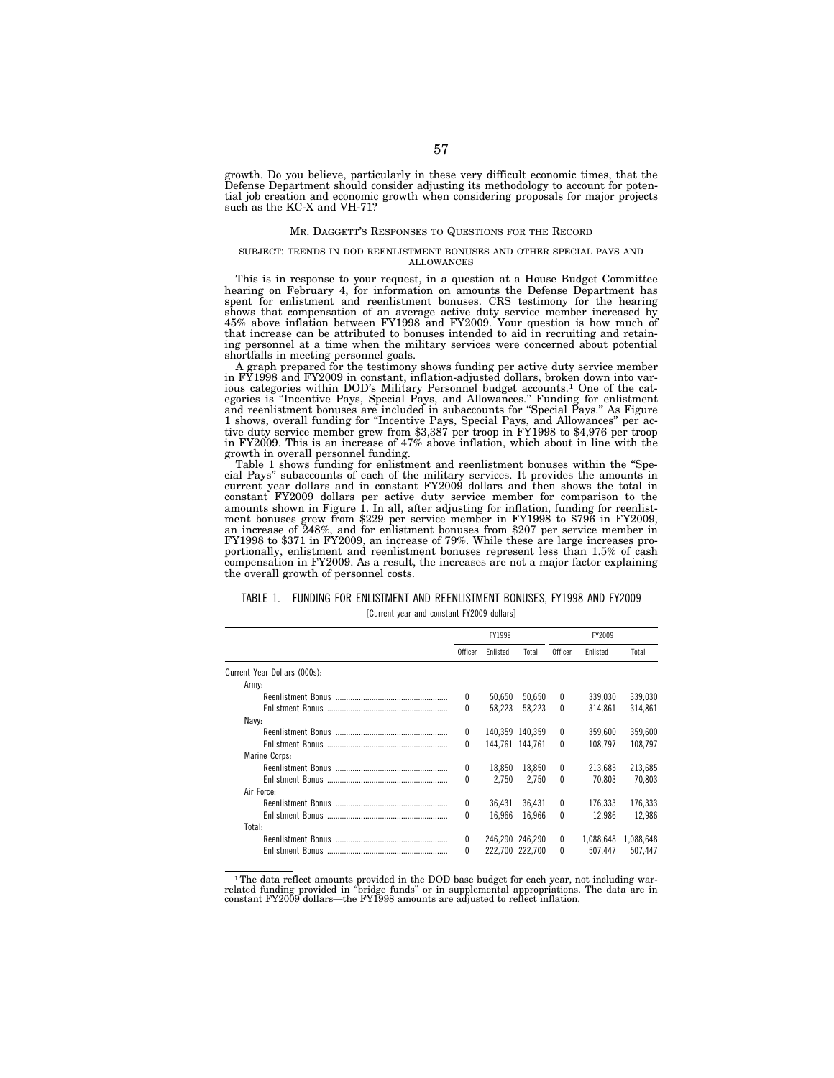growth. Do you believe, particularly in these very difficult economic times, that the Defense Department should consider adjusting its methodology to account for potential job creation and economic growth when considering proposals for major projects such as the KC-X and VH-71?

## MR. DAGGETT'S RESPONSES TO QUESTIONS FOR THE RECORD

#### SUBJECT: TRENDS IN DOD REENLISTMENT BONUSES AND OTHER SPECIAL PAYS AND ALLOWANCES

This is in response to your request, in a question at a House Budget Committee hearing on February 4, for information on amounts the Defense Department has spent for enlistment and reenlistment bonuses. CRS testimony for the hearing shows that compensation of an average active duty service member increased by 45% above inflation between FY1998 and FY2009. Your question is how much of that increase can be attributed to bonuses intended to aid in recruiting and retaining personnel at a time when the military services were concerned about potential shortfalls in meeting personnel goals.

A graph prepared for the testimony shows funding per active duty service member in FY1998 and FY2009 in constant, inflation-adjusted dollars, broken down into various categories within DOD's Military Personnel budget accounts.1 One of the categories is ''Incentive Pays, Special Pays, and Allowances.'' Funding for enlistment and reenlistment bonuses are included in subaccounts for ''Special Pays.'' As Figure 1 shows, overall funding for ''Incentive Pays, Special Pays, and Allowances'' per active duty service member grew from \$3,387 per troop in FY1998 to \$4,976 per troop in FY2009. This is an increase of 47% above inflation, which about in line with the growth in overall personnel funding.

Table 1 shows funding for enlistment and reenlistment bonuses within the "Special Pays'' subaccounts of each of the military services. It provides the amounts in current year dollars and in constant FY2009 dollars and then shows the total in constant FY2009 dollars per active duty service member for comparison to the amounts shown in Figure 1. In all, after adjusting for inflation, funding for reenlistment bonuses grew from \$229 per service member in FY1998 to \$796 in FY2009, an increase of 248%, and for enlistment bonuses from \$207 per service member in FY1998 to \$371 in FY2009, an increase of 79%. While these are large increases proportionally, enlistment and reenlistment bonuses represent less than 1.5% of cash compensation in FY2009. As a result, the increases are not a major factor explaining the overall growth of personnel costs.

## TABLE 1.—FUNDING FOR ENLISTMENT AND REENLISTMENT BONUSES, FY1998 AND FY2009

[Current year and constant FY2009 dollars]

|                              |          | FY1998   |                 |              | FY2009    |           |
|------------------------------|----------|----------|-----------------|--------------|-----------|-----------|
|                              | Officer  | Enlisted | Total           | Officer      | Enlisted  | Total     |
| Current Year Dollars (000s): |          |          |                 |              |           |           |
| Army:                        |          |          |                 |              |           |           |
|                              | 0        | 50.650   | 50.650          | $\mathbf{0}$ | 339.030   | 339,030   |
|                              | $\Omega$ | 58.223   | 58.223          | $\Omega$     | 314.861   | 314.861   |
| Navy:                        |          |          |                 |              |           |           |
|                              | $\theta$ |          | 140.359 140.359 | $\Omega$     | 359.600   | 359.600   |
|                              | $\theta$ |          | 144.761 144.761 | $\mathbf{0}$ | 108.797   | 108.797   |
| Marine Corps:                |          |          |                 |              |           |           |
|                              | 0        | 18.850   | 18.850          | $\mathbf{0}$ | 213.685   | 213,685   |
|                              | $\Omega$ | 2.750    | 2.750           | $\mathbf{0}$ | 70.803    | 70.803    |
| Air Force:                   |          |          |                 |              |           |           |
|                              | 0        | 36,431   | 36.431          | $\Omega$     | 176,333   | 176,333   |
|                              | $\Omega$ | 16.966   | 16.966          | $\Omega$     | 12.986    | 12.986    |
| Total:                       |          |          |                 |              |           |           |
|                              | $\theta$ |          | 246.290 246.290 | $\mathbf{0}$ | 1.088.648 | 1,088,648 |
|                              | $\Omega$ |          | 222.700 222.700 | $\mathbf{0}$ | 507.447   | 507.447   |

 $1$ The data reflect amounts provided in the DOD base budget for each year, not including warrelated funding provided in "bridge funds" or in supplemental appropriations. The data are in constant FY2009 dollars—the FY1998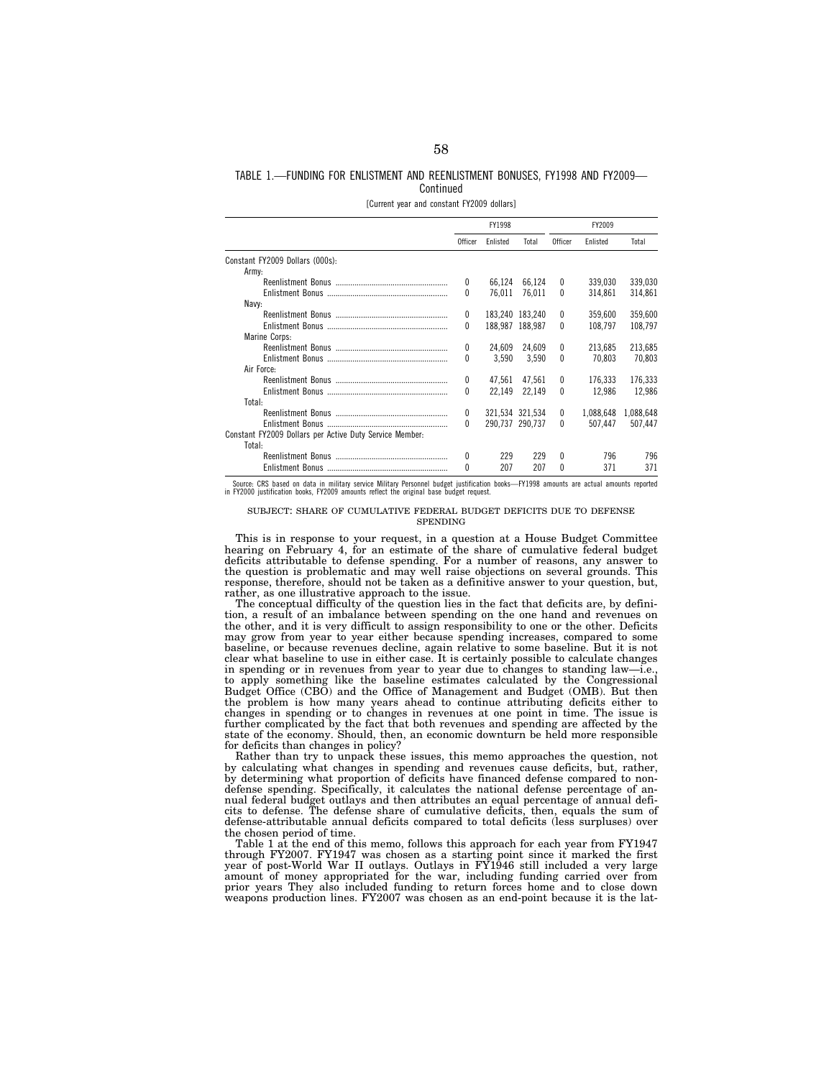## TABLE 1.—FUNDING FOR ENLISTMENT AND REENLISTMENT BONUSES, FY1998 AND FY2009— **Continued**

[Current year and constant FY2009 dollars]

|                                                         |                | FY1998          |                 |              | FY2009    |           |
|---------------------------------------------------------|----------------|-----------------|-----------------|--------------|-----------|-----------|
|                                                         | <b>Officer</b> | <b>Enlisted</b> | Total           | Officer      | Enlisted  | Total     |
| Constant FY2009 Dollars (000s):                         |                |                 |                 |              |           |           |
| Army:                                                   |                |                 |                 |              |           |           |
|                                                         | 0              | 66,124          | 66.124          | $^{0}$       | 339.030   | 339,030   |
|                                                         | 0              | 76.011          | 76.011          | $\Omega$     | 314.861   | 314,861   |
| Navy:                                                   |                |                 |                 |              |           |           |
|                                                         | $\mathbf{0}$   |                 | 183.240 183.240 | 0            | 359.600   | 359,600   |
|                                                         | 0              |                 | 188.987 188.987 | 0            | 108.797   | 108,797   |
| Marine Corps:                                           |                |                 |                 |              |           |           |
|                                                         | $\theta$       | 24.609          | 24.609          | $\mathbf{0}$ | 213.685   | 213,685   |
|                                                         | 0              | 3.590           | 3.590           | 0            | 70.803    | 70.803    |
| Air Force:                                              |                |                 |                 |              |           |           |
|                                                         | 0              | 47,561          | 47.561          | $\mathbf{0}$ | 176.333   | 176,333   |
|                                                         | 0              | 22.149          | 22.149          | $\theta$     | 12.986    | 12.986    |
| Total:                                                  |                |                 |                 |              |           |           |
|                                                         | $\mathbf{0}$   |                 | 321.534 321.534 | $\mathbf{0}$ | 1,088,648 | 1,088,648 |
|                                                         | $\theta$       |                 | 290,737 290,737 | $\Omega$     | 507.447   | 507.447   |
| Constant FY2009 Dollars per Active Duty Service Member: |                |                 |                 |              |           |           |
| Total:                                                  |                |                 |                 |              |           |           |
|                                                         | 0              | 229             | 229             | 0            | 796       | 796       |
|                                                         | $\Omega$       | 207             | 207             | U            | 371       | 371       |

Source: CRS based on data in military service Military Personnel budget justification books—FY1998 amounts are actual amounts reported in FY2000 justification books, FY2009 amounts reflect the original base budget request.

## SUBJECT: SHARE OF CUMULATIVE FEDERAL BUDGET DEFICITS DUE TO DEFENSE **SPENDING**

This is in response to your request, in a question at a House Budget Committee hearing on February 4, for an estimate of the share of cumulative federal budget deficits attributable to defense spending. For a number of reasons, any answer to the question is problematic and may well raise objections on several grounds. This response, therefore, should not be taken as a definitive answer to your question, but, rather, as one illustrative approach to the issue.

The conceptual difficulty of the question lies in the fact that deficits are, by definition, a result of an imbalance between spending on the one hand and revenues on the other, and it is very difficult to assign responsibility to one or the other. Deficits may grow from year to year either because spending increases, compared to some baseline, or because revenues decline, again relative to some baseline. But it is not clear what baseline to use in either case. It is certainly possible to calculate changes in spending or in revenues from year to year due to changes to standing law—i.e., to apply something like the baseline estimates calculated by the Congressional Budget Office (CBO) and the Office of Management and Budget (OMB). But then the problem is how many years ahead to continue attributing deficits either to changes in spending or to changes in revenues at one point in time. The issue is further complicated by the fact that both revenues and spending are affected by the state of the economy. Should, then, an economic downturn be held more responsible for deficits than changes in policy?

Rather than try to unpack these issues, this memo approaches the question, not by calculating what changes in spending and revenues cause deficits, but, rather, by determining what proportion of deficits have financed defense compared to nondefense spending. Specifically, it calculates the national defense percentage of annual federal budget outlays and then attributes an equal percentage of annual deficits to defense. The defense share of cumulative deficits, then, equals the sum of defense-attributable annual deficits compared to total deficits (less surpluses) over the chosen period of time.

Table 1 at the end of this memo, follows this approach for each year from FY1947 through FY2007. FY1947 was chosen as a starting point since it marked the first year of post-World War II outlays. Outlays in FY1946 still included a very large amount of money appropriated for the war, including funding carried over from prior years They also included funding to return forces home and to close down weapons production lines. FY2007 was chosen as an end-point because it is the lat-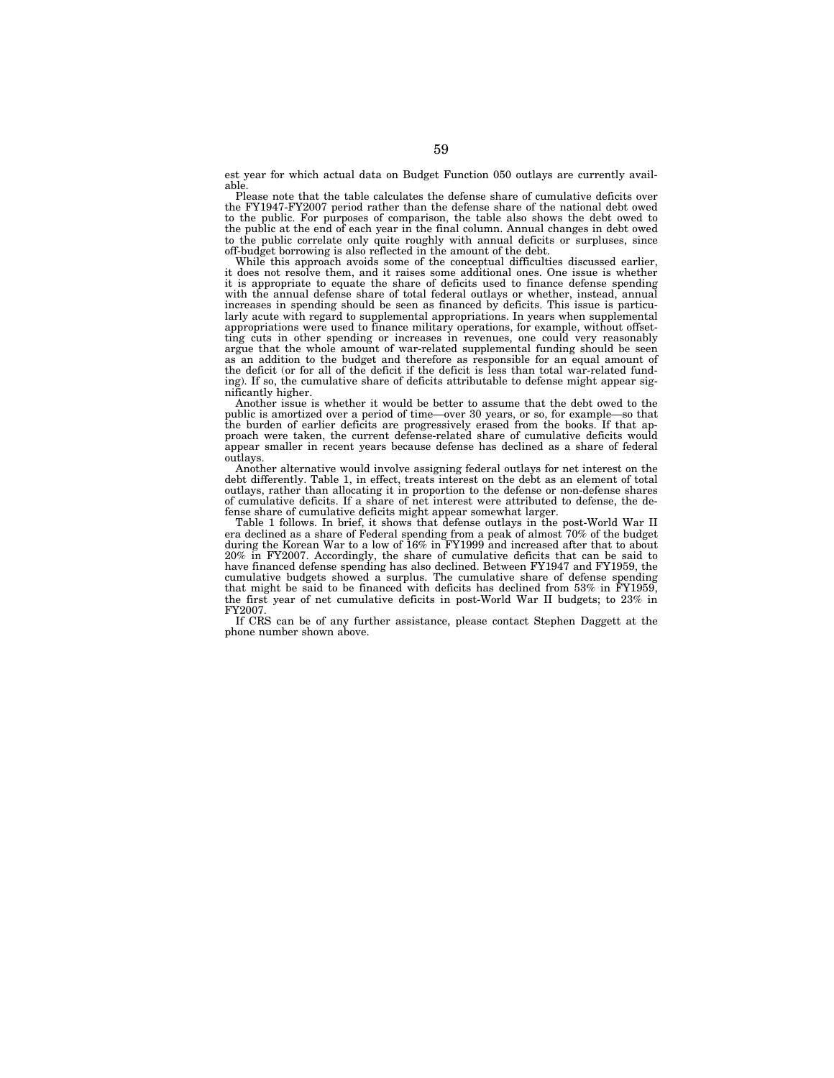est year for which actual data on Budget Function 050 outlays are currently available.

Please note that the table calculates the defense share of cumulative deficits over the FY1947-FY2007 period rather than the defense share of the national debt owed to the public. For purposes of comparison, the table also shows the debt owed to the public at the end of each year in the final column. Annual changes in debt owed to the public correlate only quite roughly with annual deficits or surpluses, since off-budget borrowing is also reflected in the amount of the debt.

While this approach avoids some of the conceptual difficulties discussed earlier, it does not resolve them, and it raises some additional ones. One issue is whether it is appropriate to equate the share of deficits used to finance defense spending with the annual defense share of total federal outlays or whether, instead, annual increases in spending should be seen as financed by deficits. This issue is particularly acute with regard to supplemental appropriations. In years when supplemental appropriations were used to finance military operations, for example, without offsetting cuts in other spending or increases in revenues, one could very reasonably argue that the whole amount of war-related supplemental funding should be seen as an addition to the budget and therefore as responsible for an equal amount of the deficit (or for all of the deficit if the deficit is less than total war-related funding). If so, the cumulative share of deficits attributable to defense might appear significantly higher.

Another issue is whether it would be better to assume that the debt owed to the public is amortized over a period of time—over 30 years, or so, for example—so that the burden of earlier deficits are progressively erased from the books. If that approach were taken, the current defense-related share of cumulative deficits would appear smaller in recent years because defense has declined as a share of federal outlays.

Another alternative would involve assigning federal outlays for net interest on the debt differently. Table 1, in effect, treats interest on the debt as an element of total outlays, rather than allocating it in proportion to the defense or non-defense shares of cumulative deficits. If a share of net interest were attributed to defense, the defense share of cumulative deficits might appear somewhat larger.

Table 1 follows. In brief, it shows that defense outlays in the post-World War II era declined as a share of Federal spending from a peak of almost 70% of the budget during the Korean War to a low of 16% in FY1999 and increased after that to about 20% in FY2007. Accordingly, the share of cumulative deficits that can be said to have financed defense spending has also declined. Between FY1947 and FY1959, the cumulative budgets showed a surplus. The cumulative share of defense spending that might be said to be financed with deficits has declined from 53% in FY1959, the first year of net cumulative deficits in post-World War II budgets; to 23% in FY2007.

If CRS can be of any further assistance, please contact Stephen Daggett at the phone number shown above.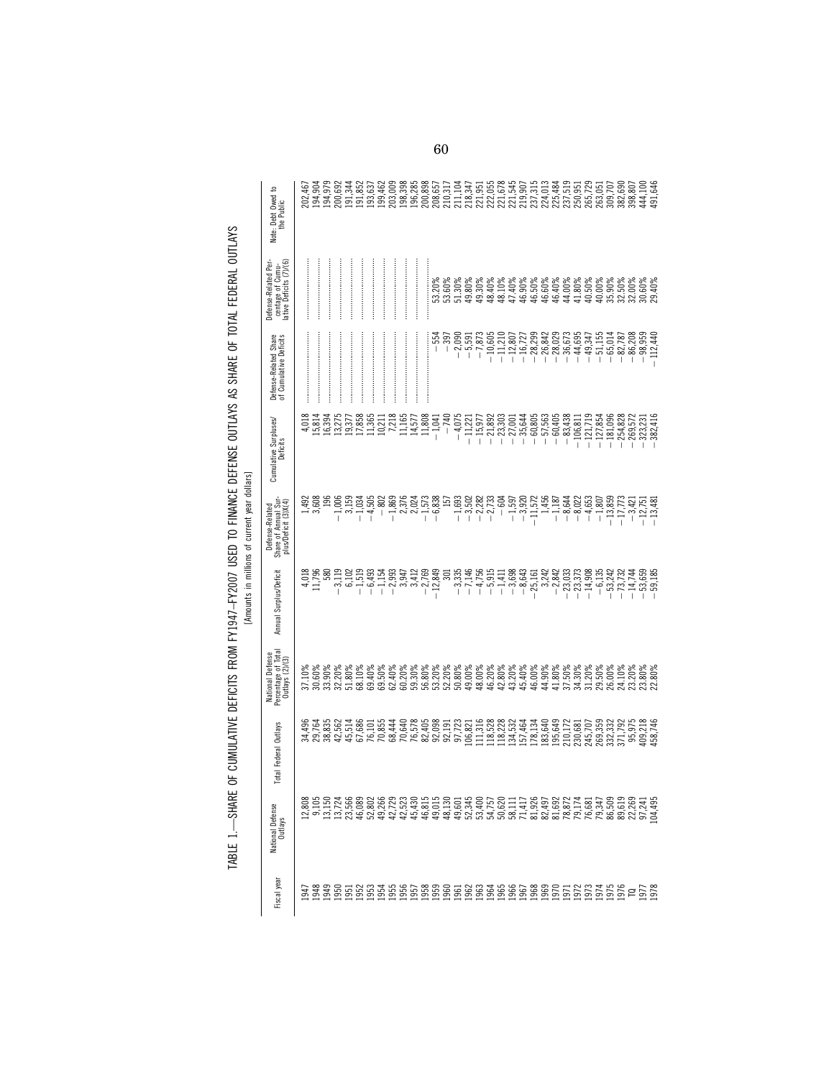|                                                                                                                              | ₽<br>Note: Debt Owed<br>the Public                                 | 202,467 | 194,904          | 194,979                    | 200,692                          | 191,344 |          | 191,852<br>193,637         | 199,462  | 203,009  | 198,398 | 196,285 | 200,898  |                            |                |                                  |                                                                         |           |                        |          |          |                                                                                                                         |           |       |          |           |             |           |                          |                          |  | 144,100<br>191,646                                                                                                                                                                                                                                                                                                                 |  |
|------------------------------------------------------------------------------------------------------------------------------|--------------------------------------------------------------------|---------|------------------|----------------------------|----------------------------------|---------|----------|----------------------------|----------|----------|---------|---------|----------|----------------------------|----------------|----------------------------------|-------------------------------------------------------------------------|-----------|------------------------|----------|----------|-------------------------------------------------------------------------------------------------------------------------|-----------|-------|----------|-----------|-------------|-----------|--------------------------|--------------------------|--|------------------------------------------------------------------------------------------------------------------------------------------------------------------------------------------------------------------------------------------------------------------------------------------------------------------------------------|--|
|                                                                                                                              | centage of Cumu-<br>lative Deficits (7)/(6)<br>Defense-Related Per |         |                  |                            |                                  |         |          |                            |          |          |         |         |          | $33.20\%$<br>$53.60\%$     |                |                                  | $\begin{array}{l} 51.30\% \\ 49.80\% \\ 49.30\% \\ 48.40\% \end{array}$ |           |                        |          |          |                                                                                                                         |           |       |          |           |             |           |                          |                          |  |                                                                                                                                                                                                                                                                                                                                    |  |
|                                                                                                                              | Defense-Related Share<br>of Cumulative Deficits                    |         |                  |                            |                                  |         |          |                            |          |          |         |         |          | $-554$                     | $-397$         | $-2,090$<br>$-5,591$             |                                                                         | $-7,873$  | $-10,605$              |          |          | $\begin{array}{r} -11.210 \\ -12.807 \\ -12.807 \\ -16.727 \\ -8.8342 \\ -28.6342 \\ -8.6334 \\ -44.695 \\ \end{array}$ |           |       |          |           |             |           |                          |                          |  | $1.155$ $-0.5148$ $-0.5278$ $-0.82788$ $-0.837889$ $-0.8399$ $-0.8399$ $-0.8399$ $-0.8399$ $-0.8440$                                                                                                                                                                                                                               |  |
|                                                                                                                              | Cumulative Surpluses/<br>Deficits                                  | 4,018   | 15,814           | 16,394                     | 13,275                           | 19,377  | 17,858   | 11,365                     | 10,211   | 7,218    | 11,165  | 14,577  | 11,808   | $-1,041$                   | $-740$         | $-4,075$                         | $-11,221$                                                               | $-15,977$ | $-21,892$<br>$-23,303$ |          |          | $\begin{array}{r} -27,001 \\ -35,644 \\ -60,805 \\ -60,405 \\ -60,405 \\ -60,405 \\ -83,438 \\ \end{array}$             |           |       |          |           | $-106, 811$ |           | $-121,719$<br>$-127,854$ | $-181,096$<br>$-254,828$ |  | $\begin{array}{r} -269,572 \\ -323,231 \\ -382,416 \end{array}$                                                                                                                                                                                                                                                                    |  |
| les and the structure of the structure of the structure of the structure of the structure of the structure of the structure. | Share of Annual Sur-<br>plus/Deficit (3)X(4)<br>Defense-Related    | 492     | 3,608            | 196                        | $-1,006$                         | 3,159   | $-1,034$ | $-4,505$                   | $-802$   | $-1,869$ | 2,376   | 2,024   | $-1,573$ | $-6,838$                   | $\overline{5}$ | $-1,693$                         | $-3,502$                                                                | $-2,282$  | $-2,733$               | $-604$   |          | $-1,597$<br>$-3,920$<br>$-11,572$                                                                                       |           | 1,456 |          |           |             |           |                          |                          |  | $\begin{array}{r} -1.187 \\ -8.643 \\ -8.645 \\ -1.859 \\ -1.773 \\ -1.774 \\ -1.774 \\ -1.774 \\ -1.774 \\ -1.774 \\ -1.774 \\ -1.774 \\ -1.774 \\ -1.774 \\ -1.774 \\ -1.774 \\ -1.774 \\ -1.774 \\ -1.774 \\ -1.774 \\ -1.774 \\ -1.774 \\ -1.774 \\ -1.774 \\ -1.774 \\ -1.774 \\ -1.774 \\ -1.774 \\ -1.774 \\ -1.774 \\ -1.$ |  |
|                                                                                                                              | Annual Surplus/Deficit                                             | 4,018   | 1,796            | 580                        | $-3,119$                         | 6,102   | $-1,519$ | $-6,493$                   | $-1,154$ | $-2,993$ | 3,947   | 3,412   | $-2,769$ | $-12,849$                  | $\overline{5}$ | $-3,335$                         | $-7,146$                                                                | $-4,756$  | $-5,915$               | $-1,411$ | $-3,698$ | $-8,643$                                                                                                                | $-25,161$ | 3,242 | $-2,842$ | $-23,033$ | $-23,373$   | $-14,908$ | $-6,135$                 | $-53,242$<br>$-73,732$   |  | $-14,744$<br>$-53,659$<br>$-59,185$                                                                                                                                                                                                                                                                                                |  |
|                                                                                                                              | National Defense<br>Percentage of Total<br>Outlays (2)/(3)         |         | 37.10%<br>30.60% | 33.90%                     | 32.20%                           | 51.80%  | 68.10%   | 69.40%                     | 69.50%   | 62.40%   | 60.20%  | 59.30%  | 56.80%   | 53.20%                     |                | $52.20%$<br>$50.80%$<br>$49.00%$ |                                                                         | 48.00%    |                        |          |          |                                                                                                                         |           |       |          |           |             |           |                          |                          |  |                                                                                                                                                                                                                                                                                                                                    |  |
|                                                                                                                              | Total Federal Outlays                                              |         |                  | 34,496<br>29,764<br>38,835 | 42,562                           | 45,514  | 67,686   | 76,101                     | 70,855   | 68,444   | 70,640  | 76,578  | 82,405   | 92,098<br>92,191<br>97,723 |                |                                  | 106,821                                                                 | 111,316   | 118,528                | 118,228  |          | 134,532<br>157,464                                                                                                      | 178,134   |       |          |           |             |           |                          |                          |  | $\begin{array}{l} 183,640 \\ 185,642 \\ 195,643 \\ 210,172 \\ 230,68 \\ 245,70 \\ 250,33 \\ 250,33 \\ 263,33 \\ 275,79 \\ 285,748 \\ 295,79 \\ 250,746 \\ 264,746 \\ 275,746 \\ 285,746 \\ 295,746 \\ 215,746 \\ 225,746 \\ 236,746 \\ 245,746 \\ 250,746 \\ 250,746 \\ 250,746 \\ 250$                                            |  |
|                                                                                                                              | National Defense<br>Outlays                                        |         |                  |                            | 2,305<br>2,315<br>2,724<br>2,315 |         |          | 23,566<br>46,080<br>49,266 |          |          |         |         |          |                            |                |                                  |                                                                         |           |                        |          |          |                                                                                                                         |           |       |          |           |             |           |                          |                          |  | 25 经机业的 网络心室的 计打印的 经预计的的的经过的 医心室 化分子 化分子 化分子 医乳头 化乙基苯甲酸 医红细胞 医二乙基 医前面 医二乙酸 医二乙酸                                                                                                                                                                                                                                                    |  |
|                                                                                                                              | Fiscal yea                                                         |         |                  |                            |                                  |         |          |                            |          |          |         |         |          |                            |                |                                  |                                                                         |           |                        |          |          |                                                                                                                         |           |       |          |           |             |           |                          |                          |  | 33388888886668888888888888865122655666718<br>333888888888888668888888888888651226                                                                                                                                                                                                                                                  |  |

TABLE 1.--SHARE OF CUMULATIVE DEFICITS FROM FY1947-FY2007 USED TO FINANCE DEFENSE OUTLAYS AS SHARE OF TOTAL FEDERAL OUTLAYS<br>LADOUR of Alliance of Cumulative Deficits FROM FY1947-FY2007 USED TO FINANCE DEFENSE OUTLAYS AS SH TABLE 1.—SHARE OF CUMULATIVE DEFICITS FROM FY1947–FY2007 USED TO FINANCE DEFENSE OUTLAYS AS SHARE OF TOTAL FEDERAL OUTLAYS

[Amounts in millions of current year dollars]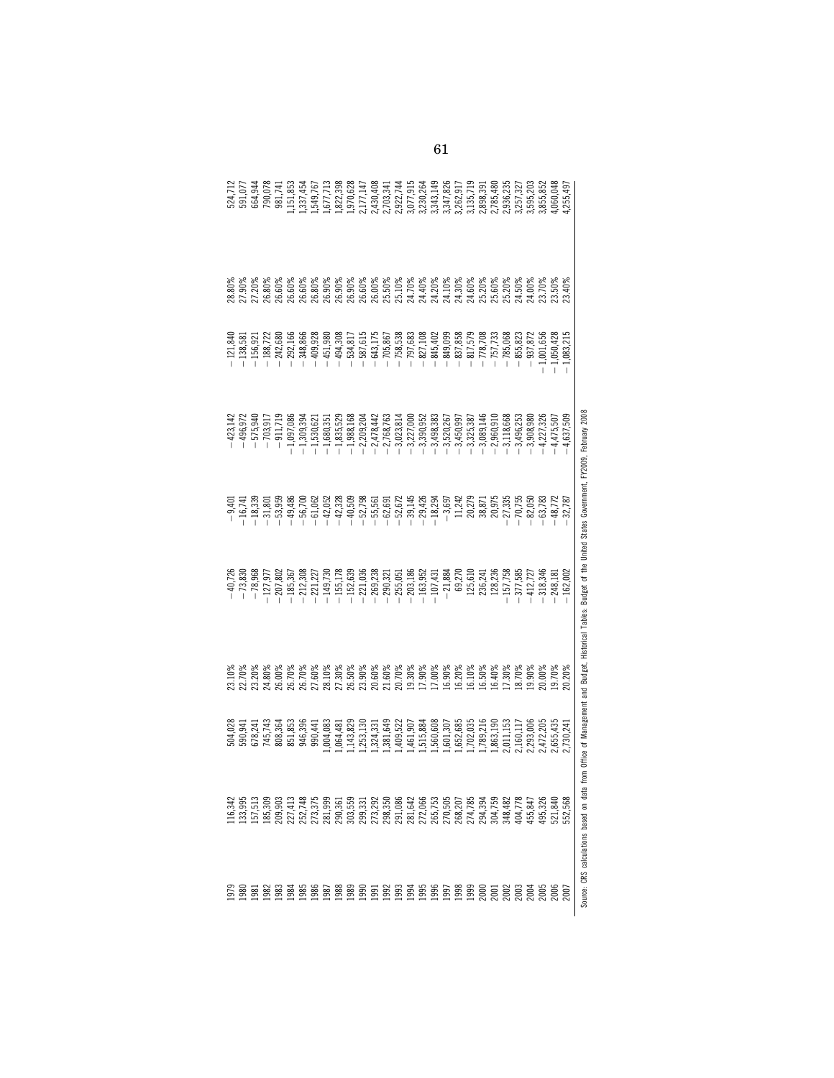|                                              |                                                    |            |              |           | a from Office of Management and Budget, Historical Tables: Budget of the United States Government, FY2009, February 2008 |        |           | Source: CRS calculations based on dat                                                                                                                                                                                                                          |                 |
|----------------------------------------------|----------------------------------------------------|------------|--------------|-----------|--------------------------------------------------------------------------------------------------------------------------|--------|-----------|----------------------------------------------------------------------------------------------------------------------------------------------------------------------------------------------------------------------------------------------------------------|-----------------|
| ,255,497                                     | 23.40%                                             | .,083,215  | 4,637,509    | 32,787    | 162,002                                                                                                                  | 20.20% | 2,730,241 | 552,568                                                                                                                                                                                                                                                        | 2007            |
| ,060,048                                     | 23.50%                                             | 1,050,428  | 4,475,507    | $-48,772$ | 248,181                                                                                                                  | 19.70% | 2,655,435 | 521,840                                                                                                                                                                                                                                                        | 2006            |
|                                              |                                                    | 1,001,656  | $-4,227,326$ | $-63,783$ | 318,346                                                                                                                  | 20.00% | 2,472,205 | 495,326                                                                                                                                                                                                                                                        | 2005            |
| 1,595,203<br>1,855,852                       | 24.00%<br>23.70%                                   | $-937,872$ | $-3,908,980$ | $-82,050$ | 412,727                                                                                                                  | 19.90% | 2,293,006 | 455,847                                                                                                                                                                                                                                                        | 2004            |
|                                              | 24.50%                                             | $-855,823$ | $-3,496,253$ | 70,755    | 377,585                                                                                                                  | 18.70% | 2,160,117 | 404,778                                                                                                                                                                                                                                                        | 2003            |
| 2,936,235                                    | 25.20%                                             | $-785,068$ | $-3,118,668$ | 27,335    | 157,758                                                                                                                  | 17.30% | 2,011,153 | 348,482                                                                                                                                                                                                                                                        | 2002            |
|                                              |                                                    | $-757,733$ | $-2,960,910$ | 20,975    | 128,236                                                                                                                  | 16.40% | ,863,190  |                                                                                                                                                                                                                                                                | 2001            |
| 2,898,391<br>2,785,480                       |                                                    | $-778,708$ | $-3,089,146$ | 38,871    | 236,241                                                                                                                  | 16.50% | ,789,216  |                                                                                                                                                                                                                                                                | 200C            |
| 3,135,719                                    |                                                    | $-817,579$ | $-3,325,387$ | 20,279    | 125,610                                                                                                                  | 16.10% | ,702,035  |                                                                                                                                                                                                                                                                | 1999            |
| 3,262,917                                    |                                                    | $-837,858$ | $-3,450,997$ | 11,242    | 69,270                                                                                                                   | 16.20% | ,652,685  |                                                                                                                                                                                                                                                                | 1998            |
| 1,347,826                                    |                                                    | $-849,099$ | $-3,520,267$ | $-3,697$  | $-21,884$                                                                                                                | 16.90% | ,601,307  |                                                                                                                                                                                                                                                                | 1997            |
| 3,343,149                                    |                                                    | $-845,40$  | $-3,498,383$ | $-18,294$ | $-107,431$                                                                                                               | 17.00% | .,560,608 |                                                                                                                                                                                                                                                                | 1996            |
| 3,230,264                                    | 24.40%<br>24.20%<br>24.10% 28%<br>25.20%<br>25.60% | $-827,108$ | $-3,390,952$ | $-29,426$ | $-163,952$                                                                                                               | 17.90% | ,515,884  |                                                                                                                                                                                                                                                                | 199             |
|                                              | 25.10%<br>24.70%                                   | $-797,683$ | $-3,227,000$ | $-39,145$ | $-203,186$                                                                                                               | 19.30% | ,461,907  |                                                                                                                                                                                                                                                                | 1994            |
| 2,922,744<br>3,077,915                       |                                                    | $-758,538$ | $-3,023,814$ | $-52,672$ | 255,051                                                                                                                  | 20.70% | ,409,522  |                                                                                                                                                                                                                                                                | <b>1993</b>     |
|                                              | 25.50%                                             | $-705,867$ | $-2,768,763$ | $-62,691$ | 290,321                                                                                                                  | 21.60% | ,381,649  |                                                                                                                                                                                                                                                                | 1992            |
| 2,430,408<br>2,703,341                       | 26.00%                                             | $-643,17!$ | $-2,478,442$ | $-55,561$ | 269,238                                                                                                                  | 20.60% | ,324,331  | $\begin{smallmatrix} 99,99,97,74\\ 99,90,97,74\\ 99,90,97,74\\ 99,90,97,74\\ 99,90,90,90,90\\ 70,7,7,7\\ 89,90,90,90,90\\ 70,7,7,7\\ 80,7,7,8\\ 80,7,7,7\\ 80,7,7,7\\ 80,7,7,7\\ 80,7,7,7\\ 80,7,7,7\\ 80,7,7,7\\ 80,7,7,7\\ 80,7,7,7\\ 80,7,7,7\\ 80,7,7,7\\$ | <u>1991</u>     |
|                                              | 26.60%                                             | $-587,615$ | $-2,209,204$ | $-52,798$ | $-221,036$                                                                                                               | 23.90% | 1,253,130 |                                                                                                                                                                                                                                                                | 1990            |
| ,677,713<br>,822,398<br>,970,628<br>,177,147 | 26.90%                                             | $-534,81$  | $-1,988,168$ | $-40,509$ | $-152,639$                                                                                                               | 26.50% | ,143,829  |                                                                                                                                                                                                                                                                | 1989            |
|                                              |                                                    | $-494,308$ | $-1,835,529$ | $-42,328$ | $-155,178$                                                                                                               | 27.30% | .,064,481 |                                                                                                                                                                                                                                                                | 1988            |
|                                              | 26.90%<br>26.90%                                   | $-451,980$ | $-1,680,351$ | $-42,052$ | $-149,730$                                                                                                               | 28.10% | ,004,083  |                                                                                                                                                                                                                                                                | <b>1987</b>     |
| l, 337, 454<br>l, 549, 767                   | 26.80%                                             | $-409,928$ | $-1,530,621$ | $-61,062$ | 221,227                                                                                                                  | 27.60% | 990,441   |                                                                                                                                                                                                                                                                | <b>1986</b>     |
|                                              | 26.60%                                             | 348,866    | $-1,309,394$ | $-56,700$ | 212,308                                                                                                                  | 26.70% | 946,396   |                                                                                                                                                                                                                                                                | $\frac{85}{25}$ |
| ,151,853                                     | 26.60%                                             | $-292,166$ | $-1,097,086$ | $-49,486$ | $-185,367$                                                                                                               | 26.70% | 851,853   |                                                                                                                                                                                                                                                                | $-98$           |
| 981,741                                      | 26.60%                                             | $-242,680$ | $-911,719$   | $-53,959$ | $-207,802$                                                                                                               | 26.00% | 808,364   |                                                                                                                                                                                                                                                                | $\frac{8}{36}$  |
| 790,078                                      | 26.80%                                             | $-188,722$ | $-703,917$   | $-31,801$ | $-127,977$                                                                                                               | 24.80% | 745,743   |                                                                                                                                                                                                                                                                | $\frac{82}{5}$  |
| 664,944                                      | 27.20%                                             | $-156,921$ | $-575,940$   | $-18,339$ | $-78,968$                                                                                                                | 23.20% | 678,241   | 133,995<br>157,513                                                                                                                                                                                                                                             | $\overline{98}$ |
| 524,712<br>591,077                           | 27.90%                                             | $-138,581$ | $-496,972$   | $-16,741$ | $-73,830$                                                                                                                | 22.70% | 590,941   |                                                                                                                                                                                                                                                                | $\frac{80}{2}$  |
|                                              | 28.80%                                             | $-121,840$ | $-423,142$   | $-9,401$  | $-40,726$                                                                                                                | 23.10% | 504,028   | 116,342                                                                                                                                                                                                                                                        | 1979            |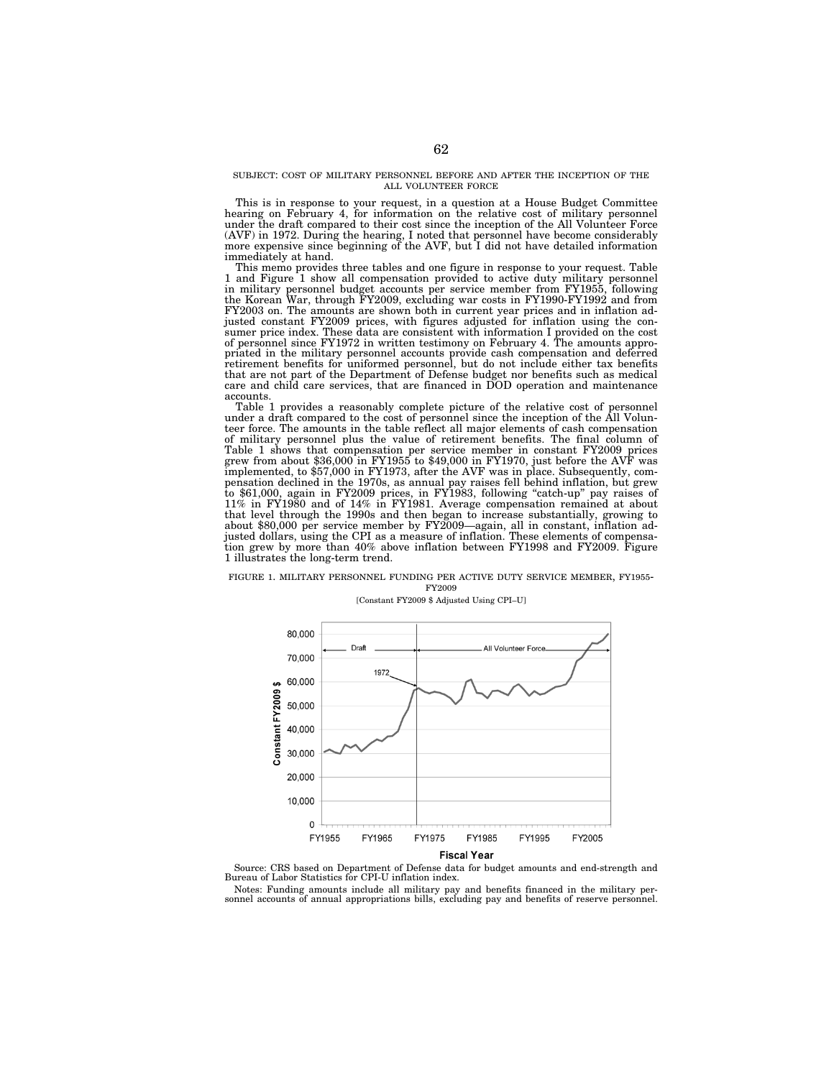#### SUBJECT: COST OF MILITARY PERSONNEL BEFORE AND AFTER THE INCEPTION OF THE ALL VOLUNTEER FORCE

This is in response to your request, in a question at a House Budget Committee hearing on February 4, for information on the relative cost of military personnel under the draft compared to their cost since the inception of the All Volunteer Force (AVF) in 1972. During the hearing, I noted that personnel have become considerably more expensive since beginning of the AVF, but I did not have detailed information immediately at hand.

This memo provides three tables and one figure in response to your request. Table 1 and Figure 1 show all compensation provided to active duty military personnel in military personnel budget accounts per service member from FY1955, following the Korean War, through FY2009, excluding war costs in FY1990-FY1992 and from FY2003 on. The amounts are shown both in current year prices and in inflation ad-justed constant FY2009 prices, with figures adjusted for inflation using the consumer price index. These data are consistent with information I provided on the cost of personnel since FY1972 in written testimony on February 4. The amounts appropriated in the military personnel accounts provide cash compensation and deferred retirement benefits for uniformed personnel, but do not include either tax benefits that are not part of the Department of Defense budget nor benefits such as medical care and child care services, that are financed in DOD operation and maintenance accounts.

Table 1 provides a reasonably complete picture of the relative cost of personnel under a draft compared to the cost of personnel since the inception of the All Volunteer force. The amounts in the table reflect all major elements of cash compensation of military personnel plus the value of retirement benefits. The final column of Table 1 shows that compensation per service member in constant FY2009 prices grew from about \$36,000 in FY1955 to \$49,000 in FY1970, just before the AVF was implemented, to \$57,000 in FY1973, after the AVF was in place. S that level through the 1990s and then began to increase substantially, growing to about \$80,000 per service member by FY2009—again, all in constant, inflation adjusted dollars, using the CPI as a measure of inflation. Thes tion grew by more than 40% above inflation between FY1998 and FY2009. Figure 1 illustrates the long-term trend.

# FIGURE 1. MILITARY PERSONNEL FUNDING PER ACTIVE DUTY SERVICE MEMBER, FY1955-<br>FY2009

## [Constant FY2009 \$ Adjusted Using CPI–U]





Notes: Funding amounts include all military pay and benefits financed in the military per-sonnel accounts of annual appropriations bills, excluding pay and benefits of reserve personnel.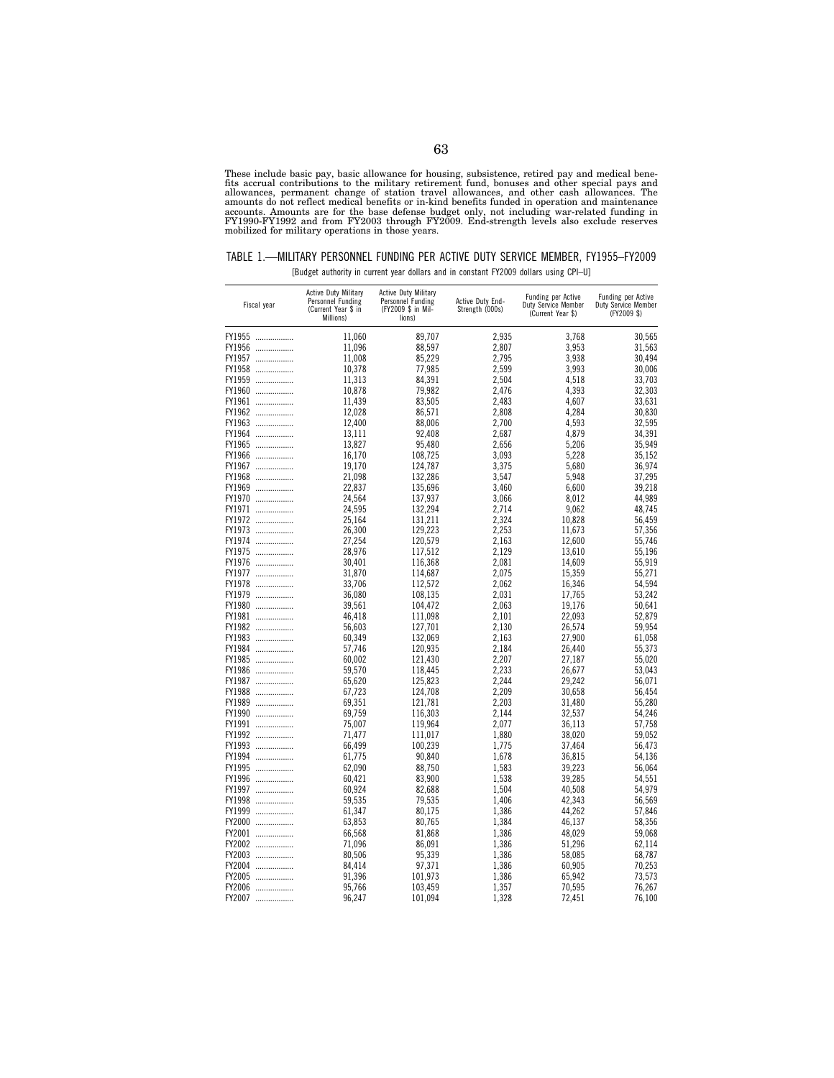These include basic pay, basic allowance for housing, subsistence, retired pay and medical benefits accrual contributions to the military retirement fund, bonuses and other special pays and sallowances, permanent change of

| TABLE 1.—MILITARY PERSONNEL FUNDING PER ACTIVE DUTY SERVICE MEMBER. FY1955-FY2009 |                                                                                       |  |  |
|-----------------------------------------------------------------------------------|---------------------------------------------------------------------------------------|--|--|
|                                                                                   | [Budget authority in current year dollars and in constant FY2009 dollars using CPI-U] |  |  |

| Fiscal year | <b>Active Duty Military</b><br>Personnel Funding<br>(Current Year \$ in<br>Millions) | <b>Active Duty Military</b><br>Personnel Funding<br>(FY2009 \$ in Mil-<br>lions) | Active Duty End-<br>Strength (000s) | <b>Funding per Active</b><br><b>Duty Service Member</b><br>(Current Year \$) | Funding per Active<br><b>Duty Service Member</b><br>(FY2009 \$) |
|-------------|--------------------------------------------------------------------------------------|----------------------------------------------------------------------------------|-------------------------------------|------------------------------------------------------------------------------|-----------------------------------------------------------------|
| FY1955      | 11,060                                                                               | 89,707                                                                           | 2,935                               | 3,768                                                                        | 30,565                                                          |
| FY1956      | 11,096                                                                               | 88,597                                                                           | 2,807                               | 3,953                                                                        | 31,563                                                          |
| FY1957      | 11,008                                                                               | 85,229                                                                           | 2,795                               | 3,938                                                                        | 30,494                                                          |
|             | 10,378                                                                               | 77.985                                                                           | 2,599                               | 3,993                                                                        | 30,006                                                          |
| FY1958      | 11,313                                                                               | 84.391                                                                           | 2.504                               | 4.518                                                                        | 33,703                                                          |
| FY1959      |                                                                                      |                                                                                  |                                     | 4,393                                                                        |                                                                 |
| FY1960      | 10,878                                                                               | 79,982                                                                           | 2,476                               |                                                                              | 32,303                                                          |
| FY1961      | 11,439                                                                               | 83,505                                                                           | 2,483                               | 4,607                                                                        | 33,631                                                          |
| FY1962      | 12,028                                                                               | 86.571                                                                           | 2.808                               | 4,284                                                                        | 30,830                                                          |
| FY1963      | 12,400                                                                               | 88,006                                                                           | 2,700                               | 4,593                                                                        | 32,595                                                          |
| FY1964      | 13,111                                                                               | 92.408                                                                           | 2.687                               | 4.879                                                                        | 34,391                                                          |
| FY1965      | 13,827                                                                               | 95,480                                                                           | 2,656                               | 5,206                                                                        | 35,949                                                          |
| FY1966      | 16,170                                                                               | 108,725                                                                          | 3,093                               | 5,228                                                                        | 35,152                                                          |
| FY1967      | 19,170                                                                               | 124,787                                                                          | 3,375                               | 5.680                                                                        | 36,974                                                          |
| FY1968      | 21,098                                                                               | 132,286                                                                          | 3,547                               | 5.948                                                                        | 37,295                                                          |
| FY1969      | 22,837                                                                               | 135,696                                                                          | 3,460                               | 6,600                                                                        | 39,218                                                          |
| FY1970      | 24,564                                                                               | 137,937                                                                          | 3,066                               | 8,012                                                                        | 44,989                                                          |
| FY1971      | 24,595                                                                               | 132,294                                                                          | 2,714                               | 9,062                                                                        | 48,745                                                          |
| FY1972      | 25.164                                                                               | 131,211                                                                          | 2,324                               | 10,828                                                                       | 56.459                                                          |
| FY1973      | 26,300                                                                               | 129,223                                                                          | 2,253                               | 11,673                                                                       | 57,356                                                          |
| FY1974      | 27,254                                                                               | 120,579                                                                          | 2,163                               | 12,600                                                                       | 55,746                                                          |
| FY1975      | 28,976                                                                               | 117,512                                                                          | 2,129                               | 13,610                                                                       | 55,196                                                          |
| FY1976      | 30,401                                                                               | 116,368                                                                          | 2,081                               | 14,609                                                                       | 55,919                                                          |
| FY1977      | 31,870                                                                               | 114,687                                                                          | 2,075                               | 15,359                                                                       | 55,271                                                          |
| FY1978      | 33,706                                                                               | 112,572                                                                          | 2,062                               | 16,346                                                                       | 54,594                                                          |
| FY1979      | 36,080                                                                               | 108,135                                                                          | 2,031                               | 17,765                                                                       | 53,242                                                          |
| FY1980      | 39,561                                                                               | 104,472                                                                          | 2,063                               | 19,176                                                                       | 50,641                                                          |
| FY1981      | 46,418                                                                               | 111,098                                                                          | 2,101                               | 22,093                                                                       | 52,879                                                          |
| FY1982      | 56,603                                                                               | 127,701                                                                          | 2,130                               | 26.574                                                                       | 59,954                                                          |
| FY1983      | 60,349                                                                               | 132,069                                                                          | 2,163                               | 27,900                                                                       | 61,058                                                          |
| FY1984      | 57,746                                                                               | 120,935                                                                          | 2,184                               | 26,440                                                                       | 55,373                                                          |
| FY1985      | 60,002                                                                               | 121,430                                                                          | 2,207                               | 27,187                                                                       | 55,020                                                          |
| FY1986      | 59,570                                                                               | 118,445                                                                          | 2,233                               | 26,677                                                                       | 53,043                                                          |
| FY1987      | 65,620                                                                               | 125,823                                                                          | 2,244                               | 29,242                                                                       | 56.071                                                          |
| FY1988      | 67.723                                                                               | 124,708                                                                          | 2,209                               | 30.658                                                                       | 56,454                                                          |
| FY1989      | 69,351                                                                               | 121,781                                                                          | 2,203                               | 31,480                                                                       | 55,280                                                          |
| FY1990      | 69,759                                                                               | 116,303                                                                          | 2,144                               | 32,537                                                                       | 54,246                                                          |
| FY1991      | 75,007                                                                               | 119,964                                                                          | 2,077                               | 36,113                                                                       | 57,758                                                          |
| FY1992      | 71,477                                                                               | 111,017                                                                          | 1,880                               | 38,020                                                                       | 59,052                                                          |
| FY1993      | 66,499                                                                               | 100,239                                                                          | 1,775                               | 37,464                                                                       | 56,473                                                          |
| FY1994      | 61,775                                                                               | 90,840                                                                           | 1,678                               | 36,815                                                                       | 54,136                                                          |
| FY1995      | 62,090                                                                               | 88,750                                                                           | 1,583                               | 39,223                                                                       | 56,064                                                          |
| FY1996      | 60,421                                                                               | 83,900                                                                           | 1,538                               | 39,285                                                                       | 54,551                                                          |
| FY1997      | 60.924                                                                               | 82.688                                                                           | 1.504                               | 40.508                                                                       | 54,979                                                          |
| FY1998      | 59,535                                                                               | 79,535                                                                           | 1,406                               | 42,343                                                                       | 56,569                                                          |
| FY1999      | 61,347                                                                               | 80,175                                                                           | 1,386                               | 44,262                                                                       | 57,846                                                          |
| FY2000      | 63.853                                                                               | 80.765                                                                           | 1,384                               | 46.137                                                                       | 58,356                                                          |
| FY2001      | 66.568                                                                               | 81.868                                                                           | 1.386                               | 48.029                                                                       | 59.068                                                          |
| FY2002      | 71,096                                                                               | 86,091                                                                           | 1,386                               | 51,296                                                                       | 62,114                                                          |
| FY2003      | 80,506                                                                               | 95,339                                                                           | 1,386                               | 58,085                                                                       | 68,787                                                          |
| FY2004      | 84,414                                                                               | 97,371                                                                           | 1,386                               | 60,905                                                                       | 70,253                                                          |
| FY2005      | 91,396                                                                               | 101,973                                                                          | 1,386                               | 65,942                                                                       | 73,573                                                          |
| FY2006      | 95,766                                                                               | 103,459                                                                          | 1,357                               | 70,595                                                                       | 76,267                                                          |
| FY2007      | 96,247                                                                               | 101,094                                                                          | 1,328                               | 72,451                                                                       | 76,100                                                          |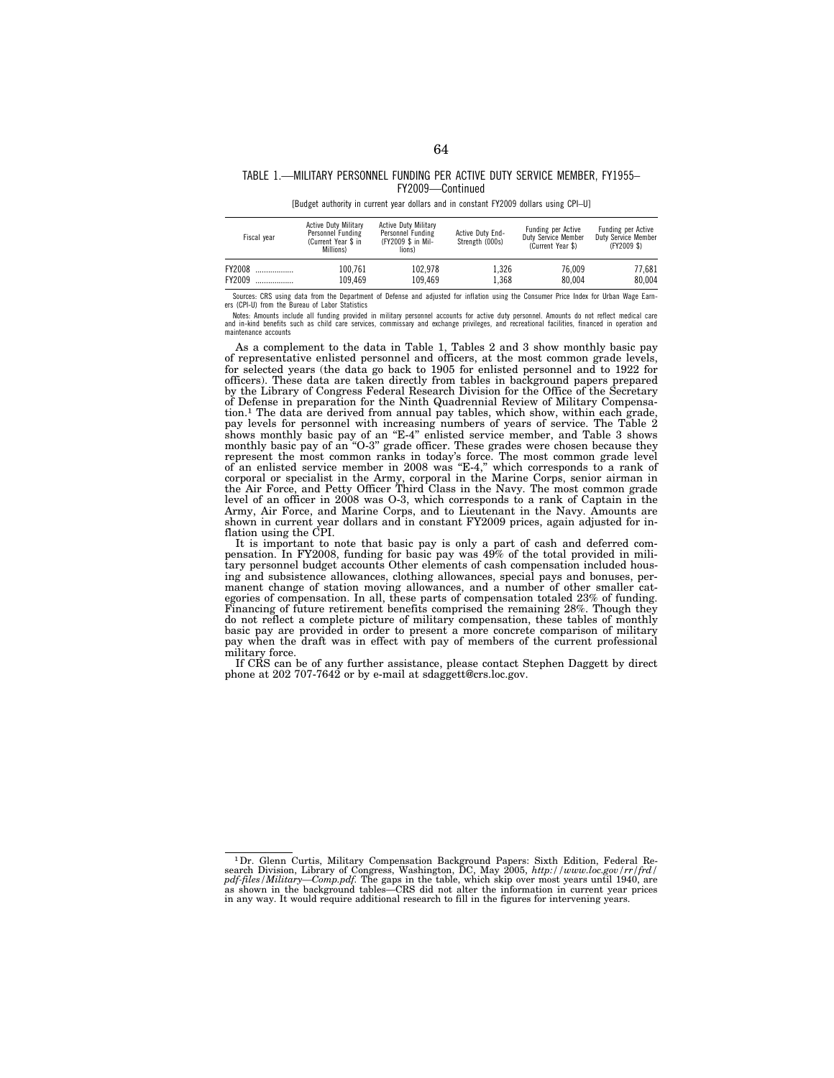## TABLE 1.—MILITARY PERSONNEL FUNDING PER ACTIVE DUTY SERVICE MEMBER, FY1955– FY2009—Continued

[Budget authority in current year dollars and in constant FY2009 dollars using CPI–U]

| Fiscal vear | <b>Active Duty Military</b><br>Personnel Funding<br>(Current Year \$ in<br>Millions) | <b>Active Duty Military</b><br>Personnel Funding<br>(FY2009 \$ in Mil-<br>lions) | Active Duty End-<br>Strength (000s) | Funding per Active<br>Duty Service Member<br>(Current Year \$) | Funding per Active<br>Duty Service Member<br>(FY2009 \$) |
|-------------|--------------------------------------------------------------------------------------|----------------------------------------------------------------------------------|-------------------------------------|----------------------------------------------------------------|----------------------------------------------------------|
| FY2008      | 100.761                                                                              | 102.978                                                                          | 1.326                               | 76.009                                                         | 77.681                                                   |
| FY2009      | 109.469                                                                              | 109.469                                                                          | 1.368                               | 80.004                                                         | 80.004                                                   |

Sources: CRS using data from the Department of Defense and adjusted for inflation using the Consumer Price Index for Urban Wage Earn-ers (CPI-U) from the Bureau of Labor Statistics

Notes: Amounts include all funding provided in military personnel accounts for active duty personnel. Amounts do not reflect medical care<br>and in-kind benefits such as child care services, commissary and exchange privileges maintenance accounts

As a complement to the data in Table 1, Tables 2 and 3 show monthly basic pay of representative enlisted personnel and officers, at the most common grade levels, for selected years (the data go back to 1905 for enlisted personnel and to 1922 for officers). These data are taken directly from tables in background papers prepared by the Library of Congress Federal Research Division for the Office of the Secretary of Defense in preparation for the Ninth Quadrennial Review of Military Compensation.<sup>1</sup> The data are derived from annual pay tables, which show, within each grade, pay levels for personnel with increasing numbers of years of service. The Table 2 shows monthly basic pay of an "E-4" enlisted service member, and Table 3 shows monthly basic pay of an ''O-3'' grade officer. These grades were chosen because they represent the most common ranks in today's force. The most common grade level of an enlisted service member in 2008 was ''E-4,'' which corresponds to a rank of corporal or specialist in the Army, corporal in the Marine Corps, senior airman in the Air Force, and Petty Officer Third Class in the Navy. The most common grade level of an officer in 2008 was O-3, which corresponds to a rank of Captain in the Army, Air Force, and Marine Corps, and to Lieutenant in the Navy. Amounts are shown in current year dollars and in constant FY2009 prices, again adjusted for inflation using the CPI.

It is important to note that basic pay is only a part of cash and deferred compensation. In FY2008, funding for basic pay was 49% of the total provided in military personnel budget accounts Other elements of cash compensation included housing and subsistence allowances, clothing allowances, special pays and bonuses, permanent change of station moving allowances, and a number of other smaller categories of compensation. In all, these parts of compensation totaled 23% of funding. Financing of future retirement benefits comprised the remaining 28%. Though they do not reflect a complete picture of military compensation, these tables of monthly basic pay are provided in order to present a more concrete comparison of military pay when the draft was in effect with pay of members of the current professional military force.

If CRS can be of any further assistance, please contact Stephen Daggett by direct phone at 202 707-7642 or by e-mail at sdaggett@crs.loc.gov.

<sup>&</sup>lt;sup>1</sup> Dr. Glenn Curtis, Military Compensation Background Papers: Sixth Edition, Federal Research Division, Library of Congress, Washington, DC, May 2005,  $http://www.loc.gov/rr/frd/pdf-files/pdf/fies/Miditary—Comp.pdf.$  The gaps in the table, which skip ove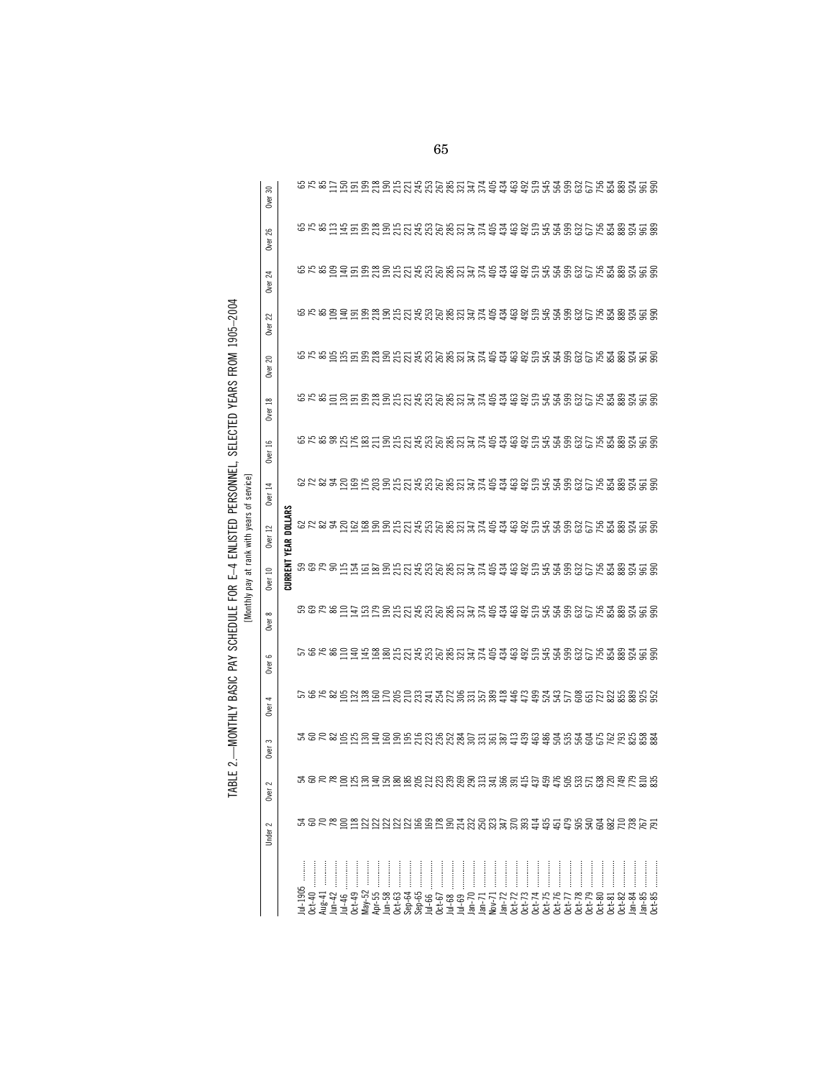|                                            | 20<br>Over                    |                 |         |          |  |          |  |             |                      |        |            |                  |          |          |          |          |          |                            |                      |        |           |          |          |            |          |                                                                                                                                                                                                                                      |
|--------------------------------------------|-------------------------------|-----------------|---------|----------|--|----------|--|-------------|----------------------|--------|------------|------------------|----------|----------|----------|----------|----------|----------------------------|----------------------|--------|-----------|----------|----------|------------|----------|--------------------------------------------------------------------------------------------------------------------------------------------------------------------------------------------------------------------------------------|
|                                            | $^{26}$<br><b>Over</b>        |                 |         |          |  |          |  |             |                      |        |            |                  |          |          |          |          |          |                            |                      |        |           |          |          |            |          |                                                                                                                                                                                                                                      |
|                                            | 24<br><b>Over</b>             |                 |         |          |  |          |  |             |                      |        |            |                  |          |          |          |          |          |                            |                      |        |           |          |          |            |          | corsociacións de la corse de corsociacións de la corsociación de la corsociación de la corsociación de la cors<br>Corsociacións de la corsociación de la corsociación de la corsociación de la corsociación de la corsociación       |
|                                            | 22<br>Over                    |                 |         |          |  |          |  |             |                      |        |            |                  |          |          |          |          |          |                            |                      |        |           |          |          |            |          |                                                                                                                                                                                                                                      |
| nno i linouli num                          | 20<br><b>Over</b>             |                 |         |          |  |          |  |             |                      |        |            |                  |          |          |          |          |          |                            |                      |        |           |          |          |            |          |                                                                                                                                                                                                                                      |
|                                            | Over 18                       |                 |         |          |  |          |  |             |                      |        |            |                  |          |          |          |          |          |                            |                      |        |           |          |          |            |          |                                                                                                                                                                                                                                      |
| אדרה או היה                                | $\tilde{16}$<br><b>Over</b>   |                 |         |          |  |          |  |             |                      |        |            |                  |          |          |          |          |          |                            |                      |        |           |          |          |            |          |                                                                                                                                                                                                                                      |
| j                                          | $\Xi$<br><b>Over</b>          |                 |         |          |  |          |  |             |                      |        |            |                  |          |          |          |          |          |                            |                      |        |           |          |          |            |          | corsolaricario contro de calenda do corsolario<br>Creo de contro corsolario de calenda do corsolario<br>Creo de contro de calenda do corsolario                                                                                      |
|                                            | $\approx$<br>Over             | DOLLARS<br>YEAR |         |          |  |          |  |             |                      |        |            |                  |          |          |          |          |          |                            |                      |        |           |          |          |            |          |                                                                                                                                                                                                                                      |
| Monthly pay at rank with years of service] | Over 10                       | <b>CURRENT</b>  |         |          |  |          |  |             |                      |        |            |                  |          |          |          |          |          |                            |                      |        |           |          |          |            |          |                                                                                                                                                                                                                                      |
| בה המסונה                                  | $\infty$<br><b>Over</b>       |                 |         |          |  |          |  |             |                      |        |            |                  |          |          |          |          |          |                            |                      |        |           |          |          |            |          | control de controlada de controlada de controlada de control de control de control de control de control de co<br>Control de controlada de control de controlada de control de control de control de control de control de contr<br> |
|                                            | Over 6                        |                 |         |          |  |          |  |             |                      |        |            |                  |          |          |          |          |          |                            |                      |        |           |          |          |            |          |                                                                                                                                                                                                                                      |
| ミッシュ                                       | <b>Over</b>                   |                 |         |          |  |          |  |             |                      |        |            |                  |          |          |          |          |          |                            |                      |        |           |          |          |            |          |                                                                                                                                                                                                                                      |
|                                            | $\mathfrak{m}$<br><b>Over</b> |                 |         |          |  |          |  |             |                      |        |            |                  |          |          |          |          |          |                            |                      |        |           |          |          |            |          |                                                                                                                                                                                                                                      |
|                                            | $\sim$<br><b>Over</b>         |                 |         |          |  |          |  |             |                      |        |            |                  |          |          |          |          |          |                            |                      |        |           |          |          |            |          | \$82285555588535888853\$88\$4\$\$\$\$\$\$\$\$\$\$\$\$\$\$                                                                                                                                                                            |
|                                            | Under 2                       |                 |         |          |  |          |  |             |                      |        |            |                  |          |          |          |          |          |                            |                      |        |           |          |          |            |          | ROC&OZNYXXXOO&OTANGGALOGTATADAGOLLLLL                                                                                                                                                                                                |
|                                            |                               |                 | ul-1905 |          |  |          |  |             |                      |        |            |                  |          |          |          |          |          |                            |                      |        | <br> <br> |          |          |            |          |                                                                                                                                                                                                                                      |
|                                            |                               |                 |         | $Aug-41$ |  | $May-52$ |  | $0c t - 63$ | $Sep-64$<br>$Sep-65$ | Jul-66 | $0ct - 67$ | Jul-68<br>Jul-69 | $Jan-70$ | $lan-71$ | $Nov-71$ | $Jan-72$ | $0ct-72$ | 0ct-73<br>0ct-74<br>0ct-75 | $0ct-76$<br>$0ct-77$ | Oct-78 | $Oct-79$  | $Oct-80$ | $Oct-81$ | $0ct - 82$ | $Jan-84$ | $lan-85$<br>$0$ ct-85                                                                                                                                                                                                                |

TABLE 2.-MONTHLY BASIC PAY SCHEDULE FOR E-4 ENLISTED PERSONNEL, SELECTED YEARS FROM 1905-2004 TABLE 2.—MONTHLY BASIC PAY SCHEDULE FOR E–4 ENLISTED PERSONNEL, SELECTED YEARS FROM 1905–2004 65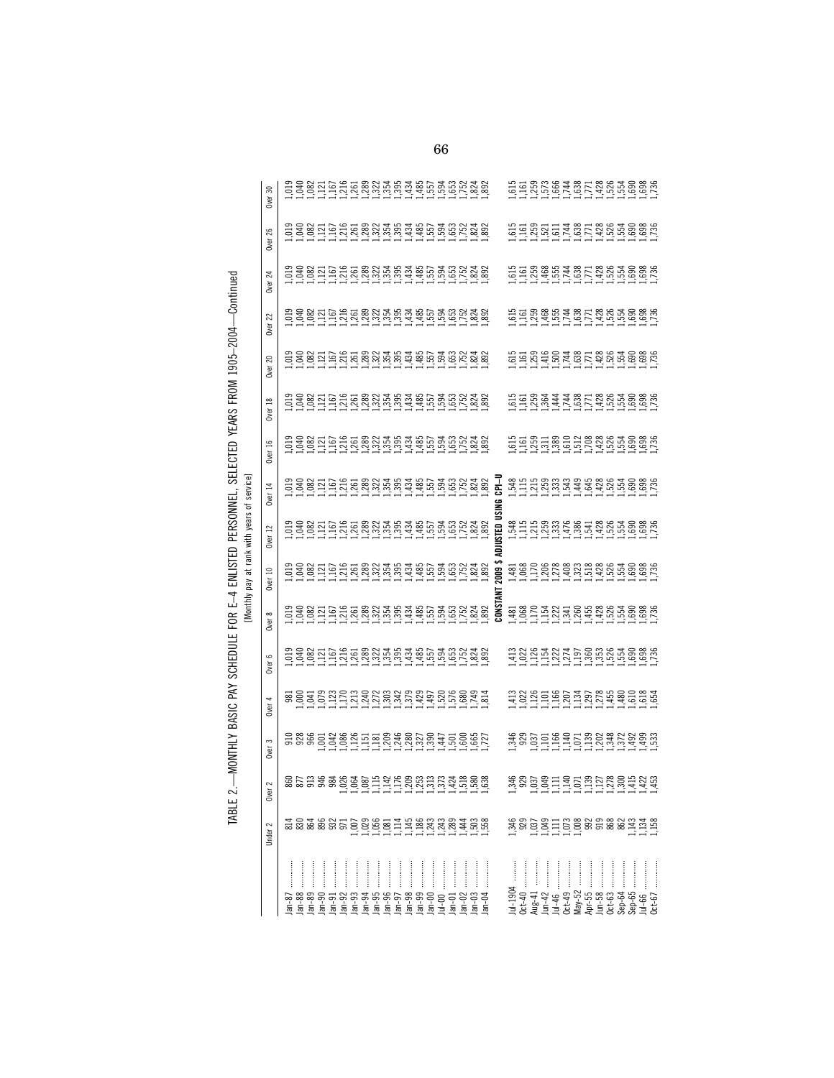|                                             | Over 30                  |                                                                     |          |  |  |                                                                                                                              |  |               |          |          |          |         |          |         |          |              |                      |          |             |          |        |             |  |                                                          |  | ن شامان شامان المعاملات المعاملات المعاملة<br>المعاملة المعاملة المعاملة المعاملة المعاملة المعاملة المعاملة المعاملة المعاملة المعاملة المعاملة المعاملة ال                                                                                                                                                                                      |
|---------------------------------------------|--------------------------|---------------------------------------------------------------------|----------|--|--|------------------------------------------------------------------------------------------------------------------------------|--|---------------|----------|----------|----------|---------|----------|---------|----------|--------------|----------------------|----------|-------------|----------|--------|-------------|--|----------------------------------------------------------|--|---------------------------------------------------------------------------------------------------------------------------------------------------------------------------------------------------------------------------------------------------------------------------------------------------------------------------------------------------|
|                                             | 26<br><b>Over</b>        |                                                                     |          |  |  |                                                                                                                              |  |               |          |          |          |         |          |         |          |              |                      |          |             |          |        |             |  |                                                          |  |                                                                                                                                                                                                                                                                                                                                                   |
|                                             | $\mathbb{Z}$<br>Over     |                                                                     |          |  |  |                                                                                                                              |  |               |          |          |          |         |          |         |          |              |                      |          |             |          |        |             |  |                                                          |  | $\begin{array}{c}\n 1.61 \\  1.61 \\  1.61 \\  1.61 \\  1.62 \\  1.63 \\  1.64 \\  1.65 \\  1.67 \\  1.68 \\  1.67 \\  1.69 \\  1.60 \\  1.60 \\  1.60 \\  1.60 \\  1.60 \\  1.60 \\  1.60 \\  1.60 \\  1.60 \\  1.60 \\  1.60 \\  1.60 \\  1.60 \\  1.60 \\  1.60 \\  1.60 \\  1.60 \\  1.60 \\  1.60 \\  1.60 \\  1.60 \\  1.60 \\  1.60 \\  1$ |
|                                             | 22<br>Over               |                                                                     |          |  |  |                                                                                                                              |  |               |          |          |          |         |          |         |          |              |                      |          |             |          |        |             |  |                                                          |  | <u>ថ្មដំបូងដូច ដែលចូច ដែល</u>                                                                                                                                                                                                                                                                                                                     |
|                                             | $\approx$<br><b>Over</b> |                                                                     |          |  |  | <u>្ញ ទន្លីដ្ឋាដូដ្ឋមន្ត្រីអង្គុង មូដូដូដូដូដូដូ</u><br>តូទន្លីដ្ឋាដូដូដូដូដូដូដូដូដូដូដូដូដូដូដូ                            |  |               |          |          |          |         |          |         |          |              |                      |          |             |          |        |             |  |                                                          |  | កូដូបូដូច្នេះ កូដូចូចូនដូ                                                                                                                                                                                                                                                                                                                         |
|                                             | <b>Over 18</b>           |                                                                     |          |  |  |                                                                                                                              |  |               |          |          |          |         |          |         |          |              |                      |          |             |          |        |             |  |                                                          |  |                                                                                                                                                                                                                                                                                                                                                   |
|                                             | Over 16                  |                                                                     |          |  |  |                                                                                                                              |  |               |          |          |          |         |          |         |          |              |                      |          |             |          |        |             |  |                                                          |  |                                                                                                                                                                                                                                                                                                                                                   |
|                                             | Over 14                  |                                                                     |          |  |  |                                                                                                                              |  |               |          |          |          |         |          |         |          | 곹<br>g       |                      |          |             |          |        |             |  |                                                          |  |                                                                                                                                                                                                                                                                                                                                                   |
| [Monthly pay at rank with years of service] | $\overline{12}$<br>Over  |                                                                     |          |  |  |                                                                                                                              |  |               |          |          |          |         |          |         |          | ន្ទ<br>STED  |                      |          |             |          |        |             |  |                                                          |  | <u>ជ្ជុំក្នុងប្លែក ដែលស្រុក ទិន ម</u>                                                                                                                                                                                                                                                                                                             |
|                                             | Over 10                  | <u>ក្នុំ ទី ភ្នំ ក្នុំ ដូក្ដី ដូន អ្នកមួយ ដូច ដូច ដូច និន្ទុ និ</u> |          |  |  |                                                                                                                              |  |               |          |          |          |         |          |         |          | ខ្លី         |                      |          |             |          |        |             |  |                                                          |  |                                                                                                                                                                                                                                                                                                                                                   |
|                                             | $\infty$<br>Over         |                                                                     |          |  |  | <u>់ ರಂದ ಕರೆದ ರಂದ ಬೆಳ್ಳಬೆಳ್ಳು ಕರೆದುಕೆದರಿಂದ ಕರೆದ</u><br>ವಿ ಕೆ ಜೆ <u>ಬೆ ಗ್ರಾ</u> ಕ್ಷ ಜೆ ಜೆ ಬೆ ಬೆ ಬೆ ಬೆ ಬೆ ಬೆ ಬೆ ಬೆ ಬೆ ಬೆ ಬೆ ಬೆ |  |               |          |          |          |         |          |         |          | <b>LSNO2</b> |                      |          |             |          |        |             |  |                                                          |  |                                                                                                                                                                                                                                                                                                                                                   |
|                                             | Over 6                   |                                                                     |          |  |  |                                                                                                                              |  |               |          |          |          |         |          |         |          |              |                      |          |             |          |        |             |  |                                                          |  |                                                                                                                                                                                                                                                                                                                                                   |
|                                             | Over 4                   |                                                                     |          |  |  |                                                                                                                              |  |               |          |          |          |         |          |         |          |              |                      |          |             |          |        |             |  |                                                          |  | 11111111111111111110161                                                                                                                                                                                                                                                                                                                           |
|                                             | S<br><b>Over</b>         |                                                                     |          |  |  |                                                                                                                              |  |               |          |          |          |         |          |         |          |              |                      |          |             |          |        |             |  |                                                          |  |                                                                                                                                                                                                                                                                                                                                                   |
|                                             | $\sim$<br>Över           | 80538880665146883545888                                             |          |  |  |                                                                                                                              |  |               |          |          |          |         |          |         |          |              |                      |          |             |          |        |             |  |                                                          |  |                                                                                                                                                                                                                                                                                                                                                   |
|                                             | Under 2                  |                                                                     |          |  |  |                                                                                                                              |  |               |          |          |          |         |          |         |          |              |                      |          |             |          |        |             |  |                                                          |  |                                                                                                                                                                                                                                                                                                                                                   |
|                                             |                          |                                                                     |          |  |  |                                                                                                                              |  | $\frac{1}{2}$ |          |          |          |         |          |         |          |              | $\ddot{\phantom{a}}$ |          |             |          |        |             |  |                                                          |  |                                                                                                                                                                                                                                                                                                                                                   |
|                                             |                          | $an-87$                                                             | $Jan-88$ |  |  |                                                                                                                              |  |               | $Jan-98$ | $Jan-99$ | $Jan-00$ | $ul-00$ | $lan-01$ | $an-02$ | $lan-03$ |              | $ul-1904$            | $0ct-40$ | $\mu$ ug-41 | $Jun-42$ | Jul-46 | $0c t - 49$ |  | May-52<br>Apr-55<br>Jun-58<br>Sep-64<br>Sep-65<br>Sep-65 |  | $0ct-67$                                                                                                                                                                                                                                                                                                                                          |

TABLE 2.-WONTHLY BASIC PAY SCHEDULE FOR E-4 ENLISTED PERSONNEL, SELECTED YEARS FROM 1905-2004-Continued TABLE 2.—MONTHLY BASIC PAY SCHEDULE FOR E–4 ENLISTED PERSONNEL, SELECTED YEARS FROM 1905–2004—Continued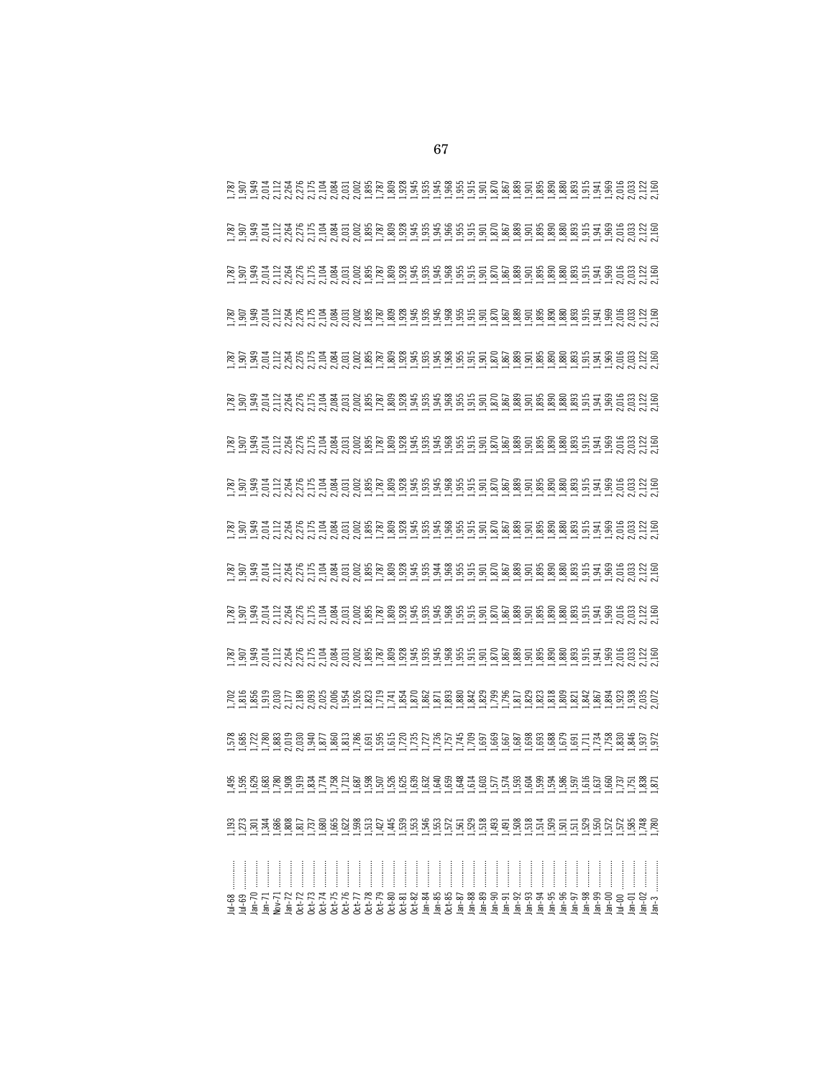|         | TH THOLY SYSTEM SHOW THATH THATH THATH THATH THATH THATH THATH<br>LA THATH THAO COMAL THATH THATH THATH THATH THATH THATH THATH THATH THATH THATH THATH THATH THATH THATH THATH                                                 |          |         |                                                                                                                                                                                                                                                                                                                                                                                                                                                                                        |          |              |           |          |          |          |               |        |              |                        |          |          |               |          |               |          |          |          |          |          |          |        |  |  |        |          |          |         |
|---------|---------------------------------------------------------------------------------------------------------------------------------------------------------------------------------------------------------------------------------|----------|---------|----------------------------------------------------------------------------------------------------------------------------------------------------------------------------------------------------------------------------------------------------------------------------------------------------------------------------------------------------------------------------------------------------------------------------------------------------------------------------------------|----------|--------------|-----------|----------|----------|----------|---------------|--------|--------------|------------------------|----------|----------|---------------|----------|---------------|----------|----------|----------|----------|----------|----------|--------|--|--|--------|----------|----------|---------|
|         | $1.11, 1.01, 0.01, 0.01, 0.01, 0.01, 0.01, 0.01, 0.01, 0.01, 0.01, 0.01, 0.01, 0.01, 0.01, 0.01, 0.01, 0.01, 0.01, 0.01, 0.01, 0.01, 0.01, 0.01, 0.01, 0.01, 0.01, 0.01, 0.01, 0.01, 0.01, 0.01, 0.01, 0.01, 0.01, 0.01, 0.01$  |          |         |                                                                                                                                                                                                                                                                                                                                                                                                                                                                                        |          |              |           |          |          |          |               |        |              |                        |          |          |               |          |               |          |          |          |          |          |          |        |  |  |        |          |          |         |
|         |                                                                                                                                                                                                                                 |          |         |                                                                                                                                                                                                                                                                                                                                                                                                                                                                                        |          |              |           |          |          |          |               |        |              |                        |          |          |               |          |               |          |          |          |          |          |          |        |  |  |        |          |          |         |
|         |                                                                                                                                                                                                                                 |          |         |                                                                                                                                                                                                                                                                                                                                                                                                                                                                                        |          |              |           |          |          |          |               |        |              |                        |          |          |               |          |               |          |          |          |          |          |          |        |  |  |        |          |          |         |
|         | いいかだいだいだいがいがい コンピューション こういん こうかい こうまん こうじじょう こうじょう こうこうじょう こうしょう こうしょう こうじょう こうきょう こうじじょう こうじょう こうじょう                                                                                                                           |          |         |                                                                                                                                                                                                                                                                                                                                                                                                                                                                                        |          |              |           |          |          |          |               |        |              |                        |          |          |               |          |               |          |          |          |          |          |          |        |  |  |        |          |          |         |
|         |                                                                                                                                                                                                                                 |          |         |                                                                                                                                                                                                                                                                                                                                                                                                                                                                                        |          |              |           |          |          |          |               |        |              |                        |          |          |               |          |               |          |          |          |          |          |          |        |  |  |        |          |          |         |
|         |                                                                                                                                                                                                                                 |          |         |                                                                                                                                                                                                                                                                                                                                                                                                                                                                                        |          |              |           |          |          |          |               |        |              |                        |          |          |               |          |               |          |          |          |          |          |          |        |  |  |        |          |          |         |
|         |                                                                                                                                                                                                                                 |          |         |                                                                                                                                                                                                                                                                                                                                                                                                                                                                                        |          |              |           |          |          |          |               |        |              |                        |          |          |               |          |               |          |          |          |          |          |          |        |  |  |        |          |          |         |
|         | di no di no di non di non di non di non di non di non di non di non di non di non di non di non di non di non<br>Polo di mpia di non di non di non di non di non di non di non di non di non di non di non di non di non di non |          |         |                                                                                                                                                                                                                                                                                                                                                                                                                                                                                        |          |              |           |          |          |          |               |        |              |                        |          |          |               |          |               |          |          |          |          |          |          |        |  |  |        |          |          |         |
|         | ដ្ឋ អំប្លំដាំ តំនាំនាំ ដំប៉ា តំប៉ា ដំប៉ា ដំប៉ា ដំប៉ា ដំប៉ា ដំប៉ា ដំប៉ា ដំប៉ា ដំប៉ា ដំប៉ា ដំប៉ា ដំប៉ា ដំប៉ា ដំប<br>នា ដូ ១ មិន និ ដ្ឋ ២ និ គិន អន្លាប់ មិន ដូ មិន និ និ មិន និ ដូ និ និ និ និ ដូ និ ១ ដូ និ មិ ដូ និ មិ ដូ និ និ |          |         |                                                                                                                                                                                                                                                                                                                                                                                                                                                                                        |          |              |           |          |          |          |               |        |              |                        |          |          |               |          |               |          |          |          |          |          |          |        |  |  |        |          |          |         |
|         |                                                                                                                                                                                                                                 |          |         | $\begin{array}{cccccccccc} \multicolumn{2}{c}{} & \multicolumn{2}{c}{} & \multicolumn{2}{c}{} & \multicolumn{2}{c}{} & \multicolumn{2}{c}{} & \multicolumn{2}{c}{} & \multicolumn{2}{c}{} & \multicolumn{2}{c}{} & \multicolumn{2}{c}{} & \multicolumn{2}{c}{} & \multicolumn{2}{c}{} & \multicolumn{2}{c}{} & \multicolumn{2}{c}{} & \multicolumn{2}{c}{} & \multicolumn{2}{c}{} & \multicolumn{2}{c}{} & \multicolumn{2}{c}{} & \multicolumn{2}{c}{} & \multicolumn{2}{c}{} & \mult$ |          |              |           | $\cdots$ |          |          | $\frac{1}{2}$ |        |              |                        | $\cdots$ |          | $\frac{1}{2}$ |          | $\frac{1}{2}$ |          |          |          |          |          |          | Jan-95 |  |  | Jan-00 |          |          |         |
| $ul-68$ |                                                                                                                                                                                                                                 | $lan-70$ | $an-71$ | $Nov-71$                                                                                                                                                                                                                                                                                                                                                                                                                                                                               | $lan-72$ | $0$ ct- $72$ | $0$ ct-73 | $Oct-74$ | $Oct-75$ | $Oct-76$ | $0$ ct- $77$  | 0ct-78 | $0$ ct- $79$ | $0c$ t-80<br>$0c$ t-81 | $0ct-82$ | $Jan-84$ | $Jan-85$      | $Oct-85$ | $Jan-87$      | $Jan-88$ | $Jan-89$ | $Jan-90$ | $Jan-91$ | $Jan-92$ | $Jan-94$ |        |  |  |        | $lan-01$ | $Jan-02$ | $lan-3$ |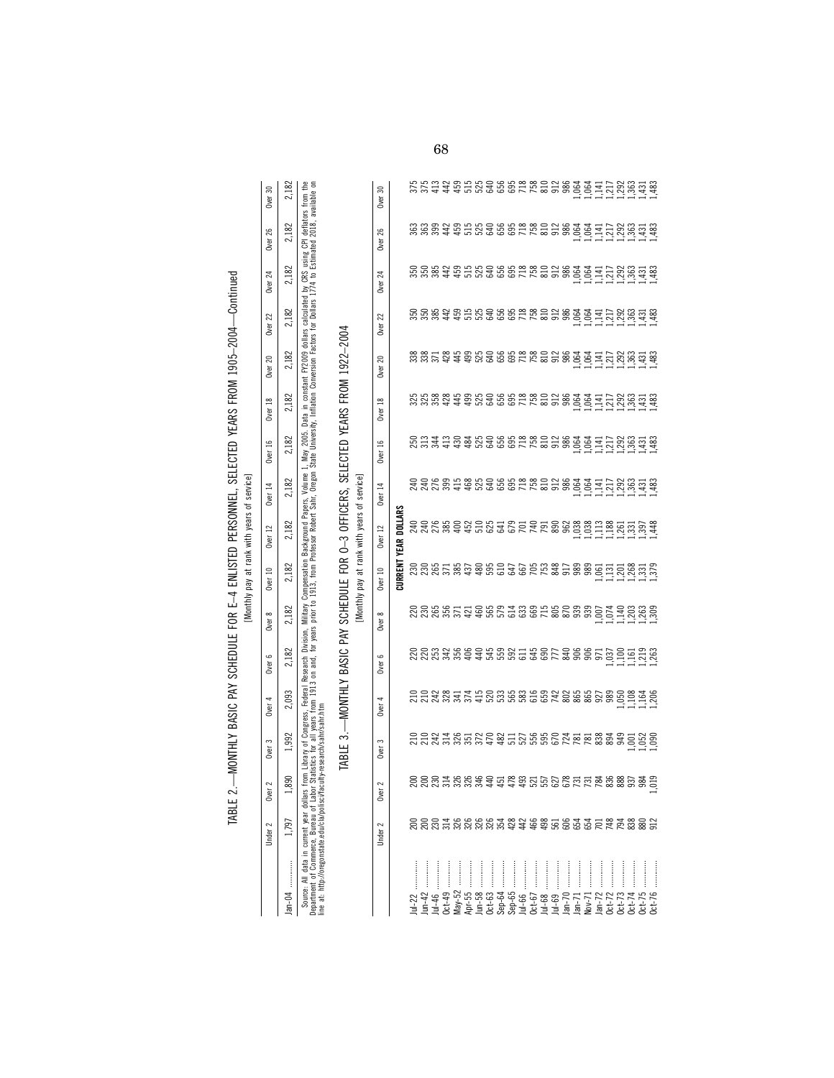| ,<br>,<br>j                                                        |
|--------------------------------------------------------------------|
|                                                                    |
| . Cec Leer sickle cells aller aller<br>$\frac{1}{2}$               |
|                                                                    |
|                                                                    |
|                                                                    |
| $\vdots$                                                           |
|                                                                    |
|                                                                    |
|                                                                    |
| ֖֖֖֖֖֖֖֖ׅ֪ׅ֪ׅ֖ׅ֪ׅ֪֪ׅ֖֪ׅ֖֧ׅ֧֪ׅ֪֪֪ׅ֖֚֚֚֚֚֚֚֚֚֚֚֚֚֚֚֚֚֚֚֚֚֚֬֝֬֓֞֝֬֓֞֬ |
|                                                                    |
| )<br> <br>                                                         |
|                                                                    |
|                                                                    |
|                                                                    |
|                                                                    |
|                                                                    |
|                                                                    |
| Ì                                                                  |
| ֖֖֖֖֢ׅ֚֚֚֚֚֚֚֚֚֚֚֚֚֚֬֝֝֝֝֝֓֓֓ <b>֓</b>                             |
|                                                                    |
|                                                                    |
| ו<br>ו                                                             |
|                                                                    |
|                                                                    |
|                                                                    |
|                                                                    |
|                                                                    |
|                                                                    |
|                                                                    |
|                                                                    |
|                                                                    |
|                                                                    |
|                                                                    |
| j<br>J<br>֚֕֕֡                                                     |
| ֖֖֖֖֖֖֖֖֧ׅ֖ׅ֖ׅ֖֖֧ׅ֪ׅ֖֧֚֚֚֚֚֚֚֚֚֚֚֚֚֚֚֚֚֚֚֚֚֚֚֬֝֝֝                  |
|                                                                    |

| ervici |
|--------|
| а      |
| Rars   |
| ţ      |
| rank   |
| ಕ      |
| ā      |
|        |

|                                                                                                                 | Under 2 | Uver                                       | Over 3        | Over 4 | Over 6                                                                                                                                  | Over 8 | Over 10 | Over 12            | Over 14 | Over 16                     | Over 18 | Over 20 | Over 22                                                                                                                                                                                                            | Over 24 | <b>Over 26</b> | Over 30 |
|-----------------------------------------------------------------------------------------------------------------|---------|--------------------------------------------|---------------|--------|-----------------------------------------------------------------------------------------------------------------------------------------|--------|---------|--------------------|---------|-----------------------------|---------|---------|--------------------------------------------------------------------------------------------------------------------------------------------------------------------------------------------------------------------|---------|----------------|---------|
|                                                                                                                 | 797     | ඝ                                          | .992          | 2,093  | 2,182                                                                                                                                   | 2,182  | 2,182   | 2,182              | 2,182   | 2,182                       | 2,182   | 2,182   | 2,182                                                                                                                                                                                                              | 2,182   | 2,182          | 2,182   |
| epartment of Commerce. Bureau of Labor<br>Source: All data in current year dollars<br>at: http://oregonstate.ed |         | <b>Statistics</b><br>the moministics.<br>ē | š<br>researcl |        | years from 1913 on and, for years prior to 1913, from Professor Robert Sahr.<br>Congress, Federal Research Division, Military Compensa' |        |         | Background Papers. |         | ar, Oregon State University |         |         | , Volume 1, May 2005. Data in constant FY2009 dollars calculated by CRS using CPI deflators from the<br>ir. Oregon State University. Inflation Conversion Factors for Dollars 1774 to Estimated 2018, available on |         |                |         |

TABLE 3.--MONTHLY BASIC PAY SCHEDULE FOR O-3 OFFICERS, SELECTED YEARS FROM 1922-2004 TABLE 3.—MONTHLY BASIC PAY SCHEDULE FOR O–3 OFFICERS, SELECTED YEARS FROM 1922–2004

[Monthly pay at rank with years of service]

|               | Under 2                                                   | 2<br>Over                       | Over 3                                                                             | <b>Over</b> | Over <sub>6</sub>                               | Over 8                                                                                             | Over 10                                                                                                                                                       | Over 12          | Over 14 | مب<br>Över                                               | <b>Over 18</b> | 20<br><b>Over</b>                                                                                                                                                                                                                                                                                           | 22<br><b>Over</b> | 24<br>Över | 26<br>Over | Over 30 |
|---------------|-----------------------------------------------------------|---------------------------------|------------------------------------------------------------------------------------|-------------|-------------------------------------------------|----------------------------------------------------------------------------------------------------|---------------------------------------------------------------------------------------------------------------------------------------------------------------|------------------|---------|----------------------------------------------------------|----------------|-------------------------------------------------------------------------------------------------------------------------------------------------------------------------------------------------------------------------------------------------------------------------------------------------------------|-------------------|------------|------------|---------|
|               |                                                           |                                 |                                                                                    |             |                                                 |                                                                                                    | CURRENT                                                                                                                                                       | DOLLARS<br>YF AR |         |                                                          |                |                                                                                                                                                                                                                                                                                                             |                   |            |            |         |
|               |                                                           |                                 |                                                                                    |             |                                                 |                                                                                                    |                                                                                                                                                               |                  |         |                                                          |                |                                                                                                                                                                                                                                                                                                             |                   |            |            |         |
|               |                                                           |                                 |                                                                                    |             |                                                 |                                                                                                    |                                                                                                                                                               |                  |         |                                                          |                |                                                                                                                                                                                                                                                                                                             |                   |            |            |         |
|               |                                                           |                                 |                                                                                    |             |                                                 |                                                                                                    |                                                                                                                                                               |                  |         |                                                          |                |                                                                                                                                                                                                                                                                                                             |                   |            |            |         |
|               |                                                           |                                 |                                                                                    |             |                                                 |                                                                                                    |                                                                                                                                                               |                  |         |                                                          |                |                                                                                                                                                                                                                                                                                                             |                   |            |            |         |
|               |                                                           |                                 |                                                                                    |             |                                                 |                                                                                                    |                                                                                                                                                               |                  |         |                                                          |                |                                                                                                                                                                                                                                                                                                             |                   |            |            |         |
|               |                                                           |                                 |                                                                                    |             |                                                 |                                                                                                    |                                                                                                                                                               |                  |         |                                                          |                |                                                                                                                                                                                                                                                                                                             |                   |            |            |         |
|               |                                                           |                                 |                                                                                    |             |                                                 |                                                                                                    |                                                                                                                                                               |                  |         |                                                          |                |                                                                                                                                                                                                                                                                                                             |                   |            |            |         |
|               |                                                           |                                 |                                                                                    |             |                                                 |                                                                                                    |                                                                                                                                                               |                  |         |                                                          |                |                                                                                                                                                                                                                                                                                                             |                   |            |            |         |
| $\frac{1}{2}$ |                                                           |                                 |                                                                                    |             |                                                 |                                                                                                    |                                                                                                                                                               |                  |         |                                                          |                |                                                                                                                                                                                                                                                                                                             |                   |            |            |         |
|               |                                                           |                                 |                                                                                    |             |                                                 |                                                                                                    |                                                                                                                                                               |                  |         |                                                          |                |                                                                                                                                                                                                                                                                                                             |                   |            |            |         |
|               |                                                           |                                 |                                                                                    |             |                                                 |                                                                                                    |                                                                                                                                                               |                  |         |                                                          |                |                                                                                                                                                                                                                                                                                                             |                   |            |            |         |
|               | 000116666186468565156458865<br>00011666666566666666666666 | 0000188889188855858858558885855 | 13 13 14 14 16 16 16 16 16 16 16 16 16 16 16 17 18 18 18 18 18 18 18 18 19 19 19 1 |             | <u>នន្ទន្ទអូតទូទអូតទូនដូចទទួលទទួលទូទដូចដូចទ</u> | 8 8 8 8 5 5 4 5 6 6 7 8 9 9 5 8 9 9 9 5 7 9 8 9 9<br>8 9 8 9 5 7 9 9 9 7 9 9 9 9 9 9 9 9 9 7 9 9 9 | <b>Karaka Banda Banda Banda Banda Banda</b><br>Karaka Banda Banda Banda Banda Banda Banda Banda Banda Banda Banda Banda Banda Banda Banda Banda Banda Banda B |                  |         | 8 ដង្កូដ មិន មិន មិន ដូច មិន ដូច ដូច ដូច ដូច ដូច ដូច ដូច |                | $\frac{1}{32}$ $\frac{1}{32}$ $\frac{1}{32}$ $\frac{1}{32}$ $\frac{1}{32}$ $\frac{1}{32}$ $\frac{1}{32}$ $\frac{1}{32}$ $\frac{1}{32}$ $\frac{1}{32}$ $\frac{1}{32}$ $\frac{1}{32}$ $\frac{1}{32}$ $\frac{1}{32}$ $\frac{1}{32}$ $\frac{1}{32}$ $\frac{1}{32}$ $\frac{1}{32}$ $\frac{1}{32}$ $\frac{1}{32}$ |                   |            |            |         |
|               |                                                           |                                 |                                                                                    |             |                                                 |                                                                                                    |                                                                                                                                                               |                  |         |                                                          |                |                                                                                                                                                                                                                                                                                                             |                   |            |            |         |
|               |                                                           |                                 |                                                                                    |             |                                                 |                                                                                                    |                                                                                                                                                               |                  |         |                                                          |                |                                                                                                                                                                                                                                                                                                             |                   |            |            |         |
|               |                                                           |                                 |                                                                                    |             |                                                 |                                                                                                    |                                                                                                                                                               |                  |         |                                                          |                |                                                                                                                                                                                                                                                                                                             |                   |            |            |         |
|               |                                                           |                                 |                                                                                    |             |                                                 |                                                                                                    |                                                                                                                                                               |                  |         |                                                          |                |                                                                                                                                                                                                                                                                                                             |                   |            |            |         |
|               |                                                           |                                 |                                                                                    |             |                                                 |                                                                                                    |                                                                                                                                                               |                  |         |                                                          |                |                                                                                                                                                                                                                                                                                                             |                   |            |            |         |
| $\frac{1}{2}$ |                                                           |                                 |                                                                                    |             |                                                 |                                                                                                    |                                                                                                                                                               |                  |         |                                                          |                |                                                                                                                                                                                                                                                                                                             |                   |            |            |         |
|               |                                                           |                                 |                                                                                    |             |                                                 |                                                                                                    |                                                                                                                                                               |                  |         |                                                          |                |                                                                                                                                                                                                                                                                                                             |                   |            |            |         |
|               |                                                           |                                 |                                                                                    |             |                                                 |                                                                                                    |                                                                                                                                                               |                  |         |                                                          |                |                                                                                                                                                                                                                                                                                                             |                   |            |            |         |
|               |                                                           |                                 |                                                                                    |             |                                                 |                                                                                                    |                                                                                                                                                               |                  |         |                                                          |                |                                                                                                                                                                                                                                                                                                             |                   |            |            |         |
|               |                                                           |                                 |                                                                                    |             |                                                 |                                                                                                    |                                                                                                                                                               |                  |         |                                                          |                |                                                                                                                                                                                                                                                                                                             |                   |            |            |         |
|               |                                                           |                                 |                                                                                    |             |                                                 |                                                                                                    |                                                                                                                                                               |                  |         |                                                          |                |                                                                                                                                                                                                                                                                                                             |                   |            |            |         |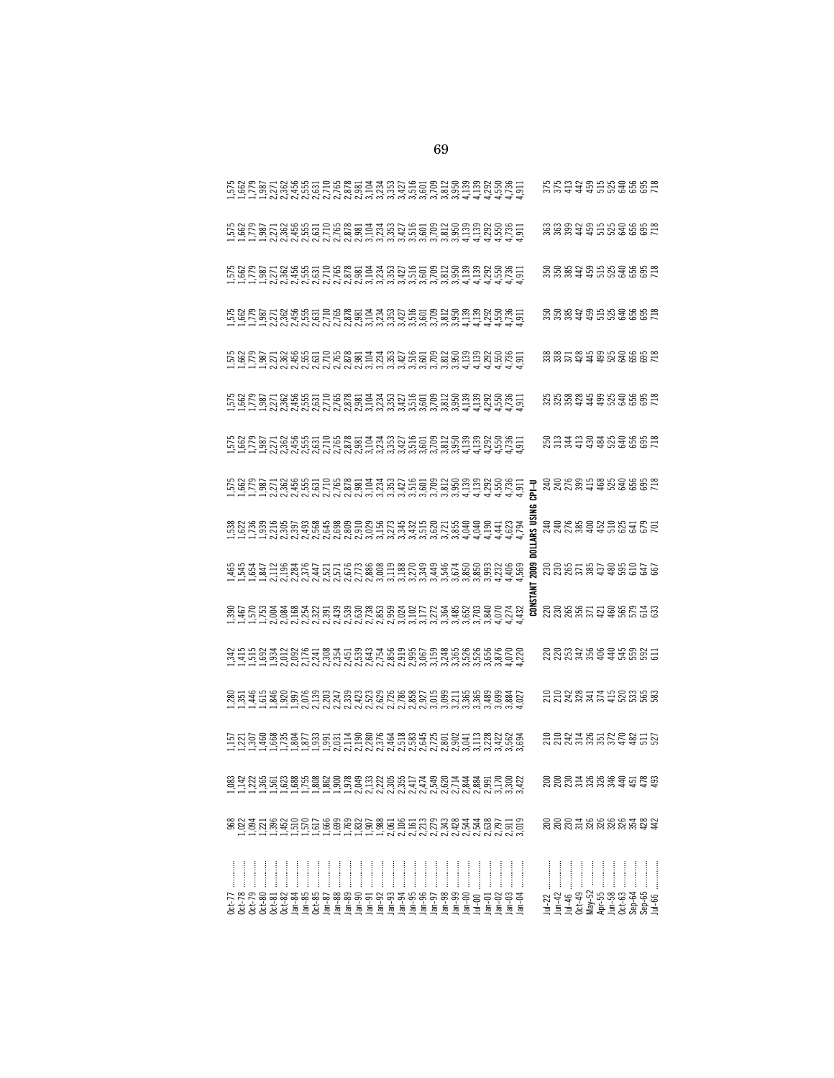|                           |  |  |  |  |               |          |          |  |  |  |               |  |          |       |          |                                                                                                                                                                                                                                  |          |               |         |          |        |           |               |                            |          | 5.588495656567                                                                                                       |
|---------------------------|--|--|--|--|---------------|----------|----------|--|--|--|---------------|--|----------|-------|----------|----------------------------------------------------------------------------------------------------------------------------------------------------------------------------------------------------------------------------------|----------|---------------|---------|----------|--------|-----------|---------------|----------------------------|----------|----------------------------------------------------------------------------------------------------------------------|
|                           |  |  |  |  |               |          |          |  |  |  |               |  |          |       |          |                                                                                                                                                                                                                                  |          |               |         |          |        |           |               |                            |          |                                                                                                                      |
|                           |  |  |  |  |               |          |          |  |  |  |               |  |          |       |          |                                                                                                                                                                                                                                  |          |               |         |          |        |           |               |                            |          |                                                                                                                      |
|                           |  |  |  |  |               |          |          |  |  |  |               |  |          |       |          |                                                                                                                                                                                                                                  |          |               |         |          |        |           |               |                            |          | 8.8884986868878                                                                                                      |
|                           |  |  |  |  |               |          |          |  |  |  |               |  |          |       |          |                                                                                                                                                                                                                                  |          |               |         |          |        |           |               |                            |          | somare as sesses                                                                                                     |
|                           |  |  |  |  |               |          |          |  |  |  |               |  |          |       |          |                                                                                                                                                                                                                                  |          |               |         |          |        |           |               |                            |          |                                                                                                                      |
|                           |  |  |  |  |               |          |          |  |  |  |               |  |          |       |          |                                                                                                                                                                                                                                  |          |               |         |          |        |           |               |                            |          | <b>ARK REARATED</b>                                                                                                  |
|                           |  |  |  |  |               |          |          |  |  |  |               |  |          |       |          |                                                                                                                                                                                                                                  |          |               |         |          |        |           |               |                            |          | sserssagsaas                                                                                                         |
|                           |  |  |  |  |               |          |          |  |  |  |               |  |          |       |          | u u u u os granda de casas de casas de casas de casas de casas de casas de casas de casas de casas de casas de<br>Se de casas de casas de segunda de casas de casas de casas de casas de casas de casas de casas de casas de cas |          |               |         |          |        |           |               |                            |          |                                                                                                                      |
|                           |  |  |  |  |               |          |          |  |  |  |               |  |          |       |          | はれたけいとのにとりにとっていいといいます。またほおいいいは、これにはいいことにとっていいことでいいます。またはないようないようなのです。                                                                                                                                                            |          |               |         |          |        |           |               |                            |          |                                                                                                                      |
|                           |  |  |  |  |               |          |          |  |  |  |               |  |          |       |          |                                                                                                                                                                                                                                  |          |               |         |          |        |           |               |                            |          | 2228877528888                                                                                                        |
|                           |  |  |  |  |               |          |          |  |  |  |               |  |          |       |          |                                                                                                                                                                                                                                  |          |               |         |          |        |           |               |                            |          | <b>SSSE SERVE SER</b>                                                                                                |
|                           |  |  |  |  |               |          |          |  |  |  |               |  |          |       |          |                                                                                                                                                                                                                                  |          |               |         |          |        |           |               |                            |          | gggaagaagaas                                                                                                         |
|                           |  |  |  |  |               |          |          |  |  |  |               |  |          |       |          |                                                                                                                                                                                                                                  |          |               |         |          |        |           |               |                            |          |                                                                                                                      |
|                           |  |  |  |  | $\frac{1}{2}$ | $\cdots$ | $\cdots$ |  |  |  | $\frac{1}{2}$ |  |          |       |          |                                                                                                                                                                                                                                  |          | $\frac{1}{2}$ |         |          |        |           | $\frac{1}{2}$ |                            |          |                                                                                                                      |
| 77<br>278<br>2005<br>2006 |  |  |  |  |               |          |          |  |  |  |               |  | $lan-00$ | $-10$ | $lan-01$ | $lan-02$                                                                                                                                                                                                                         | $lan-03$ | $an-04$       | $ul-22$ | $lun-42$ | Jul-46 | $0c$ t-49 | $May-52$      | Apr-55<br>Jun-58<br>Oct-63 | $Sep-64$ | $\begin{array}{c} \mathsf{Sep}\text{-}\mathsf{65}\ \ldots \\ \mathsf{Jul}\text{-}\mathsf{66}\ \ldots \\ \end{array}$ |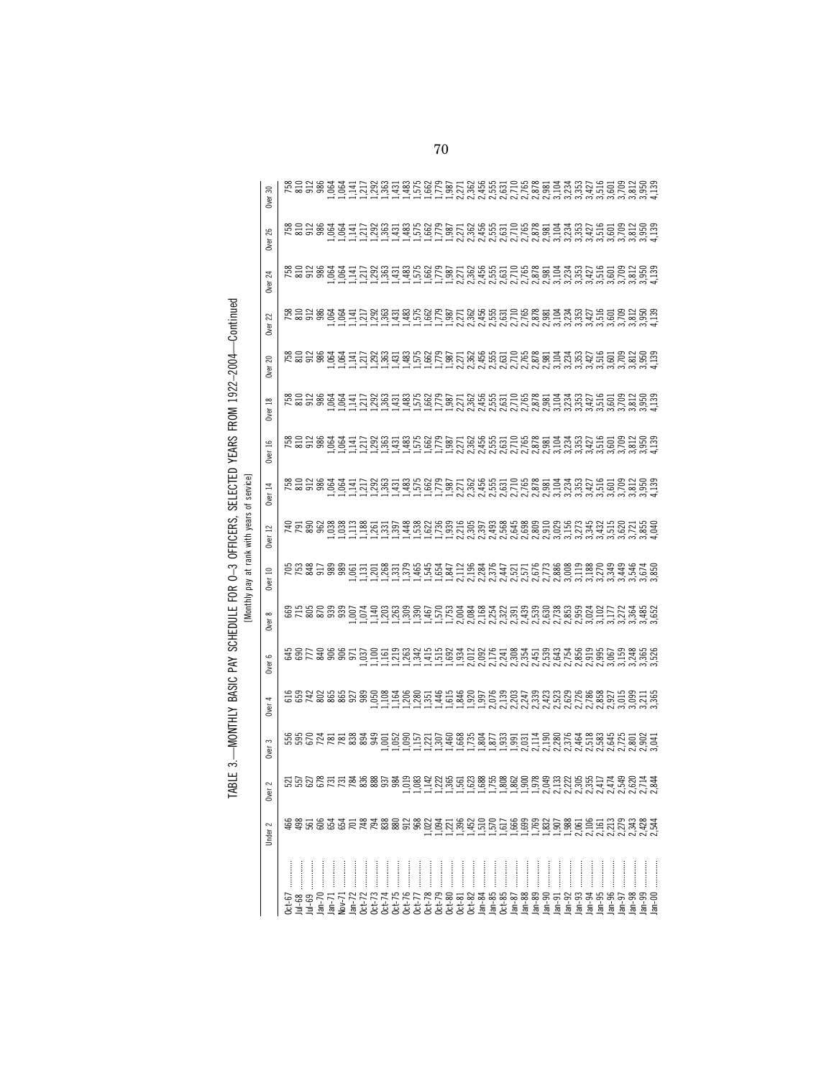|           |         |                       |                        |        |        |        |         | Monthly pay at rank with years of | service |                   |         |                          |                |                |                   |            |
|-----------|---------|-----------------------|------------------------|--------|--------|--------|---------|-----------------------------------|---------|-------------------|---------|--------------------------|----------------|----------------|-------------------|------------|
|           | Under 2 | $\sim$<br>Ser<br>Over | $\mathfrak{m}$<br>Over | Over 4 | Over 6 | Over 8 | Over 10 | $\overline{12}$<br><b>Over</b>    | Over 14 | 91<br><b>Over</b> | Over 18 | $\approx$<br><b>Over</b> | <b>Over 22</b> | <b>Over 24</b> | 26<br><b>Over</b> | 30<br>Over |
|           |         |                       |                        |        |        |        |         |                                   |         |                   |         |                          |                |                |                   |            |
|           |         |                       |                        |        |        |        |         |                                   |         |                   |         |                          |                |                |                   |            |
|           |         |                       |                        |        |        |        |         |                                   |         |                   |         |                          |                |                |                   |            |
|           |         |                       |                        |        |        |        |         |                                   |         |                   |         |                          |                |                |                   |            |
|           |         |                       |                        |        |        |        |         |                                   |         |                   |         |                          |                |                |                   |            |
|           |         |                       |                        |        |        |        |         |                                   |         |                   |         |                          |                |                |                   |            |
|           |         |                       |                        |        |        |        |         |                                   |         |                   |         |                          |                |                |                   |            |
|           |         |                       |                        |        |        |        |         |                                   |         |                   |         |                          |                |                |                   |            |
|           |         |                       |                        |        |        |        |         |                                   |         |                   |         |                          |                |                |                   |            |
| <br> <br> |         |                       |                        |        |        |        |         |                                   |         |                   |         |                          |                |                |                   |            |
|           |         |                       |                        |        |        |        |         |                                   |         |                   |         |                          |                |                |                   |            |
|           |         |                       |                        |        |        |        |         |                                   |         |                   |         |                          |                |                |                   |            |
|           |         |                       |                        |        |        |        |         |                                   |         |                   |         |                          |                |                |                   |            |
|           |         |                       |                        |        |        |        |         |                                   |         |                   |         |                          |                |                |                   |            |
|           |         |                       |                        |        |        |        |         |                                   |         |                   |         |                          |                |                |                   |            |
|           |         |                       |                        |        |        |        |         |                                   |         |                   |         |                          |                |                |                   |            |
|           |         |                       |                        |        |        |        |         |                                   |         |                   |         |                          |                |                |                   |            |
|           |         |                       |                        |        |        |        |         |                                   |         |                   |         |                          |                |                |                   |            |
|           |         |                       |                        |        |        |        |         |                                   |         |                   |         |                          |                |                |                   |            |
|           |         |                       |                        |        |        |        |         |                                   |         |                   |         |                          |                |                |                   |            |
|           |         |                       |                        |        |        |        |         |                                   |         |                   |         |                          |                |                |                   |            |
|           |         |                       |                        |        |        |        |         |                                   |         |                   |         |                          |                |                |                   |            |
|           |         |                       |                        |        |        |        |         |                                   |         |                   |         |                          |                |                |                   |            |
|           |         |                       |                        |        |        |        |         |                                   |         |                   |         |                          |                |                |                   |            |
|           |         |                       |                        |        |        |        |         |                                   |         |                   |         |                          |                |                |                   |            |
|           |         |                       |                        |        |        |        |         |                                   |         |                   |         |                          |                |                |                   |            |
|           |         |                       |                        |        |        |        |         |                                   |         |                   |         |                          |                |                |                   |            |
|           |         |                       |                        |        |        |        |         |                                   |         |                   |         |                          |                |                |                   |            |
|           |         |                       |                        |        |        |        |         |                                   |         |                   |         |                          |                |                |                   |            |
|           |         |                       |                        |        |        |        |         |                                   |         |                   |         |                          |                |                |                   |            |
|           |         |                       |                        |        |        |        |         |                                   |         |                   |         |                          |                |                |                   |            |
|           |         |                       |                        |        |        |        |         |                                   |         |                   |         |                          |                |                |                   |            |
|           |         |                       |                        |        |        |        |         |                                   |         |                   |         |                          |                |                |                   |            |
|           |         |                       |                        |        |        |        |         |                                   |         |                   |         |                          |                |                |                   |            |
|           | 2,428   |                       |                        |        |        |        |         |                                   |         |                   |         |                          |                |                |                   |            |
|           |         |                       |                        |        |        |        |         |                                   |         |                   |         |                          |                |                |                   |            |

TABLE 3.—MONTHLY BASIC PAY SCHEDULE FOR O-3 OFFICERS, SELECTED YEARS FROM 1922-2004—Continued<br>INvorthy and at an which was at rank with wears of service] TABLE 3.—MONTHLY BASIC PAY SCHEDULE FOR O–3 OFFICERS, SELECTED YEARS FROM 1922–2004—Continued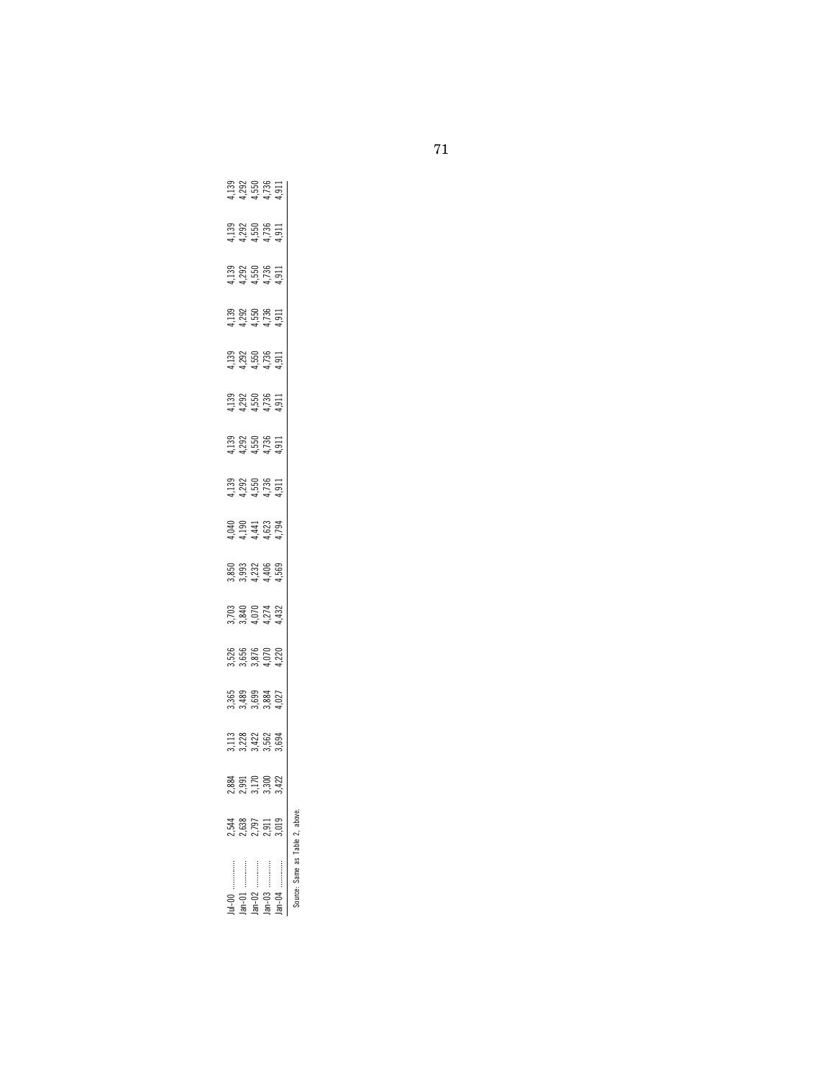|                       |       | 88.            |                                      |                                        |                                    |                            |                                 |                                                   |                            |                            |                                             |                                                    |                                                            |                            |                                 |
|-----------------------|-------|----------------|--------------------------------------|----------------------------------------|------------------------------------|----------------------------|---------------------------------|---------------------------------------------------|----------------------------|----------------------------|---------------------------------------------|----------------------------------------------------|------------------------------------------------------------|----------------------------|---------------------------------|
|                       | ,638  | $951$<br>$170$ | 113<br>1122<br>3023 1694<br>303 1694 | 565<br>3.489<br>3.384<br>3.827<br>4.93 | 5,526<br>5,656<br>3,6,872<br>4,4,4 | 3.840<br>8.840<br>3.841432 | 8503334569<br>850334569<br>8504 | $1,392$<br>$1,350$<br>$1,550$<br>$1,51$<br>$1,51$ | 33<br>1255<br>11555<br>115 | 4.755<br>4.7556<br>4.75511 | $1392000111$<br>$1.29000011$<br>$1.5000011$ | $139$<br>$139$<br>$155$<br>$155$<br>$151$<br>$151$ | $1.139$<br>$1.292$<br>$1.550$<br>$1.55$<br>$1.1$<br>$1.51$ | 33<br>1255<br>11555<br>115 |                                 |
| :<br>:<br>:<br>:<br>: | 2.797 |                |                                      |                                        |                                    |                            |                                 |                                                   |                            |                            |                                             |                                                    |                                                            |                            |                                 |
|                       | 2,911 | 300            |                                      |                                        |                                    |                            |                                 |                                                   |                            |                            |                                             |                                                    |                                                            |                            |                                 |
| :<br>:<br>:<br>:<br>: |       | 422            |                                      |                                        |                                    |                            |                                 |                                                   |                            |                            |                                             |                                                    |                                                            |                            | 1139<br>1255<br>1457511<br>1444 |
| مسماء والمحلية مستعنا |       |                |                                      |                                        |                                    |                            |                                 |                                                   |                            |                            |                                             |                                                    |                                                            |                            |                                 |

Source: Same as Table 2, above.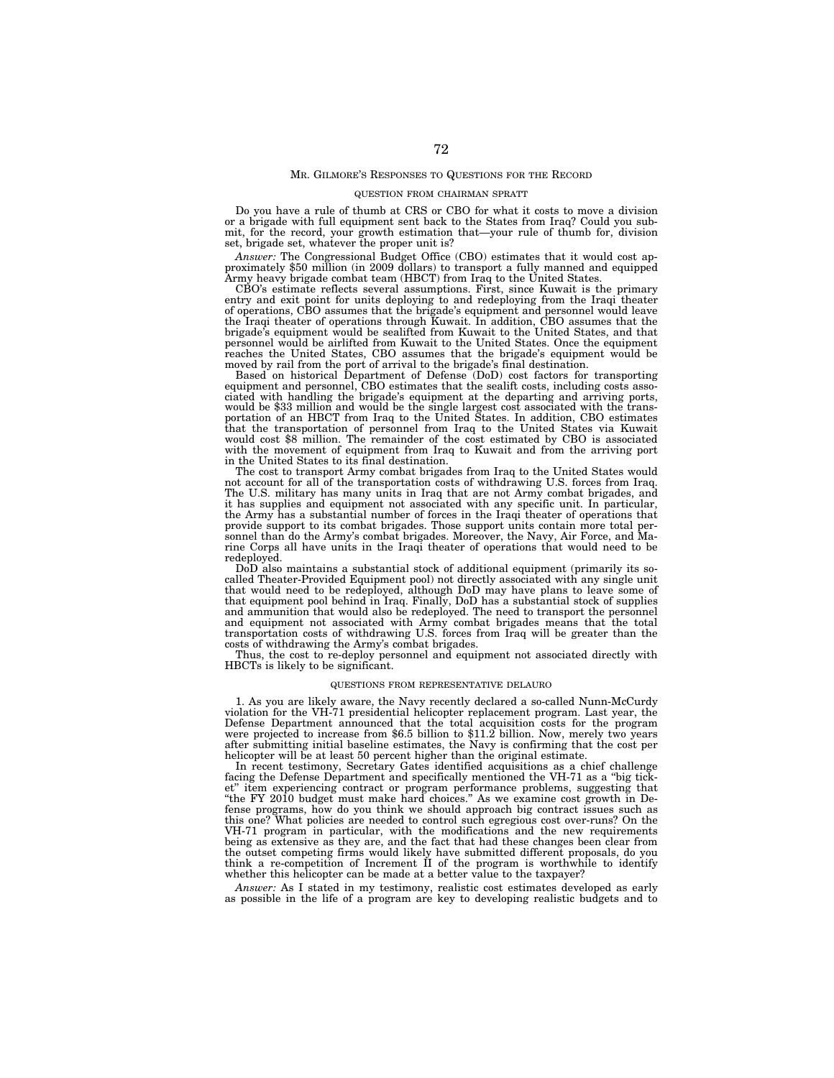### MR. GILMORE'S RESPONSES TO QUESTIONS FOR THE RECORD

## QUESTION FROM CHAIRMAN SPRATT

Do you have a rule of thumb at CRS or CBO for what it costs to move a division or a brigade with full equipment sent back to the States from Iraq? Could you submit, for the record, your growth estimation that—your rule of thumb for, division set, brigade set, whatever the proper unit is?<br>*Answer*: The Congressional Budget Office (CBO) estimates that it would cost ap-

Answer: The Congressional Budget Office (CBO) estimates that it would cost approximately \$50 million (in 2009 dollars) to transport a fully manned and equipped<br>Army heavy brigade combat team (HBCT) from Iraq to the United

CBO's estimate reflects several assumptions. First, since Kuwait is the primary entry and exit point for units deploying to and redeploying from the Iraqi theater of operations, CBO assumes that the brigade's equipment and personnel would leave the Iraqi theater of operations through Kuwait. In addition, CBO assumes that the brigade's equipment would be sealifted from Kuwait to the United States, and that personnel would be airlifted from Kuwait to the United States. Once the equipment reaches the United States, CBO assumes that the brigade's equipment would be

moved by rail from the port of arrival to the brigade's final destination. Based on historical Department of Defense (DoD) cost factors for transporting equipment and personnel, CBO estimates that the sealift costs, including costs associated with handling the brigade's equipment at the departing and arriving ports, would be \$33 million and would be the single largest cost associated with the trans-portation of an HBCT from Iraq to the United States. In addition, CBO estimates that the transportation of personnel from Iraq to the United States via Kuwait<br>would cost \$8 million. The remainder of the cost estimated by CBO is associated<br>with the movement of equipment from Iraq to Kuwait and from the in the United States to its final destination.

The cost to transport Army combat brigades from Iraq to the United States would not account for all of the transportation costs of withdrawing U.S. forces from Iraq. The U.S. military has many units in Iraq that are not Army combat brigades, and it has supplies and equipment not associated with any specific unit. In particular, the Army has a substantial number of forces in the Iraqi theater of operations that provide support to its combat brigades. Those support units contain more total per-sonnel than do the Army's combat brigades. Moreover, the Navy, Air Force, and Marine Corps all have units in the Iraqi theater of operations that would need to be redeployed.

DoD also maintains a substantial stock of additional equipment (primarily its so-called Theater-Provided Equipment pool) not directly associated with any single unit that would need to be redeployed, although DoD may have plans to leave some of that equipment pool behind in Iraq. Finally, DoD has a substantial stock of supplies and ammunition that would also be redeployed. The need to transport the personnel and equipment not associated with Army combat brigades means that the total transportation costs of withdrawing U.S. forces from Iraq will be greater than the costs of withdrawing the Army's combat brigades.

Thus, the cost to re-deploy personnel and equipment not associated directly with HBCTs is likely to be significant.

#### QUESTIONS FROM REPRESENTATIVE DELAURO

1. As you are likely aware, the Navy recently declared a so-called Nunn-McCurdy violation for the VH-71 presidential helicopter replacement program. Last year, the Defense Department announced that the total acquisition costs for the program were projected to increase from \$6.5 billion to \$11.2 billion. Now, merely two years after submitting initial baseline estimates, the Navy is confirming that the cost per

helicopter will be at least 50 percent higher than the original estimate. In recent testimony, Secretary Gates identified acquisitions as a chief challenge facing the Defense Department and specifically mentioned the VH-71 as a "big tick-<br>et" item experiencing contract or program performance problems, suggesting that<br>"the FY 2010 budget must make hard choices." As we examine fense programs, how do you think we should approach big contract issues such as this one? What policies are needed to control such egregious cost over-runs? On the VH-71 program in particular, with the modifications and the new requirements being as extensive as they are, and the fact that had these changes been clear from the outset competing firms would likely have submitted different proposals, do you think a re-competition of Increment II of the program is worthwhile to identify whether this helicopter can be made at a better value to the taxpayer?

*Answer:* As I stated in my testimony, realistic cost estimates developed as early as possible in the life of a program are key to developing realistic budgets and to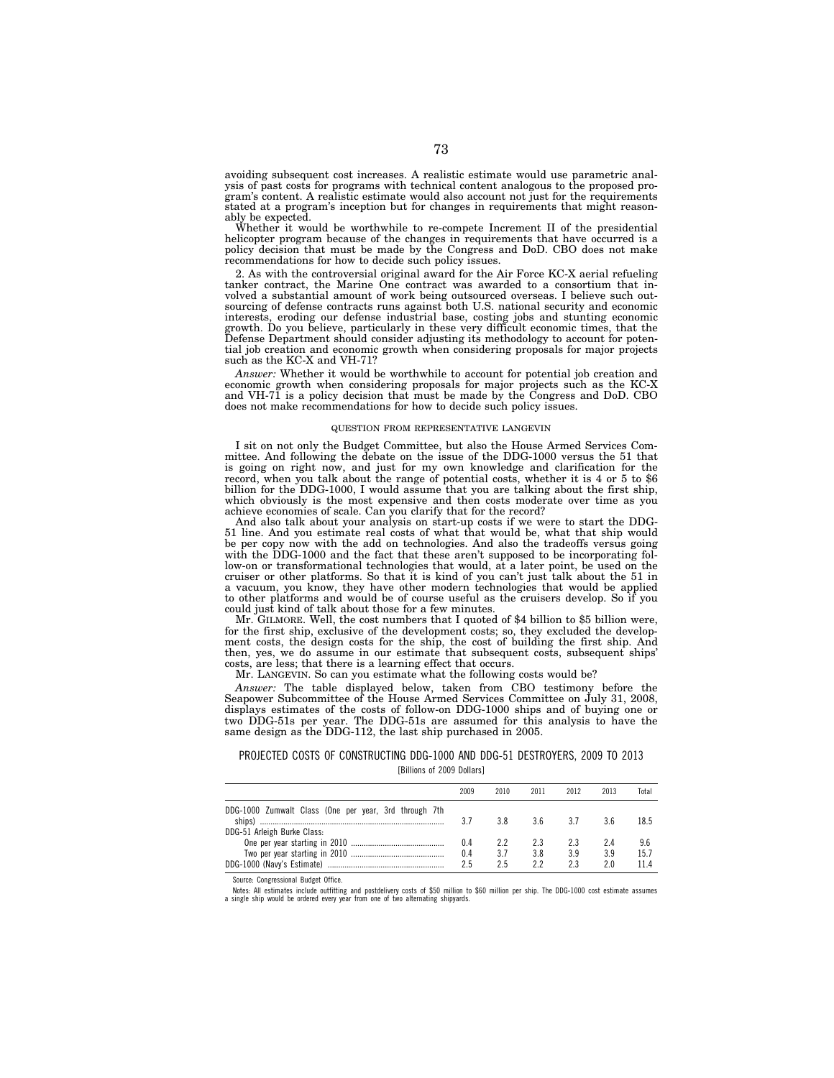avoiding subsequent cost increases. A realistic estimate would use parametric anal-ysis of past costs for programs with technical content analogous to the proposed program's content. A realistic estimate would also account not just for the requirements stated at a program's inception but for changes in requirements that might reasonably be expected.

Whether it would be worthwhile to re-compete Increment II of the presidential helicopter program because of the changes in requirements that have occurred is a policy decision that must be made by the Congress and DoD. CBO does not make recommendations for how to decide such policy issues.

2. As with the controversial original award for the Air Force KC-X aerial refueling tanker contract, the Marine One contract was awarded to a consortium that involved a substantial amount of work being outsourced overseas. I believe such outsourcing of defense contracts runs against both U.S. national sec interests, eroding our defense industrial base, costing jobs and stunting economic<br>growth. Do you believe, particularly in these very difficult economic times, that the<br>Defense Department should consider adjusting its meth tial job creation and economic growth when considering proposals for major projects such as the KC-X and VH-71?

*Answer:* Whether it would be worthwhile to account for potential job creation and economic growth when considering proposals for major projects such as the KC-X and VH-71 is a policy decision that must be made by the Congress and DoD. CBO does not make recommendations for how to decide such policy issues.

## QUESTION FROM REPRESENTATIVE LANGEVIN

I sit on not only the Budget Committee, but also the House Armed Services Committee. And following the debate on the issue of the DDG-1000 versus the 51 that is going on right now, and just for my own knowledge and clarification for the record, when you talk about the range of potential costs, whether it is 4 or 5 to \$6 billion for the DDG-1000, I would assume that you are talking about the first ship, which obviously is the most expensive and then costs moderate over time as you achieve economies of scale. Can you clarify that for the record?

And also talk about your analysis on start-up costs if we were to start the DDG-51 line. And you estimate real costs of what that would be, what that ship would be per copy now with the add on technologies. And also the tradeoffs versus going with the DDG-1000 and the fact that these aren't supposed to be incorporating follow-on or transformational technologies that would, at a later point, be used on the cruiser or other platforms. So that it is kind of you can't just talk about the 51 in a vacuum, you know, they have other modern technologies that would be applied to other platforms and would be of course useful as the cruisers develop. So if you could just kind of talk about those for a few minutes.

Mr. GILMORE. Well, the cost numbers that I quoted of \$4 billion to \$5 billion were, for the first ship, exclusive of the development costs; so, they excluded the development costs, the design costs for the ship, the cost of building the first ship. And then, yes, we do assume in our estimate that subsequent costs, subsequent ships' costs, are less; that there is a learning effect that occurs.

Mr. LANGEVIN. So can you estimate what the following costs would be?

*Answer:* The table displayed below, taken from CBO testimony before the Seapower Subcommittee of the House Armed Services Committee on July 31, 2008, displays estimates of the costs of follow-on DDG-1000 ships and of buying one or two DDG-51s per year. The DDG-51s are assumed for this analysis to have the same design as the DDG-112, the last ship purchased in 2005.

# PROJECTED COSTS OF CONSTRUCTING DDG-1000 AND DDG-51 DESTROYERS, 2009 TO 2013

[Billions of 2009 Dollars]

|                                                       | 2009 | 2010 | 2011 | 2012 | 2013 | Total |
|-------------------------------------------------------|------|------|------|------|------|-------|
| DDG-1000 Zumwalt Class (One per year, 3rd through 7th | 3.7  | 3 R  | 36   | 37   | 3 ჩ  | 18.5  |
| DDG-51 Arleigh Burke Class:                           |      |      |      |      |      |       |
|                                                       | 0.4  | 22   | 2.3  | 23   | 24   | 9.6   |
|                                                       | 0.4  | 3.7  | 3.8  | 3.9  | 3.9  | 15.7  |
|                                                       | 2.5  | 25   | 22   | 23   | ን በ  | 114   |

Source: Congressional Budget Office.

Notes: All estimates include outfitting and postdelivery costs of \$50 million to \$60 million per ship. The DDG-1000 cost estimate assumes a single ship would be ordered every year from one of two alternating shipyards.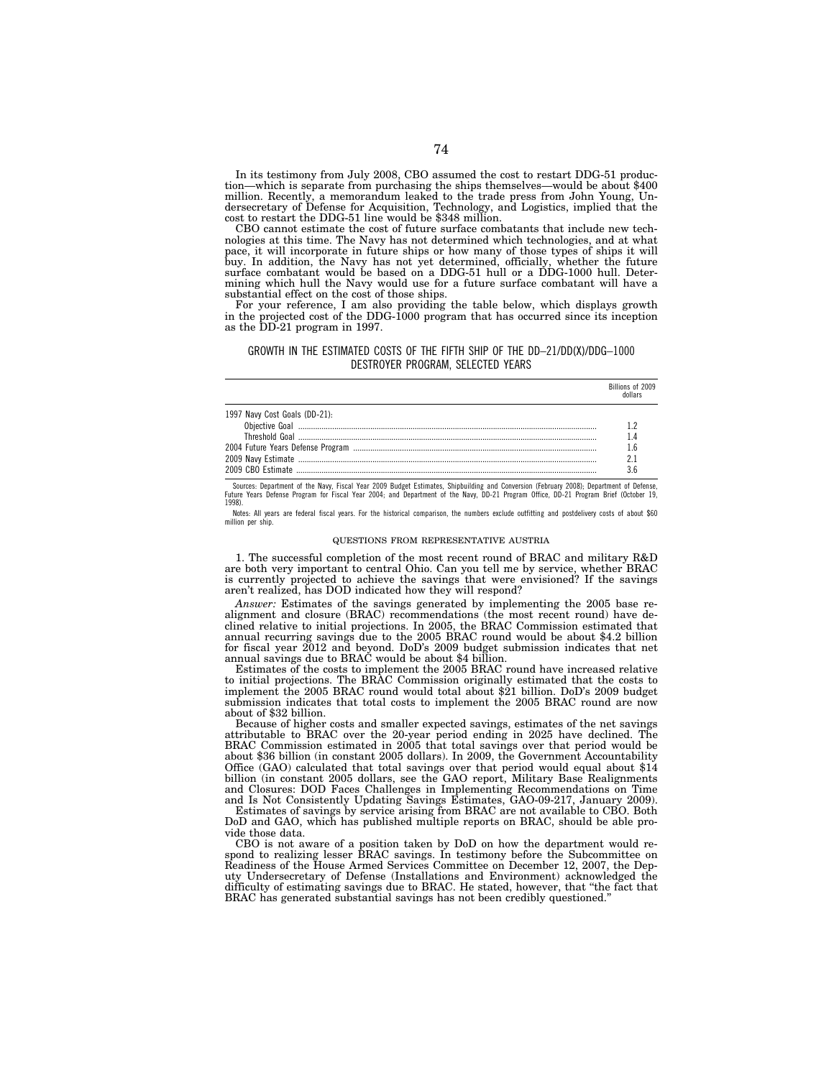In its testimony from July 2008, CBO assumed the cost to restart DDG-51 production—which is separate from purchasing the ships themselves—would be about \$400 million. Recently, a memorandum leaked to the trade press from John Young, Undersecretary of Defense for Acquisition, Technology, and Logistics, implied that the cost to restart the DDG-51 line would be \$348 million.

CBO cannot estimate the cost of future surface combatants that include new technologies at this time. The Navy has not determined which technologies, and at what pace, it will incorporate in future ships or how many of those types of ships it will buy. In addition, the Navy has not yet determined, officially, whether the future surface combatant would be based on a DDG-51 hull or a DDG-1000 hull. Determining which hull the Navy would use for a future surface combatant will have a substantial effect on the cost of those ships.

For your reference, I am also providing the table below, which displays growth in the projected cost of the DDG-1000 program that has occurred since its inception as the DD-21 program in 1997.

# GROWTH IN THE ESTIMATED COSTS OF THE FIFTH SHIP OF THE DD–21/DD(X)/DDG–1000 DESTROYER PROGRAM, SELECTED YEARS

|                               | Billions of 2009 |
|-------------------------------|------------------|
| 1997 Navy Cost Goals (DD-21): |                  |
|                               |                  |
|                               |                  |
|                               |                  |

Sources: Department of the Navy, Fiscal Year 2009 Budget Estimates, Shipbuilding and Conversion (February 2008); Department of Defense,<br>Future Years Defense Program for Fiscal Year 2004; and Department of the Navy, DD-21 P 1998).

Notes: All years are federal fiscal years. For the historical comparison, the numbers exclude outfitting and postdelivery costs of about \$60 million per ship.

#### QUESTIONS FROM REPRESENTATIVE AUSTRIA

1. The successful completion of the most recent round of BRAC and military R&D are both very important to central Ohio. Can you tell me by service, whether BRAC is currently projected to achieve the savings that were envisioned? If the savings aren't realized, has DOD indicated how they will respond?

*Answer:* Estimates of the savings generated by implementing the 2005 base realignment and closure (BRAC) recommendations (the most recent round) have declined relative to initial projections. In 2005, the BRAC Commission estimated that annual recurring savings due to the 2005 BRAC round would be about \$4.2 billion for fiscal year 2012 and beyond. DoD's 2009 budget submission indicates that net annual savings due to BRAC would be about \$4 billion.

Estimates of the costs to implement the 2005 BRAC round have increased relative to initial projections. The BRAC Commission originally estimated that the costs to implement the 2005 BRAC round would total about \$21 billion. DoD's 2009 budget submission indicates that total costs to implement the 2005 BRAC round are now about of \$32 billion.

Because of higher costs and smaller expected savings, estimates of the net savings attributable to BRAC over the 20-year period ending in 2025 have declined. The BRAC Commission estimated in 2005 that total savings over that period would be about \$36 billion (in constant 2005 dollars). In 2009, the Government Accountability Office (GAO) calculated that total savings over that period would equal about \$14 billion (in constant 2005 dollars, see the GAO report, Military Base Realignments and Closures: DOD Faces Challenges in Implementing Recommendations on Time and Is Not Consistently Updating Savings Estimates, GAO-09-217, January 2009).

Estimates of savings by service arising from BRAC are not available to CBO. Both DoD and GAO, which has published multiple reports on BRAC, should be able provide those data.

CBO is not aware of a position taken by DoD on how the department would respond to realizing lesser BRAC savings. In testimony before the Subcommittee on Readiness of the House Armed Services Committee on December 12, 2007, the Deputy Undersecretary of Defense (Installations and Environment) acknowledged the difficulty of estimating savings due to BRAC. He stated, however, that ''the fact that BRAC has generated substantial savings has not been credibly questioned.